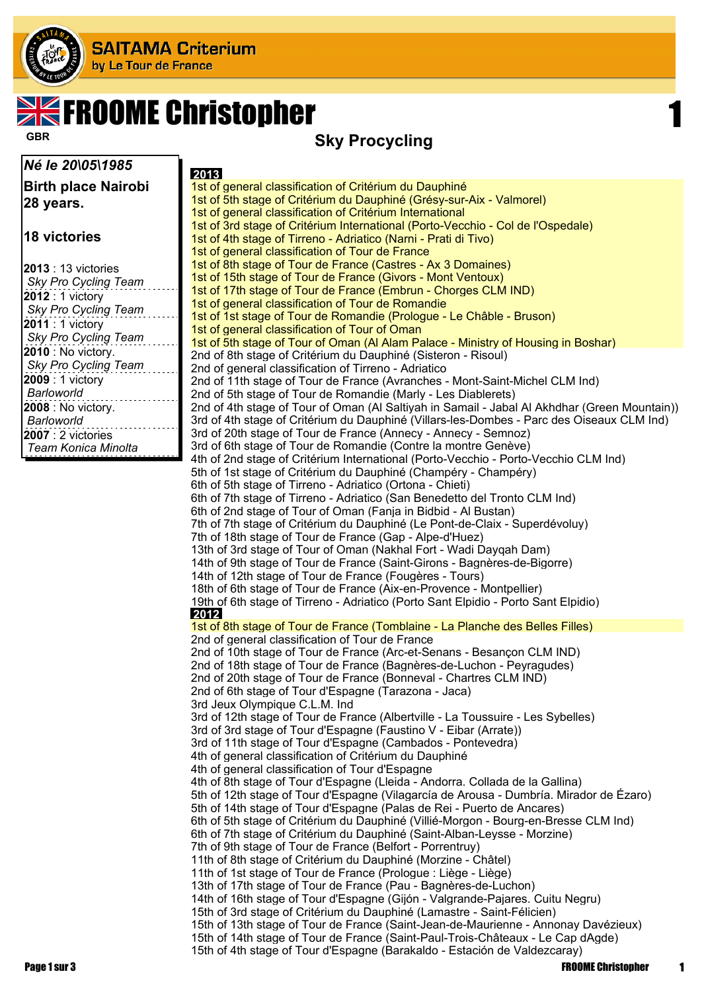

# **SK FROOME Christopher**

#### *Né le 20\05\1985*

**Birth place Nairobi 28 years.**

#### **18 victories**

| $2013:13$ victories  |
|----------------------|
| Sky Pro Cycling Team |
| 2012 : 1 victory     |
| Sky Pro Cycling Team |
| 2011 : 1 victory     |
| Sky Pro Cycling Team |
| 2010 : No victory.   |
| Sky Pro Cycling Team |
| 2009 : 1 victory     |
| Barloworld           |
| 2008 : No victory.   |
| Barloworld           |
| $2007:2$ victories   |
| Team Konica Minolta  |
|                      |

### **Sky Procycling GBR**

| 2013                                                                                                                                            |
|-------------------------------------------------------------------------------------------------------------------------------------------------|
| 1st of general classification of Critérium du Dauphiné                                                                                          |
| 1st of 5th stage of Critérium du Dauphiné (Grésy-sur-Aix - Valmorel)                                                                            |
| 1st of general classification of Critérium International                                                                                        |
| 1st of 3rd stage of Critérium International (Porto-Vecchio - Col de l'Ospedale)                                                                 |
| 1st of 4th stage of Tirreno - Adriatico (Narni - Prati di Tivo)                                                                                 |
| 1st of general classification of Tour de France                                                                                                 |
| 1st of 8th stage of Tour de France (Castres - Ax 3 Domaines)                                                                                    |
| 1st of 15th stage of Tour de France (Givors - Mont Ventoux)<br>1st of 17th stage of Tour de France (Embrun - Chorges CLM IND)                   |
| 1st of general classification of Tour de Romandie                                                                                               |
| 1st of 1st stage of Tour de Romandie (Prologue - Le Châble - Bruson)                                                                            |
| 1st of general classification of Tour of Oman                                                                                                   |
| 1st of 5th stage of Tour of Oman (Al Alam Palace - Ministry of Housing in Boshar)                                                               |
| 2nd of 8th stage of Critérium du Dauphiné (Sisteron - Risoul)                                                                                   |
| 2nd of general classification of Tirreno - Adriatico                                                                                            |
| 2nd of 11th stage of Tour de France (Avranches - Mont-Saint-Michel CLM Ind)                                                                     |
| 2nd of 5th stage of Tour de Romandie (Marly - Les Diablerets)                                                                                   |
| 2nd of 4th stage of Tour of Oman (Al Saltiyah in Samail - Jabal Al Akhdhar (Green Mountain))                                                    |
| 3rd of 4th stage of Critérium du Dauphiné (Villars-les-Dombes - Parc des Oiseaux CLM Ind)                                                       |
| 3rd of 20th stage of Tour de France (Annecy - Annecy - Semnoz)                                                                                  |
| 3rd of 6th stage of Tour de Romandie (Contre la montre Genève)                                                                                  |
| 4th of 2nd stage of Critérium International (Porto-Vecchio - Porto-Vecchio CLM Ind)                                                             |
| 5th of 1st stage of Critérium du Dauphiné (Champéry - Champéry)                                                                                 |
| 6th of 5th stage of Tirreno - Adriatico (Ortona - Chieti)<br>6th of 7th stage of Tirreno - Adriatico (San Benedetto del Tronto CLM Ind)         |
| 6th of 2nd stage of Tour of Oman (Fanja in Bidbid - Al Bustan)                                                                                  |
| 7th of 7th stage of Critérium du Dauphiné (Le Pont-de-Claix - Superdévoluy)                                                                     |
| 7th of 18th stage of Tour de France (Gap - Alpe-d'Huez)                                                                                         |
| 13th of 3rd stage of Tour of Oman (Nakhal Fort - Wadi Daygah Dam)                                                                               |
| 14th of 9th stage of Tour de France (Saint-Girons - Bagnères-de-Bigorre)                                                                        |
| 14th of 12th stage of Tour de France (Fougères - Tours)                                                                                         |
| 18th of 6th stage of Tour de France (Aix-en-Provence - Montpellier)                                                                             |
| 19th of 6th stage of Tirreno - Adriatico (Porto Sant Elpidio - Porto Sant Elpidio)                                                              |
| 2012                                                                                                                                            |
| 1st of 8th stage of Tour de France (Tomblaine - La Planche des Belles Filles)                                                                   |
| 2nd of general classification of Tour de France                                                                                                 |
| 2nd of 10th stage of Tour de France (Arc-et-Senans - Besançon CLM IND)<br>2nd of 18th stage of Tour de France (Bagnères-de-Luchon - Peyragudes) |
| 2nd of 20th stage of Tour de France (Bonneval - Chartres CLM IND)                                                                               |
| 2nd of 6th stage of Tour d'Espagne (Tarazona - Jaca)                                                                                            |
| 3rd Jeux Olympique C.L.M. Ind                                                                                                                   |
| 3rd of 12th stage of Tour de France (Albertville - La Toussuire - Les Sybelles)                                                                 |
| 3rd of 3rd stage of Tour d'Espagne (Faustino V - Eibar (Arrate))                                                                                |
| 3rd of 11th stage of Tour d'Espagne (Cambados - Pontevedra)                                                                                     |
| 4th of general classification of Critérium du Dauphiné                                                                                          |
| 4th of general classification of Tour d'Espagne                                                                                                 |
| 4th of 8th stage of Tour d'Espagne (Lleida - Andorra. Collada de la Gallina)                                                                    |
| 5th of 12th stage of Tour d'Espagne (Vilagarcía de Arousa - Dumbría. Mirador de Ézaro)                                                          |
| 5th of 14th stage of Tour d'Espagne (Palas de Rei - Puerto de Ancares)                                                                          |
| 6th of 5th stage of Critérium du Dauphiné (Villié-Morgon - Bourg-en-Bresse CLM Ind)                                                             |
| 6th of 7th stage of Critérium du Dauphiné (Saint-Alban-Leysse - Morzine)                                                                        |
| 7th of 9th stage of Tour de France (Belfort - Porrentruy)                                                                                       |
| 11th of 8th stage of Critérium du Dauphiné (Morzine - Châtel)<br>11th of 1st stage of Tour de France (Prologue: Liège - Liège)                  |
| 13th of 17th stage of Tour de France (Pau - Bagnères-de-Luchon)                                                                                 |
| 14th of 16th stage of Tour d'Espagne (Gijón - Valgrande-Pajares. Cuitu Negru)                                                                   |
| 15th of 3rd stage of Critérium du Dauphiné (Lamastre - Saint-Félicien)                                                                          |
| 15th of 13th stage of Tour de France (Saint-Jean-de-Maurienne - Annonay Davézieux)                                                              |
| 15th of 14th stage of Tour de France (Saint-Paul-Trois-Châteaux - Le Cap dAgde)                                                                 |
| 15th of 4th stage of Tour d'Espagne (Barakaldo - Estación de Valdezcaray)                                                                       |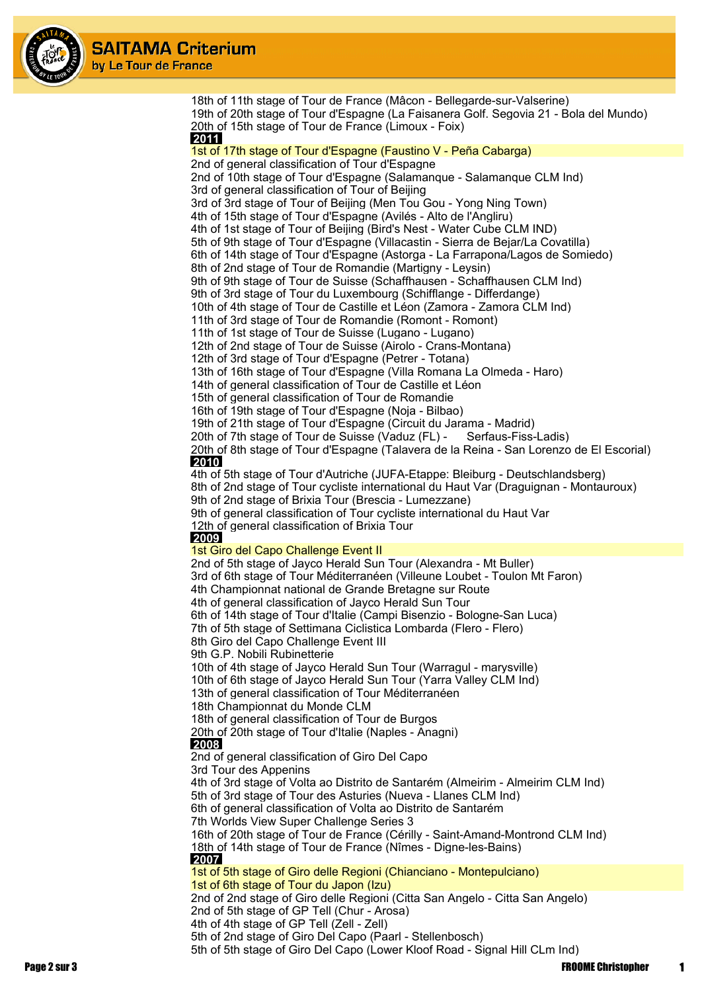

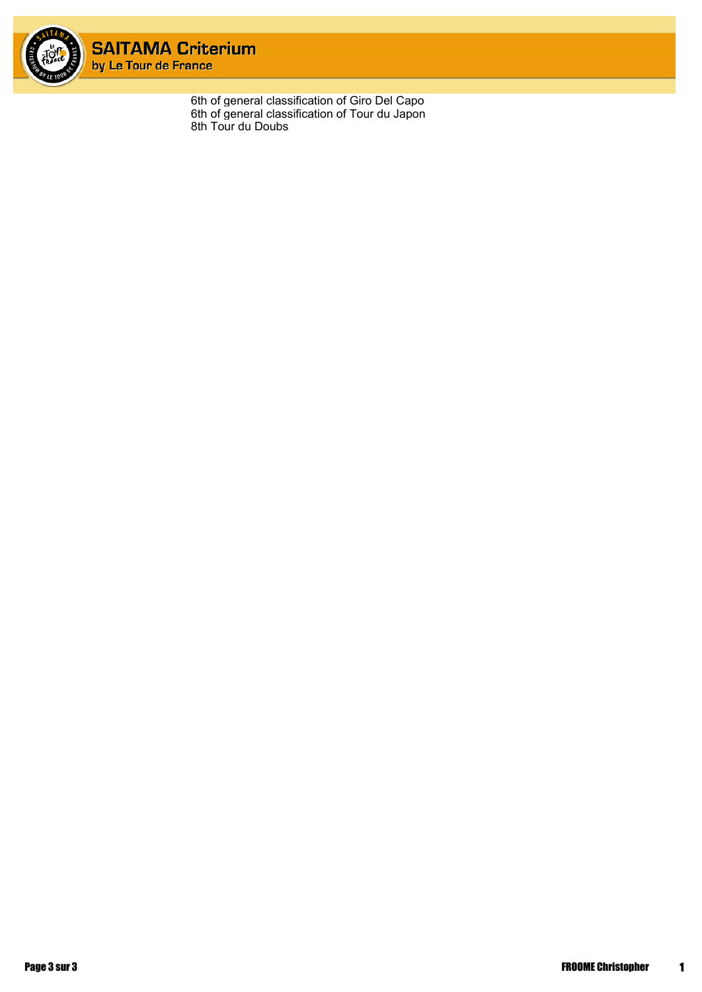

6th of general classification of Giro Del Capo 6th of general classification of Tour du Japon 8th Tour du Doubs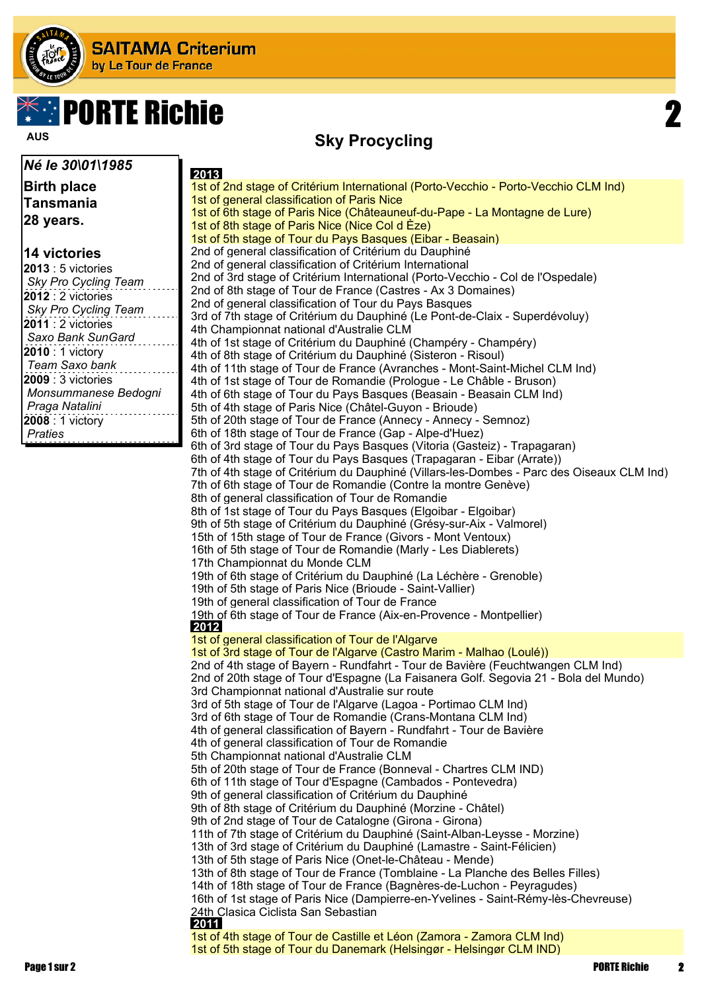

# **PORTE Richie**

**Sky Procycling AUS**

#### **Birth place Tansmania 28 years.**

*Né le 30\01\1985*

#### **14 victories**

 **2013** 1st of 2nd stage of Critérium International (Porto-Vecchio - Porto-Vecchio CLM Ind) 1st of general classification of Paris Nice 1st of 6th stage of Paris Nice (Châteauneuf-du-Pape - La Montagne de Lure) 1st of 8th stage of Paris Nice (Nice Col d Èze) 1st of 5th stage of Tour du Pays Basques (Eibar - Beasain) 2nd of general classification of Critérium du Dauphiné 2nd of general classification of Critérium International 2nd of 3rd stage of Critérium International (Porto-Vecchio - Col de l'Ospedale) 2nd of 8th stage of Tour de France (Castres - Ax 3 Domaines) 2nd of general classification of Tour du Pays Basques 3rd of 7th stage of Critérium du Dauphiné (Le Pont-de-Claix - Superdévoluy) 4th Championnat national d'Australie CLM 4th of 1st stage of Critérium du Dauphiné (Champéry - Champéry) 4th of 8th stage of Critérium du Dauphiné (Sisteron - Risoul) 4th of 11th stage of Tour de France (Avranches - Mont-Saint-Michel CLM Ind) 4th of 1st stage of Tour de Romandie (Prologue - Le Châble - Bruson) 4th of 6th stage of Tour du Pays Basques (Beasain - Beasain CLM Ind) 5th of 4th stage of Paris Nice (Châtel-Guyon - Brioude) 5th of 20th stage of Tour de France (Annecy - Annecy - Semnoz) 6th of 18th stage of Tour de France (Gap - Alpe-d'Huez) 6th of 3rd stage of Tour du Pays Basques (Vitoria (Gasteiz) - Trapagaran) 6th of 4th stage of Tour du Pays Basques (Trapagaran - Eibar (Arrate)) 7th of 4th stage of Critérium du Dauphiné (Villars-les-Dombes - Parc des Oiseaux CLM Ind) 7th of 6th stage of Tour de Romandie (Contre la montre Genève) 8th of general classification of Tour de Romandie 8th of 1st stage of Tour du Pays Basques (Elgoibar - Elgoibar) 9th of 5th stage of Critérium du Dauphiné (Grésy-sur-Aix - Valmorel) 15th of 15th stage of Tour de France (Givors - Mont Ventoux) 16th of 5th stage of Tour de Romandie (Marly - Les Diablerets) 17th Championnat du Monde CLM 19th of 6th stage of Critérium du Dauphiné (La Léchère - Grenoble) 19th of 5th stage of Paris Nice (Brioude - Saint-Vallier) 19th of general classification of Tour de France 19th of 6th stage of Tour de France (Aix-en-Provence - Montpellier)  **2012** 1st of general classification of Tour de l'Algarve 1st of 3rd stage of Tour de l'Algarve (Castro Marim - Malhao (Loulé)) 2nd of 4th stage of Bayern - Rundfahrt - Tour de Bavière (Feuchtwangen CLM Ind) 2nd of 20th stage of Tour d'Espagne (La Faisanera Golf. Segovia 21 - Bola del Mundo) 3rd Championnat national d'Australie sur route 3rd of 5th stage of Tour de l'Algarve (Lagoa - Portimao CLM Ind) 3rd of 6th stage of Tour de Romandie (Crans-Montana CLM Ind) 4th of general classification of Bayern - Rundfahrt - Tour de Bavière 4th of general classification of Tour de Romandie 5th Championnat national d'Australie CLM 5th of 20th stage of Tour de France (Bonneval - Chartres CLM IND) 6th of 11th stage of Tour d'Espagne (Cambados - Pontevedra) 9th of general classification of Critérium du Dauphiné 9th of 8th stage of Critérium du Dauphiné (Morzine - Châtel) 9th of 2nd stage of Tour de Catalogne (Girona - Girona) 11th of 7th stage of Critérium du Dauphiné (Saint-Alban-Leysse - Morzine) 13th of 3rd stage of Critérium du Dauphiné (Lamastre - Saint-Félicien) 13th of 5th stage of Paris Nice (Onet-le-Château - Mende) 13th of 8th stage of Tour de France (Tomblaine - La Planche des Belles Filles) 14th of 18th stage of Tour de France (Bagnères-de-Luchon - Peyragudes) 16th of 1st stage of Paris Nice (Dampierre-en-Yvelines - Saint-Rémy-lès-Chevreuse) 24th Clasica Ciclista San Sebastian  **2011** 1st of 4th stage of Tour de Castille et Léon (Zamora - Zamora CLM Ind) 1st of 5th stage of Tour du Danemark (Helsingør - Helsingør CLM IND)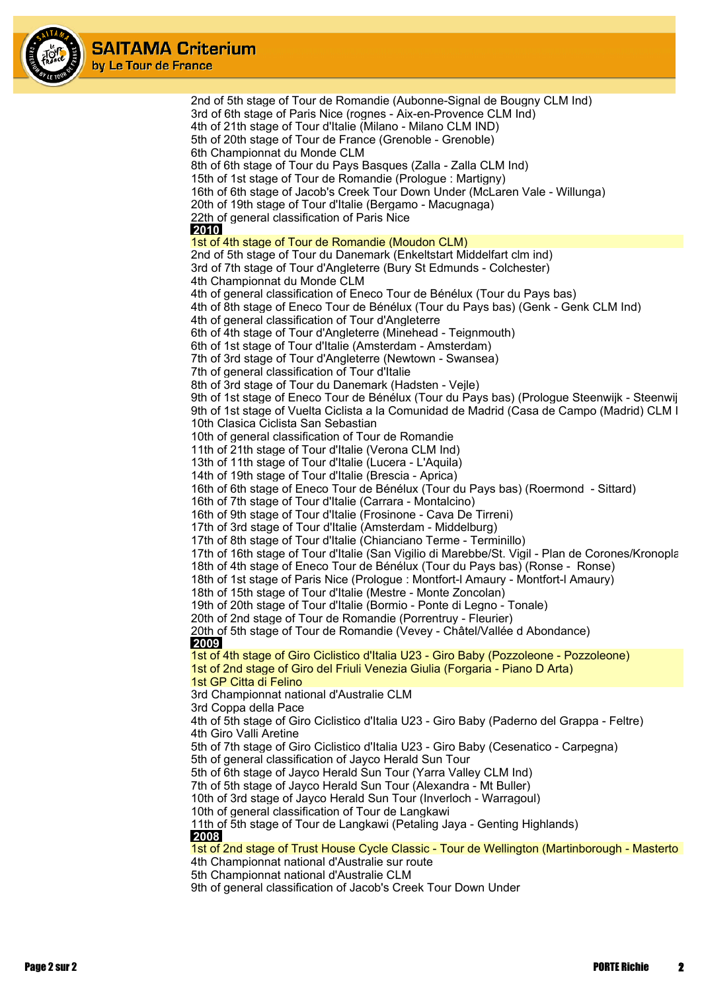



2nd of 5th stage of Tour de Romandie (Aubonne-Signal de Bougny CLM Ind) 3rd of 6th stage of Paris Nice (rognes - Aix-en-Provence CLM Ind) 4th of 21th stage of Tour d'Italie (Milano - Milano CLM IND) 5th of 20th stage of Tour de France (Grenoble - Grenoble) 6th Championnat du Monde CLM 8th of 6th stage of Tour du Pays Basques (Zalla - Zalla CLM Ind) 15th of 1st stage of Tour de Romandie (Prologue : Martigny) 16th of 6th stage of Jacob's Creek Tour Down Under (McLaren Vale - Willunga) 20th of 19th stage of Tour d'Italie (Bergamo - Macugnaga) 22th of general classification of Paris Nice  **2010** 1st of 4th stage of Tour de Romandie (Moudon CLM) 2nd of 5th stage of Tour du Danemark (Enkeltstart Middelfart clm ind) 3rd of 7th stage of Tour d'Angleterre (Bury St Edmunds - Colchester) 4th Championnat du Monde CLM 4th of general classification of Eneco Tour de Bénélux (Tour du Pays bas) 4th of 8th stage of Eneco Tour de Bénélux (Tour du Pays bas) (Genk - Genk CLM Ind) 4th of general classification of Tour d'Angleterre 6th of 4th stage of Tour d'Angleterre (Minehead - Teignmouth) 6th of 1st stage of Tour d'Italie (Amsterdam - Amsterdam) 7th of 3rd stage of Tour d'Angleterre (Newtown - Swansea) 7th of general classification of Tour d'Italie 8th of 3rd stage of Tour du Danemark (Hadsten - Vejle) 9th of 1st stage of Eneco Tour de Bénélux (Tour du Pays bas) (Prologue Steenwijk - Steenwij 9th of 1st stage of Vuelta Ciclista a la Comunidad de Madrid (Casa de Campo (Madrid) CLM I 10th Clasica Ciclista San Sebastian 10th of general classification of Tour de Romandie 11th of 21th stage of Tour d'Italie (Verona CLM Ind) 13th of 11th stage of Tour d'Italie (Lucera - L'Aquila) 14th of 19th stage of Tour d'Italie (Brescia - Aprica) 16th of 6th stage of Eneco Tour de Bénélux (Tour du Pays bas) (Roermond - Sittard) 16th of 7th stage of Tour d'Italie (Carrara - Montalcino) 16th of 9th stage of Tour d'Italie (Frosinone - Cava De Tirreni) 17th of 3rd stage of Tour d'Italie (Amsterdam - Middelburg) 17th of 8th stage of Tour d'Italie (Chianciano Terme - Terminillo) 17th of 16th stage of Tour d'Italie (San Vigilio di Marebbe/St. Vigil - Plan de Corones/Kronopla 18th of 4th stage of Eneco Tour de Bénélux (Tour du Pays bas) (Ronse - Ronse) 18th of 1st stage of Paris Nice (Prologue : Montfort-l Amaury - Montfort-l Amaury) 18th of 15th stage of Tour d'Italie (Mestre - Monte Zoncolan) 19th of 20th stage of Tour d'Italie (Bormio - Ponte di Legno - Tonale) 20th of 2nd stage of Tour de Romandie (Porrentruy - Fleurier) 20th of 5th stage of Tour de Romandie (Vevey - Châtel/Vallée d Abondance)  **2009** 1st of 4th stage of Giro Ciclistico d'Italia U23 - Giro Baby (Pozzoleone - Pozzoleone) 1st of 2nd stage of Giro del Friuli Venezia Giulia (Forgaria - Piano D Arta) 1st GP Citta di Felino 3rd Championnat national d'Australie CLM 3rd Coppa della Pace 4th of 5th stage of Giro Ciclistico d'Italia U23 - Giro Baby (Paderno del Grappa - Feltre) 4th Giro Valli Aretine 5th of 7th stage of Giro Ciclistico d'Italia U23 - Giro Baby (Cesenatico - Carpegna) 5th of general classification of Jayco Herald Sun Tour 5th of 6th stage of Jayco Herald Sun Tour (Yarra Valley CLM Ind) 7th of 5th stage of Jayco Herald Sun Tour (Alexandra - Mt Buller) 10th of 3rd stage of Jayco Herald Sun Tour (Inverloch - Warragoul) 10th of general classification of Tour de Langkawi 11th of 5th stage of Tour de Langkawi (Petaling Jaya - Genting Highlands)  **2008** 1st of 2nd stage of Trust House Cycle Classic - Tour de Wellington (Martinborough - Mastertow 4th Championnat national d'Australie sur route 5th Championnat national d'Australie CLM 9th of general classification of Jacob's Creek Tour Down Under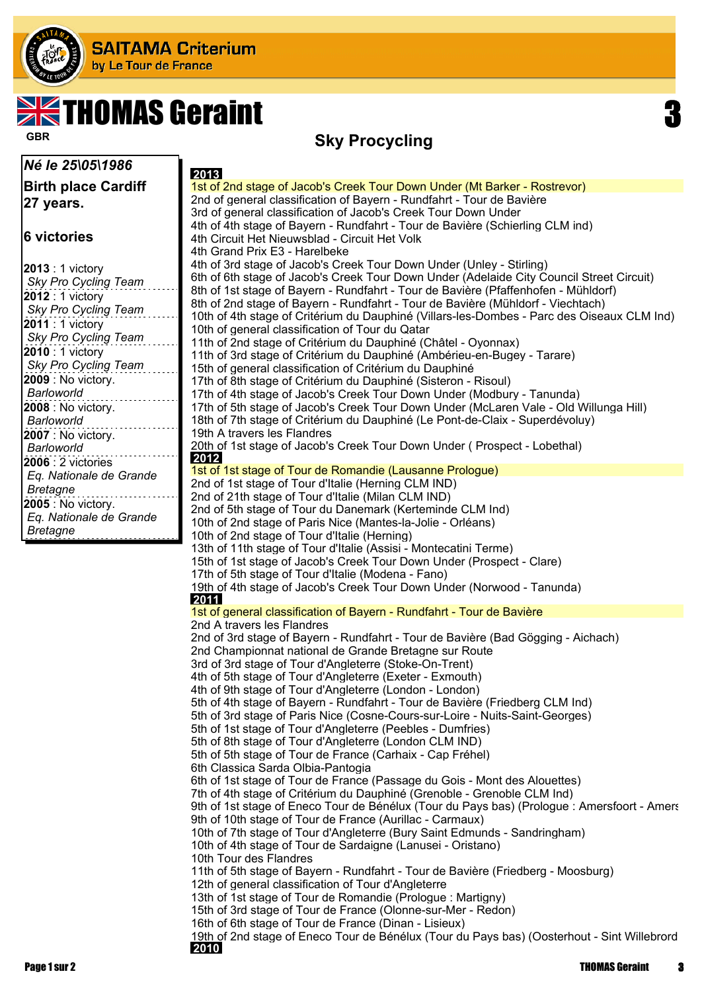

# $\blacktriangleleft$ THOMAS Geraint

*Né le 25\05\1986*

**Birth place Cardiff 27 years.**

#### **6 victories**

| 2013 : 1 victory        |
|-------------------------|
| Sky Pro Cycling Team    |
| 2012 : 1 victory        |
| Sky Pro Cycling Team    |
| 2011 : 1 victory        |
| Sky Pro Cycling Team    |
| 2010 : 1 victory        |
| Sky Pro Cycling Team    |
| 2009 : No victory.      |
| Barloworld              |
| 2008 : No victory.      |
| Barloworld              |
| 2007 : No victory.      |
| Barloworld              |
| 2006 : 2 victories      |
| Eq. Nationale de Grande |
| Bretagne                |
| 2005 : No victory.      |
| Eq. Nationale de Grande |
| Bretagne                |

#### **Sky Procycling GBR**

 **2013** 1st of 2nd stage of Jacob's Creek Tour Down Under (Mt Barker - Rostrevor) 2nd of general classification of Bayern - Rundfahrt - Tour de Bavière 3rd of general classification of Jacob's Creek Tour Down Under 4th of 4th stage of Bayern - Rundfahrt - Tour de Bavière (Schierling CLM ind) 4th Circuit Het Nieuwsblad - Circuit Het Volk 4th Grand Prix E3 - Harelbeke 4th of 3rd stage of Jacob's Creek Tour Down Under (Unley - Stirling) 6th of 6th stage of Jacob's Creek Tour Down Under (Adelaide City Council Street Circuit) 8th of 1st stage of Bayern - Rundfahrt - Tour de Bavière (Pfaffenhofen - Mühldorf) 8th of 2nd stage of Bayern - Rundfahrt - Tour de Bavière (Mühldorf - Viechtach) 10th of 4th stage of Critérium du Dauphiné (Villars-les-Dombes - Parc des Oiseaux CLM Ind) 10th of general classification of Tour du Qatar 11th of 2nd stage of Critérium du Dauphiné (Châtel - Oyonnax) 11th of 3rd stage of Critérium du Dauphiné (Ambérieu-en-Bugey - Tarare) 15th of general classification of Critérium du Dauphiné 17th of 8th stage of Critérium du Dauphiné (Sisteron - Risoul) 17th of 4th stage of Jacob's Creek Tour Down Under (Modbury - Tanunda) 17th of 5th stage of Jacob's Creek Tour Down Under (McLaren Vale - Old Willunga Hill) 18th of 7th stage of Critérium du Dauphiné (Le Pont-de-Claix - Superdévoluy) 19th A travers les Flandres 20th of 1st stage of Jacob's Creek Tour Down Under ( Prospect - Lobethal)  **2012** 1st of 1st stage of Tour de Romandie (Lausanne Prologue) 2nd of 1st stage of Tour d'Italie (Herning CLM IND) 2nd of 21th stage of Tour d'Italie (Milan CLM IND) 2nd of 5th stage of Tour du Danemark (Kerteminde CLM Ind) 10th of 2nd stage of Paris Nice (Mantes-la-Jolie - Orléans) 10th of 2nd stage of Tour d'Italie (Herning) 13th of 11th stage of Tour d'Italie (Assisi - Montecatini Terme) 15th of 1st stage of Jacob's Creek Tour Down Under (Prospect - Clare) 17th of 5th stage of Tour d'Italie (Modena - Fano) 19th of 4th stage of Jacob's Creek Tour Down Under (Norwood - Tanunda)  **2011** 1st of general classification of Bayern - Rundfahrt - Tour de Bavière 2nd A travers les Flandres 2nd of 3rd stage of Bayern - Rundfahrt - Tour de Bavière (Bad Gögging - Aichach) 2nd Championnat national de Grande Bretagne sur Route 3rd of 3rd stage of Tour d'Angleterre (Stoke-On-Trent) 4th of 5th stage of Tour d'Angleterre (Exeter - Exmouth) 4th of 9th stage of Tour d'Angleterre (London - London) 5th of 4th stage of Bayern - Rundfahrt - Tour de Bavière (Friedberg CLM Ind) 5th of 3rd stage of Paris Nice (Cosne-Cours-sur-Loire - Nuits-Saint-Georges) 5th of 1st stage of Tour d'Angleterre (Peebles - Dumfries) 5th of 8th stage of Tour d'Angleterre (London CLM IND) 5th of 5th stage of Tour de France (Carhaix - Cap Fréhel) 6th Classica Sarda Olbia-Pantogia 6th of 1st stage of Tour de France (Passage du Gois - Mont des Alouettes) 7th of 4th stage of Critérium du Dauphiné (Grenoble - Grenoble CLM Ind) 9th of 1st stage of Eneco Tour de Bénélux (Tour du Pays bas) (Prologue : Amersfoort - Amers 9th of 10th stage of Tour de France (Aurillac - Carmaux) 10th of 7th stage of Tour d'Angleterre (Bury Saint Edmunds - Sandringham) 10th of 4th stage of Tour de Sardaigne (Lanusei - Oristano) 10th Tour des Flandres 11th of 5th stage of Bayern - Rundfahrt - Tour de Bavière (Friedberg - Moosburg) 12th of general classification of Tour d'Angleterre 13th of 1st stage of Tour de Romandie (Prologue : Martigny) 15th of 3rd stage of Tour de France (Olonne-sur-Mer - Redon) 16th of 6th stage of Tour de France (Dinan - Lisieux) 19th of 2nd stage of Eneco Tour de Bénélux (Tour du Pays bas) (Oosterhout - Sint Willebrord)

 **2010**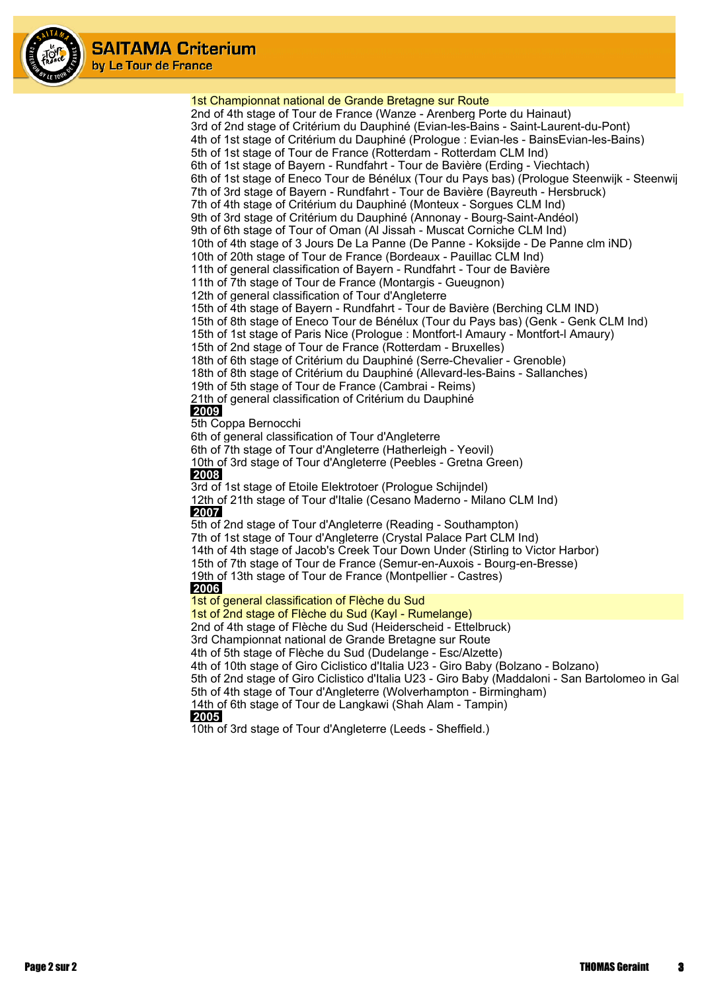

1st Championnat national de Grande Bretagne sur Route 2nd of 4th stage of Tour de France (Wanze - Arenberg Porte du Hainaut) 3rd of 2nd stage of Critérium du Dauphiné (Evian-les-Bains - Saint-Laurent-du-Pont) 4th of 1st stage of Critérium du Dauphiné (Prologue : Evian-les - BainsEvian-les-Bains) 5th of 1st stage of Tour de France (Rotterdam - Rotterdam CLM Ind) 6th of 1st stage of Bayern - Rundfahrt - Tour de Bavière (Erding - Viechtach) 6th of 1st stage of Eneco Tour de Bénélux (Tour du Pays bas) (Prologue Steenwijk - Steenwijk 7th of 3rd stage of Bayern - Rundfahrt - Tour de Bavière (Bayreuth - Hersbruck) 7th of 4th stage of Critérium du Dauphiné (Monteux - Sorgues CLM Ind) 9th of 3rd stage of Critérium du Dauphiné (Annonay - Bourg-Saint-Andéol) 9th of 6th stage of Tour of Oman (Al Jissah - Muscat Corniche CLM Ind) 10th of 4th stage of 3 Jours De La Panne (De Panne - Koksijde - De Panne clm iND) 10th of 20th stage of Tour de France (Bordeaux - Pauillac CLM Ind) 11th of general classification of Bayern - Rundfahrt - Tour de Bavière 11th of 7th stage of Tour de France (Montargis - Gueugnon) 12th of general classification of Tour d'Angleterre 15th of 4th stage of Bayern - Rundfahrt - Tour de Bavière (Berching CLM IND) 15th of 8th stage of Eneco Tour de Bénélux (Tour du Pays bas) (Genk - Genk CLM Ind) 15th of 1st stage of Paris Nice (Prologue : Montfort-l Amaury - Montfort-l Amaury) 15th of 2nd stage of Tour de France (Rotterdam - Bruxelles) 18th of 6th stage of Critérium du Dauphiné (Serre-Chevalier - Grenoble) 18th of 8th stage of Critérium du Dauphiné (Allevard-les-Bains - Sallanches) 19th of 5th stage of Tour de France (Cambrai - Reims) 21th of general classification of Critérium du Dauphiné  **2009** 5th Coppa Bernocchi 6th of general classification of Tour d'Angleterre 6th of 7th stage of Tour d'Angleterre (Hatherleigh - Yeovil) 10th of 3rd stage of Tour d'Angleterre (Peebles - Gretna Green)  **2008** 3rd of 1st stage of Etoile Elektrotoer (Prologue Schijndel) 12th of 21th stage of Tour d'Italie (Cesano Maderno - Milano CLM Ind)  **2007** 5th of 2nd stage of Tour d'Angleterre (Reading - Southampton) 7th of 1st stage of Tour d'Angleterre (Crystal Palace Part CLM Ind) 14th of 4th stage of Jacob's Creek Tour Down Under (Stirling to Victor Harbor) 15th of 7th stage of Tour de France (Semur-en-Auxois - Bourg-en-Bresse) 19th of 13th stage of Tour de France (Montpellier - Castres)  **2006** 1st of general classification of Flèche du Sud 1st of 2nd stage of Flèche du Sud (Kayl - Rumelange) 2nd of 4th stage of Flèche du Sud (Heiderscheid - Ettelbruck) 3rd Championnat national de Grande Bretagne sur Route 4th of 5th stage of Flèche du Sud (Dudelange - Esc/Alzette) 4th of 10th stage of Giro Ciclistico d'Italia U23 - Giro Baby (Bolzano - Bolzano) 5th of 2nd stage of Giro Ciclistico d'Italia U23 - Giro Baby (Maddaloni - San Bartolomeo in Gald 5th of 4th stage of Tour d'Angleterre (Wolverhampton - Birmingham) 14th of 6th stage of Tour de Langkawi (Shah Alam - Tampin)  **2005** 10th of 3rd stage of Tour d'Angleterre (Leeds - Sheffield.)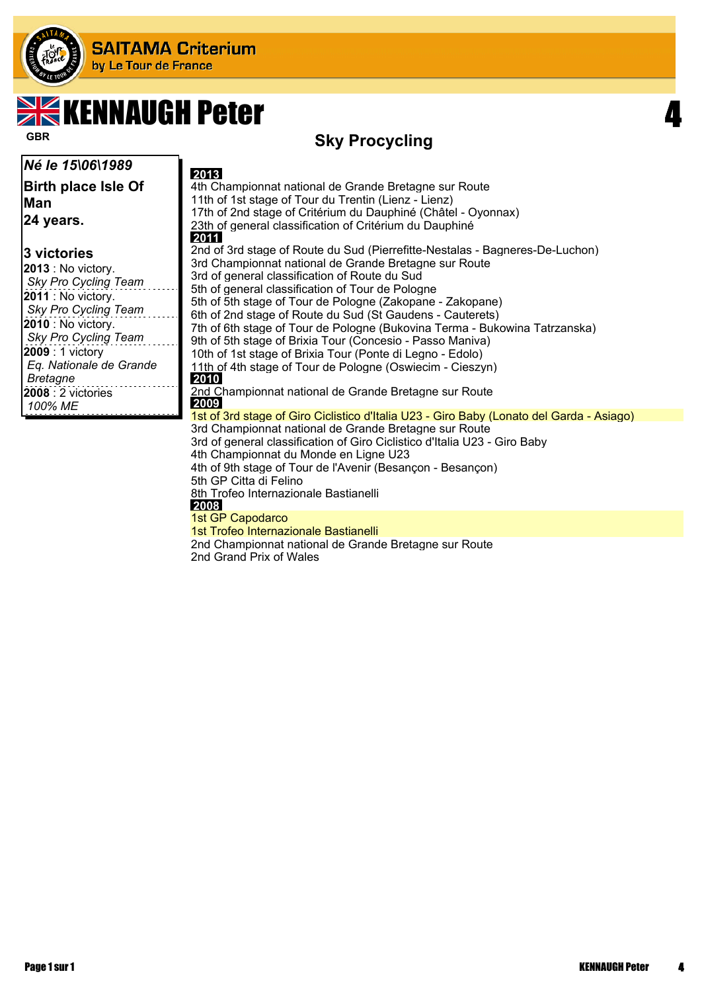

# **EXERGIOUS AVENUES**

### **Sky Procycling GBR**

| Né le 15\06\1989                                                                                                                                                                                                                             | 2013                                                                                                                                                                                                                                                                                                                                                                                                                                                                                                                                                                                                                                              |
|----------------------------------------------------------------------------------------------------------------------------------------------------------------------------------------------------------------------------------------------|---------------------------------------------------------------------------------------------------------------------------------------------------------------------------------------------------------------------------------------------------------------------------------------------------------------------------------------------------------------------------------------------------------------------------------------------------------------------------------------------------------------------------------------------------------------------------------------------------------------------------------------------------|
| Birth place Isle Of<br>lMan<br>24 years.                                                                                                                                                                                                     | 4th Championnat national de Grande Bretagne sur Route<br>11th of 1st stage of Tour du Trentin (Lienz - Lienz)<br>17th of 2nd stage of Critérium du Dauphiné (Châtel - Oyonnax)<br>23th of general classification of Critérium du Dauphiné<br>2011                                                                                                                                                                                                                                                                                                                                                                                                 |
| 3 victories<br><b>2013</b> : No victory.<br>Sky Pro Cycling Team<br><b>2011</b> : No victory.<br>Sky Pro Cycling Team<br><b>2010</b> : No victory.<br>Sky Pro Cycling Team<br>2009 : 1 victory<br>Eq. Nationale de Grande<br><b>Bretagne</b> | 2nd of 3rd stage of Route du Sud (Pierrefitte-Nestalas - Bagneres-De-Luchon)<br>3rd Championnat national de Grande Bretagne sur Route<br>3rd of general classification of Route du Sud<br>5th of general classification of Tour de Pologne<br>5th of 5th stage of Tour de Pologne (Zakopane - Zakopane)<br>6th of 2nd stage of Route du Sud (St Gaudens - Cauterets)<br>7th of 6th stage of Tour de Pologne (Bukovina Terma - Bukowina Tatrzanska)<br>9th of 5th stage of Brixia Tour (Concesio - Passo Maniva)<br>10th of 1st stage of Brixia Tour (Ponte di Legno - Edolo)<br>11th of 4th stage of Tour de Pologne (Oswiecim - Cieszyn)<br>2010 |
| <b>2008</b> : 2 victories<br>100% ME                                                                                                                                                                                                         | 2nd Championnat national de Grande Bretagne sur Route<br>2009                                                                                                                                                                                                                                                                                                                                                                                                                                                                                                                                                                                     |
|                                                                                                                                                                                                                                              | 1st of 3rd stage of Giro Ciclistico d'Italia U23 - Giro Baby (Lonato del Garda - Asiago)<br>3rd Championnat national de Grande Bretagne sur Route<br>3rd of general classification of Giro Ciclistico d'Italia U23 - Giro Baby<br>Ath Chamnionnat du Monde en Ligne LI23                                                                                                                                                                                                                                                                                                                                                                          |

4th Championnat du Monde en Ligne U23 4th of 9th stage of Tour de l'Avenir (Besançon - Besançon) 5th GP Citta di Felino

8th Trofeo Internazionale Bastianelli

 **2008**

1st GP Capodarco

1st Trofeo Internazionale Bastianelli 2nd Championnat national de Grande Bretagne sur Route

2nd Grand Prix of Wales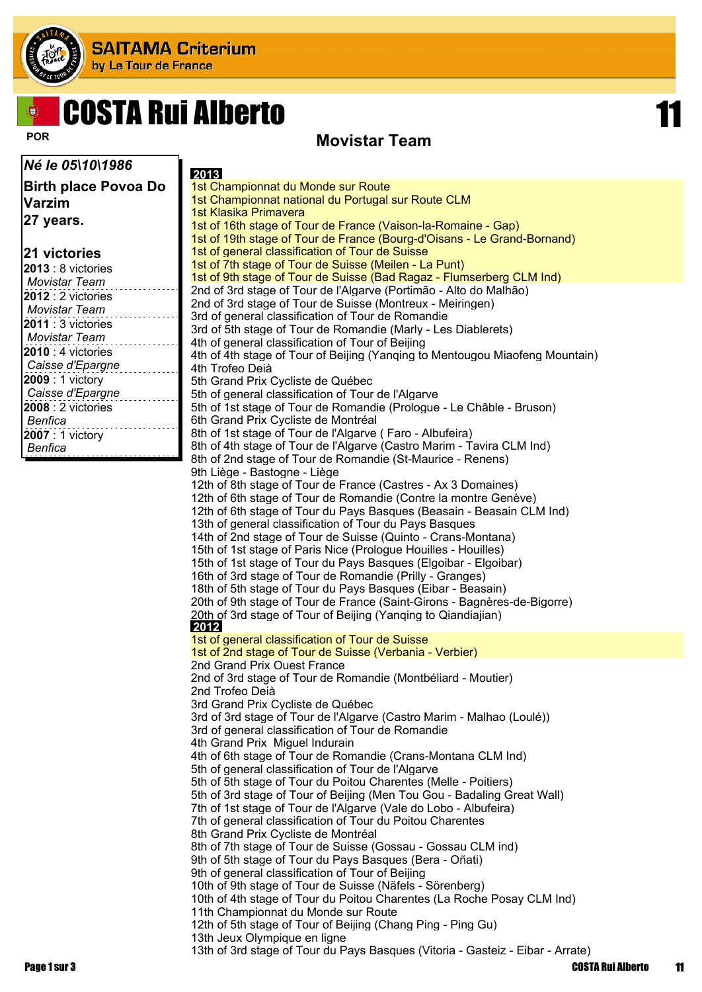

# COSTA Rui Alberto 11

#### **POR Movistar Team**

*Né le 05\10\1986* **Birth place Povoa Do Varzim 27 years. 21 victories 2013** : 8 victories *Movistar Team* **2012** : 2 victories *Movistar Team* **2011** : 3 victories *Movistar Team* **2010** : 4 victories *Caisse d'Epargne* **2009** : 1 victory *Caisse d'Epargne* **2008** : 2 victories *Benfica* **2007** : 1 victory *Benfica*  **2013** 1st Championnat du Monde sur Route 1st Championnat national du Portugal sur Route CLM 1st Klasika Primavera 1st of 16th stage of Tour de France (Vaison-la-Romaine - Gap) 1st of 19th stage of Tour de France (Bourg-d'Oisans - Le Grand-Bornand) 1st of general classification of Tour de Suisse 1st of 7th stage of Tour de Suisse (Meilen - La Punt) 1st of 9th stage of Tour de Suisse (Bad Ragaz - Flumserberg CLM Ind) 2nd of 3rd stage of Tour de l'Algarve (Portimão - Alto do Malhão) 2nd of 3rd stage of Tour de Suisse (Montreux - Meiringen) 3rd of general classification of Tour de Romandie 3rd of 5th stage of Tour de Romandie (Marly - Les Diablerets) 4th of general classification of Tour of Beijing 4th of 4th stage of Tour of Beijing (Yanqing to Mentougou Miaofeng Mountain) 4th Trofeo Deià 5th Grand Prix Cycliste de Québec 5th of general classification of Tour de l'Algarve 5th of 1st stage of Tour de Romandie (Prologue - Le Châble - Bruson) 6th Grand Prix Cycliste de Montréal 8th of 1st stage of Tour de l'Algarve ( Faro - Albufeira) 8th of 4th stage of Tour de l'Algarve (Castro Marim - Tavira CLM Ind) 8th of 2nd stage of Tour de Romandie (St-Maurice - Renens) 9th Liège - Bastogne - Liège 12th of 8th stage of Tour de France (Castres - Ax 3 Domaines) 12th of 6th stage of Tour de Romandie (Contre la montre Genève) 12th of 6th stage of Tour du Pays Basques (Beasain - Beasain CLM Ind) 13th of general classification of Tour du Pays Basques 14th of 2nd stage of Tour de Suisse (Quinto - Crans-Montana) 15th of 1st stage of Paris Nice (Prologue Houilles - Houilles) 15th of 1st stage of Tour du Pays Basques (Elgoibar - Elgoibar) 16th of 3rd stage of Tour de Romandie (Prilly - Granges) 18th of 5th stage of Tour du Pays Basques (Eibar - Beasain) 20th of 9th stage of Tour de France (Saint-Girons - Bagnères-de-Bigorre) 20th of 3rd stage of Tour of Beijing (Yanqing to Qiandiajian)  **2012** 1st of general classification of Tour de Suisse 1st of 2nd stage of Tour de Suisse (Verbania - Verbier) 2nd Grand Prix Ouest France 2nd of 3rd stage of Tour de Romandie (Montbéliard - Moutier) 2nd Trofeo Deià 3rd Grand Prix Cycliste de Québec 3rd of 3rd stage of Tour de l'Algarve (Castro Marim - Malhao (Loulé)) 3rd of general classification of Tour de Romandie 4th Grand Prix Miguel Indurain 4th of 6th stage of Tour de Romandie (Crans-Montana CLM Ind) 5th of general classification of Tour de l'Algarve 5th of 5th stage of Tour du Poitou Charentes (Melle - Poitiers) 5th of 3rd stage of Tour of Beijing (Men Tou Gou - Badaling Great Wall) 7th of 1st stage of Tour de l'Algarve (Vale do Lobo - Albufeira) 7th of general classification of Tour du Poitou Charentes 8th Grand Prix Cycliste de Montréal 8th of 7th stage of Tour de Suisse (Gossau - Gossau CLM ind) 9th of 5th stage of Tour du Pays Basques (Bera - Oñati) 9th of general classification of Tour of Beijing 10th of 9th stage of Tour de Suisse (Näfels - Sörenberg) 10th of 4th stage of Tour du Poitou Charentes (La Roche Posay CLM Ind) 11th Championnat du Monde sur Route 12th of 5th stage of Tour of Beijing (Chang Ping - Ping Gu) 13th Jeux Olympique en ligne 13th of 3rd stage of Tour du Pays Basques (Vitoria - Gasteiz - Eibar - Arrate)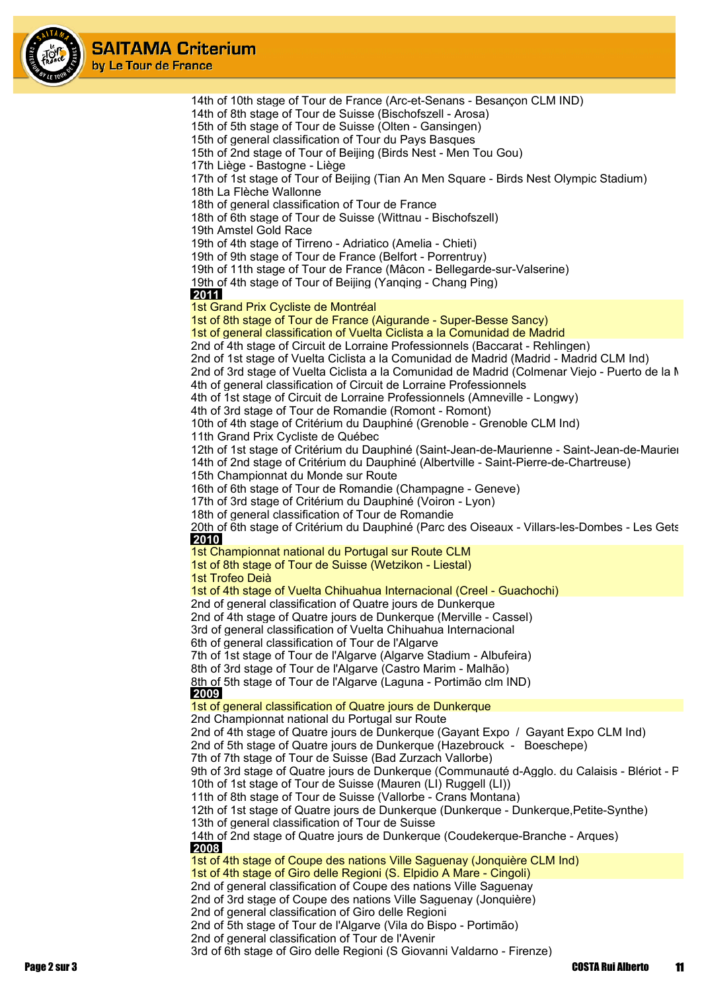

14th of 10th stage of Tour de France (Arc-et-Senans - Besançon CLM IND) 14th of 8th stage of Tour de Suisse (Bischofszell - Arosa) 15th of 5th stage of Tour de Suisse (Olten - Gansingen) 15th of general classification of Tour du Pays Basques 15th of 2nd stage of Tour of Beijing (Birds Nest - Men Tou Gou) 17th Liège - Bastogne - Liège 17th of 1st stage of Tour of Beijing (Tian An Men Square - Birds Nest Olympic Stadium) 18th La Flèche Wallonne 18th of general classification of Tour de France 18th of 6th stage of Tour de Suisse (Wittnau - Bischofszell) 19th Amstel Gold Race 19th of 4th stage of Tirreno - Adriatico (Amelia - Chieti) 19th of 9th stage of Tour de France (Belfort - Porrentruy) 19th of 11th stage of Tour de France (Mâcon - Bellegarde-sur-Valserine) 19th of 4th stage of Tour of Beijing (Yanqing - Chang Ping)  **2011** 1st Grand Prix Cycliste de Montréal 1st of 8th stage of Tour de France (Aigurande - Super-Besse Sancy) 1st of general classification of Vuelta Ciclista a la Comunidad de Madrid 2nd of 4th stage of Circuit de Lorraine Professionnels (Baccarat - Rehlingen) 2nd of 1st stage of Vuelta Ciclista a la Comunidad de Madrid (Madrid - Madrid CLM Ind) 2nd of 3rd stage of Vuelta Ciclista a la Comunidad de Madrid (Colmenar Viejo - Puerto de la M 4th of general classification of Circuit de Lorraine Professionnels 4th of 1st stage of Circuit de Lorraine Professionnels (Amneville - Longwy) 4th of 3rd stage of Tour de Romandie (Romont - Romont) 10th of 4th stage of Critérium du Dauphiné (Grenoble - Grenoble CLM Ind) 11th Grand Prix Cycliste de Québec 12th of 1st stage of Critérium du Dauphiné (Saint-Jean-de-Maurienne - Saint-Jean-de-Maurien 14th of 2nd stage of Critérium du Dauphiné (Albertville - Saint-Pierre-de-Chartreuse) 15th Championnat du Monde sur Route 16th of 6th stage of Tour de Romandie (Champagne - Geneve) 17th of 3rd stage of Critérium du Dauphiné (Voiron - Lyon) 18th of general classification of Tour de Romandie 20th of 6th stage of Critérium du Dauphiné (Parc des Oiseaux - Villars-les-Dombes - Les Gets  **2010** 1st Championnat national du Portugal sur Route CLM 1st of 8th stage of Tour de Suisse (Wetzikon - Liestal) 1st Trofeo Deià 1st of 4th stage of Vuelta Chihuahua Internacional (Creel - Guachochi) 2nd of general classification of Quatre jours de Dunkerque 2nd of 4th stage of Quatre jours de Dunkerque (Merville - Cassel) 3rd of general classification of Vuelta Chihuahua Internacional 6th of general classification of Tour de l'Algarve 7th of 1st stage of Tour de l'Algarve (Algarve Stadium - Albufeira) 8th of 3rd stage of Tour de l'Algarve (Castro Marim - Malhão) 8th of 5th stage of Tour de l'Algarve (Laguna - Portimão clm IND)  **2009** 1st of general classification of Quatre jours de Dunkerque 2nd Championnat national du Portugal sur Route 2nd of 4th stage of Quatre jours de Dunkerque (Gayant Expo / Gayant Expo CLM Ind) 2nd of 5th stage of Quatre jours de Dunkerque (Hazebrouck - Boeschepe) 7th of 7th stage of Tour de Suisse (Bad Zurzach Vallorbe) 9th of 3rd stage of Quatre jours de Dunkerque (Communauté d-Agglo. du Calaisis - Blériot - P 10th of 1st stage of Tour de Suisse (Mauren (LI) Ruggell (LI)) 11th of 8th stage of Tour de Suisse (Vallorbe - Crans Montana) 12th of 1st stage of Quatre jours de Dunkerque (Dunkerque - Dunkerque,Petite-Synthe) 13th of general classification of Tour de Suisse 14th of 2nd stage of Quatre jours de Dunkerque (Coudekerque-Branche - Arques)  **2008** 1st of 4th stage of Coupe des nations Ville Saguenay (Jonquière CLM Ind) 1st of 4th stage of Giro delle Regioni (S. Elpidio A Mare - Cingoli) 2nd of general classification of Coupe des nations Ville Saguenay 2nd of 3rd stage of Coupe des nations Ville Saguenay (Jonquière) 2nd of general classification of Giro delle Regioni 2nd of 5th stage of Tour de l'Algarve (Vila do Bispo - Portimão) 2nd of general classification of Tour de l'Avenir

3rd of 6th stage of Giro delle Regioni (S Giovanni Valdarno - Firenze)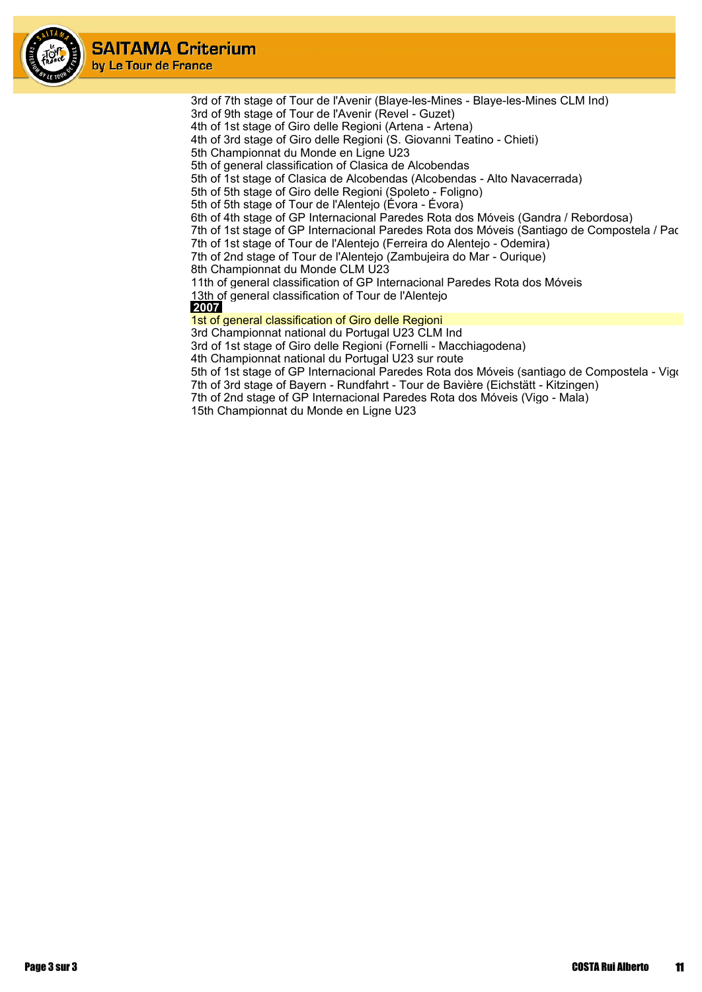

3rd of 7th stage of Tour de l'Avenir (Blaye-les-Mines - Blaye-les-Mines CLM Ind)

3rd of 9th stage of Tour de l'Avenir (Revel - Guzet)

4th of 1st stage of Giro delle Regioni (Artena - Artena)

4th of 3rd stage of Giro delle Regioni (S. Giovanni Teatino - Chieti)

5th Championnat du Monde en Ligne U23

5th of general classification of Clasica de Alcobendas

5th of 1st stage of Clasica de Alcobendas (Alcobendas - Alto Navacerrada)

5th of 5th stage of Giro delle Regioni (Spoleto - Foligno)

5th of 5th stage of Tour de l'Alentejo (Évora - Évora)

6th of 4th stage of GP Internacional Paredes Rota dos Móveis (Gandra / Rebordosa)

7th of 1st stage of GP Internacional Paredes Rota dos Móveis (Santiago de Compostela / Pac

7th of 1st stage of Tour de l'Alentejo (Ferreira do Alentejo - Odemira)

7th of 2nd stage of Tour de l'Alentejo (Zambujeira do Mar - Ourique)

8th Championnat du Monde CLM U23

11th of general classification of GP Internacional Paredes Rota dos Móveis

13th of general classification of Tour de l'Alentejo

 **2007**

1st of general classification of Giro delle Regioni

3rd Championnat national du Portugal U23 CLM Ind

3rd of 1st stage of Giro delle Regioni (Fornelli - Macchiagodena)

4th Championnat national du Portugal U23 sur route

5th of 1st stage of GP Internacional Paredes Rota dos Móveis (santiago de Compostela - Vigo 7th of 3rd stage of Bayern - Rundfahrt - Tour de Bavière (Eichstätt - Kitzingen)

7th of 2nd stage of GP Internacional Paredes Rota dos Móveis (Vigo - Mala)

15th Championnat du Monde en Ligne U23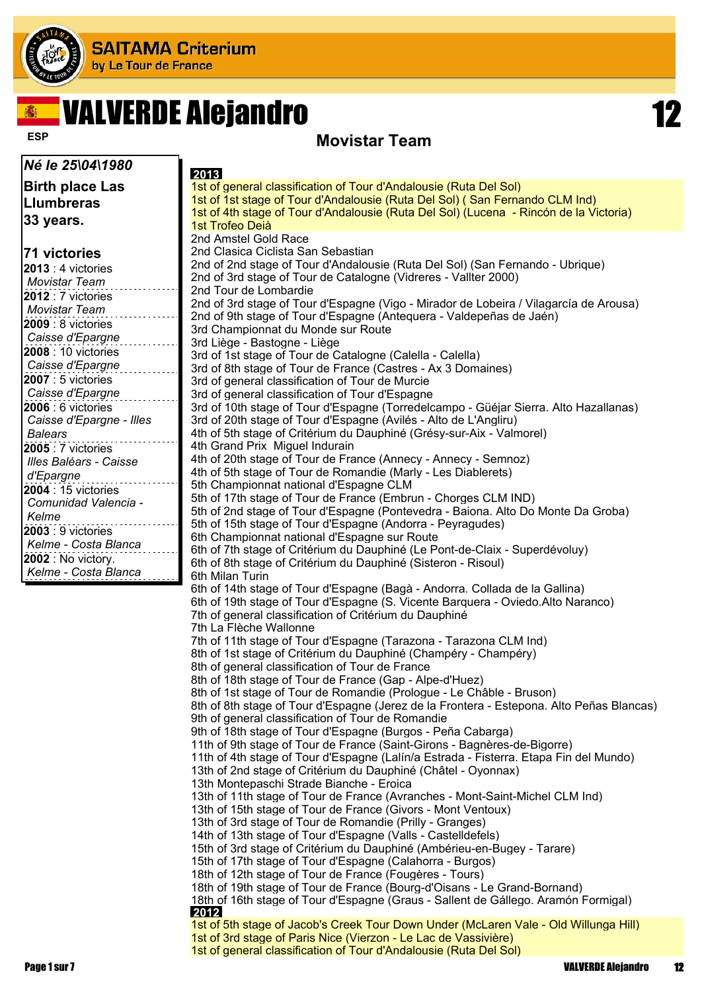

# VALVERDE Alejandro 12



#### **ESP Movistar Team**

| Né le 25\04\1980                            | 2013                                                                                                                                         |
|---------------------------------------------|----------------------------------------------------------------------------------------------------------------------------------------------|
| Birth place Las                             | 1st of general classification of Tour d'Andalousie (Ruta Del Sol)                                                                            |
| <b>Llumbreras</b>                           | 1st of 1st stage of Tour d'Andalousie (Ruta Del Sol) (San Fernando CLM Ind)                                                                  |
| 33 years.                                   | 1st of 4th stage of Tour d'Andalousie (Ruta Del Sol) (Lucena - Rincón de la Victoria)                                                        |
|                                             | 1st Trofeo Deià                                                                                                                              |
|                                             | 2nd Amstel Gold Race<br>2nd Clasica Ciclista San Sebastian                                                                                   |
| 71 victories                                | 2nd of 2nd stage of Tour d'Andalousie (Ruta Del Sol) (San Fernando - Ubrique)                                                                |
| 2013 : 4 victories                          | 2nd of 3rd stage of Tour de Catalogne (Vidreres - Vallter 2000)                                                                              |
| <b>Movistar Team</b><br>2012 : 7 victories  | 2nd Tour de Lombardie                                                                                                                        |
| <b>Movistar Team</b>                        | 2nd of 3rd stage of Tour d'Espagne (Vigo - Mirador de Lobeira / Vilagarcía de Arousa)                                                        |
| 2009 : 8 victories                          | 2nd of 9th stage of Tour d'Espagne (Antequera - Valdepeñas de Jaén)                                                                          |
| Caisse d'Epargne                            | 3rd Championnat du Monde sur Route                                                                                                           |
| 2008 : 10 victories                         | 3rd Liège - Bastogne - Liège<br>3rd of 1st stage of Tour de Catalogne (Calella - Calella)                                                    |
| Caisse d'Epargne                            | 3rd of 8th stage of Tour de France (Castres - Ax 3 Domaines)                                                                                 |
| <b>2007</b> : 5 victories                   | 3rd of general classification of Tour de Murcie                                                                                              |
| Caisse d'Epargne                            | 3rd of general classification of Tour d'Espagne                                                                                              |
| 2006 : 6 victories                          | 3rd of 10th stage of Tour d'Espagne (Torredelcampo - Güéjar Sierra. Alto Hazallanas)                                                         |
| Caisse d'Epargne - Illes                    | 3rd of 20th stage of Tour d'Espagne (Avilés - Alto de L'Angliru)                                                                             |
| <b>Balears</b>                              | 4th of 5th stage of Critérium du Dauphiné (Grésy-sur-Aix - Valmorel)                                                                         |
| 2005 : 7 victories                          | 4th Grand Prix Miguel Indurain                                                                                                               |
| Illes Baléars - Caisse                      | 4th of 20th stage of Tour de France (Annecy - Annecy - Semnoz)<br>4th of 5th stage of Tour de Romandie (Marly - Les Diablerets)              |
| d'Epargne                                   | 5th Championnat national d'Espagne CLM                                                                                                       |
| 2004 : 15 victories<br>Comunidad Valencia - | 5th of 17th stage of Tour de France (Embrun - Chorges CLM IND)                                                                               |
| Kelme                                       | 5th of 2nd stage of Tour d'Espagne (Pontevedra - Baiona. Alto Do Monte Da Groba)                                                             |
| 2003 : 9 victories                          | 5th of 15th stage of Tour d'Espagne (Andorra - Peyragudes)                                                                                   |
| Kelme - Costa Blanca                        | 6th Championnat national d'Espagne sur Route                                                                                                 |
| <b>2002</b> : No victory.                   | 6th of 7th stage of Critérium du Dauphiné (Le Pont-de-Claix - Superdévoluy)<br>6th of 8th stage of Critérium du Dauphiné (Sisteron - Risoul) |
| Kelme - Costa Blanca                        | 6th Milan Turin                                                                                                                              |
|                                             | 6th of 14th stage of Tour d'Espagne (Bagà - Andorra. Collada de la Gallina)                                                                  |
|                                             | 6th of 19th stage of Tour d'Espagne (S. Vicente Barquera - Oviedo. Alto Naranco)                                                             |
|                                             | 7th of general classification of Critérium du Dauphiné                                                                                       |
|                                             | 7th La Flèche Wallonne                                                                                                                       |
|                                             | 7th of 11th stage of Tour d'Espagne (Tarazona - Tarazona CLM Ind)<br>8th of 1st stage of Critérium du Dauphiné (Champéry - Champéry)         |
|                                             | 8th of general classification of Tour de France                                                                                              |
|                                             | 8th of 18th stage of Tour de France (Gap - Alpe-d'Huez)                                                                                      |
|                                             | 8th of 1st stage of Tour de Romandie (Prologue - Le Châble - Bruson)                                                                         |
|                                             | 8th of 8th stage of Tour d'Espagne (Jerez de la Frontera - Estepona. Alto Peñas Blancas)                                                     |
|                                             | 9th of general classification of Tour de Romandie                                                                                            |
|                                             | 9th of 18th stage of Tour d'Espagne (Burgos - Peña Cabarga)<br>11th of 9th stage of Tour de France (Saint-Girons - Bagnères-de-Bigorre)      |
|                                             | 11th of 4th stage of Tour d'Espagne (Lalín/a Estrada - Fisterra. Etapa Fin del Mundo)                                                        |
|                                             | 13th of 2nd stage of Critérium du Dauphiné (Châtel - Oyonnax)                                                                                |
|                                             | 13th Montepaschi Strade Bianche - Eroica                                                                                                     |
|                                             | 13th of 11th stage of Tour de France (Avranches - Mont-Saint-Michel CLM Ind)                                                                 |
|                                             | 13th of 15th stage of Tour de France (Givors - Mont Ventoux)                                                                                 |
|                                             | 13th of 3rd stage of Tour de Romandie (Prilly - Granges)<br>14th of 13th stage of Tour d'Espagne (Valls - Castelldefels)                     |
|                                             | 15th of 3rd stage of Critérium du Dauphiné (Ambérieu-en-Bugey - Tarare)                                                                      |
|                                             | 15th of 17th stage of Tour d'Espagne (Calahorra - Burgos)                                                                                    |
|                                             | 18th of 12th stage of Tour de France (Fougères - Tours)                                                                                      |
|                                             | 18th of 19th stage of Tour de France (Bourg-d'Oisans - Le Grand-Bornand)                                                                     |
|                                             | 18th of 16th stage of Tour d'Espagne (Graus - Sallent de Gállego. Aramón Formigal)<br>2012                                                   |
|                                             | 1st of 5th stage of Jacob's Creek Tour Down Under (McLaren Vale - Old Willunga Hill)                                                         |
|                                             | 1st of 3rd stage of Paris Nice (Vierzon - Le Lac de Vassivière)                                                                              |
|                                             | 1st of general classification of Tour d'Andalousie (Ruta Del Sol)                                                                            |
| Page 1 sur 7                                | 12<br><b>VALVERDE Alejandro</b>                                                                                                              |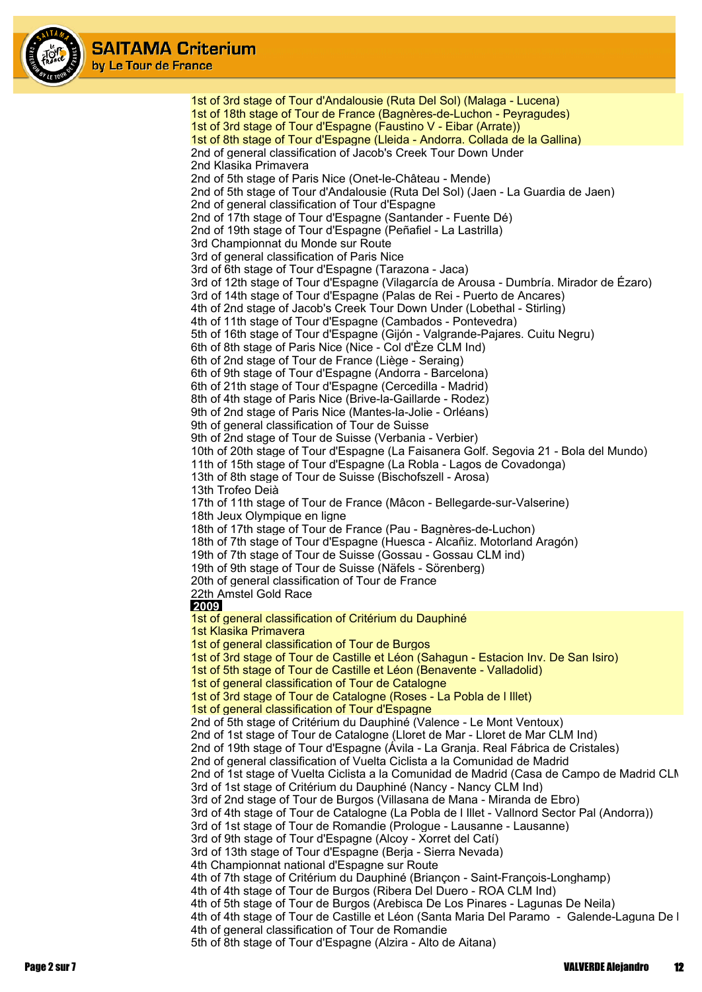

1st of 3rd stage of Tour d'Andalousie (Ruta Del Sol) (Malaga - Lucena) 1st of 18th stage of Tour de France (Bagnères-de-Luchon - Peyragudes) 1st of 3rd stage of Tour d'Espagne (Faustino V - Eibar (Arrate)) 1st of 8th stage of Tour d'Espagne (Lleida - Andorra. Collada de la Gallina) 2nd of general classification of Jacob's Creek Tour Down Under 2nd Klasika Primavera 2nd of 5th stage of Paris Nice (Onet-le-Château - Mende) 2nd of 5th stage of Tour d'Andalousie (Ruta Del Sol) (Jaen - La Guardia de Jaen) 2nd of general classification of Tour d'Espagne 2nd of 17th stage of Tour d'Espagne (Santander - Fuente Dé) 2nd of 19th stage of Tour d'Espagne (Peñafiel - La Lastrilla) 3rd Championnat du Monde sur Route 3rd of general classification of Paris Nice 3rd of 6th stage of Tour d'Espagne (Tarazona - Jaca) 3rd of 12th stage of Tour d'Espagne (Vilagarcía de Arousa - Dumbría. Mirador de Ézaro) 3rd of 14th stage of Tour d'Espagne (Palas de Rei - Puerto de Ancares) 4th of 2nd stage of Jacob's Creek Tour Down Under (Lobethal - Stirling) 4th of 11th stage of Tour d'Espagne (Cambados - Pontevedra) 5th of 16th stage of Tour d'Espagne (Gijón - Valgrande-Pajares. Cuitu Negru) 6th of 8th stage of Paris Nice (Nice - Col d'Èze CLM Ind) 6th of 2nd stage of Tour de France (Liège - Seraing) 6th of 9th stage of Tour d'Espagne (Andorra - Barcelona) 6th of 21th stage of Tour d'Espagne (Cercedilla - Madrid) 8th of 4th stage of Paris Nice (Brive-la-Gaillarde - Rodez) 9th of 2nd stage of Paris Nice (Mantes-la-Jolie - Orléans) 9th of general classification of Tour de Suisse 9th of 2nd stage of Tour de Suisse (Verbania - Verbier) 10th of 20th stage of Tour d'Espagne (La Faisanera Golf. Segovia 21 - Bola del Mundo) 11th of 15th stage of Tour d'Espagne (La Robla - Lagos de Covadonga) 13th of 8th stage of Tour de Suisse (Bischofszell - Arosa) 13th Trofeo Deià 17th of 11th stage of Tour de France (Mâcon - Bellegarde-sur-Valserine) 18th Jeux Olympique en ligne 18th of 17th stage of Tour de France (Pau - Bagnères-de-Luchon) 18th of 7th stage of Tour d'Espagne (Huesca - Alcañiz. Motorland Aragón) 19th of 7th stage of Tour de Suisse (Gossau - Gossau CLM ind) 19th of 9th stage of Tour de Suisse (Näfels - Sörenberg) 20th of general classification of Tour de France 22th Amstel Gold Race  **2009** 1st of general classification of Critérium du Dauphiné 1st Klasika Primavera 1st of general classification of Tour de Burgos 1st of 3rd stage of Tour de Castille et Léon (Sahagun - Estacion Inv. De San Isiro) 1st of 5th stage of Tour de Castille et Léon (Benavente - Valladolid) 1st of general classification of Tour de Catalogne 1st of 3rd stage of Tour de Catalogne (Roses - La Pobla de l Illet) 1st of general classification of Tour d'Espagne 2nd of 5th stage of Critérium du Dauphiné (Valence - Le Mont Ventoux) 2nd of 1st stage of Tour de Catalogne (Lloret de Mar - Lloret de Mar CLM Ind) 2nd of 19th stage of Tour d'Espagne (Ávila - La Granja. Real Fábrica de Cristales) 2nd of general classification of Vuelta Ciclista a la Comunidad de Madrid 2nd of 1st stage of Vuelta Ciclista a la Comunidad de Madrid (Casa de Campo de Madrid CLN 3rd of 1st stage of Critérium du Dauphiné (Nancy - Nancy CLM Ind) 3rd of 2nd stage of Tour de Burgos (Villasana de Mana - Miranda de Ebro) 3rd of 4th stage of Tour de Catalogne (La Pobla de l Illet - Vallnord Sector Pal (Andorra)) 3rd of 1st stage of Tour de Romandie (Prologue - Lausanne - Lausanne) 3rd of 9th stage of Tour d'Espagne (Alcoy - Xorret del Catí) 3rd of 13th stage of Tour d'Espagne (Berja - Sierra Nevada) 4th Championnat national d'Espagne sur Route 4th of 7th stage of Critérium du Dauphiné (Briançon - Saint-François-Longhamp) 4th of 4th stage of Tour de Burgos (Ribera Del Duero - ROA CLM Ind) 4th of 5th stage of Tour de Burgos (Arebisca De Los Pinares - Lagunas De Neila) 4th of 4th stage of Tour de Castille et Léon (Santa Maria Del Paramo - Galende-Laguna De L 4th of general classification of Tour de Romandie 5th of 8th stage of Tour d'Espagne (Alzira - Alto de Aitana)

Page 2 sur 7 VALVERDE Alejandro 12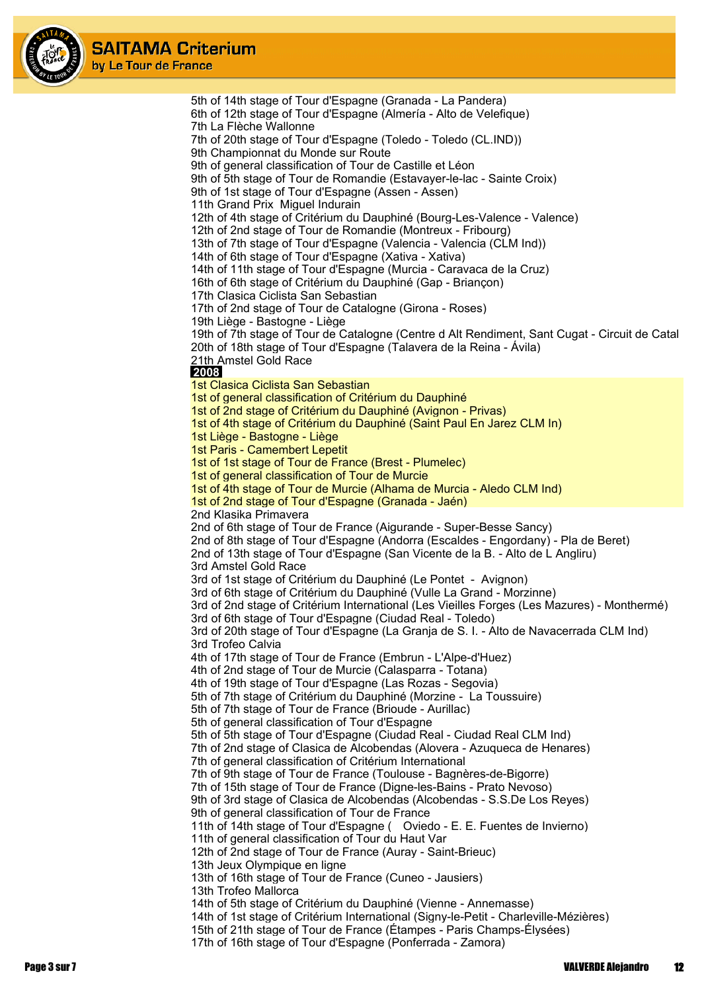

5th of 14th stage of Tour d'Espagne (Granada - La Pandera) 6th of 12th stage of Tour d'Espagne (Almería - Alto de Velefique) 7th La Flèche Wallonne 7th of 20th stage of Tour d'Espagne (Toledo - Toledo (CL.IND)) 9th Championnat du Monde sur Route 9th of general classification of Tour de Castille et Léon 9th of 5th stage of Tour de Romandie (Estavayer-le-lac - Sainte Croix) 9th of 1st stage of Tour d'Espagne (Assen - Assen) 11th Grand Prix Miguel Indurain 12th of 4th stage of Critérium du Dauphiné (Bourg-Les-Valence - Valence) 12th of 2nd stage of Tour de Romandie (Montreux - Fribourg) 13th of 7th stage of Tour d'Espagne (Valencia - Valencia (CLM Ind)) 14th of 6th stage of Tour d'Espagne (Xativa - Xativa) 14th of 11th stage of Tour d'Espagne (Murcia - Caravaca de la Cruz) 16th of 6th stage of Critérium du Dauphiné (Gap - Briançon) 17th Clasica Ciclista San Sebastian 17th of 2nd stage of Tour de Catalogne (Girona - Roses) 19th Liège - Bastogne - Liège 19th of 7th stage of Tour de Catalogne (Centre d Alt Rendiment, Sant Cugat - Circuit de Catal 20th of 18th stage of Tour d'Espagne (Talavera de la Reina - Ávila) 21th Amstel Gold Race  **2008** 1st Clasica Ciclista San Sebastian 1st of general classification of Critérium du Dauphiné 1st of 2nd stage of Critérium du Dauphiné (Avignon - Privas) 1st of 4th stage of Critérium du Dauphiné (Saint Paul En Jarez CLM In) 1st Liège - Bastogne - Liège 1st Paris - Camembert Lepetit 1st of 1st stage of Tour de France (Brest - Plumelec) 1st of general classification of Tour de Murcie 1st of 4th stage of Tour de Murcie (Alhama de Murcia - Aledo CLM Ind) 1st of 2nd stage of Tour d'Espagne (Granada - Jaén) 2nd Klasika Primavera 2nd of 6th stage of Tour de France (Aigurande - Super-Besse Sancy) 2nd of 8th stage of Tour d'Espagne (Andorra (Escaldes - Engordany) - Pla de Beret) 2nd of 13th stage of Tour d'Espagne (San Vicente de la B. - Alto de L Angliru) 3rd Amstel Gold Race 3rd of 1st stage of Critérium du Dauphiné (Le Pontet - Avignon) 3rd of 6th stage of Critérium du Dauphiné (Vulle La Grand - Morzinne) 3rd of 2nd stage of Critérium International (Les Vieilles Forges (Les Mazures) - Monthermé) 3rd of 6th stage of Tour d'Espagne (Ciudad Real - Toledo) 3rd of 20th stage of Tour d'Espagne (La Granja de S. I. - Alto de Navacerrada CLM Ind) 3rd Trofeo Calvia 4th of 17th stage of Tour de France (Embrun - L'Alpe-d'Huez) 4th of 2nd stage of Tour de Murcie (Calasparra - Totana) 4th of 19th stage of Tour d'Espagne (Las Rozas - Segovia) 5th of 7th stage of Critérium du Dauphiné (Morzine - La Toussuire) 5th of 7th stage of Tour de France (Brioude - Aurillac) 5th of general classification of Tour d'Espagne 5th of 5th stage of Tour d'Espagne (Ciudad Real - Ciudad Real CLM Ind) 7th of 2nd stage of Clasica de Alcobendas (Alovera - Azuqueca de Henares) 7th of general classification of Critérium International 7th of 9th stage of Tour de France (Toulouse - Bagnères-de-Bigorre) 7th of 15th stage of Tour de France (Digne-les-Bains - Prato Nevoso) 9th of 3rd stage of Clasica de Alcobendas (Alcobendas - S.S.De Los Reyes) 9th of general classification of Tour de France 11th of 14th stage of Tour d'Espagne ( Oviedo - E. E. Fuentes de Invierno) 11th of general classification of Tour du Haut Var 12th of 2nd stage of Tour de France (Auray - Saint-Brieuc) 13th Jeux Olympique en ligne 13th of 16th stage of Tour de France (Cuneo - Jausiers) 13th Trofeo Mallorca 14th of 5th stage of Critérium du Dauphiné (Vienne - Annemasse) 14th of 1st stage of Critérium International (Signy-le-Petit - Charleville-Mézières) 15th of 21th stage of Tour de France (Étampes - Paris Champs-Élysées) 17th of 16th stage of Tour d'Espagne (Ponferrada - Zamora)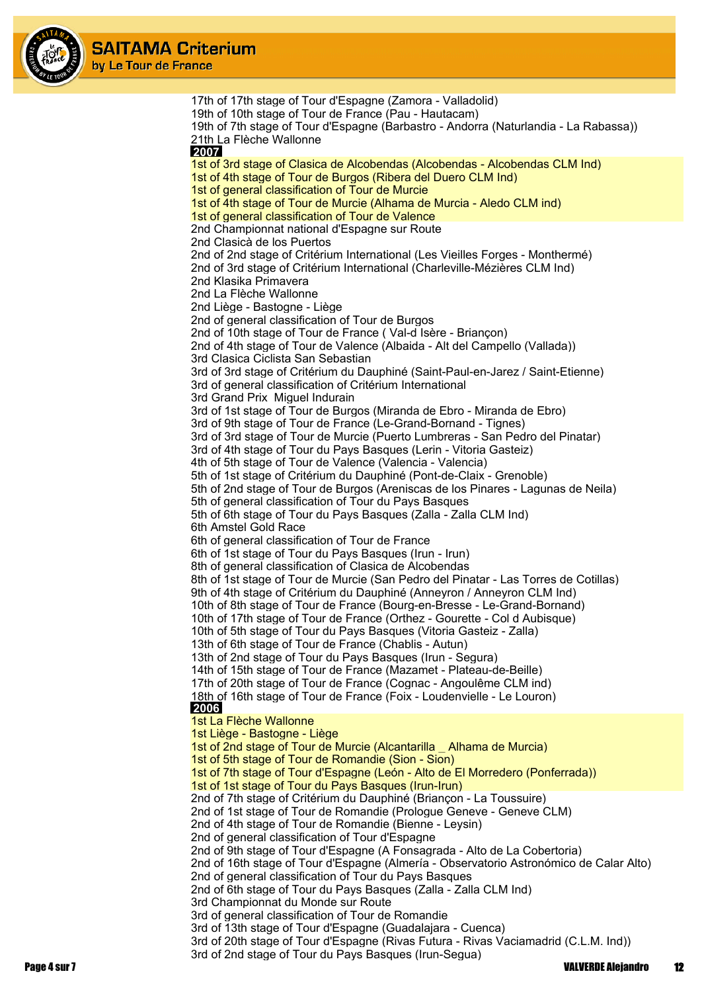

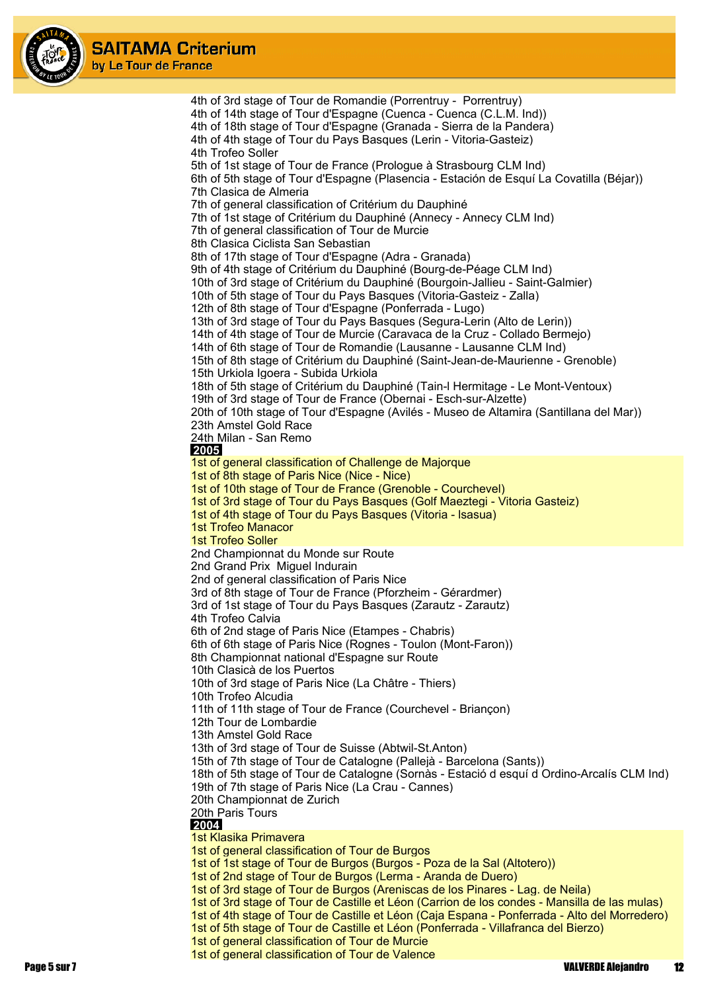

4th of 3rd stage of Tour de Romandie (Porrentruy - Porrentruy) 4th of 14th stage of Tour d'Espagne (Cuenca - Cuenca (C.L.M. Ind)) 4th of 18th stage of Tour d'Espagne (Granada - Sierra de la Pandera) 4th of 4th stage of Tour du Pays Basques (Lerin - Vitoria-Gasteiz) 4th Trofeo Soller 5th of 1st stage of Tour de France (Prologue à Strasbourg CLM Ind) 6th of 5th stage of Tour d'Espagne (Plasencia - Estación de Esquí La Covatilla (Béjar)) 7th Clasica de Almeria 7th of general classification of Critérium du Dauphiné 7th of 1st stage of Critérium du Dauphiné (Annecy - Annecy CLM Ind) 7th of general classification of Tour de Murcie 8th Clasica Ciclista San Sebastian 8th of 17th stage of Tour d'Espagne (Adra - Granada) 9th of 4th stage of Critérium du Dauphiné (Bourg-de-Péage CLM Ind) 10th of 3rd stage of Critérium du Dauphiné (Bourgoin-Jallieu - Saint-Galmier) 10th of 5th stage of Tour du Pays Basques (Vitoria-Gasteiz - Zalla) 12th of 8th stage of Tour d'Espagne (Ponferrada - Lugo) 13th of 3rd stage of Tour du Pays Basques (Segura-Lerin (Alto de Lerin)) 14th of 4th stage of Tour de Murcie (Caravaca de la Cruz - Collado Bermejo) 14th of 6th stage of Tour de Romandie (Lausanne - Lausanne CLM Ind) 15th of 8th stage of Critérium du Dauphiné (Saint-Jean-de-Maurienne - Grenoble) 15th Urkiola Igoera - Subida Urkiola 18th of 5th stage of Critérium du Dauphiné (Tain-l Hermitage - Le Mont-Ventoux) 19th of 3rd stage of Tour de France (Obernai - Esch-sur-Alzette) 20th of 10th stage of Tour d'Espagne (Avilés - Museo de Altamira (Santillana del Mar)) 23th Amstel Gold Race 24th Milan - San Remo  **2005** 1st of general classification of Challenge de Majorque 1st of 8th stage of Paris Nice (Nice - Nice) 1st of 10th stage of Tour de France (Grenoble - Courchevel) 1st of 3rd stage of Tour du Pays Basques (Golf Maeztegi - Vitoria Gasteiz) 1st of 4th stage of Tour du Pays Basques (Vitoria - lsasua) 1st Trofeo Manacor 1st Trofeo Soller 2nd Championnat du Monde sur Route 2nd Grand Prix Miguel Indurain 2nd of general classification of Paris Nice 3rd of 8th stage of Tour de France (Pforzheim - Gérardmer) 3rd of 1st stage of Tour du Pays Basques (Zarautz - Zarautz) 4th Trofeo Calvia 6th of 2nd stage of Paris Nice (Etampes - Chabris) 6th of 6th stage of Paris Nice (Rognes - Toulon (Mont-Faron)) 8th Championnat national d'Espagne sur Route 10th Clasicà de los Puertos 10th of 3rd stage of Paris Nice (La Châtre - Thiers) 10th Trofeo Alcudia 11th of 11th stage of Tour de France (Courchevel - Briançon) 12th Tour de Lombardie 13th Amstel Gold Race 13th of 3rd stage of Tour de Suisse (Abtwil-St.Anton) 15th of 7th stage of Tour de Catalogne (Pallejà - Barcelona (Sants)) 18th of 5th stage of Tour de Catalogne (Sornàs - Estació d esquí d Ordino-Arcalís CLM Ind) 19th of 7th stage of Paris Nice (La Crau - Cannes) 20th Championnat de Zurich 20th Paris Tours  **2004** 1st Klasika Primavera 1st of general classification of Tour de Burgos 1st of 1st stage of Tour de Burgos (Burgos - Poza de la Sal (Altotero)) 1st of 2nd stage of Tour de Burgos (Lerma - Aranda de Duero) 1st of 3rd stage of Tour de Burgos (Areniscas de los Pinares - Lag. de Neila) 1st of 3rd stage of Tour de Castille et Léon (Carrion de los condes - Mansilla de las mulas) 1st of 4th stage of Tour de Castille et Léon (Caja Espana - Ponferrada - Alto del Morredero) 1st of 5th stage of Tour de Castille et Léon (Ponferrada - Villafranca del Bierzo) 1st of general classification of Tour de Murcie

1st of general classification of Tour de Valence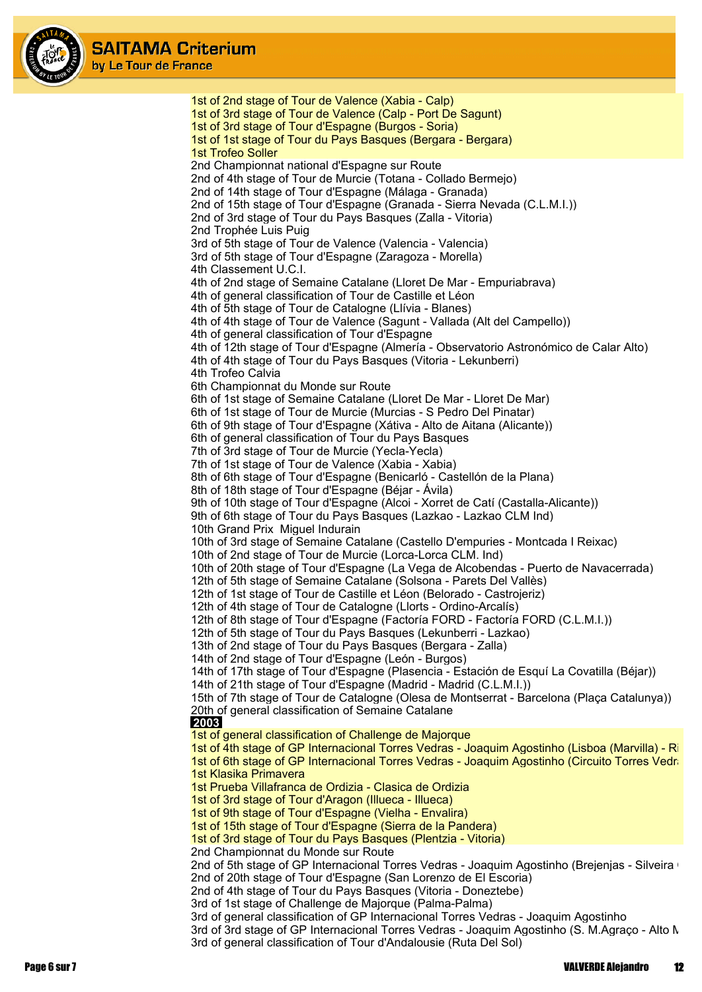

1st of 2nd stage of Tour de Valence (Xabia - Calp) 1st of 3rd stage of Tour de Valence (Calp - Port De Sagunt) 1st of 3rd stage of Tour d'Espagne (Burgos - Soria) 1st of 1st stage of Tour du Pays Basques (Bergara - Bergara) 1st Trofeo Soller 2nd Championnat national d'Espagne sur Route 2nd of 4th stage of Tour de Murcie (Totana - Collado Bermejo) 2nd of 14th stage of Tour d'Espagne (Málaga - Granada) 2nd of 15th stage of Tour d'Espagne (Granada - Sierra Nevada (C.L.M.I.)) 2nd of 3rd stage of Tour du Pays Basques (Zalla - Vitoria) 2nd Trophée Luis Puig 3rd of 5th stage of Tour de Valence (Valencia - Valencia) 3rd of 5th stage of Tour d'Espagne (Zaragoza - Morella) 4th Classement U.C.I. 4th of 2nd stage of Semaine Catalane (Lloret De Mar - Empuriabrava) 4th of general classification of Tour de Castille et Léon 4th of 5th stage of Tour de Catalogne (Llívia - Blanes) 4th of 4th stage of Tour de Valence (Sagunt - Vallada (Alt del Campello)) 4th of general classification of Tour d'Espagne 4th of 12th stage of Tour d'Espagne (Almería - Observatorio Astronómico de Calar Alto) 4th of 4th stage of Tour du Pays Basques (Vitoria - Lekunberri) 4th Trofeo Calvia 6th Championnat du Monde sur Route 6th of 1st stage of Semaine Catalane (Lloret De Mar - Lloret De Mar) 6th of 1st stage of Tour de Murcie (Murcias - S Pedro Del Pinatar) 6th of 9th stage of Tour d'Espagne (Xátiva - Alto de Aitana (Alicante)) 6th of general classification of Tour du Pays Basques 7th of 3rd stage of Tour de Murcie (Yecla-Yecla) 7th of 1st stage of Tour de Valence (Xabia - Xabia) 8th of 6th stage of Tour d'Espagne (Benicarló - Castellón de la Plana) 8th of 18th stage of Tour d'Espagne (Béjar - Ávila) 9th of 10th stage of Tour d'Espagne (Alcoi - Xorret de Catí (Castalla-Alicante)) 9th of 6th stage of Tour du Pays Basques (Lazkao - Lazkao CLM Ind) 10th Grand Prix Miguel Indurain 10th of 3rd stage of Semaine Catalane (Castello D'empuries - Montcada I Reixac) 10th of 2nd stage of Tour de Murcie (Lorca-Lorca CLM. Ind) 10th of 20th stage of Tour d'Espagne (La Vega de Alcobendas - Puerto de Navacerrada) 12th of 5th stage of Semaine Catalane (Solsona - Parets Del Vallès) 12th of 1st stage of Tour de Castille et Léon (Belorado - Castrojeriz) 12th of 4th stage of Tour de Catalogne (Llorts - Ordino-Arcalís) 12th of 8th stage of Tour d'Espagne (Factoría FORD - Factoría FORD (C.L.M.I.)) 12th of 5th stage of Tour du Pays Basques (Lekunberri - Lazkao) 13th of 2nd stage of Tour du Pays Basques (Bergara - Zalla) 14th of 2nd stage of Tour d'Espagne (León - Burgos) 14th of 17th stage of Tour d'Espagne (Plasencia - Estación de Esquí La Covatilla (Béjar)) 14th of 21th stage of Tour d'Espagne (Madrid - Madrid (C.L.M.I.)) 15th of 7th stage of Tour de Catalogne (Olesa de Montserrat - Barcelona (Plaça Catalunya)) 20th of general classification of Semaine Catalane  **2003** 1st of general classification of Challenge de Majorque 1st of 4th stage of GP Internacional Torres Vedras - Joaquim Agostinho (Lisboa (Marvilla) - Ri 1st of 6th stage of GP Internacional Torres Vedras - Joaquim Agostinho (Circuito Torres Vedra 1st Klasika Primavera 1st Prueba Villafranca de Ordizia - Clasica de Ordizia 1st of 3rd stage of Tour d'Aragon (Illueca - Illueca) 1st of 9th stage of Tour d'Espagne (Vielha - Envalira) 1st of 15th stage of Tour d'Espagne (Sierra de la Pandera) 1st of 3rd stage of Tour du Pays Basques (Plentzia - Vitoria) 2nd Championnat du Monde sur Route 2nd of 5th stage of GP Internacional Torres Vedras - Joaquim Agostinho (Brejenjas - Silveira e 2nd of 20th stage of Tour d'Espagne (San Lorenzo de El Escoria) 2nd of 4th stage of Tour du Pays Basques (Vitoria - Doneztebe) 3rd of 1st stage of Challenge de Majorque (Palma-Palma) 3rd of general classification of GP Internacional Torres Vedras - Joaquim Agostinho 3rd of 3rd stage of GP Internacional Torres Vedras - Joaquim Agostinho (S. M.Agraço - Alto M 3rd of general classification of Tour d'Andalousie (Ruta Del Sol)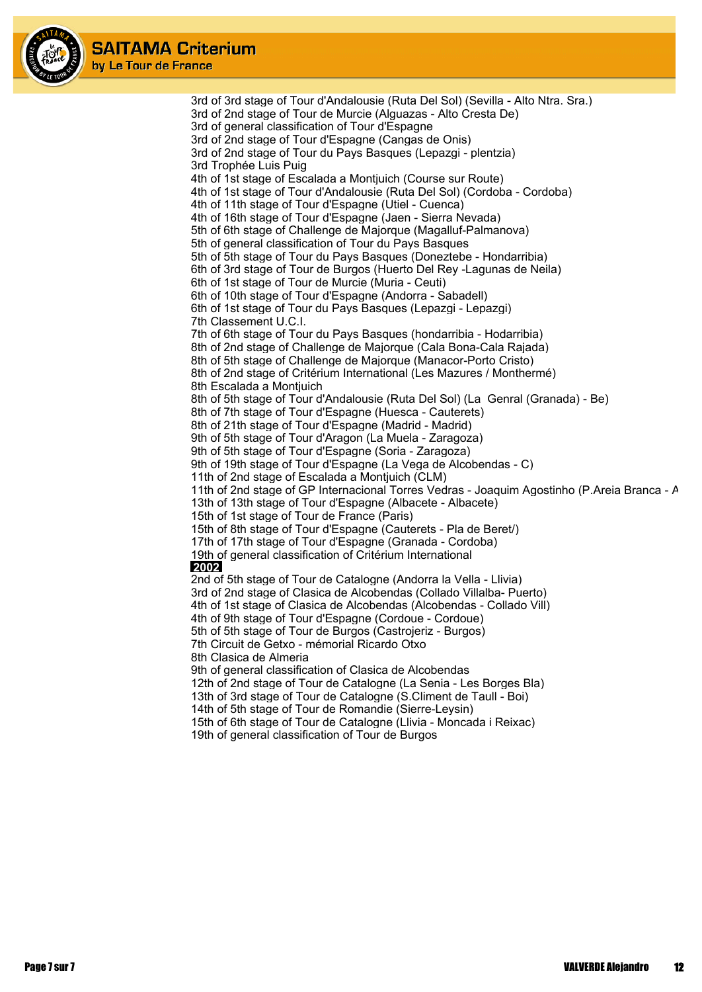

> 3rd of 3rd stage of Tour d'Andalousie (Ruta Del Sol) (Sevilla - Alto Ntra. Sra.) 3rd of 2nd stage of Tour de Murcie (Alguazas - Alto Cresta De) 3rd of general classification of Tour d'Espagne 3rd of 2nd stage of Tour d'Espagne (Cangas de Onis) 3rd of 2nd stage of Tour du Pays Basques (Lepazgi - plentzia) 3rd Trophée Luis Puig 4th of 1st stage of Escalada a Montjuich (Course sur Route) 4th of 1st stage of Tour d'Andalousie (Ruta Del Sol) (Cordoba - Cordoba) 4th of 11th stage of Tour d'Espagne (Utiel - Cuenca) 4th of 16th stage of Tour d'Espagne (Jaen - Sierra Nevada) 5th of 6th stage of Challenge de Majorque (Magalluf-Palmanova) 5th of general classification of Tour du Pays Basques 5th of 5th stage of Tour du Pays Basques (Doneztebe - Hondarribia) 6th of 3rd stage of Tour de Burgos (Huerto Del Rey -Lagunas de Neila) 6th of 1st stage of Tour de Murcie (Muria - Ceuti) 6th of 10th stage of Tour d'Espagne (Andorra - Sabadell) 6th of 1st stage of Tour du Pays Basques (Lepazgi - Lepazgi) 7th Classement U.C.I. 7th of 6th stage of Tour du Pays Basques (hondarribia - Hodarribia) 8th of 2nd stage of Challenge de Majorque (Cala Bona-Cala Rajada) 8th of 5th stage of Challenge de Majorque (Manacor-Porto Cristo) 8th of 2nd stage of Critérium International (Les Mazures / Monthermé) 8th Escalada a Montjuich 8th of 5th stage of Tour d'Andalousie (Ruta Del Sol) (La Genral (Granada) - Be) 8th of 7th stage of Tour d'Espagne (Huesca - Cauterets) 8th of 21th stage of Tour d'Espagne (Madrid - Madrid) 9th of 5th stage of Tour d'Aragon (La Muela - Zaragoza) 9th of 5th stage of Tour d'Espagne (Soria - Zaragoza) 9th of 19th stage of Tour d'Espagne (La Vega de Alcobendas - C) 11th of 2nd stage of Escalada a Montjuich (CLM) 11th of 2nd stage of GP Internacional Torres Vedras - Joaquim Agostinho (P.Areia Branca - A 13th of 13th stage of Tour d'Espagne (Albacete - Albacete) 15th of 1st stage of Tour de France (Paris) 15th of 8th stage of Tour d'Espagne (Cauterets - Pla de Beret/) 17th of 17th stage of Tour d'Espagne (Granada - Cordoba) 19th of general classification of Critérium International  **2002** 2nd of 5th stage of Tour de Catalogne (Andorra la Vella - Llivia) 3rd of 2nd stage of Clasica de Alcobendas (Collado Villalba- Puerto) 4th of 1st stage of Clasica de Alcobendas (Alcobendas - Collado Vill) 4th of 9th stage of Tour d'Espagne (Cordoue - Cordoue) 5th of 5th stage of Tour de Burgos (Castrojeriz - Burgos) 7th Circuit de Getxo - mémorial Ricardo Otxo 8th Clasica de Almeria 9th of general classification of Clasica de Alcobendas 12th of 2nd stage of Tour de Catalogne (La Senia - Les Borges Bla) 13th of 3rd stage of Tour de Catalogne (S.Climent de Taull - Boi) 14th of 5th stage of Tour de Romandie (Sierre-Leysin) 15th of 6th stage of Tour de Catalogne (Llivia - Moncada i Reixac)

19th of general classification of Tour de Burgos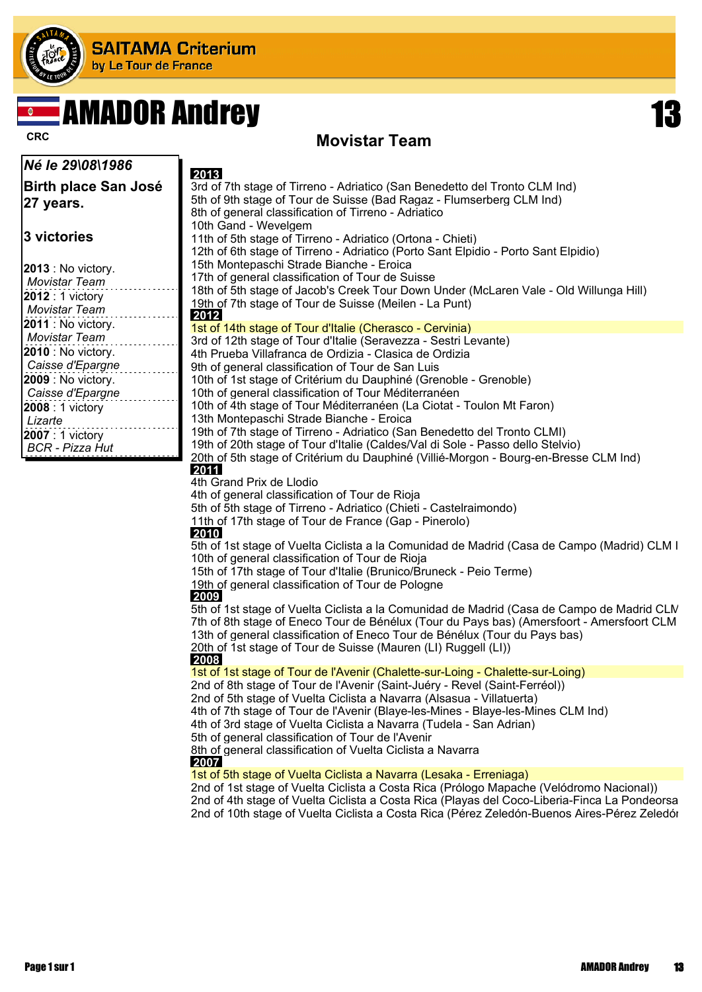

# **REAMADOR Andrey 13**

### **CRC CRC CRC CRC Movistar Team**

| Né le 29\08\1986                     | 2013                                                                                                                                                                                    |
|--------------------------------------|-----------------------------------------------------------------------------------------------------------------------------------------------------------------------------------------|
| Birth place San José                 | 3rd of 7th stage of Tirreno - Adriatico (San Benedetto del Tronto CLM Ind)                                                                                                              |
| 27 years.                            | 5th of 9th stage of Tour de Suisse (Bad Ragaz - Flumserberg CLM Ind)                                                                                                                    |
|                                      | 8th of general classification of Tirreno - Adriatico                                                                                                                                    |
|                                      | 10th Gand - Wevelgem                                                                                                                                                                    |
| 3 victories                          | 11th of 5th stage of Tirreno - Adriatico (Ortona - Chieti)                                                                                                                              |
|                                      | 12th of 6th stage of Tirreno - Adriatico (Porto Sant Elpidio - Porto Sant Elpidio)                                                                                                      |
| 2013 : No victory.                   | 15th Montepaschi Strade Bianche - Eroica                                                                                                                                                |
| <b>Movistar Team</b>                 | 17th of general classification of Tour de Suisse<br>18th of 5th stage of Jacob's Creek Tour Down Under (McLaren Vale - Old Willunga Hill)                                               |
| $2012:1$ victory                     | 19th of 7th stage of Tour de Suisse (Meilen - La Punt)                                                                                                                                  |
| <b>Movistar Team</b>                 | 2012                                                                                                                                                                                    |
| 2011 : No victory.                   | 1st of 14th stage of Tour d'Italie (Cherasco - Cervinia)                                                                                                                                |
| <b>Movistar Team</b>                 | 3rd of 12th stage of Tour d'Italie (Seravezza - Sestri Levante)                                                                                                                         |
| <b>2010</b> : No victory.            | 4th Prueba Villafranca de Ordizia - Clasica de Ordizia                                                                                                                                  |
| Caisse d'Epargne                     | 9th of general classification of Tour de San Luis                                                                                                                                       |
| 2009 : No victory.                   | 10th of 1st stage of Critérium du Dauphiné (Grenoble - Grenoble)                                                                                                                        |
| Caisse d'Epargne<br>2008 : 1 victory | 10th of general classification of Tour Méditerranéen<br>10th of 4th stage of Tour Méditerranéen (La Ciotat - Toulon Mt Faron)                                                           |
| Lizarte                              | 13th Montepaschi Strade Bianche - Eroica                                                                                                                                                |
| 2007 : 1 victory                     | 19th of 7th stage of Tirreno - Adriatico (San Benedetto del Tronto CLMI)                                                                                                                |
| <b>BCR</b> - Pizza Hut               | 19th of 20th stage of Tour d'Italie (Caldes/Val di Sole - Passo dello Stelvio)                                                                                                          |
|                                      | 20th of 5th stage of Critérium du Dauphiné (Villié-Morgon - Bourg-en-Bresse CLM Ind)                                                                                                    |
|                                      | 2011                                                                                                                                                                                    |
|                                      | 4th Grand Prix de Llodio                                                                                                                                                                |
|                                      | 4th of general classification of Tour de Rioja<br>5th of 5th stage of Tirreno - Adriatico (Chieti - Castelraimondo)                                                                     |
|                                      | 11th of 17th stage of Tour de France (Gap - Pinerolo)                                                                                                                                   |
|                                      | 2010                                                                                                                                                                                    |
|                                      | 5th of 1st stage of Vuelta Ciclista a la Comunidad de Madrid (Casa de Campo (Madrid) CLM I                                                                                              |
|                                      | 10th of general classification of Tour de Rioja                                                                                                                                         |
|                                      | 15th of 17th stage of Tour d'Italie (Brunico/Bruneck - Peio Terme)                                                                                                                      |
|                                      | 19th of general classification of Tour de Pologne<br>2009                                                                                                                               |
|                                      | 5th of 1st stage of Vuelta Ciclista a la Comunidad de Madrid (Casa de Campo de Madrid CLIV                                                                                              |
|                                      | 7th of 8th stage of Eneco Tour de Bénélux (Tour du Pays bas) (Amersfoort - Amersfoort CLM                                                                                               |
|                                      | 13th of general classification of Eneco Tour de Bénélux (Tour du Pays bas)                                                                                                              |
|                                      | 20th of 1st stage of Tour de Suisse (Mauren (LI) Ruggell (LI))                                                                                                                          |
|                                      | 2008                                                                                                                                                                                    |
|                                      | 1st of 1st stage of Tour de l'Avenir (Chalette-sur-Loing - Chalette-sur-Loing)                                                                                                          |
|                                      | 2nd of 8th stage of Tour de l'Avenir (Saint-Juéry - Revel (Saint-Ferréol))<br>2nd of 5th stage of Vuelta Ciclista a Navarra (Alsasua - Villatuerta)                                     |
|                                      | 4th of 7th stage of Tour de l'Avenir (Blaye-les-Mines - Blaye-les-Mines CLM Ind)                                                                                                        |
|                                      | 4th of 3rd stage of Vuelta Ciclista a Navarra (Tudela - San Adrian)                                                                                                                     |
|                                      | 5th of general classification of Tour de l'Avenir                                                                                                                                       |
|                                      | 8th of general classification of Vuelta Ciclista a Navarra                                                                                                                              |
|                                      | 2007                                                                                                                                                                                    |
|                                      | 1st of 5th stage of Vuelta Ciclista a Navarra (Lesaka - Erreniaga)                                                                                                                      |
|                                      | 2nd of 1st stage of Vuelta Ciclista a Costa Rica (Prólogo Mapache (Velódromo Nacional))<br>2nd of 4th stage of Vuelta Ciclista a Costa Rica (Playas del Coco-Liberia-Finca La Pondeorsa |
|                                      | 2nd of 10th stage of Vuelta Ciclista a Costa Rica (Pérez Zeledón-Buenos Aires-Pérez Zeledór                                                                                             |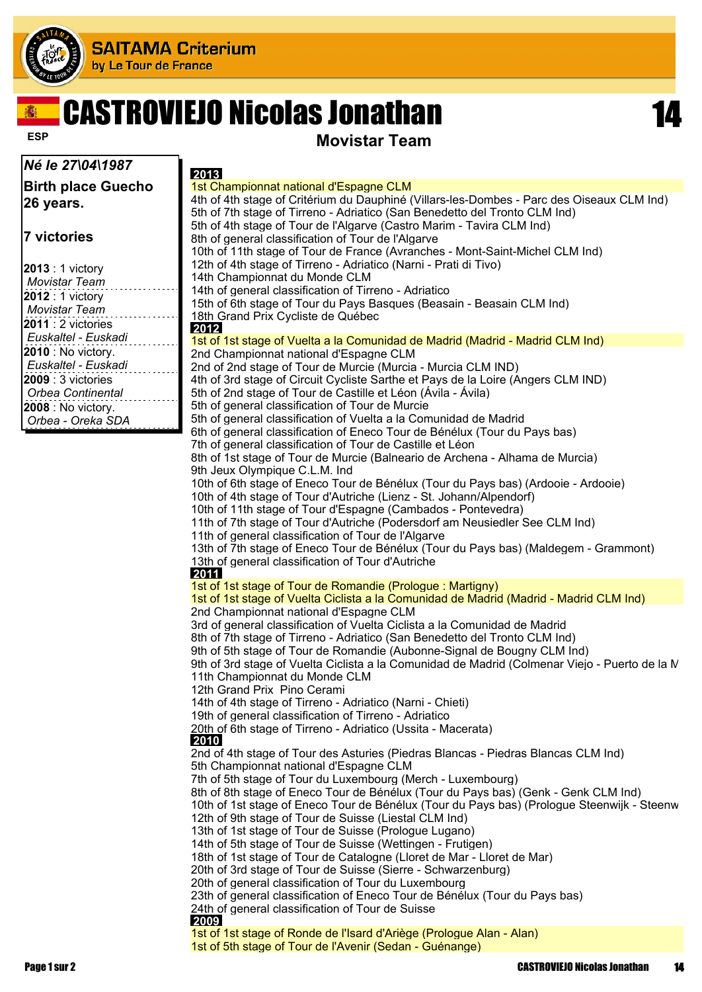

# CASTROVIEJO Nicolas Jonathan 14

#### *Né le 27\04\1987*

**Birth place Guecho 26 years.**

#### **7 victories**

| $2013:1$ victory    |
|---------------------|
| Movistar Team       |
| 2012 : 1 victory    |
| Movistar Team       |
| $2011:2$ victories  |
| Euskaltel - Euskadi |
| 2010 : No victory.  |
| Euskaltel - Euskadi |
| $2009:3$ victories  |
| Orbea Continental   |
| 2008 : No victory.  |
| Orbea - Oreka SDA   |

**ESP Movistar Team** 

| 2013                                                                                          |
|-----------------------------------------------------------------------------------------------|
| 1st Championnat national d'Espagne CLM                                                        |
| 4th of 4th stage of Critérium du Dauphiné (Villars-les-Dombes - Parc des Oiseaux CLM Ind)     |
| 5th of 7th stage of Tirreno - Adriatico (San Benedetto del Tronto CLM Ind)                    |
| 5th of 4th stage of Tour de l'Algarve (Castro Marim - Tavira CLM Ind)                         |
| 8th of general classification of Tour de l'Algarve                                            |
| 10th of 11th stage of Tour de France (Avranches - Mont-Saint-Michel CLM Ind)                  |
| 12th of 4th stage of Tirreno - Adriatico (Narni - Prati di Tivo)                              |
| 14th Championnat du Monde CLM                                                                 |
| 14th of general classification of Tirreno - Adriatico                                         |
| 15th of 6th stage of Tour du Pays Basques (Beasain - Beasain CLM Ind)                         |
| 18th Grand Prix Cycliste de Québec                                                            |
| 2012                                                                                          |
| 1st of 1st stage of Vuelta a la Comunidad de Madrid (Madrid - Madrid CLM Ind)                 |
| 2nd Championnat national d'Espagne CLM                                                        |
| 2nd of 2nd stage of Tour de Murcie (Murcia - Murcia CLM IND)                                  |
| 4th of 3rd stage of Circuit Cycliste Sarthe et Pays de la Loire (Angers CLM IND)              |
| 5th of 2nd stage of Tour de Castille et Léon (Ávila - Ávila)                                  |
| 5th of general classification of Tour de Murcie                                               |
| 5th of general classification of Vuelta a la Comunidad de Madrid                              |
|                                                                                               |
| 6th of general classification of Eneco Tour de Bénélux (Tour du Pays bas)                     |
| 7th of general classification of Tour de Castille et Léon                                     |
| 8th of 1st stage of Tour de Murcie (Balneario de Archena - Alhama de Murcia)                  |
| 9th Jeux Olympique C.L.M. Ind                                                                 |
| 10th of 6th stage of Eneco Tour de Bénélux (Tour du Pays bas) (Ardooie - Ardooie)             |
| 10th of 4th stage of Tour d'Autriche (Lienz - St. Johann/Alpendorf)                           |
| 10th of 11th stage of Tour d'Espagne (Cambados - Pontevedra)                                  |
| 11th of 7th stage of Tour d'Autriche (Podersdorf am Neusiedler See CLM Ind)                   |
| 11th of general classification of Tour de l'Algarve                                           |
| 13th of 7th stage of Eneco Tour de Bénélux (Tour du Pays bas) (Maldegem - Grammont)           |
| 13th of general classification of Tour d'Autriche                                             |
| 2011                                                                                          |
| 1st of 1st stage of Tour de Romandie (Prologue: Martigny)                                     |
| 1st of 1st stage of Vuelta Ciclista a la Comunidad de Madrid (Madrid - Madrid CLM Ind)        |
| 2nd Championnat national d'Espagne CLM                                                        |
| 3rd of general classification of Vuelta Ciclista a la Comunidad de Madrid                     |
| 8th of 7th stage of Tirreno - Adriatico (San Benedetto del Tronto CLM Ind)                    |
| 9th of 5th stage of Tour de Romandie (Aubonne-Signal de Bougny CLM Ind)                       |
| 9th of 3rd stage of Vuelta Ciclista a la Comunidad de Madrid (Colmenar Viejo - Puerto de la N |
| 11th Championnat du Monde CLM                                                                 |
| 12th Grand Prix Pino Cerami                                                                   |
| 14th of 4th stage of Tirreno - Adriatico (Narni - Chieti)                                     |
| 19th of general classification of Tirreno - Adriatico                                         |
| 20th of 6th stage of Tirreno - Adriatico (Ussita - Macerata)                                  |
| 2010                                                                                          |
| 2nd of 4th stage of Tour des Asturies (Piedras Blancas - Piedras Blancas CLM Ind)             |
| 5th Championnat national d'Espagne CLM                                                        |
| 7th of 5th stage of Tour du Luxembourg (Merch - Luxembourg)                                   |
| 8th of 8th stage of Eneco Tour de Bénélux (Tour du Pays bas) (Genk - Genk CLM Ind)            |
| 10th of 1st stage of Eneco Tour de Bénélux (Tour du Pays bas) (Prologue Steenwijk - Steenw    |
| 12th of 9th stage of Tour de Suisse (Liestal CLM Ind)                                         |
| 13th of 1st stage of Tour de Suisse (Prologue Lugano)                                         |
| 14th of 5th stage of Tour de Suisse (Wettingen - Frutigen)                                    |
| 18th of 1st stage of Tour de Catalogne (Lloret de Mar - Lloret de Mar)                        |
| 20th of 3rd stage of Tour de Suisse (Sierre - Schwarzenburg)                                  |
| 20th of general classification of Tour du Luxembourg                                          |
| 23th of general classification of Eneco Tour de Bénélux (Tour du Pays bas)                    |
| 24th of general classification of Tour de Suisse                                              |
| 2009                                                                                          |
| 1st of 1st stage of Ronde de l'Isard d'Ariège (Prologue Alan - Alan)                          |

1st of 5th stage of Tour de l'Avenir (Sedan - Guénange)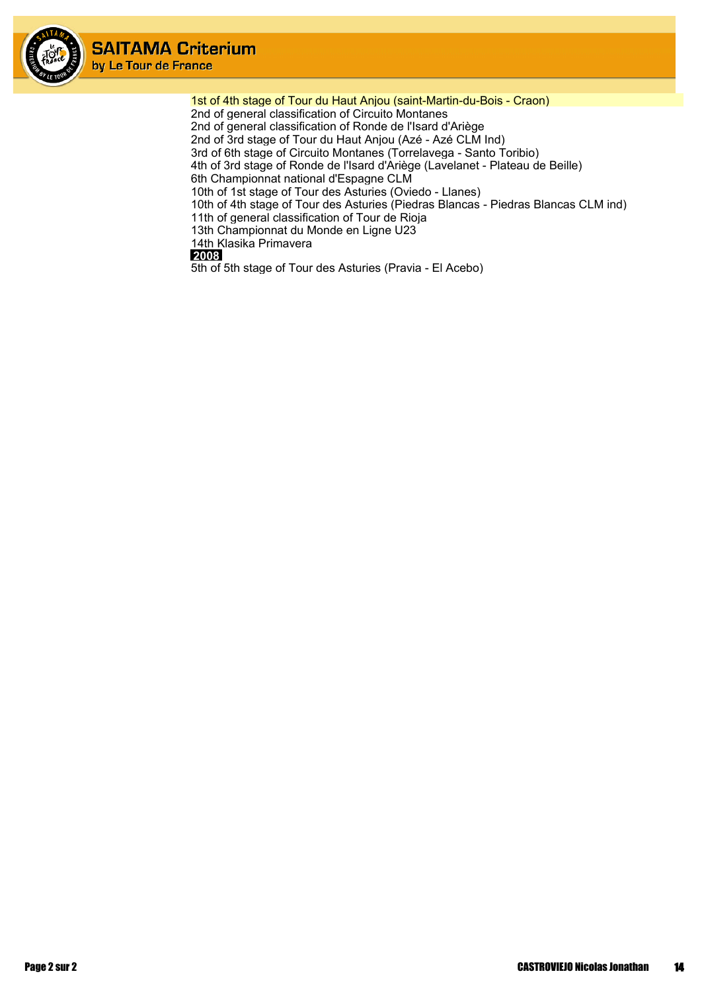

1st of 4th stage of Tour du Haut Anjou (saint-Martin-du-Bois - Craon) 2nd of general classification of Circuito Montanes 2nd of general classification of Ronde de l'Isard d'Ariège 2nd of 3rd stage of Tour du Haut Anjou (Azé - Azé CLM Ind) 3rd of 6th stage of Circuito Montanes (Torrelavega - Santo Toribio) 4th of 3rd stage of Ronde de l'Isard d'Ariège (Lavelanet - Plateau de Beille) 6th Championnat national d'Espagne CLM 10th of 1st stage of Tour des Asturies (Oviedo - Llanes) 10th of 4th stage of Tour des Asturies (Piedras Blancas - Piedras Blancas CLM ind) 11th of general classification of Tour de Rioja 13th Championnat du Monde en Ligne U23 14th Klasika Primavera



5th of 5th stage of Tour des Asturies (Pravia - El Acebo)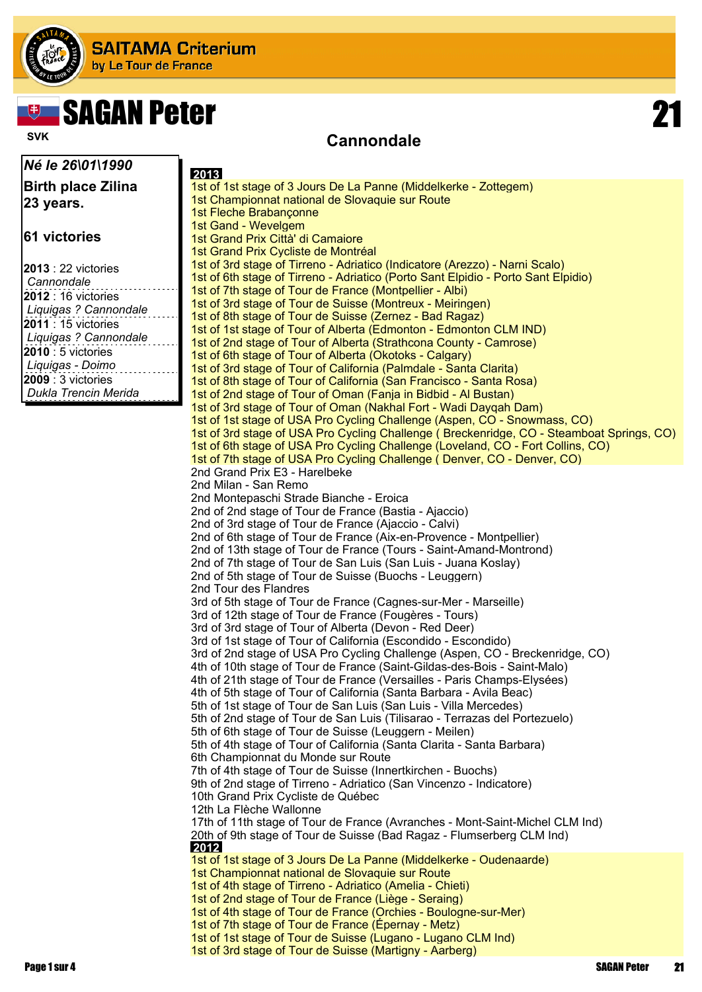

٦L

# **Example 19 SAGAN Peter 21 SAGAN Peter 21**

### **Cannondale Cannondale**

| Né le 26\01\1990                         | 2013                                                                                                                                           |
|------------------------------------------|------------------------------------------------------------------------------------------------------------------------------------------------|
| <b>Birth place Zilina</b>                | 1st of 1st stage of 3 Jours De La Panne (Middelkerke - Zottegem)                                                                               |
| 23 years.                                | 1st Championnat national de Slovaquie sur Route                                                                                                |
|                                          | 1st Fleche Brabançonne                                                                                                                         |
| 61 victories                             | 1st Gand - Wevelgem                                                                                                                            |
|                                          | 1st Grand Prix Città' di Camaiore<br>1st Grand Prix Cycliste de Montréal                                                                       |
|                                          | 1st of 3rd stage of Tirreno - Adriatico (Indicatore (Arezzo) - Narni Scalo)                                                                    |
| <b>2013</b> : 22 victories<br>Cannondale | 1st of 6th stage of Tirreno - Adriatico (Porto Sant Elpidio - Porto Sant Elpidio)                                                              |
| 2012 : 16 victories                      | 1st of 7th stage of Tour de France (Montpellier - Albi)                                                                                        |
| Liquigas ? Cannondale                    | 1st of 3rd stage of Tour de Suisse (Montreux - Meiringen)                                                                                      |
| <b>2011</b> : 15 victories               | 1st of 8th stage of Tour de Suisse (Zernez - Bad Ragaz)<br>1st of 1st stage of Tour of Alberta (Edmonton - Edmonton CLM IND)                   |
| Liquigas ? Cannondale                    | 1st of 2nd stage of Tour of Alberta (Strathcona County - Camrose)                                                                              |
| $ 2010:5$ victories                      | 1st of 6th stage of Tour of Alberta (Okotoks - Calgary)                                                                                        |
| Liquigas - Doimo                         | 1st of 3rd stage of Tour of California (Palmdale - Santa Clarita)                                                                              |
| $ 2009:3$ victories                      | 1st of 8th stage of Tour of California (San Francisco - Santa Rosa)                                                                            |
| Dukla Trencin Merida                     | 1st of 2nd stage of Tour of Oman (Fanja in Bidbid - Al Bustan)                                                                                 |
|                                          | 1st of 3rd stage of Tour of Oman (Nakhal Fort - Wadi Daygah Dam)<br>1st of 1st stage of USA Pro Cycling Challenge (Aspen, CO - Snowmass, CO)   |
|                                          | 1st of 3rd stage of USA Pro Cycling Challenge (Breckenridge, CO - Steamboat Springs, CO)                                                       |
|                                          | 1st of 6th stage of USA Pro Cycling Challenge (Loveland, CO - Fort Collins, CO)                                                                |
|                                          | 1st of 7th stage of USA Pro Cycling Challenge (Denver, CO - Denver, CO)                                                                        |
|                                          | 2nd Grand Prix E3 - Harelbeke                                                                                                                  |
|                                          | 2nd Milan - San Remo                                                                                                                           |
|                                          | 2nd Montepaschi Strade Bianche - Eroica<br>2nd of 2nd stage of Tour de France (Bastia - Ajaccio)                                               |
|                                          | 2nd of 3rd stage of Tour de France (Ajaccio - Calvi)                                                                                           |
|                                          | 2nd of 6th stage of Tour de France (Aix-en-Provence - Montpellier)                                                                             |
|                                          | 2nd of 13th stage of Tour de France (Tours - Saint-Amand-Montrond)                                                                             |
|                                          | 2nd of 7th stage of Tour de San Luis (San Luis - Juana Koslay)                                                                                 |
|                                          | 2nd of 5th stage of Tour de Suisse (Buochs - Leuggern)                                                                                         |
|                                          | 2nd Tour des Flandres                                                                                                                          |
|                                          | 3rd of 5th stage of Tour de France (Cagnes-sur-Mer - Marseille)<br>3rd of 12th stage of Tour de France (Fougères - Tours)                      |
|                                          | 3rd of 3rd stage of Tour of Alberta (Devon - Red Deer)                                                                                         |
|                                          | 3rd of 1st stage of Tour of California (Escondido - Escondido)                                                                                 |
|                                          | 3rd of 2nd stage of USA Pro Cycling Challenge (Aspen, CO - Breckenridge, CO)                                                                   |
|                                          | 4th of 10th stage of Tour de France (Saint-Gildas-des-Bois - Saint-Malo)                                                                       |
|                                          | 4th of 21th stage of Tour de France (Versailles - Paris Champs-Elysées)<br>4th of 5th stage of Tour of California (Santa Barbara - Avila Beac) |
|                                          | 5th of 1st stage of Tour de San Luis (San Luis - Villa Mercedes)                                                                               |
|                                          | 5th of 2nd stage of Tour de San Luis (Tilisarao - Terrazas del Portezuelo)                                                                     |
|                                          | 5th of 6th stage of Tour de Suisse (Leuggern - Meilen)                                                                                         |
|                                          | 5th of 4th stage of Tour of California (Santa Clarita - Santa Barbara)                                                                         |
|                                          | 6th Championnat du Monde sur Route                                                                                                             |
|                                          | 7th of 4th stage of Tour de Suisse (Innertkirchen - Buochs)<br>9th of 2nd stage of Tirreno - Adriatico (San Vincenzo - Indicatore)             |
|                                          | 10th Grand Prix Cycliste de Québec                                                                                                             |
|                                          | 12th La Flèche Wallonne                                                                                                                        |
|                                          | 17th of 11th stage of Tour de France (Avranches - Mont-Saint-Michel CLM Ind)                                                                   |
|                                          | 20th of 9th stage of Tour de Suisse (Bad Ragaz - Flumserberg CLM Ind)                                                                          |
|                                          | 2012<br>1st of 1st stage of 3 Jours De La Panne (Middelkerke - Oudenaarde)                                                                     |
|                                          | 1st Championnat national de Slovaquie sur Route                                                                                                |
|                                          | 1st of 4th stage of Tirreno - Adriatico (Amelia - Chieti)                                                                                      |
|                                          | 1st of 2nd stage of Tour de France (Liège - Seraing)                                                                                           |
|                                          | 1st of 4th stage of Tour de France (Orchies - Boulogne-sur-Mer)                                                                                |
|                                          | 1st of 7th stage of Tour de France (Epernay - Metz)<br>1st of 1st stage of Tour de Suisse (Lugano - Lugano CLM Ind)                            |
|                                          | 1st of 3rd stage of Tour de Suisse (Martigny - Aarberg)                                                                                        |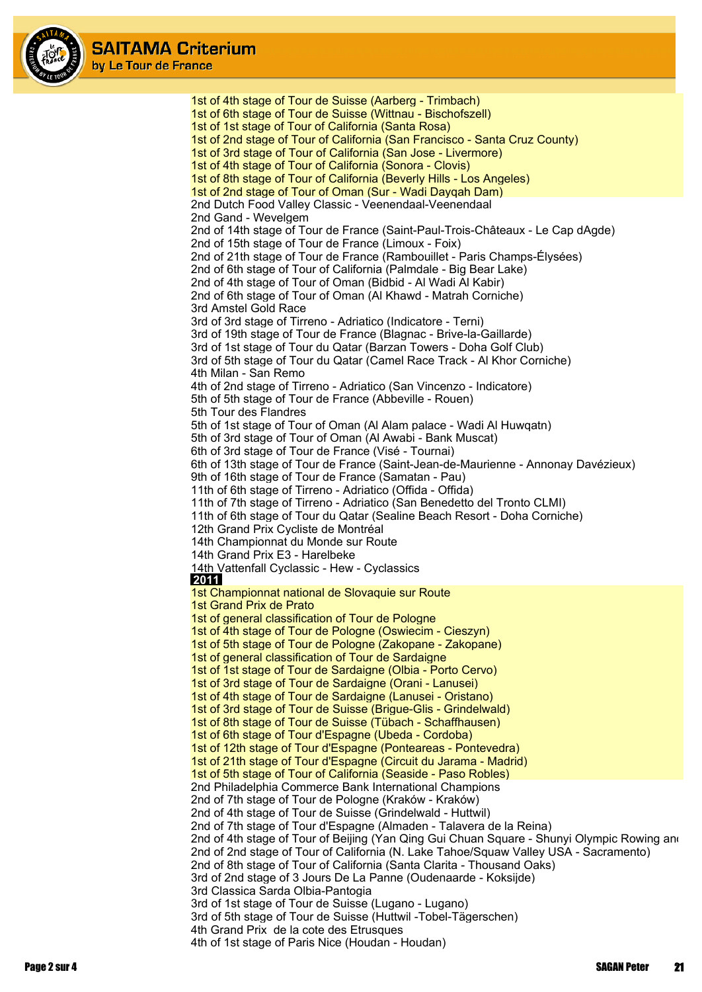

1st of 4th stage of Tour de Suisse (Aarberg - Trimbach) 1st of 6th stage of Tour de Suisse (Wittnau - Bischofszell) 1st of 1st stage of Tour of California (Santa Rosa) 1st of 2nd stage of Tour of California (San Francisco - Santa Cruz County) 1st of 3rd stage of Tour of California (San Jose - Livermore) 1st of 4th stage of Tour of California (Sonora - Clovis) 1st of 8th stage of Tour of California (Beverly Hills - Los Angeles) 1st of 2nd stage of Tour of Oman (Sur - Wadi Dayqah Dam) 2nd Dutch Food Valley Classic - Veenendaal-Veenendaal 2nd Gand - Wevelgem 2nd of 14th stage of Tour de France (Saint-Paul-Trois-Châteaux - Le Cap dAgde) 2nd of 15th stage of Tour de France (Limoux - Foix) 2nd of 21th stage of Tour de France (Rambouillet - Paris Champs-Élysées) 2nd of 6th stage of Tour of California (Palmdale - Big Bear Lake) 2nd of 4th stage of Tour of Oman (Bidbid - Al Wadi Al Kabir) 2nd of 6th stage of Tour of Oman (Al Khawd - Matrah Corniche) 3rd Amstel Gold Race 3rd of 3rd stage of Tirreno - Adriatico (Indicatore - Terni) 3rd of 19th stage of Tour de France (Blagnac - Brive-la-Gaillarde) 3rd of 1st stage of Tour du Qatar (Barzan Towers - Doha Golf Club) 3rd of 5th stage of Tour du Qatar (Camel Race Track - Al Khor Corniche) 4th Milan - San Remo 4th of 2nd stage of Tirreno - Adriatico (San Vincenzo - Indicatore) 5th of 5th stage of Tour de France (Abbeville - Rouen) 5th Tour des Flandres 5th of 1st stage of Tour of Oman (Al Alam palace - Wadi Al Huwqatn) 5th of 3rd stage of Tour of Oman (Al Awabi - Bank Muscat) 6th of 3rd stage of Tour de France (Visé - Tournai) 6th of 13th stage of Tour de France (Saint-Jean-de-Maurienne - Annonay Davézieux) 9th of 16th stage of Tour de France (Samatan - Pau) 11th of 6th stage of Tirreno - Adriatico (Offida - Offida) 11th of 7th stage of Tirreno - Adriatico (San Benedetto del Tronto CLMI) 11th of 6th stage of Tour du Qatar (Sealine Beach Resort - Doha Corniche) 12th Grand Prix Cycliste de Montréal 14th Championnat du Monde sur Route 14th Grand Prix E3 - Harelbeke 14th Vattenfall Cyclassic - Hew - Cyclassics  **2011** 1st Championnat national de Slovaquie sur Route 1st Grand Prix de Prato 1st of general classification of Tour de Pologne 1st of 4th stage of Tour de Pologne (Oswiecim - Cieszyn) 1st of 5th stage of Tour de Pologne (Zakopane - Zakopane) 1st of general classification of Tour de Sardaigne 1st of 1st stage of Tour de Sardaigne (Olbia - Porto Cervo) 1st of 3rd stage of Tour de Sardaigne (Orani - Lanusei) 1st of 4th stage of Tour de Sardaigne (Lanusei - Oristano) 1st of 3rd stage of Tour de Suisse (Brigue-Glis - Grindelwald) 1st of 8th stage of Tour de Suisse (Tübach - Schaffhausen) 1st of 6th stage of Tour d'Espagne (Ubeda - Cordoba) 1st of 12th stage of Tour d'Espagne (Ponteareas - Pontevedra) 1st of 21th stage of Tour d'Espagne (Circuit du Jarama - Madrid) 1st of 5th stage of Tour of California (Seaside - Paso Robles) 2nd Philadelphia Commerce Bank International Champions 2nd of 7th stage of Tour de Pologne (Kraków - Kraków) 2nd of 4th stage of Tour de Suisse (Grindelwald - Huttwil) 2nd of 7th stage of Tour d'Espagne (Almaden - Talavera de la Reina) 2nd of 4th stage of Tour of Beijing (Yan Qing Gui Chuan Square - Shunyi Olympic Rowing and 2nd of 2nd stage of Tour of California (N. Lake Tahoe/Squaw Valley USA - Sacramento) 2nd of 8th stage of Tour of California (Santa Clarita - Thousand Oaks) 3rd of 2nd stage of 3 Jours De La Panne (Oudenaarde - Koksijde) 3rd Classica Sarda Olbia-Pantogia 3rd of 1st stage of Tour de Suisse (Lugano - Lugano) 3rd of 5th stage of Tour de Suisse (Huttwil -Tobel-Tägerschen) 4th Grand Prix de la cote des Etrusques 4th of 1st stage of Paris Nice (Houdan - Houdan)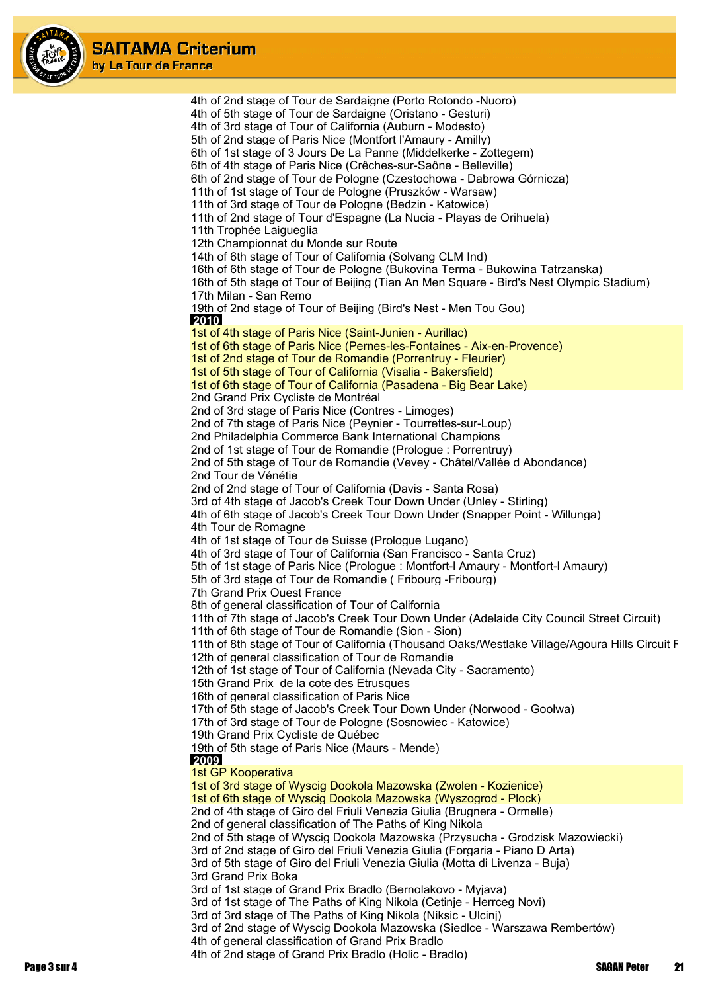

4th of 2nd stage of Tour de Sardaigne (Porto Rotondo -Nuoro) 4th of 5th stage of Tour de Sardaigne (Oristano - Gesturi) 4th of 3rd stage of Tour of California (Auburn - Modesto) 5th of 2nd stage of Paris Nice (Montfort l'Amaury - Amilly) 6th of 1st stage of 3 Jours De La Panne (Middelkerke - Zottegem) 6th of 4th stage of Paris Nice (Crêches-sur-Saône - Belleville) 6th of 2nd stage of Tour de Pologne (Czestochowa - Dabrowa Górnicza) 11th of 1st stage of Tour de Pologne (Pruszków - Warsaw) 11th of 3rd stage of Tour de Pologne (Bedzin - Katowice) 11th of 2nd stage of Tour d'Espagne (La Nucia - Playas de Orihuela) 11th Trophée Laigueglia 12th Championnat du Monde sur Route 14th of 6th stage of Tour of California (Solvang CLM Ind) 16th of 6th stage of Tour de Pologne (Bukovina Terma - Bukowina Tatrzanska) 16th of 5th stage of Tour of Beijing (Tian An Men Square - Bird's Nest Olympic Stadium) 17th Milan - San Remo 19th of 2nd stage of Tour of Beijing (Bird's Nest - Men Tou Gou)  **2010** 1st of 4th stage of Paris Nice (Saint-Junien - Aurillac) 1st of 6th stage of Paris Nice (Pernes-les-Fontaines - Aix-en-Provence) 1st of 2nd stage of Tour de Romandie (Porrentruy - Fleurier) 1st of 5th stage of Tour of California (Visalia - Bakersfield) 1st of 6th stage of Tour of California (Pasadena - Big Bear Lake) 2nd Grand Prix Cycliste de Montréal 2nd of 3rd stage of Paris Nice (Contres - Limoges) 2nd of 7th stage of Paris Nice (Peynier - Tourrettes-sur-Loup) 2nd Philadelphia Commerce Bank International Champions 2nd of 1st stage of Tour de Romandie (Prologue : Porrentruy) 2nd of 5th stage of Tour de Romandie (Vevey - Châtel/Vallée d Abondance) 2nd Tour de Vénétie 2nd of 2nd stage of Tour of California (Davis - Santa Rosa) 3rd of 4th stage of Jacob's Creek Tour Down Under (Unley - Stirling) 4th of 6th stage of Jacob's Creek Tour Down Under (Snapper Point - Willunga) 4th Tour de Romagne 4th of 1st stage of Tour de Suisse (Prologue Lugano) 4th of 3rd stage of Tour of California (San Francisco - Santa Cruz) 5th of 1st stage of Paris Nice (Prologue : Montfort-l Amaury - Montfort-l Amaury) 5th of 3rd stage of Tour de Romandie ( Fribourg -Fribourg) 7th Grand Prix Ouest France 8th of general classification of Tour of California 11th of 7th stage of Jacob's Creek Tour Down Under (Adelaide City Council Street Circuit) 11th of 6th stage of Tour de Romandie (Sion - Sion) 11th of 8th stage of Tour of California (Thousand Oaks/Westlake Village/Agoura Hills Circuit R 12th of general classification of Tour de Romandie 12th of 1st stage of Tour of California (Nevada City - Sacramento) 15th Grand Prix de la cote des Etrusques 16th of general classification of Paris Nice 17th of 5th stage of Jacob's Creek Tour Down Under (Norwood - Goolwa) 17th of 3rd stage of Tour de Pologne (Sosnowiec - Katowice) 19th Grand Prix Cycliste de Québec 19th of 5th stage of Paris Nice (Maurs - Mende)  **2009** 1st GP Kooperativa 1st of 3rd stage of Wyscig Dookola Mazowska (Zwolen - Kozienice) 1st of 6th stage of Wyscig Dookola Mazowska (Wyszogrod - Plock) 2nd of 4th stage of Giro del Friuli Venezia Giulia (Brugnera - Ormelle) 2nd of general classification of The Paths of King Nikola 2nd of 5th stage of Wyscig Dookola Mazowska (Przysucha - Grodzisk Mazowiecki) 3rd of 2nd stage of Giro del Friuli Venezia Giulia (Forgaria - Piano D Arta) 3rd of 5th stage of Giro del Friuli Venezia Giulia (Motta di Livenza - Buja) 3rd Grand Prix Boka 3rd of 1st stage of Grand Prix Bradlo (Bernolakovo - Myjava) 3rd of 1st stage of The Paths of King Nikola (Cetinje - Herrceg Novi) 3rd of 3rd stage of The Paths of King Nikola (Niksic - Ulcinj) 3rd of 2nd stage of Wyscig Dookola Mazowska (Siedlce - Warszawa Rembertów) 4th of general classification of Grand Prix Bradlo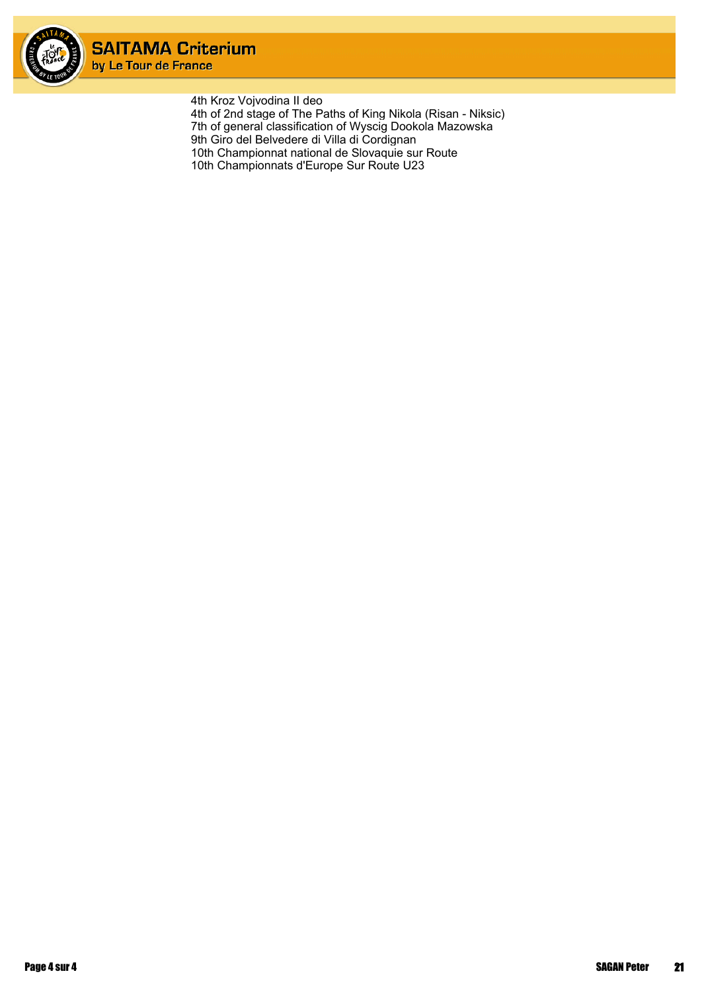

4th Kroz Vojvodina II deo 4th of 2nd stage of The Paths of King Nikola (Risan - Niksic) 7th of general classification of Wyscig Dookola Mazowska 9th Giro del Belvedere di Villa di Cordignan 10th Championnat national de Slovaquie sur Route 10th Championnats d'Europe Sur Route U23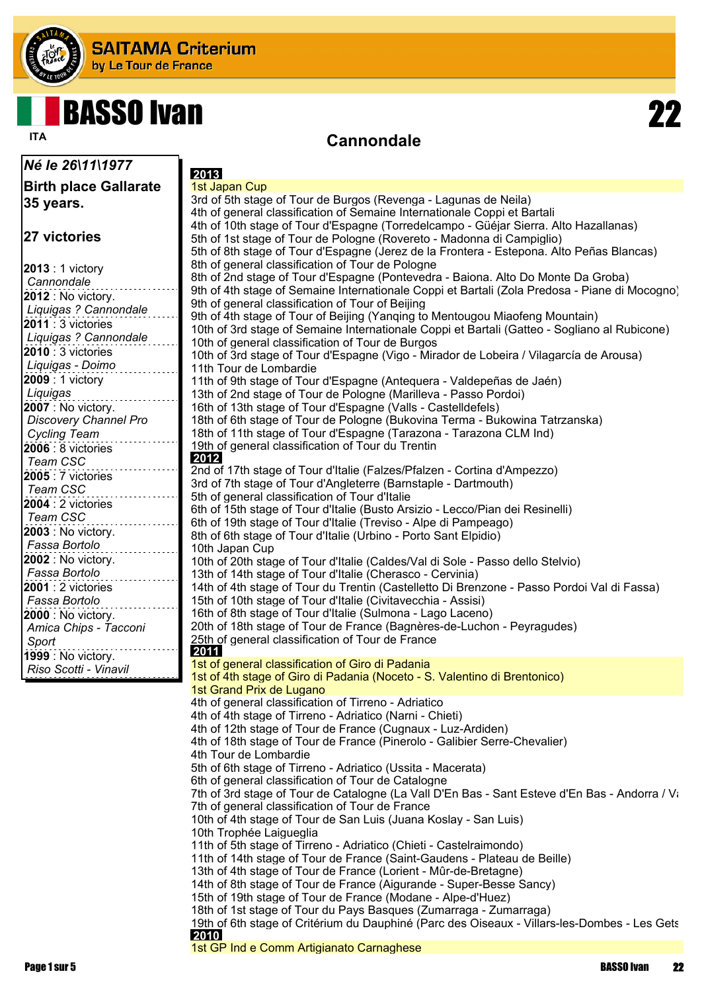

## **BASSO Ivan**

*Né le 26\11\1977*

### **Cannondale ITA**

**Birth place Gallarate 35 years. 27 victories 2013** : 1 victory *Cannondale* **2012** : No victory. *Liquigas ? Cannondale* **2011** : 3 victories *Liquigas ? Cannondale* **2010** : 3 victories *Liquigas - Doimo* **2009** : 1 victory *Liquigas* **2007** : No victory. *Discovery Channel Pro Cycling Team* **2006** : 8 victories *Team CSC* **2005** : 7 victories *Team CSC* **2004** : 2 victories *Team CSC* **2003** : No victory. *Fassa Bortolo* **2002** : No victory. *Fassa Bortolo* **2001** : 2 victories *Fassa Bortolo* **2000** : No victory. *Amica Chips - Tacconi Sport* **1999** : No victory. *Riso Scotti - Vinavil*  **2013** 1st Japan Cup 3rd of 5th stage of Tour de Burgos (Revenga - Lagunas de Neila) 4th of general classification of Semaine Internationale Coppi et Bartali 4th of 10th stage of Tour d'Espagne (Torredelcampo - Güéjar Sierra. Alto Hazallanas) 5th of 1st stage of Tour de Pologne (Rovereto - Madonna di Campiglio) 5th of 8th stage of Tour d'Espagne (Jerez de la Frontera - Estepona. Alto Peñas Blancas) 8th of general classification of Tour de Pologne 8th of 2nd stage of Tour d'Espagne (Pontevedra - Baiona. Alto Do Monte Da Groba) 9th of 4th stage of Semaine Internationale Coppi et Bartali (Zola Predosa - Piane di Mocogno) 9th of general classification of Tour of Beijing 9th of 4th stage of Tour of Beijing (Yanqing to Mentougou Miaofeng Mountain) 10th of 3rd stage of Semaine Internationale Coppi et Bartali (Gatteo - Sogliano al Rubicone) 10th of general classification of Tour de Burgos 10th of 3rd stage of Tour d'Espagne (Vigo - Mirador de Lobeira / Vilagarcía de Arousa) 11th Tour de Lombardie 11th of 9th stage of Tour d'Espagne (Antequera - Valdepeñas de Jaén) 13th of 2nd stage of Tour de Pologne (Marilleva - Passo Pordoi) 16th of 13th stage of Tour d'Espagne (Valls - Castelldefels) 18th of 6th stage of Tour de Pologne (Bukovina Terma - Bukowina Tatrzanska) 18th of 11th stage of Tour d'Espagne (Tarazona - Tarazona CLM Ind) 19th of general classification of Tour du Trentin  **2012** 2nd of 17th stage of Tour d'Italie (Falzes/Pfalzen - Cortina d'Ampezzo) 3rd of 7th stage of Tour d'Angleterre (Barnstaple - Dartmouth) 5th of general classification of Tour d'Italie 6th of 15th stage of Tour d'Italie (Busto Arsizio - Lecco/Pian dei Resinelli) 6th of 19th stage of Tour d'Italie (Treviso - Alpe di Pampeago) 8th of 6th stage of Tour d'Italie (Urbino - Porto Sant Elpidio) 10th Japan Cup 10th of 20th stage of Tour d'Italie (Caldes/Val di Sole - Passo dello Stelvio) 13th of 14th stage of Tour d'Italie (Cherasco - Cervinia) 14th of 4th stage of Tour du Trentin (Castelletto Di Brenzone - Passo Pordoi Val di Fassa) 15th of 10th stage of Tour d'Italie (Civitavecchia - Assisi) 16th of 8th stage of Tour d'Italie (Sulmona - Lago Laceno) 20th of 18th stage of Tour de France (Bagnères-de-Luchon - Peyragudes) 25th of general classification of Tour de France  **2011** 1st of general classification of Giro di Padania 1st of 4th stage of Giro di Padania (Noceto - S. Valentino di Brentonico) 1st Grand Prix de Lugano 4th of general classification of Tirreno - Adriatico 4th of 4th stage of Tirreno - Adriatico (Narni - Chieti) 4th of 12th stage of Tour de France (Cugnaux - Luz-Ardiden) 4th of 18th stage of Tour de France (Pinerolo - Galibier Serre-Chevalier) 4th Tour de Lombardie 5th of 6th stage of Tirreno - Adriatico (Ussita - Macerata) 6th of general classification of Tour de Catalogne 7th of 3rd stage of Tour de Catalogne (La Vall D'En Bas - Sant Esteve d'En Bas - Andorra / Va 7th of general classification of Tour de France 10th of 4th stage of Tour de San Luis (Juana Koslay - San Luis) 10th Trophée Laigueglia 11th of 5th stage of Tirreno - Adriatico (Chieti - Castelraimondo) 11th of 14th stage of Tour de France (Saint-Gaudens - Plateau de Beille) 13th of 4th stage of Tour de France (Lorient - Mûr-de-Bretagne) 14th of 8th stage of Tour de France (Aigurande - Super-Besse Sancy) 15th of 19th stage of Tour de France (Modane - Alpe-d'Huez) 18th of 1st stage of Tour du Pays Basques (Zumarraga - Zumarraga) 19th of 6th stage of Critérium du Dauphiné (Parc des Oiseaux - Villars-les-Dombes - Les Gets  **2010** 1st GP Ind e Comm Artigianato Carnaghese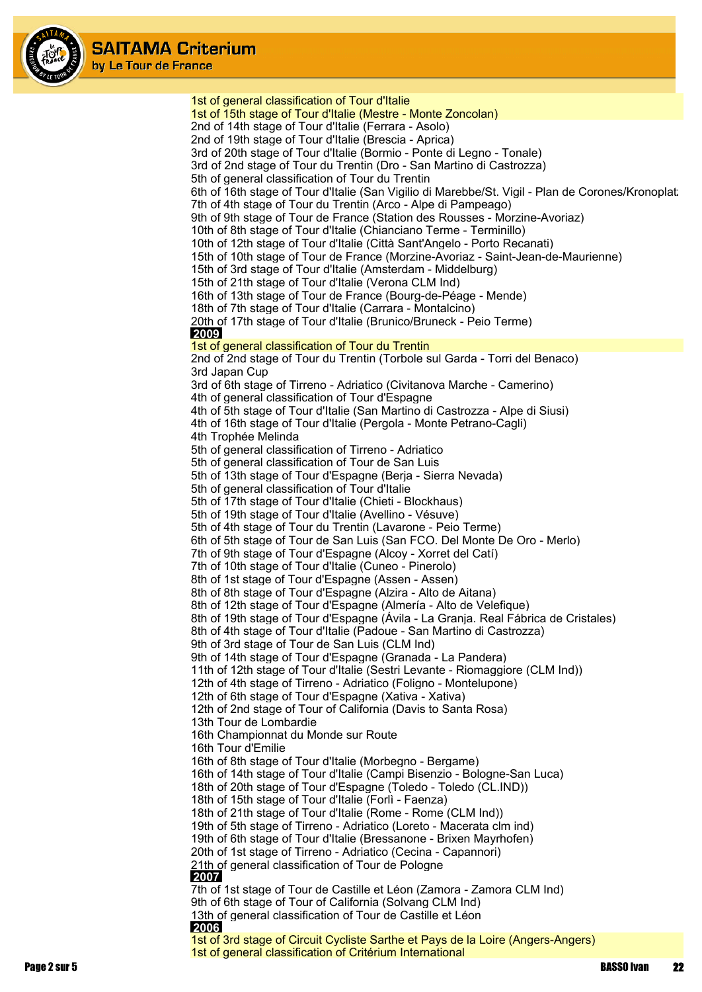

1st of general classification of Tour d'Italie 1st of 15th stage of Tour d'Italie (Mestre - Monte Zoncolan) 2nd of 14th stage of Tour d'Italie (Ferrara - Asolo) 2nd of 19th stage of Tour d'Italie (Brescia - Aprica) 3rd of 20th stage of Tour d'Italie (Bormio - Ponte di Legno - Tonale) 3rd of 2nd stage of Tour du Trentin (Dro - San Martino di Castrozza) 5th of general classification of Tour du Trentin 6th of 16th stage of Tour d'Italie (San Vigilio di Marebbe/St. Vigil - Plan de Corones/Kronoplat: 7th of 4th stage of Tour du Trentin (Arco - Alpe di Pampeago) 9th of 9th stage of Tour de France (Station des Rousses - Morzine-Avoriaz) 10th of 8th stage of Tour d'Italie (Chianciano Terme - Terminillo) 10th of 12th stage of Tour d'Italie (Città Sant'Angelo - Porto Recanati) 15th of 10th stage of Tour de France (Morzine-Avoriaz - Saint-Jean-de-Maurienne) 15th of 3rd stage of Tour d'Italie (Amsterdam - Middelburg) 15th of 21th stage of Tour d'Italie (Verona CLM Ind) 16th of 13th stage of Tour de France (Bourg-de-Péage - Mende) 18th of 7th stage of Tour d'Italie (Carrara - Montalcino) 20th of 17th stage of Tour d'Italie (Brunico/Bruneck - Peio Terme)  **2009** 1st of general classification of Tour du Trentin 2nd of 2nd stage of Tour du Trentin (Torbole sul Garda - Torri del Benaco) 3rd Japan Cup 3rd of 6th stage of Tirreno - Adriatico (Civitanova Marche - Camerino) 4th of general classification of Tour d'Espagne 4th of 5th stage of Tour d'Italie (San Martino di Castrozza - Alpe di Siusi) 4th of 16th stage of Tour d'Italie (Pergola - Monte Petrano-Cagli) 4th Trophée Melinda 5th of general classification of Tirreno - Adriatico 5th of general classification of Tour de San Luis 5th of 13th stage of Tour d'Espagne (Berja - Sierra Nevada) 5th of general classification of Tour d'Italie 5th of 17th stage of Tour d'Italie (Chieti - Blockhaus) 5th of 19th stage of Tour d'Italie (Avellino - Vésuve) 5th of 4th stage of Tour du Trentin (Lavarone - Peio Terme) 6th of 5th stage of Tour de San Luis (San FCO. Del Monte De Oro - Merlo) 7th of 9th stage of Tour d'Espagne (Alcoy - Xorret del Catí) 7th of 10th stage of Tour d'Italie (Cuneo - Pinerolo) 8th of 1st stage of Tour d'Espagne (Assen - Assen) 8th of 8th stage of Tour d'Espagne (Alzira - Alto de Aitana) 8th of 12th stage of Tour d'Espagne (Almería - Alto de Velefique) 8th of 19th stage of Tour d'Espagne (Ávila - La Granja. Real Fábrica de Cristales) 8th of 4th stage of Tour d'Italie (Padoue - San Martino di Castrozza) 9th of 3rd stage of Tour de San Luis (CLM Ind) 9th of 14th stage of Tour d'Espagne (Granada - La Pandera) 11th of 12th stage of Tour d'Italie (Sestri Levante - Riomaggiore (CLM Ind)) 12th of 4th stage of Tirreno - Adriatico (Foligno - Montelupone) 12th of 6th stage of Tour d'Espagne (Xativa - Xativa) 12th of 2nd stage of Tour of California (Davis to Santa Rosa) 13th Tour de Lombardie 16th Championnat du Monde sur Route 16th Tour d'Emilie 16th of 8th stage of Tour d'Italie (Morbegno - Bergame) 16th of 14th stage of Tour d'Italie (Campi Bisenzio - Bologne-San Luca) 18th of 20th stage of Tour d'Espagne (Toledo - Toledo (CL.IND)) 18th of 15th stage of Tour d'Italie (Forlì - Faenza) 18th of 21th stage of Tour d'Italie (Rome - Rome (CLM Ind)) 19th of 5th stage of Tirreno - Adriatico (Loreto - Macerata clm ind) 19th of 6th stage of Tour d'Italie (Bressanone - Brixen Mayrhofen) 20th of 1st stage of Tirreno - Adriatico (Cecina - Capannori) 21th of general classification of Tour de Pologne  **2007** 7th of 1st stage of Tour de Castille et Léon (Zamora - Zamora CLM Ind) 9th of 6th stage of Tour of California (Solvang CLM Ind) 13th of general classification of Tour de Castille et Léon  **2006** 1st of 3rd stage of Circuit Cycliste Sarthe et Pays de la Loire (Angers-Angers) 1st of general classification of Critérium International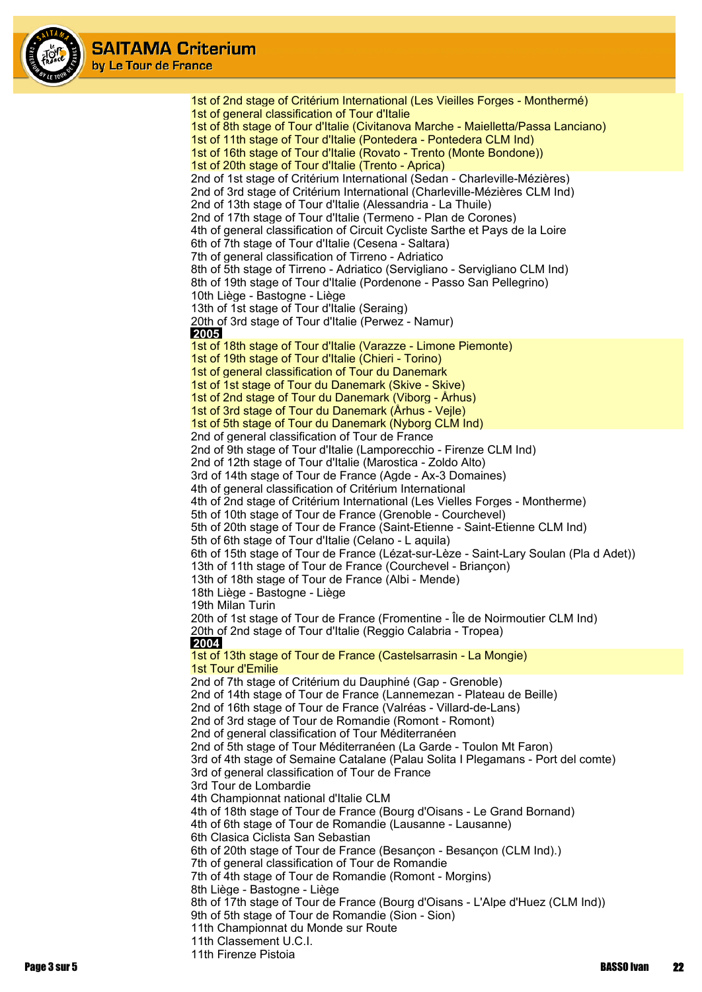

1st of 2nd stage of Critérium International (Les Vieilles Forges - Monthermé) 1st of general classification of Tour d'Italie 1st of 8th stage of Tour d'Italie (Civitanova Marche - Maielletta/Passa Lanciano) 1st of 11th stage of Tour d'Italie (Pontedera - Pontedera CLM Ind) 1st of 16th stage of Tour d'Italie (Rovato - Trento (Monte Bondone)) 1st of 20th stage of Tour d'Italie (Trento - Aprica) 2nd of 1st stage of Critérium International (Sedan - Charleville-Mézières) 2nd of 3rd stage of Critérium International (Charleville-Mézières CLM Ind) 2nd of 13th stage of Tour d'Italie (Alessandria - La Thuile) 2nd of 17th stage of Tour d'Italie (Termeno - Plan de Corones) 4th of general classification of Circuit Cycliste Sarthe et Pays de la Loire 6th of 7th stage of Tour d'Italie (Cesena - Saltara) 7th of general classification of Tirreno - Adriatico 8th of 5th stage of Tirreno - Adriatico (Servigliano - Servigliano CLM Ind) 8th of 19th stage of Tour d'Italie (Pordenone - Passo San Pellegrino) 10th Liège - Bastogne - Liège 13th of 1st stage of Tour d'Italie (Seraing) 20th of 3rd stage of Tour d'Italie (Perwez - Namur)  **2005** 1st of 18th stage of Tour d'Italie (Varazze - Limone Piemonte) 1st of 19th stage of Tour d'Italie (Chieri - Torino) 1st of general classification of Tour du Danemark 1st of 1st stage of Tour du Danemark (Skive - Skive) 1st of 2nd stage of Tour du Danemark (Viborg - Århus) 1st of 3rd stage of Tour du Danemark (Århus - Vejle) 1st of 5th stage of Tour du Danemark (Nyborg CLM Ind) 2nd of general classification of Tour de France 2nd of 9th stage of Tour d'Italie (Lamporecchio - Firenze CLM Ind) 2nd of 12th stage of Tour d'Italie (Marostica - Zoldo Alto) 3rd of 14th stage of Tour de France (Agde - Ax-3 Domaines) 4th of general classification of Critérium International 4th of 2nd stage of Critérium International (Les Vielles Forges - Montherme) 5th of 10th stage of Tour de France (Grenoble - Courchevel) 5th of 20th stage of Tour de France (Saint-Etienne - Saint-Etienne CLM Ind) 5th of 6th stage of Tour d'Italie (Celano - L aquila) 6th of 15th stage of Tour de France (Lézat-sur-Lèze - Saint-Lary Soulan (Pla d Adet)) 13th of 11th stage of Tour de France (Courchevel - Briançon) 13th of 18th stage of Tour de France (Albi - Mende) 18th Liège - Bastogne - Liège 19th Milan Turin 20th of 1st stage of Tour de France (Fromentine - Île de Noirmoutier CLM Ind) 20th of 2nd stage of Tour d'Italie (Reggio Calabria - Tropea)  **2004** 1st of 13th stage of Tour de France (Castelsarrasin - La Mongie) 1st Tour d'Emilie 2nd of 7th stage of Critérium du Dauphiné (Gap - Grenoble) 2nd of 14th stage of Tour de France (Lannemezan - Plateau de Beille) 2nd of 16th stage of Tour de France (Valréas - Villard-de-Lans) 2nd of 3rd stage of Tour de Romandie (Romont - Romont) 2nd of general classification of Tour Méditerranéen 2nd of 5th stage of Tour Méditerranéen (La Garde - Toulon Mt Faron) 3rd of 4th stage of Semaine Catalane (Palau Solita I Plegamans - Port del comte) 3rd of general classification of Tour de France 3rd Tour de Lombardie 4th Championnat national d'Italie CLM 4th of 18th stage of Tour de France (Bourg d'Oisans - Le Grand Bornand) 4th of 6th stage of Tour de Romandie (Lausanne - Lausanne) 6th Clasica Ciclista San Sebastian 6th of 20th stage of Tour de France (Besançon - Besançon (CLM Ind).) 7th of general classification of Tour de Romandie 7th of 4th stage of Tour de Romandie (Romont - Morgins) 8th Liège - Bastogne - Liège 8th of 17th stage of Tour de France (Bourg d'Oisans - L'Alpe d'Huez (CLM Ind)) 9th of 5th stage of Tour de Romandie (Sion - Sion) 11th Championnat du Monde sur Route 11th Classement U.C.I. 11th Firenze Pistoia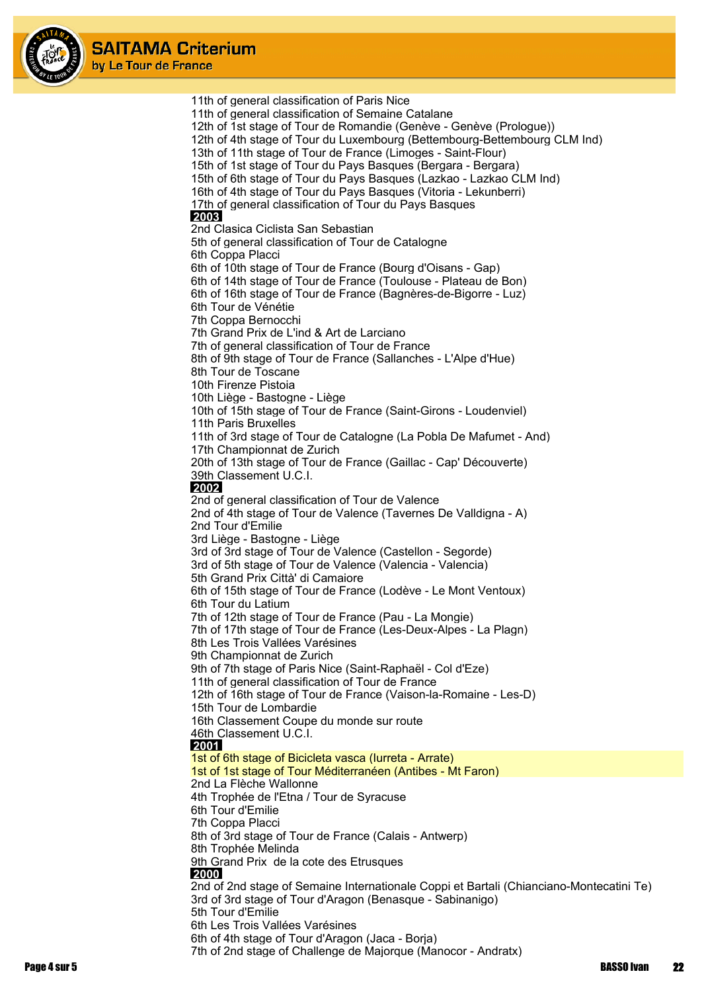

> 11th of general classification of Paris Nice 11th of general classification of Semaine Catalane 12th of 1st stage of Tour de Romandie (Genève - Genève (Prologue)) 12th of 4th stage of Tour du Luxembourg (Bettembourg-Bettembourg CLM Ind) 13th of 11th stage of Tour de France (Limoges - Saint-Flour) 15th of 1st stage of Tour du Pays Basques (Bergara - Bergara) 15th of 6th stage of Tour du Pays Basques (Lazkao - Lazkao CLM Ind) 16th of 4th stage of Tour du Pays Basques (Vitoria - Lekunberri) 17th of general classification of Tour du Pays Basques  **2003** 2nd Clasica Ciclista San Sebastian 5th of general classification of Tour de Catalogne 6th Coppa Placci 6th of 10th stage of Tour de France (Bourg d'Oisans - Gap) 6th of 14th stage of Tour de France (Toulouse - Plateau de Bon) 6th of 16th stage of Tour de France (Bagnères-de-Bigorre - Luz) 6th Tour de Vénétie 7th Coppa Bernocchi 7th Grand Prix de L'ind & Art de Larciano 7th of general classification of Tour de France 8th of 9th stage of Tour de France (Sallanches - L'Alpe d'Hue) 8th Tour de Toscane 10th Firenze Pistoia 10th Liège - Bastogne - Liège 10th of 15th stage of Tour de France (Saint-Girons - Loudenviel) 11th Paris Bruxelles 11th of 3rd stage of Tour de Catalogne (La Pobla De Mafumet - And) 17th Championnat de Zurich 20th of 13th stage of Tour de France (Gaillac - Cap' Découverte) 39th Classement U.C.I.  **2002** 2nd of general classification of Tour de Valence 2nd of 4th stage of Tour de Valence (Tavernes De Valldigna - A) 2nd Tour d'Emilie 3rd Liège - Bastogne - Liège 3rd of 3rd stage of Tour de Valence (Castellon - Segorde) 3rd of 5th stage of Tour de Valence (Valencia - Valencia) 5th Grand Prix Città' di Camaiore 6th of 15th stage of Tour de France (Lodève - Le Mont Ventoux) 6th Tour du Latium 7th of 12th stage of Tour de France (Pau - La Mongie) 7th of 17th stage of Tour de France (Les-Deux-Alpes - La Plagn) 8th Les Trois Vallées Varésines 9th Championnat de Zurich 9th of 7th stage of Paris Nice (Saint-Raphaël - Col d'Eze) 11th of general classification of Tour de France 12th of 16th stage of Tour de France (Vaison-la-Romaine - Les-D) 15th Tour de Lombardie 16th Classement Coupe du monde sur route 46th Classement U.C.I.  **2001** 1st of 6th stage of Bicicleta vasca (Iurreta - Arrate) 1st of 1st stage of Tour Méditerranéen (Antibes - Mt Faron) 2nd La Flèche Wallonne 4th Trophée de l'Etna / Tour de Syracuse 6th Tour d'Emilie 7th Coppa Placci 8th of 3rd stage of Tour de France (Calais - Antwerp) 8th Trophée Melinda 9th Grand Prix de la cote des Etrusques  **2000** 2nd of 2nd stage of Semaine Internationale Coppi et Bartali (Chianciano-Montecatini Te) 3rd of 3rd stage of Tour d'Aragon (Benasque - Sabinanigo) 5th Tour d'Emilie 6th Les Trois Vallées Varésines 6th of 4th stage of Tour d'Aragon (Jaca - Borja) 7th of 2nd stage of Challenge de Majorque (Manocor - Andratx)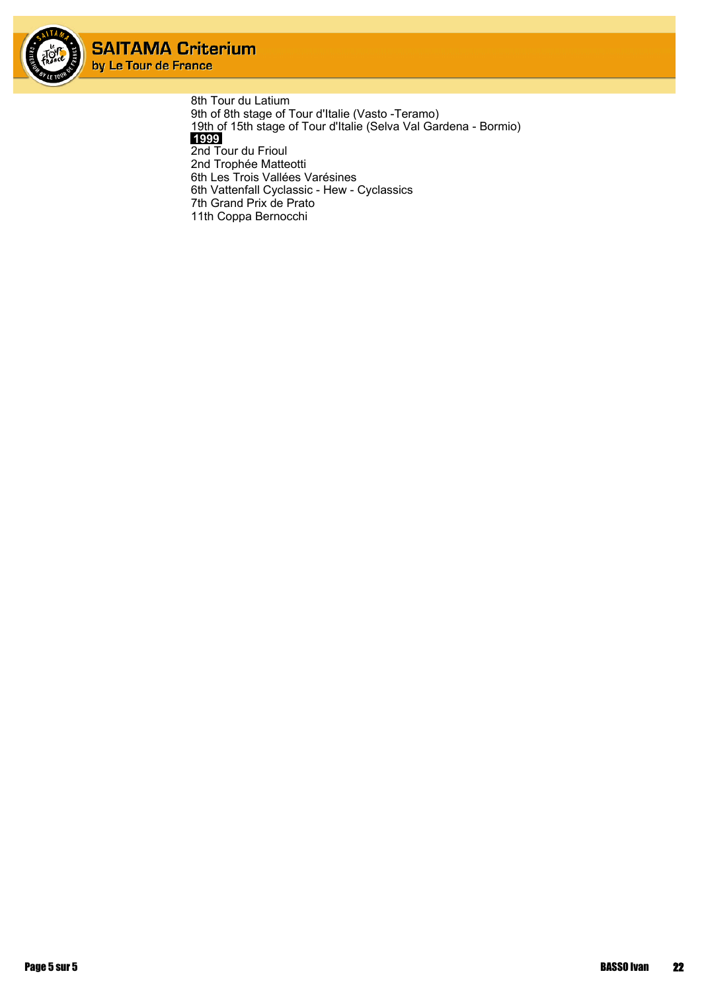

> 8th Tour du Latium 9th of 8th stage of Tour d'Italie (Vasto -Teramo) 19th of 15th stage of Tour d'Italie (Selva Val Gardena - Bormio)  **1999** 2nd Tour du Frioul 2nd Trophée Matteotti 6th Les Trois Vallées Varésines 6th Vattenfall Cyclassic - Hew - Cyclassics 7th Grand Prix de Prato 11th Coppa Bernocchi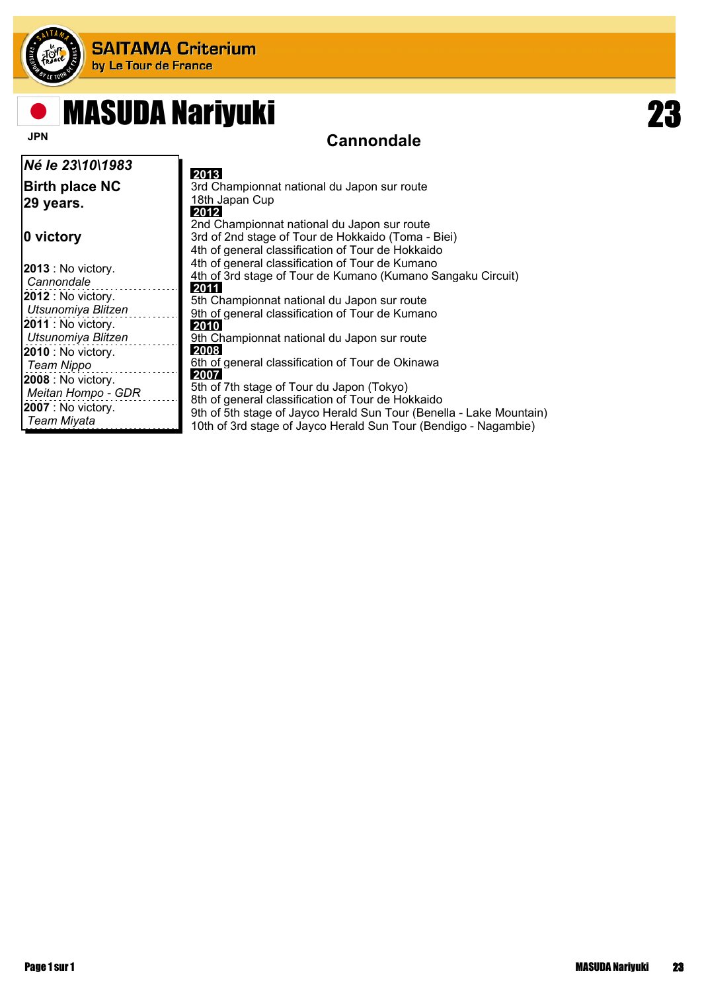

## **Cannondale MASUDA Nariyuki**

#### *Né le 23\10\1983* **Birth place NC 29 years. 0 victory 2013** : No victory. *Cannondale* **2012** : No victory. *Utsunomiya Blitzen* **2011** : No victory. *Utsunomiya Blitzen* **2010** : No victory. *Team Nippo* **2008** : No victory. *Meitan Hompo - GDR* **2007** : No victory. *Team Miyata*  **2013** 3rd Championnat national du Japon sur route 18th Japan Cup  **2012** 2nd Championnat national du Japon sur route 3rd of 2nd stage of Tour de Hokkaido (Toma - Biei) 4th of general classification of Tour de Hokkaido 4th of general classification of Tour de Kumano 4th of 3rd stage of Tour de Kumano (Kumano Sangaku Circuit)  **2011** 5th Championnat national du Japon sur route 9th of general classification of Tour de Kumano  **2010** 9th Championnat national du Japon sur route  **2008** 6th of general classification of Tour de Okinawa  **2007** 5th of 7th stage of Tour du Japon (Tokyo) 8th of general classification of Tour de Hokkaido 9th of 5th stage of Jayco Herald Sun Tour (Benella - Lake Mountain) 10th of 3rd stage of Jayco Herald Sun Tour (Bendigo - Nagambie)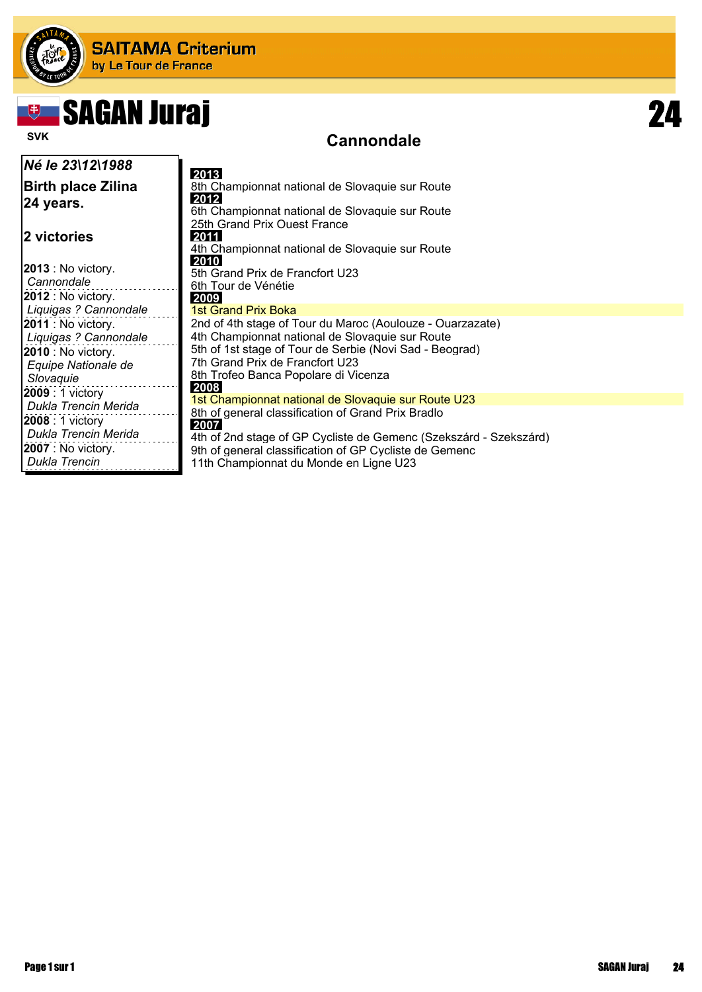

# SAGAN Juraj 24

### **Cannondale**

| Né le 23\12\1988                                                                                          | 2013                                                                                                                                                                                                                                                       |
|-----------------------------------------------------------------------------------------------------------|------------------------------------------------------------------------------------------------------------------------------------------------------------------------------------------------------------------------------------------------------------|
| <b>Birth place Zilina</b><br>24 years.                                                                    | 8th Championnat national de Slovaquie sur Route<br>2012<br>6th Championnat national de Slovaquie sur Route<br>25th Grand Prix Ouest France                                                                                                                 |
| 2 victories                                                                                               | 2011<br>4th Championnat national de Slovaquie sur Route                                                                                                                                                                                                    |
| $ 2013:$ No victory.<br>Cannondale                                                                        | 2010<br>5th Grand Prix de Francfort U23<br>6th Tour de Vénétie                                                                                                                                                                                             |
| $ 2012:$ No victory.<br>  Liquigas ? Cannondale                                                           | 2009<br>1st Grand Prix Boka                                                                                                                                                                                                                                |
| $ 2011:$ No victory.<br>Liquigas ? Cannondale<br>$ 2010:$ No victory.<br>Equipe Nationale de<br>Slovaquie | 2nd of 4th stage of Tour du Maroc (Aoulouze - Ouarzazate)<br>4th Championnat national de Slovaquie sur Route<br>5th of 1st stage of Tour de Serbie (Novi Sad - Beograd)<br>7th Grand Prix de Francfort U23<br>8th Trofeo Banca Popolare di Vicenza<br>2008 |
| 2009 : 1 victory<br>Dukla Trencin Merida                                                                  | 1st Championnat national de Slovaquie sur Route U23                                                                                                                                                                                                        |
| <b>2008</b> : 1 victory<br>Dukla Trencin Merida<br>$ 2007:$ No victory.<br>Dukla Trencin                  | 8th of general classification of Grand Prix Bradlo<br>2007<br>4th of 2nd stage of GP Cycliste de Gemenc (Szekszárd - Szekszárd)<br>9th of general classification of GP Cycliste de Gemenc<br>11th Championnat du Monde en Ligne U23                        |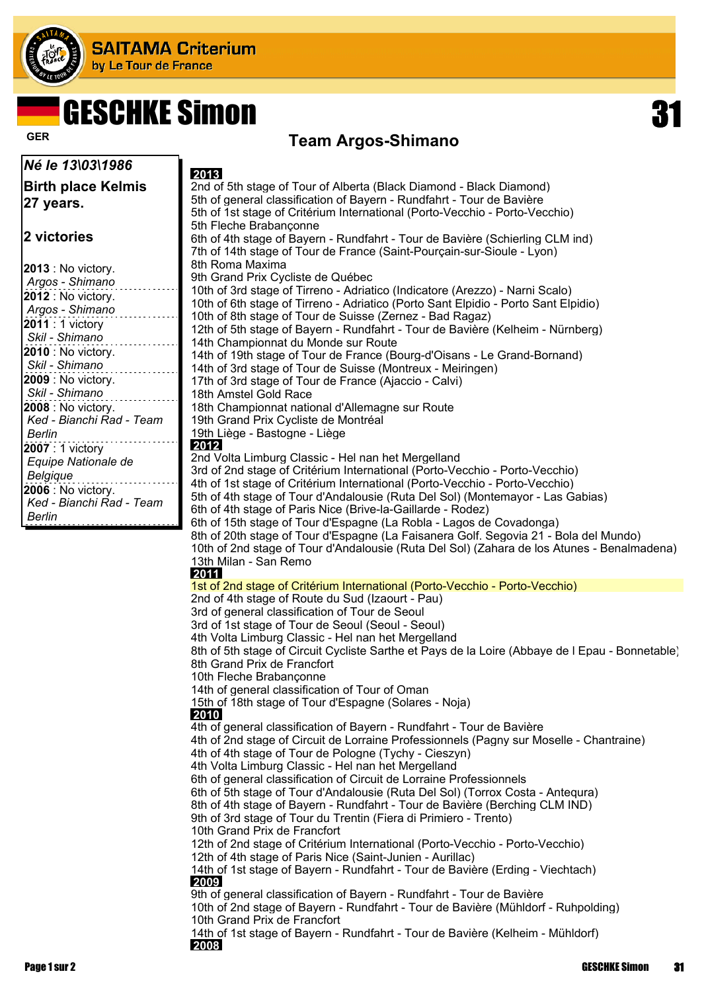

## **Team Argos-Shimano GER** GESCHKE Simon 31

| Né le 13\03\1986                               | 2013                                                                                               |
|------------------------------------------------|----------------------------------------------------------------------------------------------------|
| <b>Birth place Kelmis</b>                      | 2nd of 5th stage of Tour of Alberta (Black Diamond - Black Diamond)                                |
| 27 years.                                      | 5th of general classification of Bayern - Rundfahrt - Tour de Bavière                              |
|                                                | 5th of 1st stage of Critérium International (Porto-Vecchio - Porto-Vecchio)                        |
|                                                | 5th Fleche Brabanconne                                                                             |
| 2 victories                                    | 6th of 4th stage of Bayern - Rundfahrt - Tour de Bavière (Schierling CLM ind)                      |
|                                                | 7th of 14th stage of Tour de France (Saint-Pourçain-sur-Sioule - Lyon)                             |
| <b>2013</b> : No victory.                      | 8th Roma Maxima                                                                                    |
| Argos - Shimano                                | 9th Grand Prix Cycliste de Québec                                                                  |
| 2012 : No victory.                             | 10th of 3rd stage of Tirreno - Adriatico (Indicatore (Arezzo) - Narni Scalo)                       |
| Argos - Shimano                                | 10th of 6th stage of Tirreno - Adriatico (Porto Sant Elpidio - Porto Sant Elpidio)                 |
| <b>2011</b> : 1 victory                        | 10th of 8th stage of Tour de Suisse (Zernez - Bad Ragaz)                                           |
| Skil - Shimano                                 | 12th of 5th stage of Bayern - Rundfahrt - Tour de Bavière (Kelheim - Nürnberg)                     |
| 2010 : No victory.                             | 14th Championnat du Monde sur Route                                                                |
| Skil - Shimano                                 | 14th of 19th stage of Tour de France (Bourg-d'Oisans - Le Grand-Bornand)                           |
| 2009 : No victory.                             | 14th of 3rd stage of Tour de Suisse (Montreux - Meiringen)                                         |
| Skil - Shimano                                 | 17th of 3rd stage of Tour de France (Ajaccio - Calvi)                                              |
|                                                | 18th Amstel Gold Race                                                                              |
| 2008 : No victory.<br>Ked - Bianchi Rad - Team | 18th Championnat national d'Allemagne sur Route<br>19th Grand Prix Cycliste de Montréal            |
| <b>Berlin</b>                                  | 19th Liège - Bastogne - Liège                                                                      |
| 2007 : 1 victory                               | 2012                                                                                               |
|                                                | 2nd Volta Limburg Classic - Hel nan het Mergelland                                                 |
| Equipe Nationale de<br>Belgique                | 3rd of 2nd stage of Critérium International (Porto-Vecchio - Porto-Vecchio)                        |
|                                                | 4th of 1st stage of Critérium International (Porto-Vecchio - Porto-Vecchio)                        |
| 2006 : No victory.<br>Ked - Bianchi Rad - Team | 5th of 4th stage of Tour d'Andalousie (Ruta Del Sol) (Montemayor - Las Gabias)                     |
| <b>Berlin</b>                                  | 6th of 4th stage of Paris Nice (Brive-la-Gaillarde - Rodez)                                        |
|                                                | 6th of 15th stage of Tour d'Espagne (La Robla - Lagos de Covadonga)                                |
|                                                | 8th of 20th stage of Tour d'Espagne (La Faisanera Golf. Segovia 21 - Bola del Mundo)               |
|                                                | 10th of 2nd stage of Tour d'Andalousie (Ruta Del Sol) (Zahara de los Atunes - Benalmadena)         |
|                                                | 13th Milan - San Remo                                                                              |
|                                                | 2011                                                                                               |
|                                                | 1st of 2nd stage of Critérium International (Porto-Vecchio - Porto-Vecchio)                        |
|                                                | 2nd of 4th stage of Route du Sud (Izaourt - Pau)<br>3rd of general classification of Tour de Seoul |
|                                                | 3rd of 1st stage of Tour de Seoul (Seoul - Seoul)                                                  |
|                                                | 4th Volta Limburg Classic - Hel nan het Mergelland                                                 |
|                                                | 8th of 5th stage of Circuit Cycliste Sarthe et Pays de la Loire (Abbaye de I Epau - Bonnetable)    |
|                                                | 8th Grand Prix de Francfort                                                                        |
|                                                | 10th Fleche Brabançonne                                                                            |
|                                                | 14th of general classification of Tour of Oman                                                     |
|                                                | 15th of 18th stage of Tour d'Espagne (Solares - Noja)                                              |
|                                                | 2010                                                                                               |
|                                                | 4th of general classification of Bayern - Rundfahrt - Tour de Bavière                              |
|                                                | 4th of 2nd stage of Circuit de Lorraine Professionnels (Pagny sur Moselle - Chantraine)            |
|                                                | 4th of 4th stage of Tour de Pologne (Tychy - Cieszyn)                                              |
|                                                | 4th Volta Limburg Classic - Hel nan het Mergelland                                                 |
|                                                | 6th of general classification of Circuit de Lorraine Professionnels                                |
|                                                | 6th of 5th stage of Tour d'Andalousie (Ruta Del Sol) (Torrox Costa - Antequra)                     |
|                                                | 8th of 4th stage of Bayern - Rundfahrt - Tour de Bavière (Berching CLM IND)                        |
|                                                | 9th of 3rd stage of Tour du Trentin (Fiera di Primiero - Trento)<br>10th Grand Prix de Francfort   |
|                                                | 12th of 2nd stage of Critérium International (Porto-Vecchio - Porto-Vecchio)                       |
|                                                | 12th of 4th stage of Paris Nice (Saint-Junien - Aurillac)                                          |
|                                                | 14th of 1st stage of Bayern - Rundfahrt - Tour de Bavière (Erding - Viechtach)                     |
|                                                | 2009                                                                                               |
|                                                | 9th of general classification of Bayern - Rundfahrt - Tour de Bavière                              |

14th of 1st stage of Bayern - Rundfahrt - Tour de Bavière (Kelheim - Mühldorf)  **2008**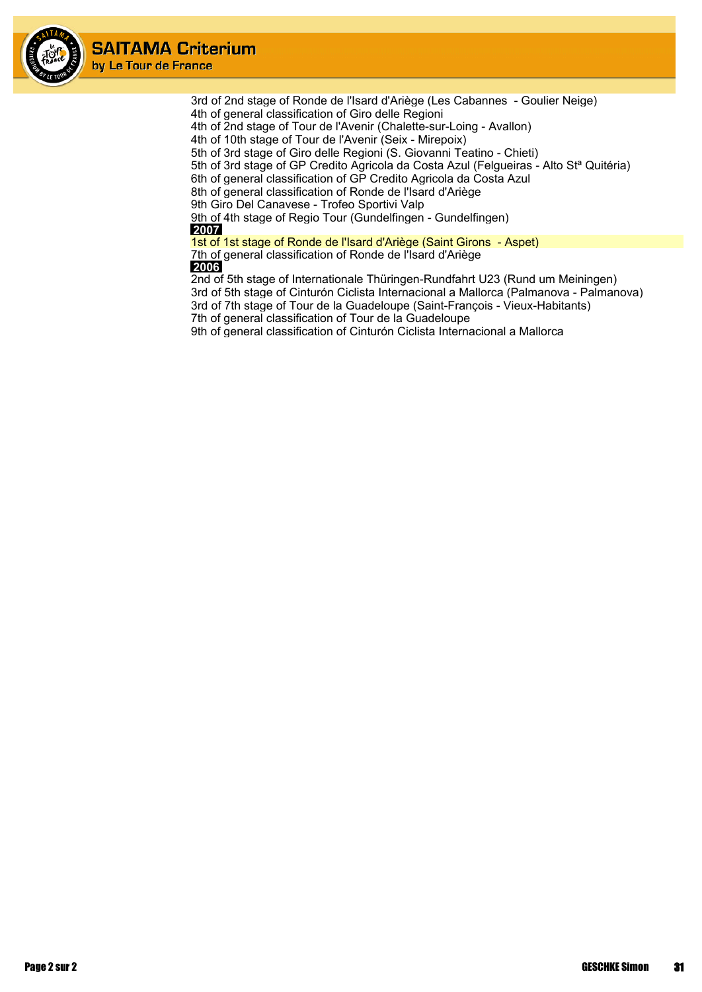

> 3rd of 2nd stage of Ronde de l'Isard d'Ariège (Les Cabannes - Goulier Neige) 4th of general classification of Giro delle Regioni

4th of 2nd stage of Tour de l'Avenir (Chalette-sur-Loing - Avallon)

4th of 10th stage of Tour de l'Avenir (Seix - Mirepoix)

5th of 3rd stage of Giro delle Regioni (S. Giovanni Teatino - Chieti)

5th of 3rd stage of GP Credito Agricola da Costa Azul (Felgueiras - Alto Stª Quitéria)

6th of general classification of GP Credito Agricola da Costa Azul

8th of general classification of Ronde de l'Isard d'Ariège

9th Giro Del Canavese - Trofeo Sportivi Valp

9th of 4th stage of Regio Tour (Gundelfingen - Gundelfingen)  **2007**

1st of 1st stage of Ronde de l'Isard d'Ariège (Saint Girons - Aspet) 7th of general classification of Ronde de l'Isard d'Ariège

 **2006**

2nd of 5th stage of Internationale Thüringen-Rundfahrt U23 (Rund um Meiningen) 3rd of 5th stage of Cinturón Ciclista Internacional a Mallorca (Palmanova - Palmanova) 3rd of 7th stage of Tour de la Guadeloupe (Saint-François - Vieux-Habitants)

7th of general classification of Tour de la Guadeloupe

9th of general classification of Cinturón Ciclista Internacional a Mallorca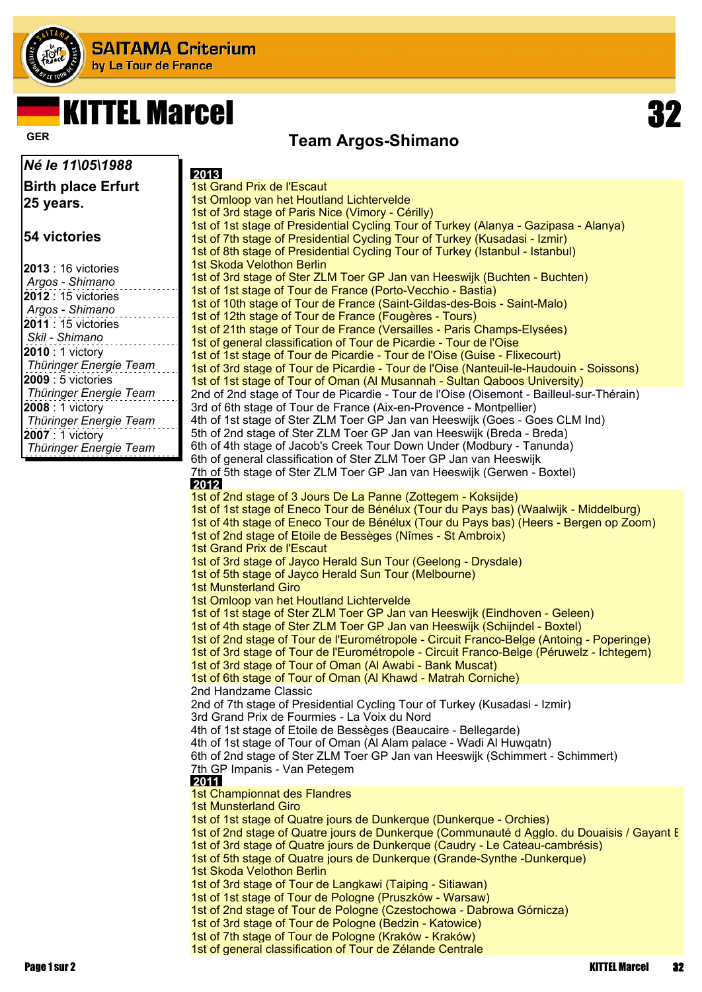

# KITTEL Marcel 32

### **Team Argos-Shimano GER**

| Né le 11\05\1988           | 2013                                                                                                                                                  |
|----------------------------|-------------------------------------------------------------------------------------------------------------------------------------------------------|
| <b>Birth place Erfurt</b>  | 1st Grand Prix de l'Escaut                                                                                                                            |
|                            | 1st Omloop van het Houtland Lichtervelde                                                                                                              |
| 25 years.                  | 1st of 3rd stage of Paris Nice (Vimory - Cérilly)                                                                                                     |
|                            | 1st of 1st stage of Presidential Cycling Tour of Turkey (Alanya - Gazipasa - Alanya)                                                                  |
| 54 victories               | 1st of 7th stage of Presidential Cycling Tour of Turkey (Kusadasi - Izmir)                                                                            |
|                            | 1st of 8th stage of Presidential Cycling Tour of Turkey (Istanbul - Istanbul)                                                                         |
| <b>2013</b> : 16 victories | 1st Skoda Velothon Berlin                                                                                                                             |
| Argos - Shimano            | 1st of 3rd stage of Ster ZLM Toer GP Jan van Heeswijk (Buchten - Buchten)                                                                             |
| <b>2012</b> : 15 victories | 1st of 1st stage of Tour de France (Porto-Vecchio - Bastia)                                                                                           |
| Argos - Shimano            | 1st of 10th stage of Tour de France (Saint-Gildas-des-Bois - Saint-Malo)<br>1st of 12th stage of Tour de France (Fougères - Tours)                    |
| <b>2011</b> : 15 victories | 1st of 21th stage of Tour de France (Versailles - Paris Champs-Elysées)                                                                               |
| Skil - Shimano             | 1st of general classification of Tour de Picardie - Tour de l'Oise                                                                                    |
| 2010 : 1 victory           | 1st of 1st stage of Tour de Picardie - Tour de l'Oise (Guise - Flixecourt)                                                                            |
| Thüringer Energie Team     | 1st of 3rd stage of Tour de Picardie - Tour de l'Oise (Nanteuil-le-Haudouin - Soissons)                                                               |
| 2009 : 5 victories         | 1st of 1st stage of Tour of Oman (Al Musannah - Sultan Qaboos University)                                                                             |
| Thüringer Energie Team     | 2nd of 2nd stage of Tour de Picardie - Tour de l'Oise (Oisemont - Bailleul-sur-Thérain)                                                               |
| 2008 : 1 victory           | 3rd of 6th stage of Tour de France (Aix-en-Provence - Montpellier)                                                                                    |
| Thüringer Energie Team     | 4th of 1st stage of Ster ZLM Toer GP Jan van Heeswijk (Goes - Goes CLM Ind)                                                                           |
| 2007 : 1 victory           | 5th of 2nd stage of Ster ZLM Toer GP Jan van Heeswijk (Breda - Breda)                                                                                 |
| Thüringer Energie Team     | 6th of 4th stage of Jacob's Creek Tour Down Under (Modbury - Tanunda)                                                                                 |
|                            | 6th of general classification of Ster ZLM Toer GP Jan van Heeswijk                                                                                    |
|                            | 7th of 5th stage of Ster ZLM Toer GP Jan van Heeswijk (Gerwen - Boxtel)                                                                               |
|                            | 2012<br>1st of 2nd stage of 3 Jours De La Panne (Zottegem - Koksijde)                                                                                 |
|                            | 1st of 1st stage of Eneco Tour de Bénélux (Tour du Pays bas) (Waalwijk - Middelburg)                                                                  |
|                            | 1st of 4th stage of Eneco Tour de Bénélux (Tour du Pays bas) (Heers - Bergen op Zoom)                                                                 |
|                            | 1st of 2nd stage of Etoile de Bessèges (Nîmes - St Ambroix)                                                                                           |
|                            | 1st Grand Prix de l'Escaut                                                                                                                            |
|                            | 1st of 3rd stage of Jayco Herald Sun Tour (Geelong - Drysdale)                                                                                        |
|                            | 1st of 5th stage of Jayco Herald Sun Tour (Melbourne)                                                                                                 |
|                            | <b>1st Munsterland Giro</b>                                                                                                                           |
|                            | 1st Omloop van het Houtland Lichtervelde                                                                                                              |
|                            | 1st of 1st stage of Ster ZLM Toer GP Jan van Heeswijk (Eindhoven - Geleen)                                                                            |
|                            | 1st of 4th stage of Ster ZLM Toer GP Jan van Heeswijk (Schijndel - Boxtel)                                                                            |
|                            | 1st of 2nd stage of Tour de l'Eurométropole - Circuit Franco-Belge (Antoing - Poperinge)                                                              |
|                            | 1st of 3rd stage of Tour de l'Eurométropole - Circuit Franco-Belge (Péruwelz - Ichtegem)<br>1st of 3rd stage of Tour of Oman (Al Awabi - Bank Muscat) |
|                            | 1st of 6th stage of Tour of Oman (Al Khawd - Matrah Corniche)                                                                                         |
|                            | 2nd Handzame Classic                                                                                                                                  |
|                            | 2nd of 7th stage of Presidential Cycling Tour of Turkey (Kusadasi - Izmir)                                                                            |
|                            | 3rd Grand Prix de Fourmies - La Voix du Nord                                                                                                          |
|                            | 4th of 1st stage of Etoile de Bessèges (Beaucaire - Bellegarde)                                                                                       |
|                            | 4th of 1st stage of Tour of Oman (Al Alam palace - Wadi Al Huwgatn)                                                                                   |
|                            | 6th of 2nd stage of Ster ZLM Toer GP Jan van Heeswijk (Schimmert - Schimmert)                                                                         |
|                            | 7th GP Impanis - Van Petegem                                                                                                                          |
|                            | 2011<br>1st Championnat des Flandres                                                                                                                  |
|                            | <b>1st Munsterland Giro</b>                                                                                                                           |
|                            | 1st of 1st stage of Quatre jours de Dunkerque (Dunkerque - Orchies)                                                                                   |
|                            | 1st of 2nd stage of Quatre jours de Dunkerque (Communauté d Agglo, du Douaisis / Gayant E                                                             |
|                            | 1st of 3rd stage of Quatre jours de Dunkerque (Caudry - Le Cateau-cambrésis)                                                                          |
|                            | 1st of 5th stage of Quatre jours de Dunkerque (Grande-Synthe -Dunkerque)                                                                              |
|                            | 1st Skoda Velothon Berlin                                                                                                                             |
|                            | 1st of 3rd stage of Tour de Langkawi (Taiping - Sitiawan)                                                                                             |
|                            | 1st of 1st stage of Tour de Pologne (Pruszków - Warsaw)                                                                                               |
|                            | 1st of 2nd stage of Tour de Pologne (Czestochowa - Dabrowa Górnicza)                                                                                  |
|                            | 1st of 3rd stage of Tour de Pologne (Bedzin - Katowice)                                                                                               |
|                            | 1st of 7th stage of Tour de Pologne (Kraków - Kraków)                                                                                                 |
|                            | 1st of general classification of Tour de Zélande Centrale                                                                                             |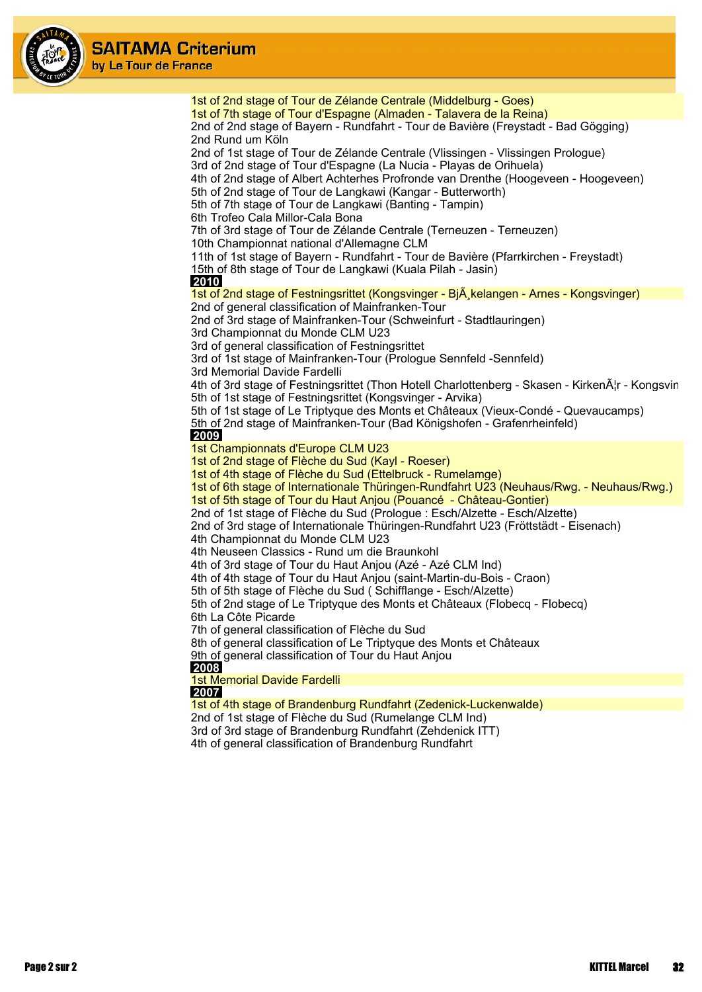

1st of 2nd stage of Tour de Zélande Centrale (Middelburg - Goes) 1st of 7th stage of Tour d'Espagne (Almaden - Talavera de la Reina) 2nd of 2nd stage of Bayern - Rundfahrt - Tour de Bavière (Freystadt - Bad Gögging) 2nd Rund um Köln 2nd of 1st stage of Tour de Zélande Centrale (Vlissingen - Vlissingen Prologue) 3rd of 2nd stage of Tour d'Espagne (La Nucia - Playas de Orihuela) 4th of 2nd stage of Albert Achterhes Profronde van Drenthe (Hoogeveen - Hoogeveen) 5th of 2nd stage of Tour de Langkawi (Kangar - Butterworth) 5th of 7th stage of Tour de Langkawi (Banting - Tampin) 6th Trofeo Cala Millor-Cala Bona 7th of 3rd stage of Tour de Zélande Centrale (Terneuzen - Terneuzen) 10th Championnat national d'Allemagne CLM 11th of 1st stage of Bayern - Rundfahrt - Tour de Bavière (Pfarrkirchen - Freystadt) 15th of 8th stage of Tour de Langkawi (Kuala Pilah - Jasin)  **2010** 1st of 2nd stage of Festningsrittet (Kongsvinger - Bi $\tilde{A}$  kelangen - Arnes - Kongsvinger) 2nd of general classification of Mainfranken-Tour 2nd of 3rd stage of Mainfranken-Tour (Schweinfurt - Stadtlauringen) 3rd Championnat du Monde CLM U23 3rd of general classification of Festningsrittet 3rd of 1st stage of Mainfranken-Tour (Prologue Sennfeld -Sennfeld) 3rd Memorial Davide Fardelli 4th of 3rd stage of Festningsrittet (Thon Hotell Charlottenberg - Skasen - KirkenĦr - Kongsvin 5th of 1st stage of Festningsrittet (Kongsvinger - Arvika) 5th of 1st stage of Le Triptyque des Monts et Châteaux (Vieux-Condé - Quevaucamps) 5th of 2nd stage of Mainfranken-Tour (Bad Königshofen - Grafenrheinfeld)  **2009** 1st Championnats d'Europe CLM U23 1st of 2nd stage of Flèche du Sud (Kayl - Roeser) 1st of 4th stage of Flèche du Sud (Ettelbruck - Rumelamge) 1st of 6th stage of Internationale Thüringen-Rundfahrt U23 (Neuhaus/Rwg. - Neuhaus/Rwg.) 1st of 5th stage of Tour du Haut Anjou (Pouancé - Château-Gontier) 2nd of 1st stage of Flèche du Sud (Prologue : Esch/Alzette - Esch/Alzette) 2nd of 3rd stage of Internationale Thüringen-Rundfahrt U23 (Fröttstädt - Eisenach) 4th Championnat du Monde CLM U23 4th Neuseen Classics - Rund um die Braunkohl 4th of 3rd stage of Tour du Haut Anjou (Azé - Azé CLM Ind) 4th of 4th stage of Tour du Haut Anjou (saint-Martin-du-Bois - Craon) 5th of 5th stage of Flèche du Sud ( Schifflange - Esch/Alzette) 5th of 2nd stage of Le Triptyque des Monts et Châteaux (Flobecq - Flobecq) 6th La Côte Picarde 7th of general classification of Flèche du Sud 8th of general classification of Le Triptyque des Monts et Châteaux 9th of general classification of Tour du Haut Anjou  **2008** 1st Memorial Davide Fardelli  **2007** 1st of 4th stage of Brandenburg Rundfahrt (Zedenick-Luckenwalde) 2nd of 1st stage of Flèche du Sud (Rumelange CLM Ind) 3rd of 3rd stage of Brandenburg Rundfahrt (Zehdenick ITT) 4th of general classification of Brandenburg Rundfahrt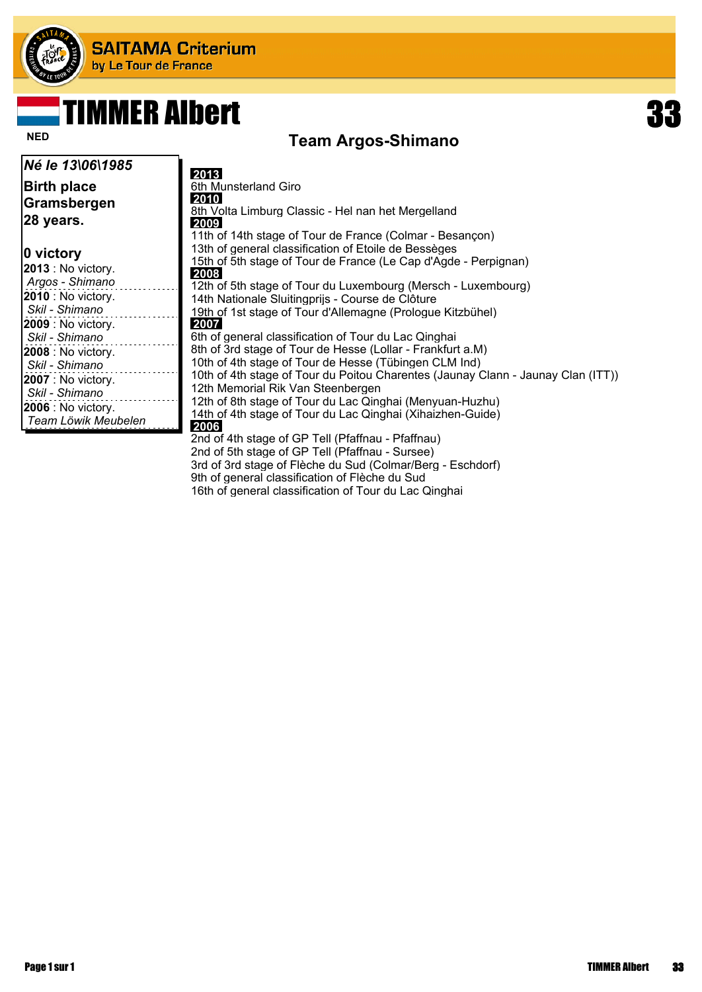

### TIMMER Albert 33

#### **Team Argos-Shimano Team Argos-Shimano**

| Né le 13\06\1985                                                                                   | 2013                                                                                                                                                                                                                                                                                                                                                                   |
|----------------------------------------------------------------------------------------------------|------------------------------------------------------------------------------------------------------------------------------------------------------------------------------------------------------------------------------------------------------------------------------------------------------------------------------------------------------------------------|
| <b>Birth place</b><br>Gramsbergen<br>28 years.                                                     | 6th Munsterland Giro<br>2010<br>8th Volta Limburg Classic - Hel nan het Mergelland<br>2009<br>11th of 14th stage of Tour de France (Colmar - Besançon)                                                                                                                                                                                                                 |
| 0 victory<br>2013 : No victory.<br>Argos - Shimano                                                 | 13th of general classification of Etoile de Bessèges<br>15th of 5th stage of Tour de France (Le Cap d'Agde - Perpignan)<br>2008<br>12th of 5th stage of Tour du Luxembourg (Mersch - Luxembourg)                                                                                                                                                                       |
| 2010 : No victory.<br>Skil - Shimano                                                               | 14th Nationale Sluitingprijs - Course de Clôture<br>19th of 1st stage of Tour d'Allemagne (Prologue Kitzbühel)                                                                                                                                                                                                                                                         |
| 2009 : No victory.<br>Skil - Shimano                                                               | 2007  <br>6th of general classification of Tour du Lac Qinghai                                                                                                                                                                                                                                                                                                         |
| 2008 : No victory.<br>Skil - Shimano<br>2007 : No victory.<br>Skil - Shimano<br>2006 : No victory. | 8th of 3rd stage of Tour de Hesse (Lollar - Frankfurt a.M)<br>10th of 4th stage of Tour de Hesse (Tübingen CLM Ind)<br>10th of 4th stage of Tour du Poitou Charentes (Jaunay Clann - Jaunay Clan (ITT))<br>12th Memorial Rik Van Steenbergen<br>12th of 8th stage of Tour du Lac Qinghai (Menyuan-Huzhu)<br>14th of 4th stage of Tour du Lac Qinghai (Xihaizhen-Guide) |
| Team Löwik Meubelen                                                                                | 2006<br>2nd of 4th stage of GP Tell (Pfaffnau - Pfaffnau)<br>2nd of 5th stage of GP Tell (Pfaffnau - Sursee)<br>3rd of 3rd stage of Flèche du Sud (Colmar/Berg - Eschdorf)                                                                                                                                                                                             |

9th of general classification of Flèche du Sud 16th of general classification of Tour du Lac Qinghai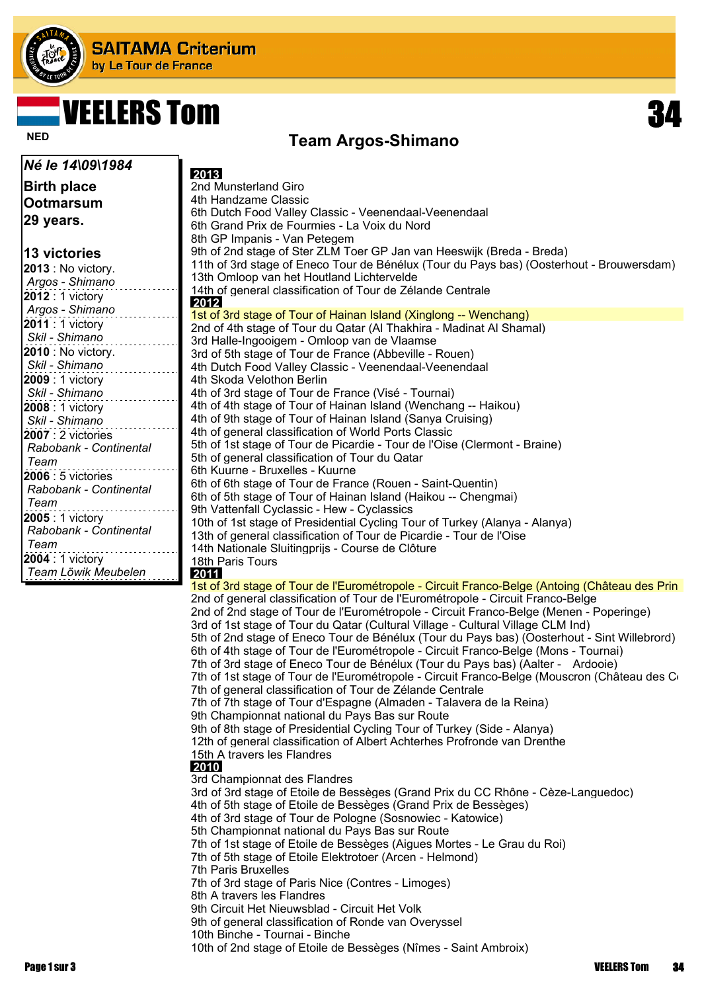

# VEELERS Tom 34

#### **Team Argos-Shimano Team Argos-Shimano**

| Né le 14\09\1984                      | 2013                                                                                                                                                                           |
|---------------------------------------|--------------------------------------------------------------------------------------------------------------------------------------------------------------------------------|
| <b>Birth place</b>                    | 2nd Munsterland Giro                                                                                                                                                           |
| <b>Ootmarsum</b>                      | 4th Handzame Classic                                                                                                                                                           |
|                                       | 6th Dutch Food Valley Classic - Veenendaal-Veenendaal                                                                                                                          |
| 29 years.                             | 6th Grand Prix de Fourmies - La Voix du Nord                                                                                                                                   |
|                                       | 8th GP Impanis - Van Petegem                                                                                                                                                   |
| ∣13 victories                         | 9th of 2nd stage of Ster ZLM Toer GP Jan van Heeswijk (Breda - Breda)                                                                                                          |
| $ 2013:$ No victory.                  | 11th of 3rd stage of Eneco Tour de Bénélux (Tour du Pays bas) (Oosterhout - Brouwersdam)                                                                                       |
| Argos - Shimano                       | 13th Omloop van het Houtland Lichtervelde<br>14th of general classification of Tour de Zélande Centrale                                                                        |
| 2012 : 1 victory                      | 2012                                                                                                                                                                           |
| Argos - Shimano                       | 1st of 3rd stage of Tour of Hainan Island (Xinglong -- Wenchang)                                                                                                               |
| 2011 : 1 victory                      | 2nd of 4th stage of Tour du Qatar (Al Thakhira - Madinat Al Shamal)                                                                                                            |
| Skil - Shimano                        | 3rd Halle-Ingooigem - Omloop van de Vlaamse                                                                                                                                    |
| <b>2010</b> : No victory.             | 3rd of 5th stage of Tour de France (Abbeville - Rouen)                                                                                                                         |
| Skil - Shimano                        | 4th Dutch Food Valley Classic - Veenendaal-Veenendaal                                                                                                                          |
| 2009 : 1 victory                      | 4th Skoda Velothon Berlin                                                                                                                                                      |
| Skil - Shimano                        | 4th of 3rd stage of Tour de France (Visé - Tournai)<br>4th of 4th stage of Tour of Hainan Island (Wenchang -- Haikou)                                                          |
| 2008 : 1 victory                      | 4th of 9th stage of Tour of Hainan Island (Sanya Cruising)                                                                                                                     |
| Skil - Shimano<br>$ 2007:2$ victories | 4th of general classification of World Ports Classic                                                                                                                           |
| Rabobank - Continental                | 5th of 1st stage of Tour de Picardie - Tour de l'Oise (Clermont - Braine)                                                                                                      |
| Team                                  | 5th of general classification of Tour du Qatar                                                                                                                                 |
| 2006 : 5 victories                    | 6th Kuurne - Bruxelles - Kuurne                                                                                                                                                |
| Rabobank - Continental                | 6th of 6th stage of Tour de France (Rouen - Saint-Quentin)                                                                                                                     |
| Team                                  | 6th of 5th stage of Tour of Hainan Island (Haikou -- Chengmai)                                                                                                                 |
| 2005 : 1 victory                      | 9th Vattenfall Cyclassic - Hew - Cyclassics                                                                                                                                    |
| Rabobank - Continental                | 10th of 1st stage of Presidential Cycling Tour of Turkey (Alanya - Alanya)                                                                                                     |
| Team                                  | 13th of general classification of Tour de Picardie - Tour de l'Oise<br>14th Nationale Sluitingprijs - Course de Clôture                                                        |
| 2004 : 1 victory                      | 18th Paris Tours                                                                                                                                                               |
| Team Löwik Meubelen                   | 2011                                                                                                                                                                           |
|                                       | 1st of 3rd stage of Tour de l'Eurométropole - Circuit Franco-Belge (Antoing (Château des Prin                                                                                  |
|                                       | 2nd of general classification of Tour de l'Eurométropole - Circuit Franco-Belge                                                                                                |
|                                       | 2nd of 2nd stage of Tour de l'Eurométropole - Circuit Franco-Belge (Menen - Poperinge)                                                                                         |
|                                       | 3rd of 1st stage of Tour du Qatar (Cultural Village - Cultural Village CLM Ind)<br>5th of 2nd stage of Eneco Tour de Bénélux (Tour du Pays bas) (Oosterhout - Sint Willebrord) |
|                                       | 6th of 4th stage of Tour de l'Eurométropole - Circuit Franco-Belge (Mons - Tournai)                                                                                            |
|                                       | 7th of 3rd stage of Eneco Tour de Bénélux (Tour du Pays bas) (Aalter - Ardooie)                                                                                                |
|                                       | 7th of 1st stage of Tour de l'Eurométropole - Circuit Franco-Belge (Mouscron (Château des Co                                                                                   |
|                                       | 7th of general classification of Tour de Zélande Centrale                                                                                                                      |
|                                       | 7th of 7th stage of Tour d'Espagne (Almaden - Talavera de la Reina)                                                                                                            |
|                                       | 9th Championnat national du Pays Bas sur Route                                                                                                                                 |
|                                       | 9th of 8th stage of Presidential Cycling Tour of Turkey (Side - Alanya)                                                                                                        |
|                                       | 12th of general classification of Albert Achterhes Profronde van Drenthe<br>15th A travers les Flandres                                                                        |
|                                       | 2010                                                                                                                                                                           |
|                                       | 3rd Championnat des Flandres                                                                                                                                                   |
|                                       | 3rd of 3rd stage of Etoile de Bessèges (Grand Prix du CC Rhône - Cèze-Languedoc)                                                                                               |
|                                       | 4th of 5th stage of Etoile de Bessèges (Grand Prix de Bessèges)                                                                                                                |
|                                       | 4th of 3rd stage of Tour de Pologne (Sosnowiec - Katowice)                                                                                                                     |
|                                       | 5th Championnat national du Pays Bas sur Route<br>7th of 1st stage of Etoile de Bessèges (Aigues Mortes - Le Grau du Roi)                                                      |
|                                       | 7th of 5th stage of Etoile Elektrotoer (Arcen - Helmond)                                                                                                                       |
|                                       | <b>7th Paris Bruxelles</b>                                                                                                                                                     |
|                                       | 7th of 3rd stage of Paris Nice (Contres - Limoges)                                                                                                                             |
|                                       | 8th A travers les Flandres                                                                                                                                                     |
|                                       | 9th Circuit Het Nieuwsblad - Circuit Het Volk                                                                                                                                  |
|                                       | 9th of general classification of Ronde van Overyssel                                                                                                                           |
|                                       | 10th Binche - Tournai - Binche                                                                                                                                                 |
|                                       | 10th of 2nd stage of Etoile de Bessèges (Nîmes - Saint Ambroix)                                                                                                                |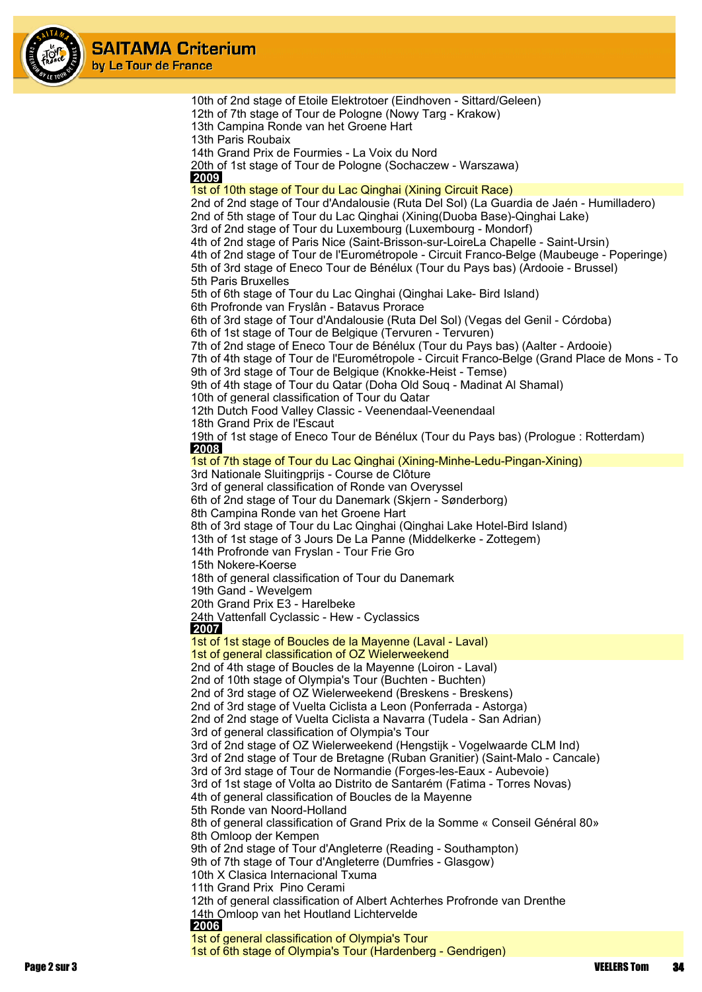

| 10th of 2nd stage of Etoile Elektrotoer (Eindhoven - Sittard/Geleen)                                                                                                            |
|---------------------------------------------------------------------------------------------------------------------------------------------------------------------------------|
| 12th of 7th stage of Tour de Pologne (Nowy Targ - Krakow)                                                                                                                       |
| 13th Campina Ronde van het Groene Hart<br>13th Paris Roubaix                                                                                                                    |
| 14th Grand Prix de Fourmies - La Voix du Nord                                                                                                                                   |
| 20th of 1st stage of Tour de Pologne (Sochaczew - Warszawa)                                                                                                                     |
| <b>2009</b>                                                                                                                                                                     |
| 1st of 10th stage of Tour du Lac Qinghai (Xining Circuit Race)                                                                                                                  |
| 2nd of 2nd stage of Tour d'Andalousie (Ruta Del Sol) (La Guardia de Jaén - Humilladero)<br>2nd of 5th stage of Tour du Lac Qinghai (Xining(Duoba Base)-Qinghai Lake)            |
| 3rd of 2nd stage of Tour du Luxembourg (Luxembourg - Mondorf)                                                                                                                   |
| 4th of 2nd stage of Paris Nice (Saint-Brisson-sur-LoireLa Chapelle - Saint-Ursin)                                                                                               |
| 4th of 2nd stage of Tour de l'Eurométropole - Circuit Franco-Belge (Maubeuge - Poperinge)                                                                                       |
| 5th of 3rd stage of Eneco Tour de Bénélux (Tour du Pays bas) (Ardooie - Brussel)<br>5th Paris Bruxelles                                                                         |
| 5th of 6th stage of Tour du Lac Qinghai (Qinghai Lake- Bird Island)                                                                                                             |
| 6th Profronde van Fryslân - Batavus Prorace                                                                                                                                     |
| 6th of 3rd stage of Tour d'Andalousie (Ruta Del Sol) (Vegas del Genil - Córdoba)                                                                                                |
| 6th of 1st stage of Tour de Belgique (Tervuren - Tervuren)                                                                                                                      |
| 7th of 2nd stage of Eneco Tour de Bénélux (Tour du Pays bas) (Aalter - Ardooie)<br>7th of 4th stage of Tour de l'Eurométropole - Circuit Franco-Belge (Grand Place de Mons - To |
| 9th of 3rd stage of Tour de Belgique (Knokke-Heist - Temse)                                                                                                                     |
| 9th of 4th stage of Tour du Qatar (Doha Old Soug - Madinat Al Shamal)                                                                                                           |
| 10th of general classification of Tour du Qatar                                                                                                                                 |
| 12th Dutch Food Valley Classic - Veenendaal-Veenendaal                                                                                                                          |
| 18th Grand Prix de l'Escaut<br>19th of 1st stage of Eneco Tour de Bénélux (Tour du Pays bas) (Prologue : Rotterdam)                                                             |
| 2008                                                                                                                                                                            |
| 1st of 7th stage of Tour du Lac Qinghai (Xining-Minhe-Ledu-Pingan-Xining)                                                                                                       |
| 3rd Nationale Sluitingprijs - Course de Clôture                                                                                                                                 |
| 3rd of general classification of Ronde van Overyssel<br>6th of 2nd stage of Tour du Danemark (Skjern - Sønderborg)                                                              |
| 8th Campina Ronde van het Groene Hart                                                                                                                                           |
| 8th of 3rd stage of Tour du Lac Qinghai (Qinghai Lake Hotel-Bird Island)                                                                                                        |
| 13th of 1st stage of 3 Jours De La Panne (Middelkerke - Zottegem)                                                                                                               |
| 14th Profronde van Fryslan - Tour Frie Gro<br>15th Nokere-Koerse                                                                                                                |
| 18th of general classification of Tour du Danemark                                                                                                                              |
| 19th Gand - Wevelgem                                                                                                                                                            |
| 20th Grand Prix E3 - Harelbeke                                                                                                                                                  |
| 24th Vattenfall Cyclassic - Hew - Cyclassics<br>2007                                                                                                                            |
| 1st of 1st stage of Boucles de la Mayenne (Laval - Laval)                                                                                                                       |
| 1st of general classification of OZ Wielerweekend                                                                                                                               |
| 2nd of 4th stage of Boucles de la Mayenne (Loiron - Laval)                                                                                                                      |
| 2nd of 10th stage of Olympia's Tour (Buchten - Buchten)<br>2nd of 3rd stage of OZ Wielerweekend (Breskens - Breskens)                                                           |
| 2nd of 3rd stage of Vuelta Ciclista a Leon (Ponferrada - Astorga)                                                                                                               |
| 2nd of 2nd stage of Vuelta Ciclista a Navarra (Tudela - San Adrian)                                                                                                             |
| 3rd of general classification of Olympia's Tour                                                                                                                                 |
| 3rd of 2nd stage of OZ Wielerweekend (Hengstijk - Vogelwaarde CLM Ind)<br>3rd of 2nd stage of Tour de Bretagne (Ruban Granitier) (Saint-Malo - Cancale)                         |
| 3rd of 3rd stage of Tour de Normandie (Forges-les-Eaux - Aubevoie)                                                                                                              |
| 3rd of 1st stage of Volta ao Distrito de Santarém (Fatima - Torres Novas)                                                                                                       |
| 4th of general classification of Boucles de la Mayenne                                                                                                                          |
| 5th Ronde van Noord-Holland                                                                                                                                                     |
| 8th of general classification of Grand Prix de la Somme « Conseil Général 80»<br>8th Omloop der Kempen                                                                          |
| 9th of 2nd stage of Tour d'Angleterre (Reading - Southampton)                                                                                                                   |
| 9th of 7th stage of Tour d'Angleterre (Dumfries - Glasgow)                                                                                                                      |
| 10th X Clasica Internacional Txuma                                                                                                                                              |
| 11th Grand Prix Pino Cerami<br>12th of general classification of Albert Achterhes Profronde van Drenthe                                                                         |
| 14th Omloop van het Houtland Lichtervelde                                                                                                                                       |
| 2006                                                                                                                                                                            |
| 1st of general classification of Olympia's Tour                                                                                                                                 |
| 1st of 6th stage of Olympia's Tour (Hardenberg - Gendrigen)                                                                                                                     |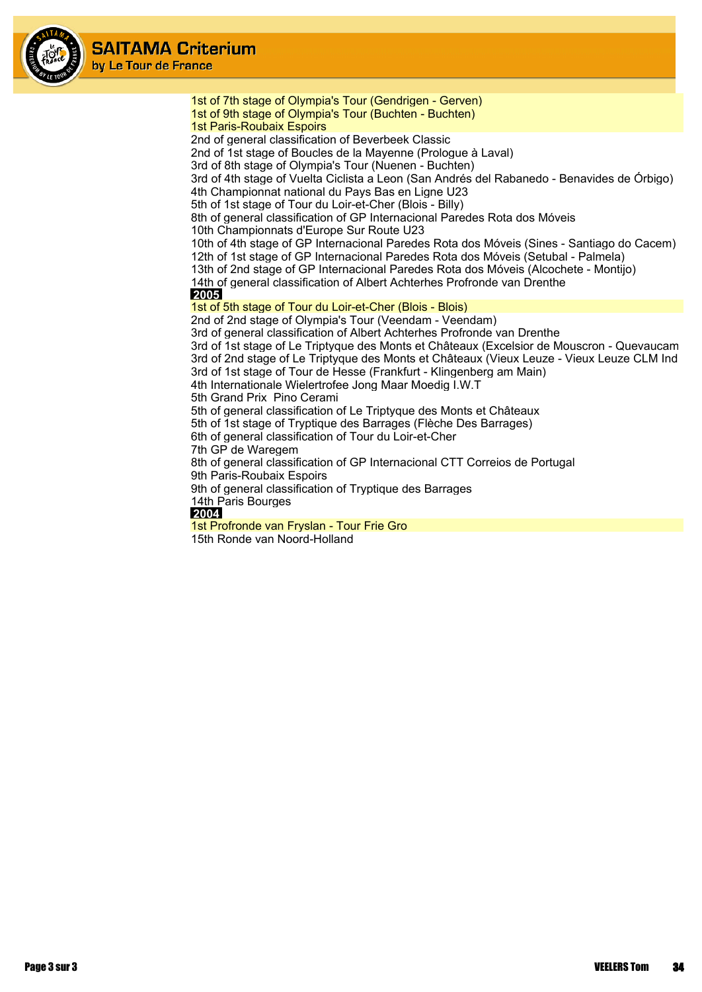

1st of 7th stage of Olympia's Tour (Gendrigen - Gerven) 1st of 9th stage of Olympia's Tour (Buchten - Buchten) 1st Paris-Roubaix Espoirs 2nd of general classification of Beverbeek Classic 2nd of 1st stage of Boucles de la Mayenne (Prologue à Laval) 3rd of 8th stage of Olympia's Tour (Nuenen - Buchten) 3rd of 4th stage of Vuelta Ciclista a Leon (San Andrés del Rabanedo - Benavides de Órbigo) 4th Championnat national du Pays Bas en Ligne U23 5th of 1st stage of Tour du Loir-et-Cher (Blois - Billy) 8th of general classification of GP Internacional Paredes Rota dos Móveis 10th Championnats d'Europe Sur Route U23 10th of 4th stage of GP Internacional Paredes Rota dos Móveis (Sines - Santiago do Cacem) 12th of 1st stage of GP Internacional Paredes Rota dos Móveis (Setubal - Palmela) 13th of 2nd stage of GP Internacional Paredes Rota dos Móveis (Alcochete - Montijo) 14th of general classification of Albert Achterhes Profronde van Drenthe  **2005** 1st of 5th stage of Tour du Loir-et-Cher (Blois - Blois) 2nd of 2nd stage of Olympia's Tour (Veendam - Veendam) 3rd of general classification of Albert Achterhes Profronde van Drenthe 3rd of 1st stage of Le Triptyque des Monts et Châteaux (Excelsior de Mouscron - Quevaucamp 3rd of 2nd stage of Le Triptyque des Monts et Châteaux (Vieux Leuze - Vieux Leuze CLM Ind 3rd of 1st stage of Tour de Hesse (Frankfurt - Klingenberg am Main) 4th Internationale Wielertrofee Jong Maar Moedig I.W.T 5th Grand Prix Pino Cerami 5th of general classification of Le Triptyque des Monts et Châteaux 5th of 1st stage of Tryptique des Barrages (Flèche Des Barrages) 6th of general classification of Tour du Loir-et-Cher 7th GP de Waregem 8th of general classification of GP Internacional CTT Correios de Portugal 9th Paris-Roubaix Espoirs 9th of general classification of Tryptique des Barrages 14th Paris Bourges  **2004** 1st Profronde van Fryslan - Tour Frie Gro 15th Ronde van Noord-Holland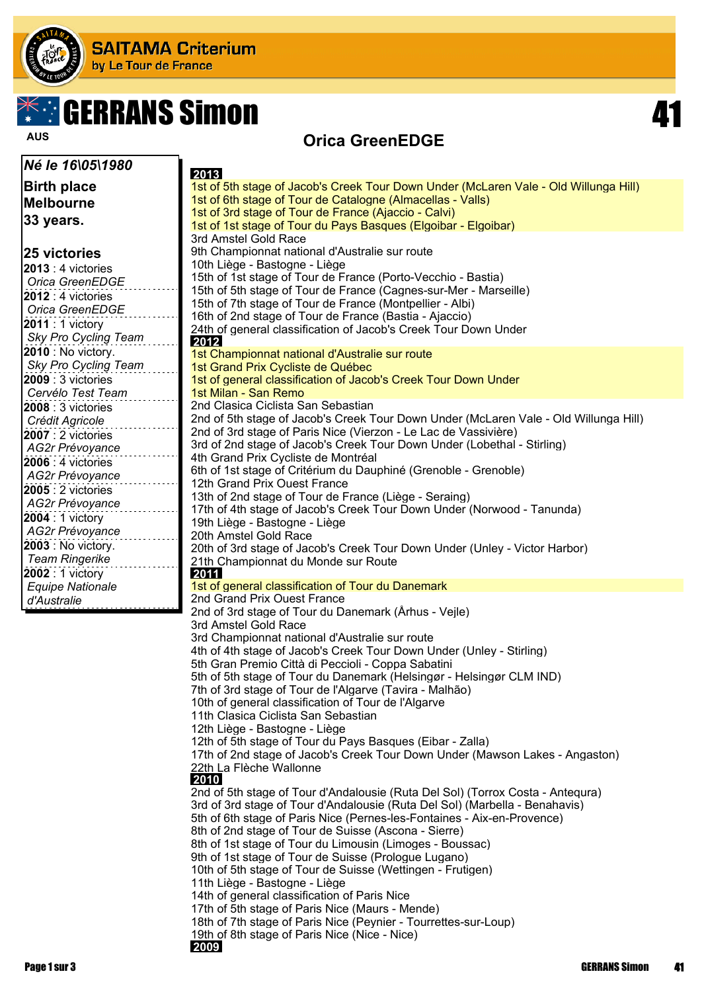

# **The GERRANS Simon 41 CONTROL**

**Orica GreenEDGE AUS**

| Né le 16\05\1980                       | 2013                                                                                                               |
|----------------------------------------|--------------------------------------------------------------------------------------------------------------------|
| <b>Birth place</b>                     | 1st of 5th stage of Jacob's Creek Tour Down Under (McLaren Vale - Old Willunga Hill)                               |
| <b>Melbourne</b>                       | 1st of 6th stage of Tour de Catalogne (Almacellas - Valls)                                                         |
|                                        | 1st of 3rd stage of Tour de France (Ajaccio - Calvi)                                                               |
| 33 years.                              | 1st of 1st stage of Tour du Pays Basques (Elgoibar - Elgoibar)                                                     |
|                                        | 3rd Amstel Gold Race                                                                                               |
| <b>25 victories</b>                    | 9th Championnat national d'Australie sur route                                                                     |
| 2013 : 4 victories                     | 10th Liège - Bastogne - Liège                                                                                      |
| Orica GreenEDGE                        | 15th of 1st stage of Tour de France (Porto-Vecchio - Bastia)                                                       |
| 2012 : 4 victories                     | 15th of 5th stage of Tour de France (Cagnes-sur-Mer - Marseille)                                                   |
| Orica GreenEDGE                        | 15th of 7th stage of Tour de France (Montpellier - Albi)<br>16th of 2nd stage of Tour de France (Bastia - Ajaccio) |
| 2011 : 1 victory                       | 24th of general classification of Jacob's Creek Tour Down Under                                                    |
| Sky Pro Cycling Team                   | 2012                                                                                                               |
| 2010 : No victory.                     | 1st Championnat national d'Australie sur route                                                                     |
| Sky Pro Cycling Team                   | 1st Grand Prix Cycliste de Québec                                                                                  |
| <b>2009</b> : 3 victories              | 1st of general classification of Jacob's Creek Tour Down Under                                                     |
| Cervélo Test Team                      | 1st Milan - San Remo                                                                                               |
| 2008 : 3 victories                     | 2nd Clasica Ciclista San Sebastian                                                                                 |
| Crédit Agricole                        | 2nd of 5th stage of Jacob's Creek Tour Down Under (McLaren Vale - Old Willunga Hill)                               |
| 2007 : 2 victories                     | 2nd of 3rd stage of Paris Nice (Vierzon - Le Lac de Vassivière)                                                    |
| AG2r Prévoyance                        | 3rd of 2nd stage of Jacob's Creek Tour Down Under (Lobethal - Stirling)                                            |
| 2006 : 4 victories                     | 4th Grand Prix Cycliste de Montréal<br>6th of 1st stage of Critérium du Dauphiné (Grenoble - Grenoble)             |
| AG2r Prévoyance                        | 12th Grand Prix Ouest France                                                                                       |
| 2005 : 2 victories                     | 13th of 2nd stage of Tour de France (Liège - Seraing)                                                              |
| <b>AG2r Prévoyance</b>                 | 17th of 4th stage of Jacob's Creek Tour Down Under (Norwood - Tanunda)                                             |
| 2004 : 1 victory                       | 19th Liège - Bastogne - Liège                                                                                      |
| AG2r Prévoyance                        | 20th Amstel Gold Race                                                                                              |
| 2003 : No victory.                     | 20th of 3rd stage of Jacob's Creek Tour Down Under (Unley - Victor Harbor)                                         |
| <b>Team Ringerike</b>                  | 21th Championnat du Monde sur Route                                                                                |
| 2002 : 1 victory                       | 2011<br>1st of general classification of Tour du Danemark                                                          |
| <b>Equipe Nationale</b><br>d'Australie | 2nd Grand Prix Ouest France                                                                                        |
|                                        | 2nd of 3rd stage of Tour du Danemark (Århus - Vejle)                                                               |
|                                        | 3rd Amstel Gold Race                                                                                               |
|                                        | 3rd Championnat national d'Australie sur route                                                                     |
|                                        | 4th of 4th stage of Jacob's Creek Tour Down Under (Unley - Stirling)                                               |
|                                        | 5th Gran Premio Città di Peccioli - Coppa Sabatini                                                                 |
|                                        | 5th of 5th stage of Tour du Danemark (Helsingør - Helsingør CLM IND)                                               |
|                                        | 7th of 3rd stage of Tour de l'Algarve (Tavira - Malhão)                                                            |
|                                        | 10th of general classification of Tour de l'Algarve                                                                |
|                                        | 11th Clasica Ciclista San Sebastian<br>12th Liège - Bastogne - Liège                                               |
|                                        | 12th of 5th stage of Tour du Pays Basques (Eibar - Zalla)                                                          |
|                                        | 17th of 2nd stage of Jacob's Creek Tour Down Under (Mawson Lakes - Angaston)                                       |
|                                        | 22th La Flèche Wallonne                                                                                            |
|                                        | 2010                                                                                                               |
|                                        | 2nd of 5th stage of Tour d'Andalousie (Ruta Del Sol) (Torrox Costa - Antegura)                                     |
|                                        | 3rd of 3rd stage of Tour d'Andalousie (Ruta Del Sol) (Marbella - Benahavis)                                        |
|                                        | 5th of 6th stage of Paris Nice (Pernes-les-Fontaines - Aix-en-Provence)                                            |
|                                        | 8th of 2nd stage of Tour de Suisse (Ascona - Sierre)                                                               |
|                                        | 8th of 1st stage of Tour du Limousin (Limoges - Boussac)<br>9th of 1st stage of Tour de Suisse (Prologue Lugano)   |
|                                        | 10th of 5th stage of Tour de Suisse (Wettingen - Frutigen)                                                         |
|                                        | 11th Liège - Bastogne - Liège                                                                                      |
|                                        | 14th of general classification of Paris Nice                                                                       |
|                                        | 17th of 5th stage of Paris Nice (Maurs - Mende)                                                                    |
|                                        | 18th of 7th stage of Paris Nice (Peynier - Tourrettes-sur-Loup)                                                    |
|                                        | 19th of 8th stage of Paris Nice (Nice - Nice)                                                                      |
|                                        | 2009                                                                                                               |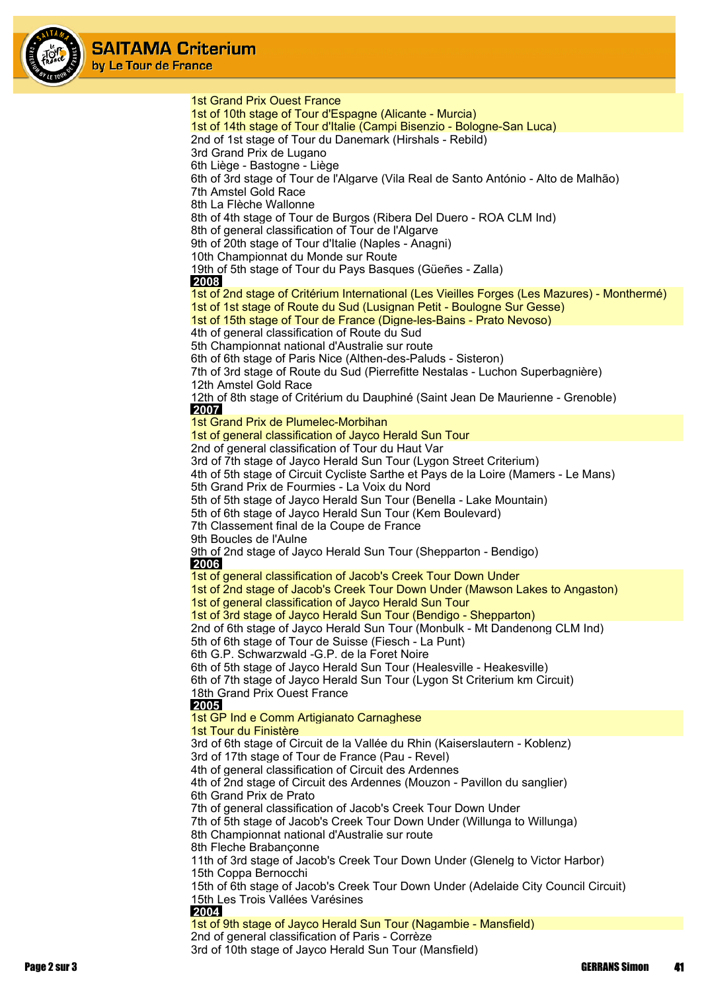

1st Grand Prix Ouest France 1st of 10th stage of Tour d'Espagne (Alicante - Murcia) 1st of 14th stage of Tour d'Italie (Campi Bisenzio - Bologne-San Luca) 2nd of 1st stage of Tour du Danemark (Hirshals - Rebild) 3rd Grand Prix de Lugano 6th Liège - Bastogne - Liège 6th of 3rd stage of Tour de l'Algarve (Vila Real de Santo António - Alto de Malhão) 7th Amstel Gold Race 8th La Flèche Wallonne 8th of 4th stage of Tour de Burgos (Ribera Del Duero - ROA CLM Ind) 8th of general classification of Tour de l'Algarve 9th of 20th stage of Tour d'Italie (Naples - Anagni) 10th Championnat du Monde sur Route 19th of 5th stage of Tour du Pays Basques (Güeñes - Zalla)  **2008** 1st of 2nd stage of Critérium International (Les Vieilles Forges (Les Mazures) - Monthermé) 1st of 1st stage of Route du Sud (Lusignan Petit - Boulogne Sur Gesse) 1st of 15th stage of Tour de France (Digne-les-Bains - Prato Nevoso) 4th of general classification of Route du Sud 5th Championnat national d'Australie sur route 6th of 6th stage of Paris Nice (Althen-des-Paluds - Sisteron) 7th of 3rd stage of Route du Sud (Pierrefitte Nestalas - Luchon Superbagnière) 12th Amstel Gold Race 12th of 8th stage of Critérium du Dauphiné (Saint Jean De Maurienne - Grenoble)  **2007** 1st Grand Prix de Plumelec-Morbihan 1st of general classification of Jayco Herald Sun Tour 2nd of general classification of Tour du Haut Var 3rd of 7th stage of Jayco Herald Sun Tour (Lygon Street Criterium) 4th of 5th stage of Circuit Cycliste Sarthe et Pays de la Loire (Mamers - Le Mans) 5th Grand Prix de Fourmies - La Voix du Nord 5th of 5th stage of Jayco Herald Sun Tour (Benella - Lake Mountain) 5th of 6th stage of Jayco Herald Sun Tour (Kem Boulevard) 7th Classement final de la Coupe de France 9th Boucles de l'Aulne 9th of 2nd stage of Jayco Herald Sun Tour (Shepparton - Bendigo)  **2006** 1st of general classification of Jacob's Creek Tour Down Under 1st of 2nd stage of Jacob's Creek Tour Down Under (Mawson Lakes to Angaston) 1st of general classification of Jayco Herald Sun Tour 1st of 3rd stage of Jayco Herald Sun Tour (Bendigo - Shepparton) 2nd of 6th stage of Jayco Herald Sun Tour (Monbulk - Mt Dandenong CLM Ind) 5th of 6th stage of Tour de Suisse (Fiesch - La Punt) 6th G.P. Schwarzwald -G.P. de la Foret Noire 6th of 5th stage of Jayco Herald Sun Tour (Healesville - Heakesville) 6th of 7th stage of Jayco Herald Sun Tour (Lygon St Criterium km Circuit) 18th Grand Prix Ouest France  **2005** 1st GP Ind e Comm Artigianato Carnaghese 1st Tour du Finistère 3rd of 6th stage of Circuit de la Vallée du Rhin (Kaiserslautern - Koblenz) 3rd of 17th stage of Tour de France (Pau - Revel) 4th of general classification of Circuit des Ardennes 4th of 2nd stage of Circuit des Ardennes (Mouzon - Pavillon du sanglier) 6th Grand Prix de Prato 7th of general classification of Jacob's Creek Tour Down Under 7th of 5th stage of Jacob's Creek Tour Down Under (Willunga to Willunga) 8th Championnat national d'Australie sur route 8th Fleche Brabançonne 11th of 3rd stage of Jacob's Creek Tour Down Under (Glenelg to Victor Harbor) 15th Coppa Bernocchi 15th of 6th stage of Jacob's Creek Tour Down Under (Adelaide City Council Circuit) 15th Les Trois Vallées Varésines  **2004** 1st of 9th stage of Jayco Herald Sun Tour (Nagambie - Mansfield) 2nd of general classification of Paris - Corrèze

3rd of 10th stage of Jayco Herald Sun Tour (Mansfield)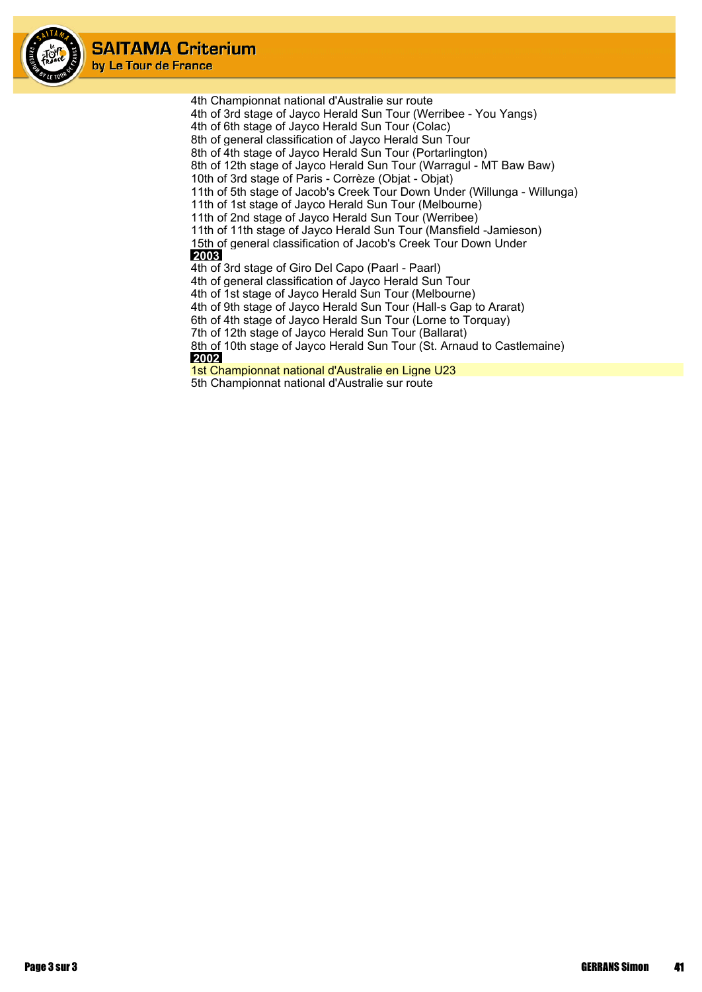

4th Championnat national d'Australie sur route 4th of 3rd stage of Jayco Herald Sun Tour (Werribee - You Yangs) 4th of 6th stage of Jayco Herald Sun Tour (Colac) 8th of general classification of Jayco Herald Sun Tour 8th of 4th stage of Jayco Herald Sun Tour (Portarlington) 8th of 12th stage of Jayco Herald Sun Tour (Warragul - MT Baw Baw) 10th of 3rd stage of Paris - Corrèze (Objat - Objat) 11th of 5th stage of Jacob's Creek Tour Down Under (Willunga - Willunga) 11th of 1st stage of Jayco Herald Sun Tour (Melbourne) 11th of 2nd stage of Jayco Herald Sun Tour (Werribee) 11th of 11th stage of Jayco Herald Sun Tour (Mansfield -Jamieson) 15th of general classification of Jacob's Creek Tour Down Under  **2003** 4th of 3rd stage of Giro Del Capo (Paarl - Paarl) 4th of general classification of Jayco Herald Sun Tour 4th of 1st stage of Jayco Herald Sun Tour (Melbourne) 4th of 9th stage of Jayco Herald Sun Tour (Hall-s Gap to Ararat) 6th of 4th stage of Jayco Herald Sun Tour (Lorne to Torquay) 7th of 12th stage of Jayco Herald Sun Tour (Ballarat) 8th of 10th stage of Jayco Herald Sun Tour (St. Arnaud to Castlemaine)  **2002** 1st Championnat national d'Australie en Ligne U23 5th Championnat national d'Australie sur route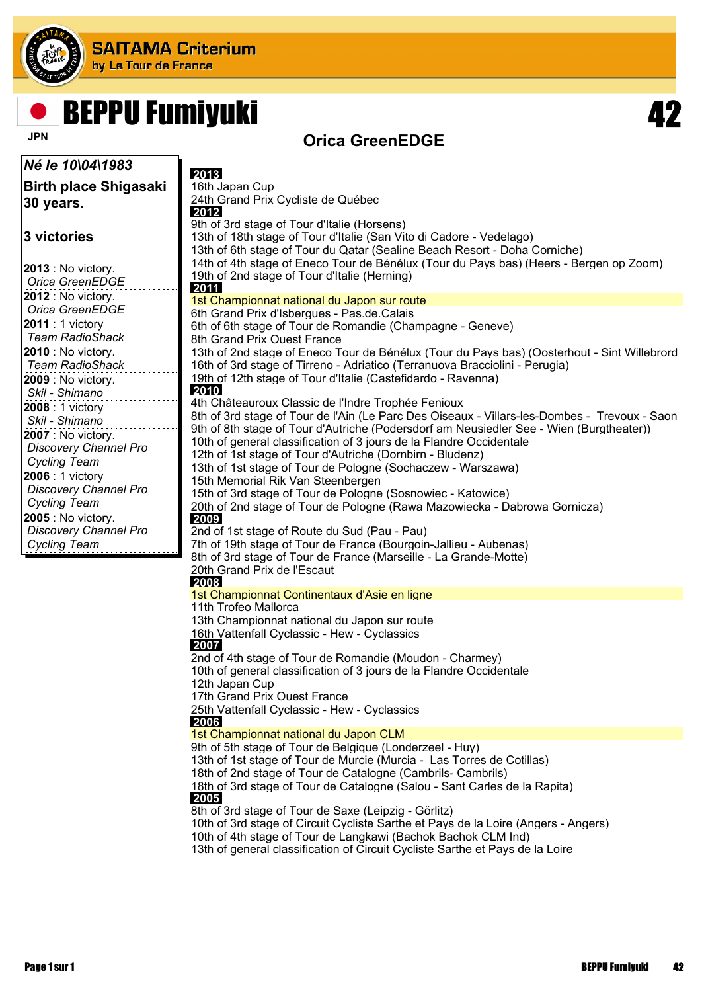

# BEPPU Fumiyuki 42

### **Orica GreenEDGE**

| Né le 10\04\1983                                    | 2013                                                                                                                                               |
|-----------------------------------------------------|----------------------------------------------------------------------------------------------------------------------------------------------------|
| <b>Birth place Shigasaki</b>                        | 16th Japan Cup                                                                                                                                     |
| 30 years.                                           | 24th Grand Prix Cycliste de Québec                                                                                                                 |
|                                                     | 2012<br>9th of 3rd stage of Tour d'Italie (Horsens)                                                                                                |
| l3 victories                                        | 13th of 18th stage of Tour d'Italie (San Vito di Cadore - Vedelago)                                                                                |
|                                                     | 13th of 6th stage of Tour du Qatar (Sealine Beach Resort - Doha Corniche)                                                                          |
| <b>2013</b> : No victory.                           | 14th of 4th stage of Eneco Tour de Bénélux (Tour du Pays bas) (Heers - Bergen op Zoom)                                                             |
| Orica GreenEDGE                                     | 19th of 2nd stage of Tour d'Italie (Herning)<br>2011                                                                                               |
| <b>2012</b> : No victory.                           | 1st Championnat national du Japon sur route                                                                                                        |
| Orica GreenEDGE                                     | 6th Grand Prix d'Isbergues - Pas.de.Calais                                                                                                         |
| <b>2011</b> : 1 victory                             | 6th of 6th stage of Tour de Romandie (Champagne - Geneve)                                                                                          |
| <b>Team RadioShack</b><br><b>2010</b> : No victory. | 8th Grand Prix Ouest France<br>13th of 2nd stage of Eneco Tour de Bénélux (Tour du Pays bas) (Oosterhout - Sint Willebrord                         |
| <b>Team RadioShack</b>                              | 16th of 3rd stage of Tirreno - Adriatico (Terranuova Bracciolini - Perugia)                                                                        |
| <b>2009</b> : No victory.                           | 19th of 12th stage of Tour d'Italie (Castefidardo - Ravenna)                                                                                       |
| Skil - Shimano                                      | 2010                                                                                                                                               |
| 2008 : 1 victory                                    | 4th Châteauroux Classic de l'Indre Trophée Fenioux<br>8th of 3rd stage of Tour de l'Ain (Le Parc Des Oiseaux - Villars-les-Dombes - Trevoux - Saon |
| Skil - Shimano                                      | 9th of 8th stage of Tour d'Autriche (Podersdorf am Neusiedler See - Wien (Burgtheater))                                                            |
| 2007 : No victory.                                  | 10th of general classification of 3 jours de la Flandre Occidentale                                                                                |
| Discovery Channel Pro<br><b>Cycling Team</b>        | 12th of 1st stage of Tour d'Autriche (Dornbirn - Bludenz)                                                                                          |
| 2006 : 1 victory                                    | 13th of 1st stage of Tour de Pologne (Sochaczew - Warszawa)                                                                                        |
| Discovery Channel Pro                               | 15th Memorial Rik Van Steenbergen<br>15th of 3rd stage of Tour de Pologne (Sosnowiec - Katowice)                                                   |
| <b>Cycling Team</b>                                 | 20th of 2nd stage of Tour de Pologne (Rawa Mazowiecka - Dabrowa Gornicza)                                                                          |
| 2005 : No victory.                                  | 2009                                                                                                                                               |
| <b>Discovery Channel Pro</b>                        | 2nd of 1st stage of Route du Sud (Pau - Pau)                                                                                                       |
| <b>Cycling Team</b>                                 | 7th of 19th stage of Tour de France (Bourgoin-Jallieu - Aubenas)<br>8th of 3rd stage of Tour de France (Marseille - La Grande-Motte)               |
|                                                     | 20th Grand Prix de l'Escaut                                                                                                                        |
|                                                     | 2008                                                                                                                                               |
|                                                     | 1st Championnat Continentaux d'Asie en ligne                                                                                                       |
|                                                     | 11th Trofeo Mallorca<br>13th Championnat national du Japon sur route                                                                               |
|                                                     | 16th Vattenfall Cyclassic - Hew - Cyclassics                                                                                                       |
|                                                     | 2007                                                                                                                                               |
|                                                     | 2nd of 4th stage of Tour de Romandie (Moudon - Charmey)<br>10th of general classification of 3 jours de la Flandre Occidentale                     |
|                                                     | 12th Japan Cup                                                                                                                                     |
|                                                     | 17th Grand Prix Ouest France                                                                                                                       |
|                                                     | 25th Vattenfall Cyclassic - Hew - Cyclassics                                                                                                       |
|                                                     | 2006<br>1st Championnat national du Japon CLM                                                                                                      |
|                                                     | 9th of 5th stage of Tour de Belgique (Londerzeel - Huy)                                                                                            |
|                                                     | 13th of 1st stage of Tour de Murcie (Murcia - Las Torres de Cotillas)                                                                              |
|                                                     | 18th of 2nd stage of Tour de Catalogne (Cambrils- Cambrils)                                                                                        |
|                                                     | 18th of 3rd stage of Tour de Catalogne (Salou - Sant Carles de la Rapita)<br>2005                                                                  |
|                                                     | 8th of 3rd stage of Tour de Saxe (Leipzig - Görlitz)                                                                                               |
|                                                     | 10th of 3rd stage of Circuit Cycliste Sarthe et Pays de la Loire (Angers - Angers)                                                                 |
|                                                     | 10th of 4th stage of Tour de Langkawi (Bachok Bachok CLM Ind)                                                                                      |
|                                                     | 13th of general classification of Circuit Cycliste Sarthe et Pays de la Loire                                                                      |
|                                                     |                                                                                                                                                    |
|                                                     |                                                                                                                                                    |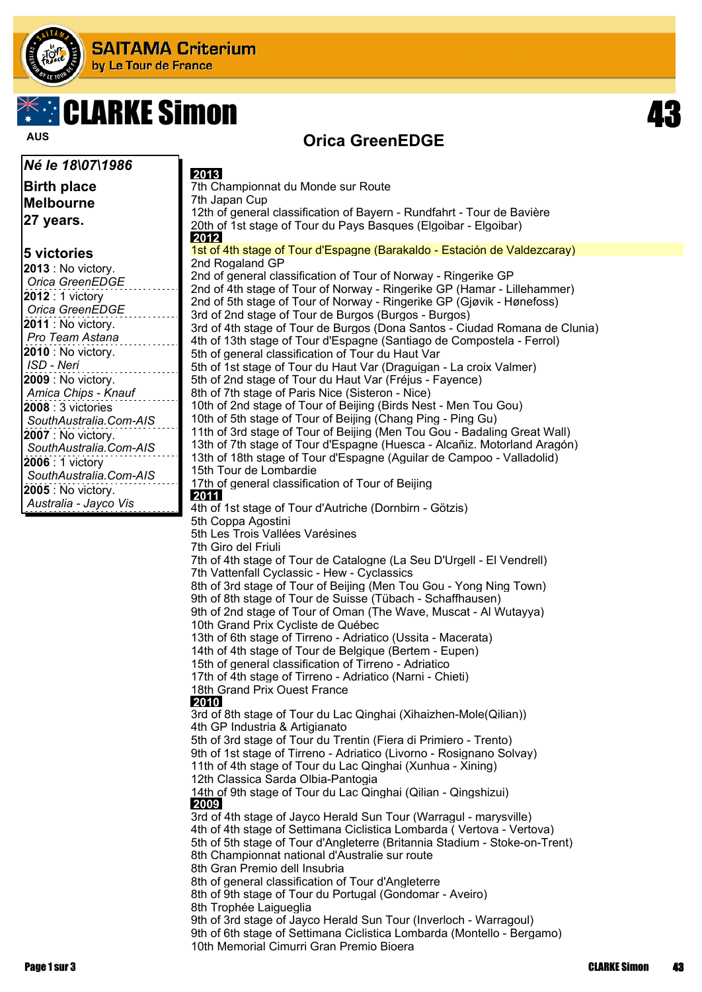

# **CLARKE Simon**



#### *Né le 18\07\1986*

**Birth place Melbourne 27 years.**

#### **5 victories**

### **Orica GreenEDGE AUS**

 **2013** 7th Championnat du Monde sur Route 7th Japan Cup 12th of general classification of Bayern - Rundfahrt - Tour de Bavière 20th of 1st stage of Tour du Pays Basques (Elgoibar - Elgoibar)  **2012** 1st of 4th stage of Tour d'Espagne (Barakaldo - Estación de Valdezcaray) 2nd Rogaland GP 2nd of general classification of Tour of Norway - Ringerike GP 2nd of 4th stage of Tour of Norway - Ringerike GP (Hamar - Lillehammer) 2nd of 5th stage of Tour of Norway - Ringerike GP (Gjøvik - Hønefoss) 3rd of 2nd stage of Tour de Burgos (Burgos - Burgos) 3rd of 4th stage of Tour de Burgos (Dona Santos - Ciudad Romana de Clunia) 4th of 13th stage of Tour d'Espagne (Santiago de Compostela - Ferrol) 5th of general classification of Tour du Haut Var 5th of 1st stage of Tour du Haut Var (Draguigan - La croix Valmer) 5th of 2nd stage of Tour du Haut Var (Fréjus - Fayence) 8th of 7th stage of Paris Nice (Sisteron - Nice) 10th of 2nd stage of Tour of Beijing (Birds Nest - Men Tou Gou) 10th of 5th stage of Tour of Beijing (Chang Ping - Ping Gu) 11th of 3rd stage of Tour of Beijing (Men Tou Gou - Badaling Great Wall) 13th of 7th stage of Tour d'Espagne (Huesca - Alcañiz. Motorland Aragón) 13th of 18th stage of Tour d'Espagne (Aguilar de Campoo - Valladolid) 15th Tour de Lombardie 17th of general classification of Tour of Beijing  **2011** 4th of 1st stage of Tour d'Autriche (Dornbirn - Götzis) 5th Coppa Agostini 5th Les Trois Vallées Varésines 7th Giro del Friuli 7th of 4th stage of Tour de Catalogne (La Seu D'Urgell - El Vendrell) 7th Vattenfall Cyclassic - Hew - Cyclassics 8th of 3rd stage of Tour of Beijing (Men Tou Gou - Yong Ning Town) 9th of 8th stage of Tour de Suisse (Tübach - Schaffhausen) 9th of 2nd stage of Tour of Oman (The Wave, Muscat - Al Wutayya) 10th Grand Prix Cycliste de Québec 13th of 6th stage of Tirreno - Adriatico (Ussita - Macerata) 14th of 4th stage of Tour de Belgique (Bertem - Eupen) 15th of general classification of Tirreno - Adriatico 17th of 4th stage of Tirreno - Adriatico (Narni - Chieti) 18th Grand Prix Ouest France  **2010** 3rd of 8th stage of Tour du Lac Qinghai (Xihaizhen-Mole(Qilian)) 4th GP Industria & Artigianato 5th of 3rd stage of Tour du Trentin (Fiera di Primiero - Trento) 9th of 1st stage of Tirreno - Adriatico (Livorno - Rosignano Solvay) 11th of 4th stage of Tour du Lac Qinghai (Xunhua - Xining) 12th Classica Sarda Olbia-Pantogia 14th of 9th stage of Tour du Lac Qinghai (Qilian - Qingshizui)  **2009** 3rd of 4th stage of Jayco Herald Sun Tour (Warragul - marysville) 4th of 4th stage of Settimana Ciclistica Lombarda ( Vertova - Vertova) 5th of 5th stage of Tour d'Angleterre (Britannia Stadium - Stoke-on-Trent) 8th Championnat national d'Australie sur route 8th Gran Premio dell Insubria 8th of general classification of Tour d'Angleterre 8th of 9th stage of Tour du Portugal (Gondomar - Aveiro) 8th Trophée Laigueglia 9th of 3rd stage of Jayco Herald Sun Tour (Inverloch - Warragoul)

9th of 6th stage of Settimana Ciclistica Lombarda (Montello - Bergamo) 10th Memorial Cimurri Gran Premio Bioera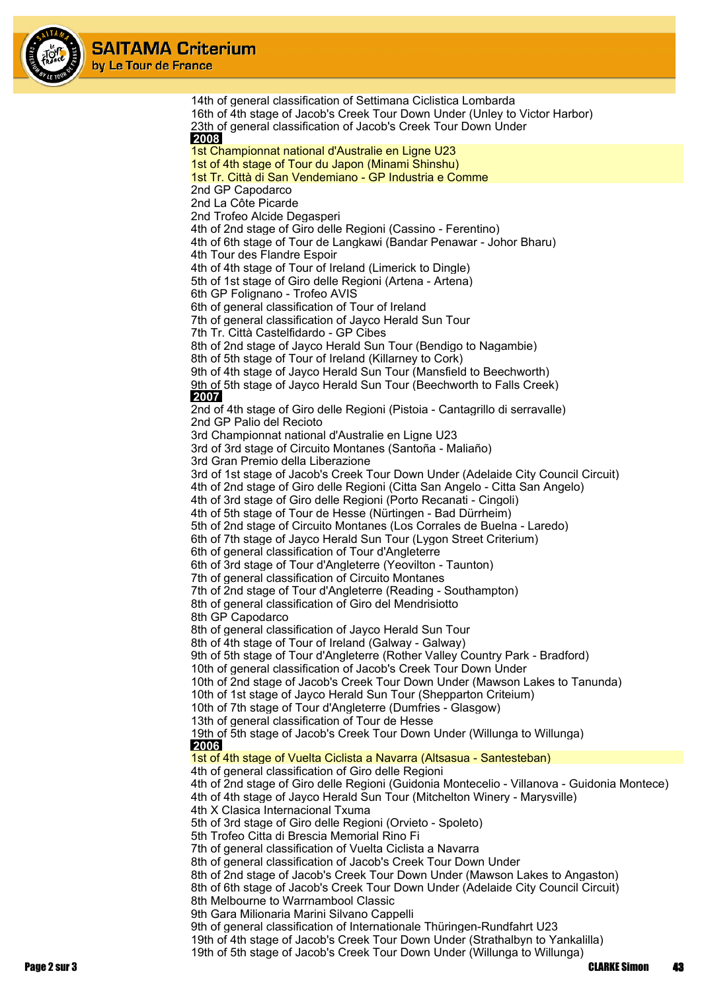

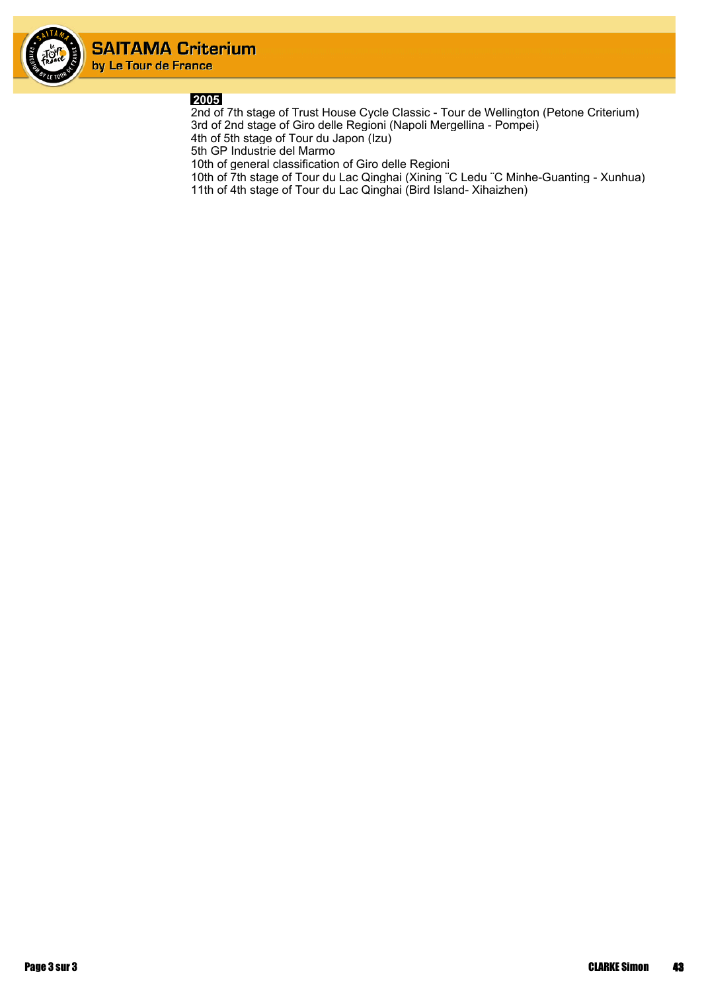

#### **2005**

2nd of 7th stage of Trust House Cycle Classic - Tour de Wellington (Petone Criterium) 3rd of 2nd stage of Giro delle Regioni (Napoli Mergellina - Pompei) 4th of 5th stage of Tour du Japon (Izu)

5th GP Industrie del Marmo

10th of general classification of Giro delle Regioni

10th of 7th stage of Tour du Lac Qinghai (Xining ¨C Ledu ¨C Minhe-Guanting - Xunhua) 11th of 4th stage of Tour du Lac Qinghai (Bird Island- Xihaizhen)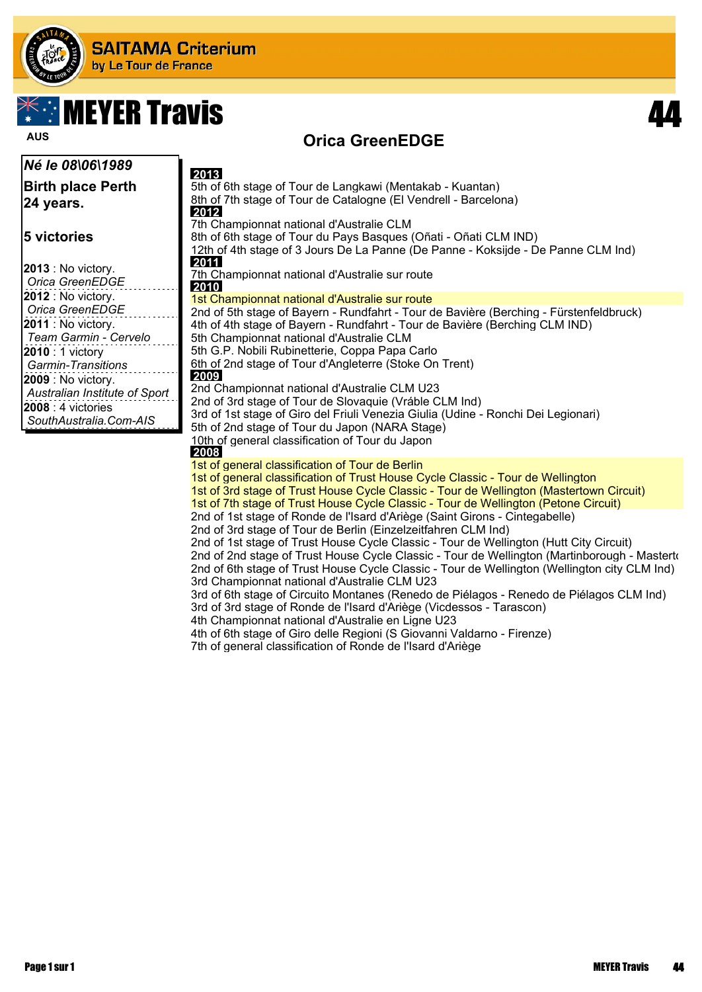

# $\mathbb{X}$  in MEYER Travis and  $\mathbf{44}$

### **Orica GreenEDGE AUS**

| <i>Né le 08\06\1989</i>                                                                                                                                                                                                | 2013                                                                                                                                                                                                                                                                                                                                                                                                                                                                                                                                                                                                                                                                                                                             |
|------------------------------------------------------------------------------------------------------------------------------------------------------------------------------------------------------------------------|----------------------------------------------------------------------------------------------------------------------------------------------------------------------------------------------------------------------------------------------------------------------------------------------------------------------------------------------------------------------------------------------------------------------------------------------------------------------------------------------------------------------------------------------------------------------------------------------------------------------------------------------------------------------------------------------------------------------------------|
| <b>Birth place Perth</b><br>24 years.                                                                                                                                                                                  | 5th of 6th stage of Tour de Langkawi (Mentakab - Kuantan)<br>8th of 7th stage of Tour de Catalogne (El Vendrell - Barcelona)<br>2012                                                                                                                                                                                                                                                                                                                                                                                                                                                                                                                                                                                             |
| <b>5 victories</b><br>2013 : No victory.<br>Orica GreenEDGE                                                                                                                                                            | 7th Championnat national d'Australie CLM<br>8th of 6th stage of Tour du Pays Basques (Oñati - Oñati CLM IND)<br>12th of 4th stage of 3 Jours De La Panne (De Panne - Koksijde - De Panne CLM Ind)<br>2011<br>7th Championnat national d'Australie sur route<br>2010                                                                                                                                                                                                                                                                                                                                                                                                                                                              |
| 2012 : No victory.                                                                                                                                                                                                     | 1st Championnat national d'Australie sur route                                                                                                                                                                                                                                                                                                                                                                                                                                                                                                                                                                                                                                                                                   |
| Orica GreenEDGE<br>2011 : No victory.<br>Team Garmin - Cervelo<br>2010 : 1 victory<br><b>Garmin-Transitions</b><br>2009 : No victory.<br>Australian Institute of Sport<br>2008 : 4 victories<br>SouthAustralia.Com-AIS | 2nd of 5th stage of Bayern - Rundfahrt - Tour de Bavière (Berching - Fürstenfeldbruck)<br>4th of 4th stage of Bayern - Rundfahrt - Tour de Bavière (Berching CLM IND)<br>5th Championnat national d'Australie CLM<br>5th G.P. Nobili Rubinetterie, Coppa Papa Carlo<br>6th of 2nd stage of Tour d'Angleterre (Stoke On Trent)<br>2009<br>2nd Championnat national d'Australie CLM U23<br>2nd of 3rd stage of Tour de Slovaquie (Vráble CLM Ind)<br>3rd of 1st stage of Giro del Friuli Venezia Giulia (Udine - Ronchi Dei Legionari)<br>5th of 2nd stage of Tour du Japon (NARA Stage)<br>10th of general classification of Tour du Japon<br>2008                                                                                |
|                                                                                                                                                                                                                        | 1st of general classification of Tour de Berlin<br>1st of general classification of Trust House Cycle Classic - Tour de Wellington<br>1st of 3rd stage of Trust House Cycle Classic - Tour de Wellington (Mastertown Circuit)<br>1st of 7th stage of Trust House Cycle Classic - Tour de Wellington (Petone Circuit)                                                                                                                                                                                                                                                                                                                                                                                                             |
|                                                                                                                                                                                                                        | 2nd of 1st stage of Ronde de l'Isard d'Ariège (Saint Girons - Cintegabelle)<br>2nd of 3rd stage of Tour de Berlin (Einzelzeitfahren CLM Ind)<br>2nd of 1st stage of Trust House Cycle Classic - Tour de Wellington (Hutt City Circuit)<br>2nd of 2nd stage of Trust House Cycle Classic - Tour de Wellington (Martinborough - Masterto<br>2nd of 6th stage of Trust House Cycle Classic - Tour de Wellington (Wellington city CLM Ind)<br>3rd Championnat national d'Australie CLM U23<br>3rd of 6th stage of Circuito Montanes (Renedo de Piélagos - Renedo de Piélagos CLM Ind)<br>3rd of 3rd stage of Ronde de l'Isard d'Ariège (Vicdessos - Tarascon)<br>Observations of a officer of all Association to a continuum of 1000 |

- 4th Championnat national d'Australie en Ligne U23
- 4th of 6th stage of Giro delle Regioni (S Giovanni Valdarno Firenze)
- 7th of general classification of Ronde de l'Isard d'Ariège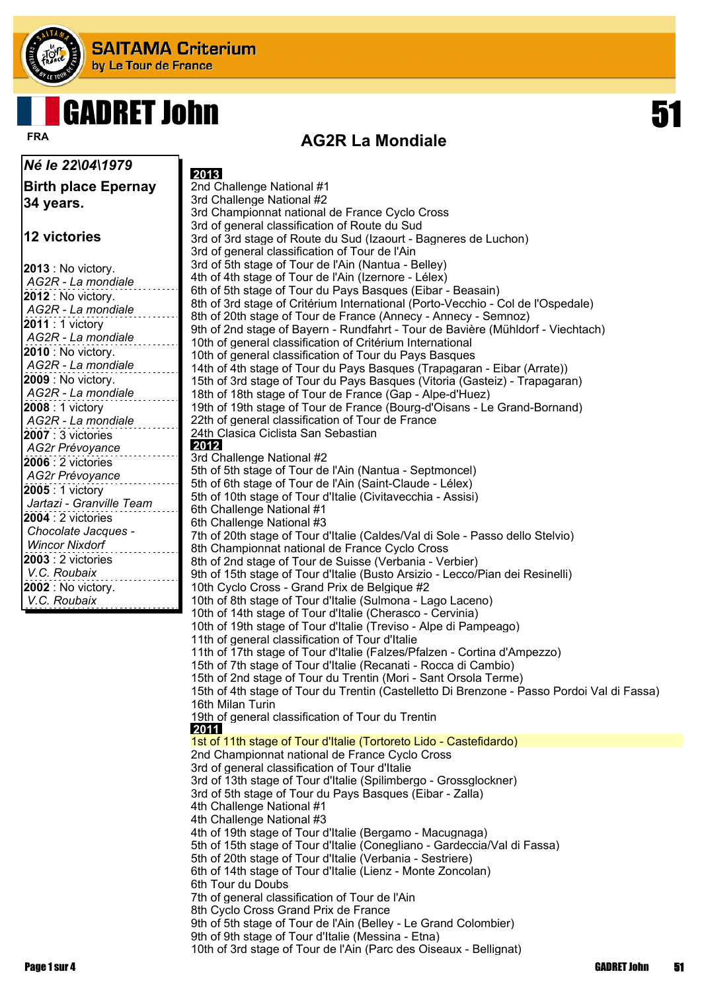

## GADRET John 51

**AG2R La Mondiale FRA**

| Né le 22\04\1979                       |                                                                                                                                               |
|----------------------------------------|-----------------------------------------------------------------------------------------------------------------------------------------------|
| <b>Birth place Epernay</b>             | 2013<br>2nd Challenge National #1                                                                                                             |
|                                        | 3rd Challenge National #2                                                                                                                     |
| 34 years.                              | 3rd Championnat national de France Cyclo Cross                                                                                                |
|                                        | 3rd of general classification of Route du Sud                                                                                                 |
| 12 victories                           | 3rd of 3rd stage of Route du Sud (Izaourt - Bagneres de Luchon)                                                                               |
|                                        | 3rd of general classification of Tour de l'Ain                                                                                                |
| $ 2013:$ No victory.                   | 3rd of 5th stage of Tour de l'Ain (Nantua - Belley)                                                                                           |
| AG2R - La mondiale                     | 4th of 4th stage of Tour de l'Ain (Izernore - Lélex)                                                                                          |
| $ 2012:$ No victory.                   | 6th of 5th stage of Tour du Pays Basques (Eibar - Beasain)<br>8th of 3rd stage of Critérium International (Porto-Vecchio - Col de l'Ospedale) |
| AG2R - La mondiale                     | 8th of 20th stage of Tour de France (Annecy - Annecy - Semnoz)                                                                                |
| <b>2011</b> : 1 victory                | 9th of 2nd stage of Bayern - Rundfahrt - Tour de Bavière (Mühldorf - Viechtach)                                                               |
| AG2R - La mondiale                     | 10th of general classification of Critérium International                                                                                     |
| <b>2010</b> : No victory.              | 10th of general classification of Tour du Pays Basques                                                                                        |
| AG2R - La mondiale                     | 14th of 4th stage of Tour du Pays Basques (Trapagaran - Eibar (Arrate))                                                                       |
| 2009 : No victory.                     | 15th of 3rd stage of Tour du Pays Basques (Vitoria (Gasteiz) - Trapagaran)                                                                    |
| AG2R - La mondiale                     | 18th of 18th stage of Tour de France (Gap - Alpe-d'Huez)                                                                                      |
| 2008 : 1 victory                       | 19th of 19th stage of Tour de France (Bourg-d'Oisans - Le Grand-Bornand)                                                                      |
| AG2R - La mondiale                     | 22th of general classification of Tour de France<br>24th Clasica Ciclista San Sebastian                                                       |
| $ 2007:3$ victories<br>AG2r Prévoyance | 2012                                                                                                                                          |
| <b>2006</b> : 2 victories              | 3rd Challenge National #2                                                                                                                     |
| AG2r Prévoyance                        | 5th of 5th stage of Tour de l'Ain (Nantua - Septmoncel)                                                                                       |
| 2005 : 1 victory                       | 5th of 6th stage of Tour de l'Ain (Saint-Claude - Lélex)                                                                                      |
| Jartazi - Granville Team               | 5th of 10th stage of Tour d'Italie (Civitavecchia - Assisi)                                                                                   |
| <b>2004</b> : 2 victories              | 6th Challenge National #1                                                                                                                     |
| Chocolate Jacques -                    | 6th Challenge National #3<br>7th of 20th stage of Tour d'Italie (Caldes/Val di Sole - Passo dello Stelvio)                                    |
| <b>Wincor Nixdorf</b>                  | 8th Championnat national de France Cyclo Cross                                                                                                |
| 2003 : 2 victories                     | 8th of 2nd stage of Tour de Suisse (Verbania - Verbier)                                                                                       |
| V.C. Roubaix                           | 9th of 15th stage of Tour d'Italie (Busto Arsizio - Lecco/Pian dei Resinelli)                                                                 |
| 2002 : No victory.                     | 10th Cyclo Cross - Grand Prix de Belgique #2                                                                                                  |
| V.C. Roubaix                           | 10th of 8th stage of Tour d'Italie (Sulmona - Lago Laceno)                                                                                    |
|                                        | 10th of 14th stage of Tour d'Italie (Cherasco - Cervinia)                                                                                     |
|                                        | 10th of 19th stage of Tour d'Italie (Treviso - Alpe di Pampeago)                                                                              |
|                                        | 11th of general classification of Tour d'Italie                                                                                               |
|                                        | 11th of 17th stage of Tour d'Italie (Falzes/Pfalzen - Cortina d'Ampezzo)<br>15th of 7th stage of Tour d'Italie (Recanati - Rocca di Cambio)   |
|                                        | 15th of 2nd stage of Tour du Trentin (Mori - Sant Orsola Terme)                                                                               |
|                                        | 15th of 4th stage of Tour du Trentin (Castelletto Di Brenzone - Passo Pordoi Val di Fassa)                                                    |
|                                        | 16th Milan Turin                                                                                                                              |
|                                        | 19th of general classification of Tour du Trentin                                                                                             |
|                                        | 2011                                                                                                                                          |
|                                        | 1st of 11th stage of Tour d'Italie (Tortoreto Lido - Castefidardo)<br>2nd Championnat national de France Cyclo Cross                          |
|                                        | 3rd of general classification of Tour d'Italie                                                                                                |
|                                        | 3rd of 13th stage of Tour d'Italie (Spilimbergo - Grossglockner)                                                                              |
|                                        | 3rd of 5th stage of Tour du Pays Basques (Eibar - Zalla)                                                                                      |
|                                        | 4th Challenge National #1                                                                                                                     |
|                                        | 4th Challenge National #3                                                                                                                     |
|                                        | 4th of 19th stage of Tour d'Italie (Bergamo - Macugnaga)                                                                                      |
|                                        | 5th of 15th stage of Tour d'Italie (Conegliano - Gardeccia/Val di Fassa)                                                                      |
|                                        | 5th of 20th stage of Tour d'Italie (Verbania - Sestriere)                                                                                     |
|                                        | 6th of 14th stage of Tour d'Italie (Lienz - Monte Zoncolan)<br>6th Tour du Doubs                                                              |
|                                        | 7th of general classification of Tour de l'Ain                                                                                                |
|                                        | 8th Cyclo Cross Grand Prix de France                                                                                                          |
|                                        | 9th of 5th stage of Tour de l'Ain (Belley - Le Grand Colombier)                                                                               |
|                                        | 9th of 9th stage of Tour d'Italie (Messina - Etna)                                                                                            |
|                                        | 10th of 3rd stage of Tour de l'Ain (Parc des Oiseaux - Bellignat)                                                                             |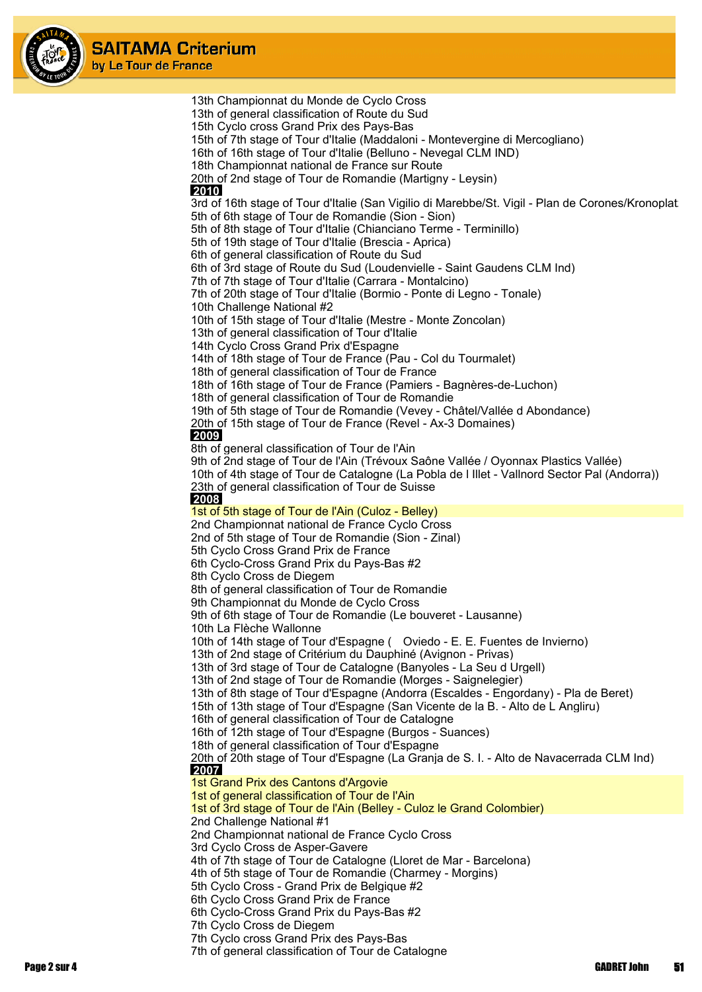

13th Championnat du Monde de Cyclo Cross 13th of general classification of Route du Sud 15th Cyclo cross Grand Prix des Pays-Bas 15th of 7th stage of Tour d'Italie (Maddaloni - Montevergine di Mercogliano) 16th of 16th stage of Tour d'Italie (Belluno - Nevegal CLM IND) 18th Championnat national de France sur Route 20th of 2nd stage of Tour de Romandie (Martigny - Leysin)  **2010** 3rd of 16th stage of Tour d'Italie (San Vigilio di Marebbe/St. Vigil - Plan de Corones/Kronoplat 5th of 6th stage of Tour de Romandie (Sion - Sion) 5th of 8th stage of Tour d'Italie (Chianciano Terme - Terminillo) 5th of 19th stage of Tour d'Italie (Brescia - Aprica) 6th of general classification of Route du Sud 6th of 3rd stage of Route du Sud (Loudenvielle - Saint Gaudens CLM Ind) 7th of 7th stage of Tour d'Italie (Carrara - Montalcino) 7th of 20th stage of Tour d'Italie (Bormio - Ponte di Legno - Tonale) 10th Challenge National #2 10th of 15th stage of Tour d'Italie (Mestre - Monte Zoncolan) 13th of general classification of Tour d'Italie 14th Cyclo Cross Grand Prix d'Espagne 14th of 18th stage of Tour de France (Pau - Col du Tourmalet) 18th of general classification of Tour de France 18th of 16th stage of Tour de France (Pamiers - Bagnères-de-Luchon) 18th of general classification of Tour de Romandie 19th of 5th stage of Tour de Romandie (Vevey - Châtel/Vallée d Abondance) 20th of 15th stage of Tour de France (Revel - Ax-3 Domaines)  **2009** 8th of general classification of Tour de l'Ain 9th of 2nd stage of Tour de l'Ain (Trévoux Saône Vallée / Oyonnax Plastics Vallée) 10th of 4th stage of Tour de Catalogne (La Pobla de l Illet - Vallnord Sector Pal (Andorra)) 23th of general classification of Tour de Suisse  **2008** 1st of 5th stage of Tour de l'Ain (Culoz - Belley) 2nd Championnat national de France Cyclo Cross 2nd of 5th stage of Tour de Romandie (Sion - Zinal) 5th Cyclo Cross Grand Prix de France 6th Cyclo-Cross Grand Prix du Pays-Bas #2 8th Cyclo Cross de Diegem 8th of general classification of Tour de Romandie 9th Championnat du Monde de Cyclo Cross 9th of 6th stage of Tour de Romandie (Le bouveret - Lausanne) 10th La Flèche Wallonne 10th of 14th stage of Tour d'Espagne ( Oviedo - E. E. Fuentes de Invierno) 13th of 2nd stage of Critérium du Dauphiné (Avignon - Privas) 13th of 3rd stage of Tour de Catalogne (Banyoles - La Seu d Urgell) 13th of 2nd stage of Tour de Romandie (Morges - Saignelegier) 13th of 8th stage of Tour d'Espagne (Andorra (Escaldes - Engordany) - Pla de Beret) 15th of 13th stage of Tour d'Espagne (San Vicente de la B. - Alto de L Angliru) 16th of general classification of Tour de Catalogne 16th of 12th stage of Tour d'Espagne (Burgos - Suances) 18th of general classification of Tour d'Espagne 20th of 20th stage of Tour d'Espagne (La Granja de S. I. - Alto de Navacerrada CLM Ind)  **2007** 1st Grand Prix des Cantons d'Argovie 1st of general classification of Tour de l'Ain 1st of 3rd stage of Tour de l'Ain (Belley - Culoz le Grand Colombier) 2nd Challenge National #1 2nd Championnat national de France Cyclo Cross 3rd Cyclo Cross de Asper-Gavere 4th of 7th stage of Tour de Catalogne (Lloret de Mar - Barcelona) 4th of 5th stage of Tour de Romandie (Charmey - Morgins) 5th Cyclo Cross - Grand Prix de Belgique #2 6th Cyclo Cross Grand Prix de France 6th Cyclo-Cross Grand Prix du Pays-Bas #2 7th Cyclo Cross de Diegem 7th Cyclo cross Grand Prix des Pays-Bas 7th of general classification of Tour de Catalogne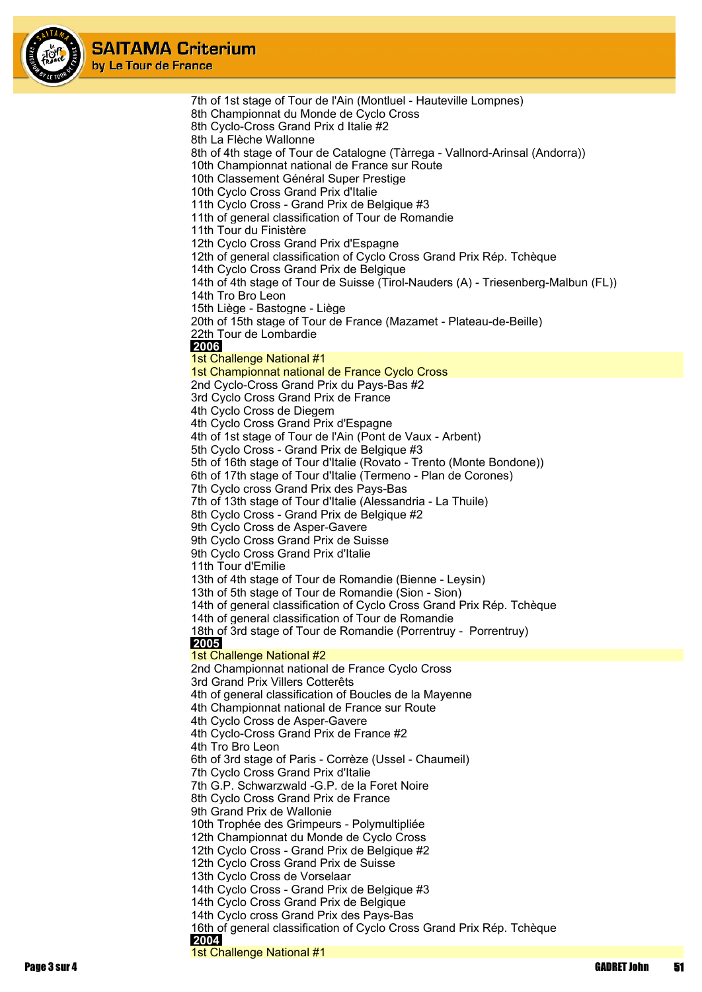

> 7th of 1st stage of Tour de l'Ain (Montluel - Hauteville Lompnes) 8th Championnat du Monde de Cyclo Cross 8th Cyclo-Cross Grand Prix d Italie #2 8th La Flèche Wallonne 8th of 4th stage of Tour de Catalogne (Tàrrega - Vallnord-Arinsal (Andorra)) 10th Championnat national de France sur Route 10th Classement Général Super Prestige 10th Cyclo Cross Grand Prix d'Italie 11th Cyclo Cross - Grand Prix de Belgique #3 11th of general classification of Tour de Romandie 11th Tour du Finistère 12th Cyclo Cross Grand Prix d'Espagne 12th of general classification of Cyclo Cross Grand Prix Rép. Tchèque 14th Cyclo Cross Grand Prix de Belgique 14th of 4th stage of Tour de Suisse (Tirol-Nauders (A) - Triesenberg-Malbun (FL)) 14th Tro Bro Leon 15th Liège - Bastogne - Liège 20th of 15th stage of Tour de France (Mazamet - Plateau-de-Beille) 22th Tour de Lombardie  **2006** 1st Challenge National #1 1st Championnat national de France Cyclo Cross 2nd Cyclo-Cross Grand Prix du Pays-Bas #2 3rd Cyclo Cross Grand Prix de France 4th Cyclo Cross de Diegem 4th Cyclo Cross Grand Prix d'Espagne 4th of 1st stage of Tour de l'Ain (Pont de Vaux - Arbent) 5th Cyclo Cross - Grand Prix de Belgique #3 5th of 16th stage of Tour d'Italie (Rovato - Trento (Monte Bondone)) 6th of 17th stage of Tour d'Italie (Termeno - Plan de Corones) 7th Cyclo cross Grand Prix des Pays-Bas 7th of 13th stage of Tour d'Italie (Alessandria - La Thuile) 8th Cyclo Cross - Grand Prix de Belgique #2 9th Cyclo Cross de Asper-Gavere 9th Cyclo Cross Grand Prix de Suisse 9th Cyclo Cross Grand Prix d'Italie 11th Tour d'Emilie 13th of 4th stage of Tour de Romandie (Bienne - Leysin) 13th of 5th stage of Tour de Romandie (Sion - Sion) 14th of general classification of Cyclo Cross Grand Prix Rép. Tchèque 14th of general classification of Tour de Romandie 18th of 3rd stage of Tour de Romandie (Porrentruy - Porrentruy)  **2005** 1st Challenge National #2 2nd Championnat national de France Cyclo Cross 3rd Grand Prix Villers Cotterêts 4th of general classification of Boucles de la Mayenne 4th Championnat national de France sur Route 4th Cyclo Cross de Asper-Gavere 4th Cyclo-Cross Grand Prix de France #2 4th Tro Bro Leon 6th of 3rd stage of Paris - Corrèze (Ussel - Chaumeil) 7th Cyclo Cross Grand Prix d'Italie 7th G.P. Schwarzwald -G.P. de la Foret Noire 8th Cyclo Cross Grand Prix de France 9th Grand Prix de Wallonie 10th Trophée des Grimpeurs - Polymultipliée 12th Championnat du Monde de Cyclo Cross 12th Cyclo Cross - Grand Prix de Belgique #2 12th Cyclo Cross Grand Prix de Suisse 13th Cyclo Cross de Vorselaar 14th Cyclo Cross - Grand Prix de Belgique #3 14th Cyclo Cross Grand Prix de Belgique 14th Cyclo cross Grand Prix des Pays-Bas 16th of general classification of Cyclo Cross Grand Prix Rép. Tchèque  **2004** 1st Challenge National #1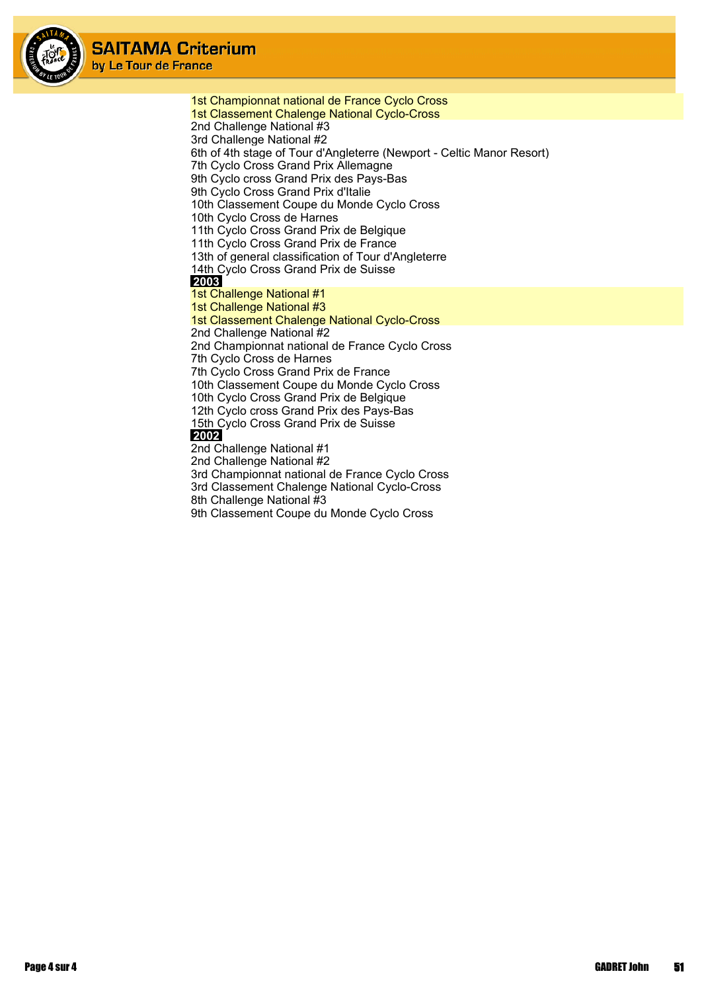

1st Championnat national de France Cyclo Cross 1st Classement Chalenge National Cyclo-Cross 2nd Challenge National #3 3rd Challenge National #2 6th of 4th stage of Tour d'Angleterre (Newport - Celtic Manor Resort) 7th Cyclo Cross Grand Prix Allemagne 9th Cyclo cross Grand Prix des Pays-Bas 9th Cyclo Cross Grand Prix d'Italie 10th Classement Coupe du Monde Cyclo Cross 10th Cyclo Cross de Harnes 11th Cyclo Cross Grand Prix de Belgique 11th Cyclo Cross Grand Prix de France 13th of general classification of Tour d'Angleterre 14th Cyclo Cross Grand Prix de Suisse  **2003** 1st Challenge National #1 1st Challenge National #3 1st Classement Chalenge National Cyclo-Cross 2nd Challenge National #2 2nd Championnat national de France Cyclo Cross 7th Cyclo Cross de Harnes 7th Cyclo Cross Grand Prix de France 10th Classement Coupe du Monde Cyclo Cross 10th Cyclo Cross Grand Prix de Belgique 12th Cyclo cross Grand Prix des Pays-Bas 15th Cyclo Cross Grand Prix de Suisse  **2002** 2nd Challenge National #1 2nd Challenge National #2 3rd Championnat national de France Cyclo Cross 3rd Classement Chalenge National Cyclo-Cross 8th Challenge National #3

9th Classement Coupe du Monde Cyclo Cross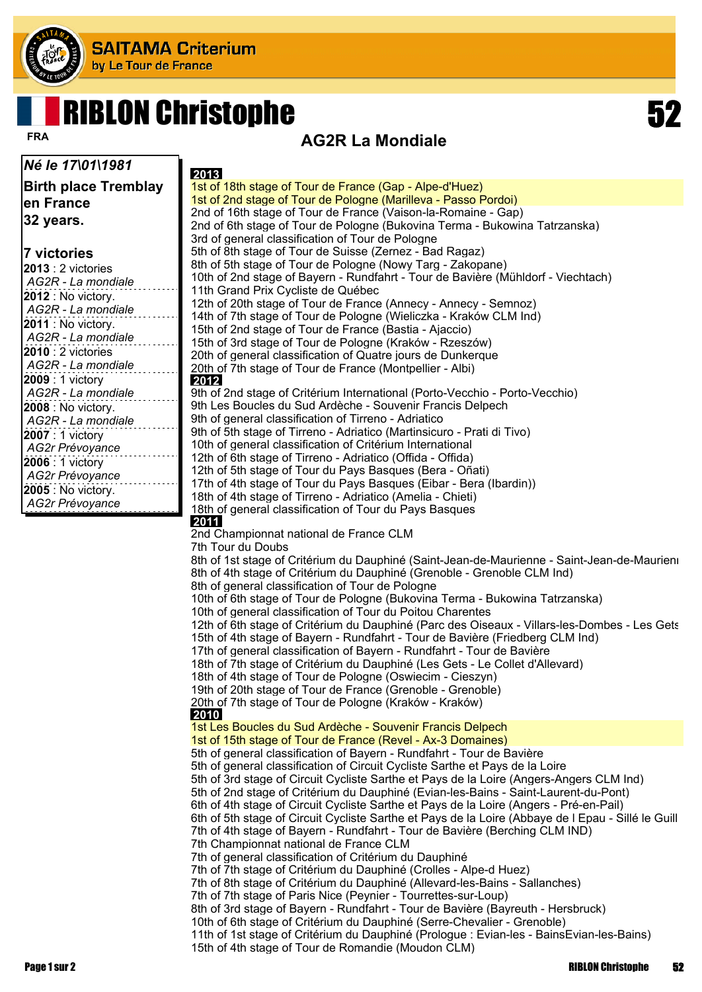

# RIBLON Christophe 52

### **AG2R La Mondiale FRA**

#### *Né le 17\01\1981* **Birth place Tremblay en France 32 years.**

#### **7 victories**

| 2013 : 2 victories |  |
|--------------------|--|
| AG2R - La mondiale |  |
| 2012 : No victory. |  |
| AG2R - La mondiale |  |
| 2011 : No victory. |  |
| AG2R - La mondiale |  |
| 2010 : 2 victories |  |
| AG2R - La mondiale |  |
| 2009 : 1 victory   |  |
| AG2R - La mondiale |  |
| 2008 : No victory. |  |
| AG2R - La mondiale |  |
| 2007 : 1 victory   |  |
| AG2r Prévoyance    |  |
| 2006 : 1 victory   |  |
| AG2r Prévoyance    |  |
| 2005 : No victory. |  |
| AG2r Prévoyance    |  |

| 2013                                                                                                                                                       |
|------------------------------------------------------------------------------------------------------------------------------------------------------------|
| 1st of 18th stage of Tour de France (Gap - Alpe-d'Huez)                                                                                                    |
| 1st of 2nd stage of Tour de Pologne (Marilleva - Passo Pordoi)                                                                                             |
| 2nd of 16th stage of Tour de France (Vaison-la-Romaine - Gap)                                                                                              |
| 2nd of 6th stage of Tour de Pologne (Bukovina Terma - Bukowina Tatrzanska)                                                                                 |
| 3rd of general classification of Tour de Pologne                                                                                                           |
| 5th of 8th stage of Tour de Suisse (Zernez - Bad Ragaz)<br>8th of 5th stage of Tour de Pologne (Nowy Targ - Zakopane)                                      |
| 10th of 2nd stage of Bayern - Rundfahrt - Tour de Bavière (Mühldorf - Viechtach)                                                                           |
| 11th Grand Prix Cycliste de Québec                                                                                                                         |
| 12th of 20th stage of Tour de France (Annecy - Annecy - Semnoz)                                                                                            |
| 14th of 7th stage of Tour de Pologne (Wieliczka - Kraków CLM Ind)                                                                                          |
| 15th of 2nd stage of Tour de France (Bastia - Ajaccio)                                                                                                     |
| 15th of 3rd stage of Tour de Pologne (Kraków - Rzeszów)                                                                                                    |
| 20th of general classification of Quatre jours de Dunkerque                                                                                                |
| 20th of 7th stage of Tour de France (Montpellier - Albi)<br>2012                                                                                           |
| 9th of 2nd stage of Critérium International (Porto-Vecchio - Porto-Vecchio)                                                                                |
| 9th Les Boucles du Sud Ardèche - Souvenir Francis Delpech                                                                                                  |
| 9th of general classification of Tirreno - Adriatico                                                                                                       |
| 9th of 5th stage of Tirreno - Adriatico (Martinsicuro - Prati di Tivo)                                                                                     |
| 10th of general classification of Critérium International                                                                                                  |
| 12th of 6th stage of Tirreno - Adriatico (Offida - Offida)                                                                                                 |
| 12th of 5th stage of Tour du Pays Basques (Bera - Oñati)                                                                                                   |
| 17th of 4th stage of Tour du Pays Basques (Eibar - Bera (Ibardin))                                                                                         |
| 18th of 4th stage of Tirreno - Adriatico (Amelia - Chieti)                                                                                                 |
| 18th of general classification of Tour du Pays Basques<br>2011                                                                                             |
| 2nd Championnat national de France CLM                                                                                                                     |
| 7th Tour du Doubs                                                                                                                                          |
| 8th of 1st stage of Critérium du Dauphiné (Saint-Jean-de-Maurienne - Saint-Jean-de-Maurien                                                                 |
| 8th of 4th stage of Critérium du Dauphiné (Grenoble - Grenoble CLM Ind)                                                                                    |
| 8th of general classification of Tour de Pologne                                                                                                           |
| 10th of 6th stage of Tour de Pologne (Bukovina Terma - Bukowina Tatrzanska)                                                                                |
| 10th of general classification of Tour du Poitou Charentes<br>12th of 6th stage of Critérium du Dauphiné (Parc des Oiseaux - Villars-les-Dombes - Les Gets |
| 15th of 4th stage of Bayern - Rundfahrt - Tour de Bavière (Friedberg CLM Ind)                                                                              |
| 17th of general classification of Bayern - Rundfahrt - Tour de Bavière                                                                                     |
| 18th of 7th stage of Critérium du Dauphiné (Les Gets - Le Collet d'Allevard)                                                                               |
| 18th of 4th stage of Tour de Pologne (Oswiecim - Cieszyn)                                                                                                  |
| 19th of 20th stage of Tour de France (Grenoble - Grenoble)                                                                                                 |
| 20th of 7th stage of Tour de Pologne (Kraków - Kraków)                                                                                                     |
| 2010                                                                                                                                                       |
| 1st Les Boucles du Sud Ardèche - Souvenir Francis Delpech<br>1st of 15th stage of Tour de France (Revel - Ax-3 Domaines)                                   |
| 5th of general classification of Bayern - Rundfahrt - Tour de Bavière                                                                                      |
| 5th of general classification of Circuit Cycliste Sarthe et Pays de la Loire                                                                               |
| 5th of 3rd stage of Circuit Cycliste Sarthe et Pays de la Loire (Angers-Angers CLM Ind)                                                                    |
| 5th of 2nd stage of Critérium du Dauphiné (Evian-les-Bains - Saint-Laurent-du-Pont)                                                                        |
| 6th of 4th stage of Circuit Cycliste Sarthe et Pays de la Loire (Angers - Pré-en-Pail)                                                                     |
| 6th of 5th stage of Circuit Cycliste Sarthe et Pays de la Loire (Abbaye de I Epau - Sillé le Guill                                                         |
| 7th of 4th stage of Bayern - Rundfahrt - Tour de Bavière (Berching CLM IND)                                                                                |
| 7th Championnat national de France CLM                                                                                                                     |
| 7th of general classification of Critérium du Dauphiné                                                                                                     |
| 7th of 7th stage of Critérium du Dauphiné (Crolles - Alpe-d Huez)<br>7th of 8th stage of Critérium du Dauphiné (Allevard-les-Bains - Sallanches)           |
| 7th of 7th stage of Paris Nice (Peynier - Tourrettes-sur-Loup)                                                                                             |
| 8th of 3rd stage of Bayern - Rundfahrt - Tour de Bavière (Bayreuth - Hersbruck)                                                                            |
| 10th of 6th stage of Critérium du Dauphiné (Serre-Chevalier - Grenoble)                                                                                    |
| 11th of 1st stage of Critérium du Dauphiné (Prologue: Evian-les - BainsEvian-les-Bains)                                                                    |
| 15th of 4th stage of Tour de Romandie (Moudon CLM)                                                                                                         |

Page 1 sur 2 RIBLON Christophe 52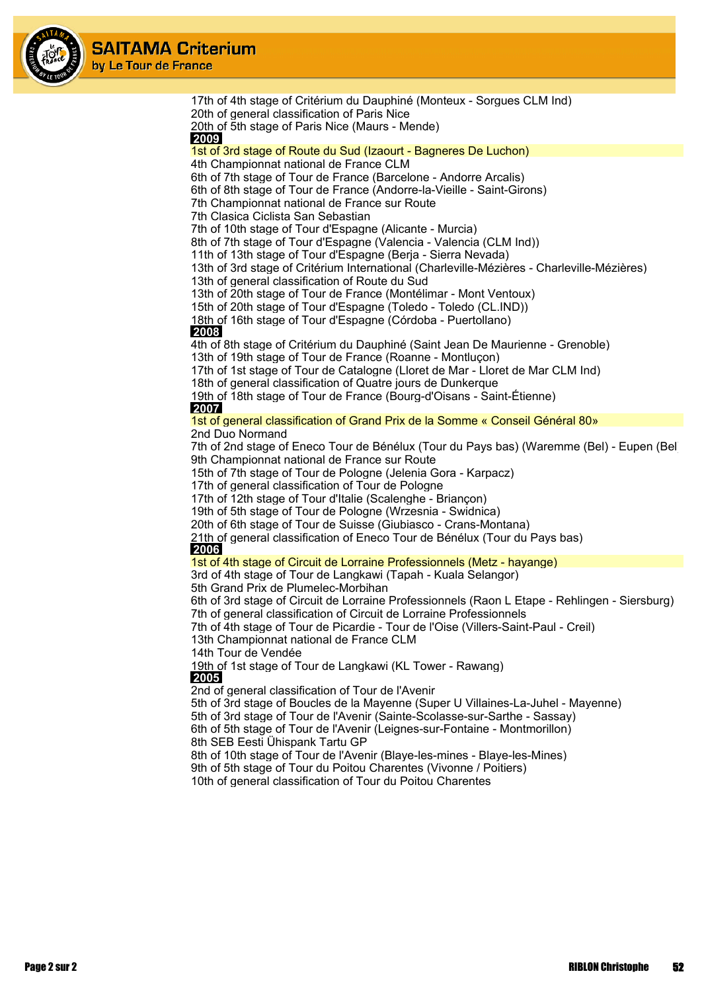

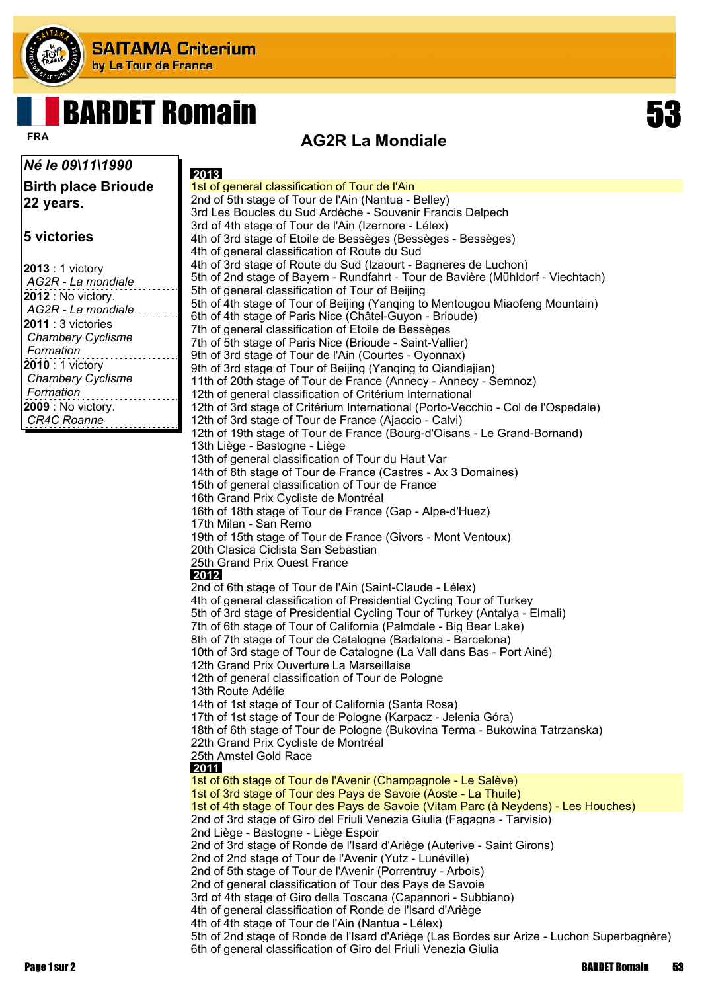

# BARDET Romain 53

#### *Né le 09\11\1990*

**Birth place Brioude 22 years.**

#### **5 victories**

| 2013 : 1 victory<br>AG2R - La mondiale |
|----------------------------------------|
| 2012 : No victory.                     |
| AG2R - La mondiale                     |
| $2011:3$ victories                     |
| Chambery Cyclisme                      |
| Formation                              |
| 2010 : 1 victory                       |
| <b>Chambery Cyclisme</b>               |
| Formation                              |
| 2009 : No victory.                     |
| <b>CR4C Roanne</b>                     |
|                                        |

#### **AG2R La Mondiale FRA**

| 2013                                                                                                                                            |
|-------------------------------------------------------------------------------------------------------------------------------------------------|
| 1st of general classification of Tour de l'Ain                                                                                                  |
| 2nd of 5th stage of Tour de l'Ain (Nantua - Belley)                                                                                             |
| 3rd Les Boucles du Sud Ardèche - Souvenir Francis Delpech                                                                                       |
| 3rd of 4th stage of Tour de l'Ain (Izernore - Lélex)                                                                                            |
| 4th of 3rd stage of Etoile de Bessèges (Bessèges - Bessèges)                                                                                    |
| 4th of general classification of Route du Sud                                                                                                   |
| 4th of 3rd stage of Route du Sud (Izaourt - Bagneres de Luchon)                                                                                 |
| 5th of 2nd stage of Bayern - Rundfahrt - Tour de Bavière (Mühldorf - Viechtach)<br>5th of general classification of Tour of Beijing             |
| 5th of 4th stage of Tour of Beijing (Yanging to Mentougou Miaofeng Mountain)                                                                    |
| 6th of 4th stage of Paris Nice (Châtel-Guyon - Brioude)                                                                                         |
| 7th of general classification of Etoile de Bessèges                                                                                             |
| 7th of 5th stage of Paris Nice (Brioude - Saint-Vallier)                                                                                        |
| 9th of 3rd stage of Tour de l'Ain (Courtes - Oyonnax)                                                                                           |
| 9th of 3rd stage of Tour of Beijing (Yanqing to Qiandiajian)                                                                                    |
| 11th of 20th stage of Tour de France (Annecy - Annecy - Semnoz)                                                                                 |
| 12th of general classification of Critérium International                                                                                       |
| 12th of 3rd stage of Critérium International (Porto-Vecchio - Col de l'Ospedale)                                                                |
| 12th of 3rd stage of Tour de France (Ajaccio - Calvi)                                                                                           |
| 12th of 19th stage of Tour de France (Bourg-d'Oisans - Le Grand-Bornand)                                                                        |
| 13th Liège - Bastogne - Liège                                                                                                                   |
| 13th of general classification of Tour du Haut Var<br>14th of 8th stage of Tour de France (Castres - Ax 3 Domaines)                             |
| 15th of general classification of Tour de France                                                                                                |
| 16th Grand Prix Cycliste de Montréal                                                                                                            |
| 16th of 18th stage of Tour de France (Gap - Alpe-d'Huez)                                                                                        |
| 17th Milan - San Remo                                                                                                                           |
| 19th of 15th stage of Tour de France (Givors - Mont Ventoux)                                                                                    |
| 20th Clasica Ciclista San Sebastian                                                                                                             |
| 25th Grand Prix Ouest France                                                                                                                    |
| 2012                                                                                                                                            |
| 2nd of 6th stage of Tour de l'Ain (Saint-Claude - Lélex)                                                                                        |
| 4th of general classification of Presidential Cycling Tour of Turkey                                                                            |
| 5th of 3rd stage of Presidential Cycling Tour of Turkey (Antalya - Elmali)<br>7th of 6th stage of Tour of California (Palmdale - Big Bear Lake) |
| 8th of 7th stage of Tour de Catalogne (Badalona - Barcelona)                                                                                    |
| 10th of 3rd stage of Tour de Catalogne (La Vall dans Bas - Port Ainé)                                                                           |
| 12th Grand Prix Ouverture La Marseillaise                                                                                                       |
| 12th of general classification of Tour de Pologne                                                                                               |
| 13th Route Adélie                                                                                                                               |
| 14th of 1st stage of Tour of California (Santa Rosa)                                                                                            |
| 17th of 1st stage of Tour de Pologne (Karpacz - Jelenia Góra)                                                                                   |
| 18th of 6th stage of Tour de Pologne (Bukovina Terma - Bukowina Tatrzanska)                                                                     |
| 22th Grand Prix Cycliste de Montréal                                                                                                            |
| 25th Amstel Gold Race                                                                                                                           |
| 2011<br>1st of 6th stage of Tour de l'Avenir (Champagnole - Le Salève)                                                                          |
| 1st of 3rd stage of Tour des Pays de Savoie (Aoste - La Thuile)                                                                                 |
| 1st of 4th stage of Tour des Pays de Savoie (Vitam Parc (à Neydens) - Les Houches)                                                              |
| 2nd of 3rd stage of Giro del Friuli Venezia Giulia (Fagagna - Tarvisio)                                                                         |
| 2nd Liège - Bastogne - Liège Espoir                                                                                                             |
| 2nd of 3rd stage of Ronde de l'Isard d'Ariège (Auterive - Saint Girons)                                                                         |
| 2nd of 2nd stage of Tour de l'Avenir (Yutz - Lunéville)                                                                                         |
| 2nd of 5th stage of Tour de l'Avenir (Porrentruy - Arbois)                                                                                      |
| 2nd of general classification of Tour des Pays de Savoie                                                                                        |
| 3rd of 4th stage of Giro della Toscana (Capannori - Subbiano)                                                                                   |
| 4th of general classification of Ronde de l'Isard d'Ariège                                                                                      |
| 4th of 4th stage of Tour de l'Ain (Nantua - Lélex)                                                                                              |

5th of 2nd stage of Ronde de l'Isard d'Ariège (Las Bordes sur Arize - Luchon Superbagnère) 6th of general classification of Giro del Friuli Venezia Giulia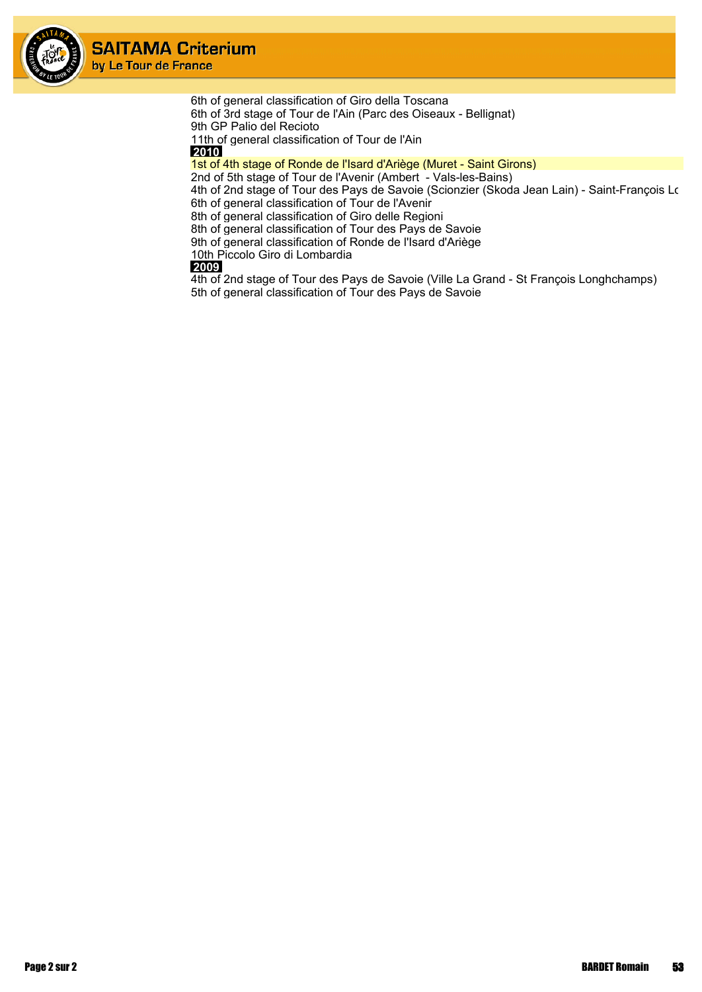

6th of general classification of Giro della Toscana 6th of 3rd stage of Tour de l'Ain (Parc des Oiseaux - Bellignat) 9th GP Palio del Recioto 11th of general classification of Tour de l'Ain

 **2010** 1st of 4th stage of Ronde de l'Isard d'Ariège (Muret - Saint Girons)

2nd of 5th stage of Tour de l'Avenir (Ambert - Vals-les-Bains)

4th of 2nd stage of Tour des Pays de Savoie (Scionzier (Skoda Jean Lain) - Saint-François Lo 6th of general classification of Tour de l'Avenir

8th of general classification of Giro delle Regioni

8th of general classification of Tour des Pays de Savoie

9th of general classification of Ronde de l'Isard d'Ariège

10th Piccolo Giro di Lombardia

#### **2009**

4th of 2nd stage of Tour des Pays de Savoie (Ville La Grand - St François Longhchamps) 5th of general classification of Tour des Pays de Savoie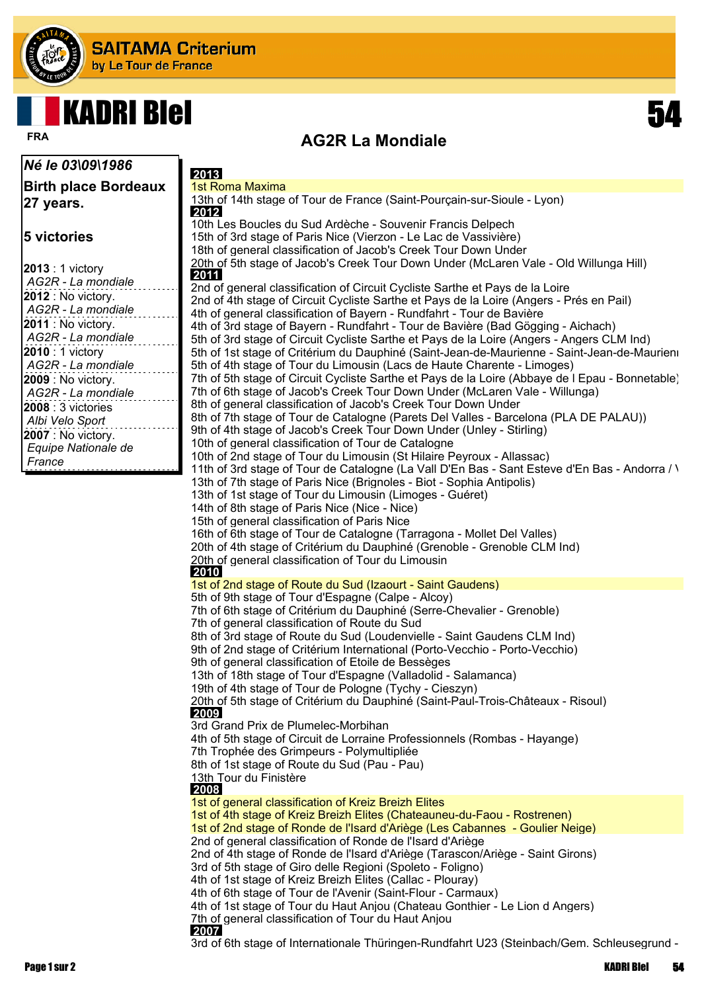

## KADRI BIel 54



### **AG2R La Mondiale FRA**

| <i><b>Né le 03\09\1986</b></i> | 2013                                                                                                                                                                           |
|--------------------------------|--------------------------------------------------------------------------------------------------------------------------------------------------------------------------------|
| <b>Birth place Bordeaux</b>    | 1st Roma Maxima                                                                                                                                                                |
| 27 years.                      | 13th of 14th stage of Tour de France (Saint-Pourçain-sur-Sioule - Lyon)<br>2012                                                                                                |
|                                | 10th Les Boucles du Sud Ardèche - Souvenir Francis Delpech                                                                                                                     |
| 5 victories                    | 15th of 3rd stage of Paris Nice (Vierzon - Le Lac de Vassivière)                                                                                                               |
|                                | 18th of general classification of Jacob's Creek Tour Down Under                                                                                                                |
| 2013 : 1 victory               | 20th of 5th stage of Jacob's Creek Tour Down Under (McLaren Vale - Old Willunga Hill)                                                                                          |
| AG2R - La mondiale             | 2011                                                                                                                                                                           |
| 2012 : No victory.             | 2nd of general classification of Circuit Cycliste Sarthe et Pays de la Loire                                                                                                   |
| AG2R - La mondiale             | 2nd of 4th stage of Circuit Cycliste Sarthe et Pays de la Loire (Angers - Prés en Pail)                                                                                        |
| 2011 : No victory.             | 4th of general classification of Bayern - Rundfahrt - Tour de Bavière                                                                                                          |
| AG2R - La mondiale             | 4th of 3rd stage of Bayern - Rundfahrt - Tour de Bavière (Bad Gögging - Aichach)                                                                                               |
|                                | 5th of 3rd stage of Circuit Cycliste Sarthe et Pays de la Loire (Angers - Angers CLM Ind)                                                                                      |
| 2010 : 1 victory               | 5th of 1st stage of Critérium du Dauphiné (Saint-Jean-de-Maurienne - Saint-Jean-de-Maurien                                                                                     |
| AG2R - La mondiale             | 5th of 4th stage of Tour du Limousin (Lacs de Haute Charente - Limoges)                                                                                                        |
| 2009 : No victory.             | 7th of 5th stage of Circuit Cycliste Sarthe et Pays de la Loire (Abbaye de I Epau - Bonnetable)<br>7th of 6th stage of Jacob's Creek Tour Down Under (McLaren Vale - Willunga) |
| AG2R - La mondiale             | 8th of general classification of Jacob's Creek Tour Down Under                                                                                                                 |
| 2008 : 3 victories             | 8th of 7th stage of Tour de Catalogne (Parets Del Valles - Barcelona (PLA DE PALAU))                                                                                           |
| Albi Velo Sport                | 9th of 4th stage of Jacob's Creek Tour Down Under (Unley - Stirling)                                                                                                           |
| 2007 : No victory.             | 10th of general classification of Tour de Catalogne                                                                                                                            |
| Equipe Nationale de            | 10th of 2nd stage of Tour du Limousin (St Hilaire Peyroux - Allassac)                                                                                                          |
| France                         | 11th of 3rd stage of Tour de Catalogne (La Vall D'En Bas - Sant Esteve d'En Bas - Andorra / \                                                                                  |
|                                | 13th of 7th stage of Paris Nice (Brignoles - Biot - Sophia Antipolis)                                                                                                          |
|                                | 13th of 1st stage of Tour du Limousin (Limoges - Guéret)                                                                                                                       |
|                                | 14th of 8th stage of Paris Nice (Nice - Nice)                                                                                                                                  |
|                                | 15th of general classification of Paris Nice                                                                                                                                   |
|                                | 16th of 6th stage of Tour de Catalogne (Tarragona - Mollet Del Valles)                                                                                                         |
|                                | 20th of 4th stage of Critérium du Dauphiné (Grenoble - Grenoble CLM Ind)                                                                                                       |
|                                | 20th of general classification of Tour du Limousin                                                                                                                             |
|                                | 2010                                                                                                                                                                           |
|                                | 1st of 2nd stage of Route du Sud (Izaourt - Saint Gaudens)                                                                                                                     |
|                                | 5th of 9th stage of Tour d'Espagne (Calpe - Alcoy)                                                                                                                             |
|                                | 7th of 6th stage of Critérium du Dauphiné (Serre-Chevalier - Grenoble)<br>7th of general classification of Route du Sud                                                        |
|                                | 8th of 3rd stage of Route du Sud (Loudenvielle - Saint Gaudens CLM Ind)                                                                                                        |
|                                | 9th of 2nd stage of Critérium International (Porto-Vecchio - Porto-Vecchio)                                                                                                    |
|                                | 9th of general classification of Etoile de Bessèges                                                                                                                            |
|                                | 13th of 18th stage of Tour d'Espagne (Valladolid - Salamanca)                                                                                                                  |
|                                | 19th of 4th stage of Tour de Pologne (Tychy - Cieszyn)                                                                                                                         |
|                                | 20th of 5th stage of Critérium du Dauphiné (Saint-Paul-Trois-Châteaux - Risoul)                                                                                                |
|                                | 2009                                                                                                                                                                           |
|                                | 3rd Grand Prix de Plumelec-Morbihan                                                                                                                                            |
|                                | 4th of 5th stage of Circuit de Lorraine Professionnels (Rombas - Hayange)                                                                                                      |
|                                | 7th Trophée des Grimpeurs - Polymultipliée                                                                                                                                     |
|                                | 8th of 1st stage of Route du Sud (Pau - Pau)                                                                                                                                   |
|                                | 13th Tour du Finistère<br>2008                                                                                                                                                 |
|                                | 1st of general classification of Kreiz Breizh Elites                                                                                                                           |
|                                | 1st of 4th stage of Kreiz Breizh Elites (Chateauneu-du-Faou - Rostrenen)                                                                                                       |
|                                | 1st of 2nd stage of Ronde de l'Isard d'Ariège (Les Cabannes - Goulier Neige)                                                                                                   |
|                                | 2nd of general classification of Ronde de l'Isard d'Ariège                                                                                                                     |
|                                | 2nd of 4th stage of Ronde de l'Isard d'Ariège (Tarascon/Ariège - Saint Girons)                                                                                                 |
|                                | 3rd of 5th stage of Giro delle Regioni (Spoleto - Foligno)                                                                                                                     |
|                                | 4th of 1st stage of Kreiz Breizh Elites (Callac - Plouray)                                                                                                                     |
|                                | 4th of 6th stage of Tour de l'Avenir (Saint-Flour - Carmaux)                                                                                                                   |
|                                | 4th of 1st stage of Tour du Haut Anjou (Chateau Gonthier - Le Lion d Angers)                                                                                                   |
|                                | 7th of general classification of Tour du Haut Anjou<br>2007                                                                                                                    |
|                                |                                                                                                                                                                                |

3rd of 6th stage of Internationale Thüringen-Rundfahrt U23 (Steinbach/Gem. Schleusegrund -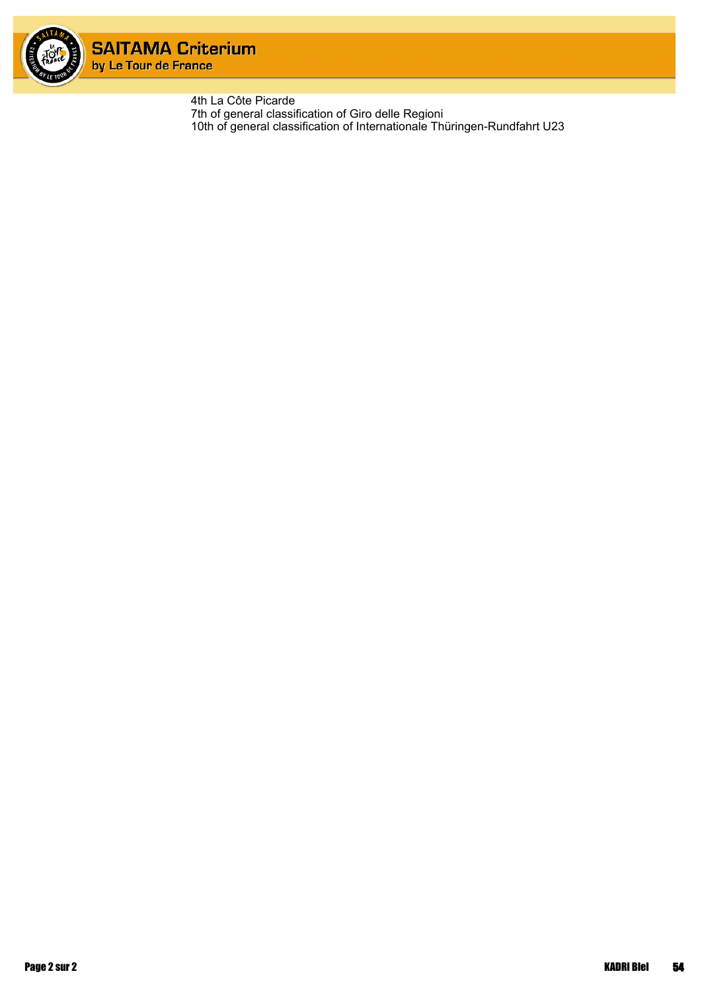

4th La Côte Picarde 7th of general classification of Giro delle Regioni 10th of general classification of Internationale Thüringen-Rundfahrt U23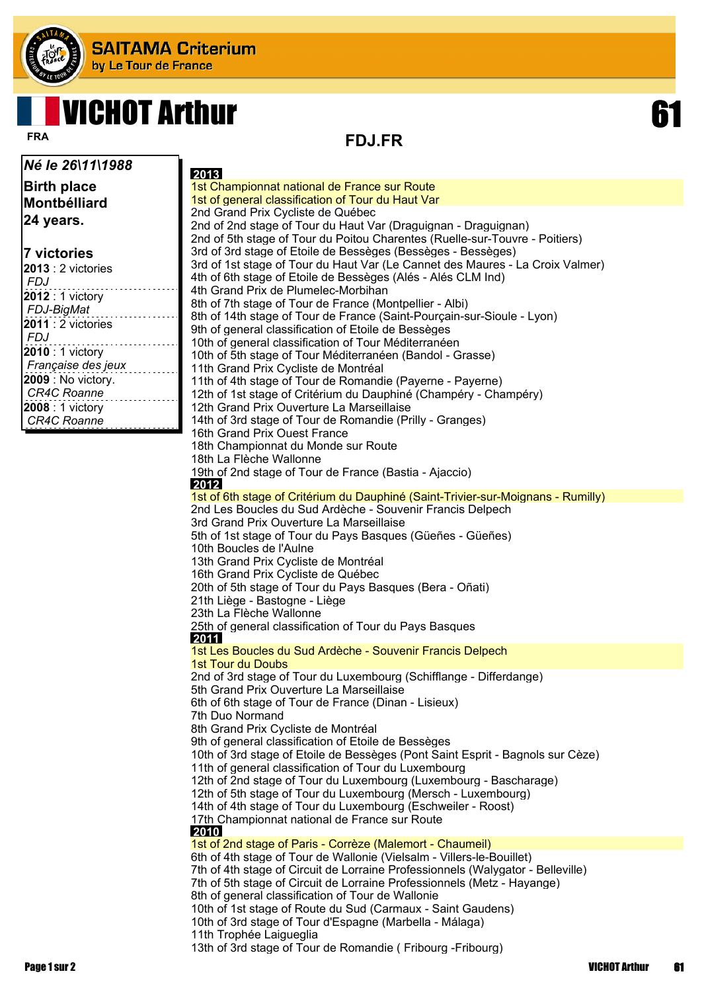

## VICHOT Arthur 61

**FDJ.FR FRA**

| Né le 26\11\1988                       | 2013                                                                                                                                                       |
|----------------------------------------|------------------------------------------------------------------------------------------------------------------------------------------------------------|
| <b>Birth place</b>                     | 1st Championnat national de France sur Route                                                                                                               |
| Montbélliard                           | 1st of general classification of Tour du Haut Var                                                                                                          |
|                                        | 2nd Grand Prix Cycliste de Québec                                                                                                                          |
| 24 years.                              | 2nd of 2nd stage of Tour du Haut Var (Draguignan - Draguignan)                                                                                             |
|                                        | 2nd of 5th stage of Tour du Poitou Charentes (Ruelle-sur-Touvre - Poitiers)                                                                                |
| 7 victories                            | 3rd of 3rd stage of Etoile de Bessèges (Bessèges - Bessèges)                                                                                               |
| 2013 : 2 victories                     | 3rd of 1st stage of Tour du Haut Var (Le Cannet des Maures - La Croix Valmer)                                                                              |
| <b>FDJ</b>                             | 4th of 6th stage of Etoile de Bessèges (Alés - Alés CLM Ind)<br>4th Grand Prix de Plumelec-Morbihan                                                        |
| 2012 : 1 victory                       | 8th of 7th stage of Tour de France (Montpellier - Albi)                                                                                                    |
| FDJ-BigMat                             | 8th of 14th stage of Tour de France (Saint-Pourçain-sur-Sioule - Lyon)                                                                                     |
| 2011 : 2 victories                     | 9th of general classification of Etoile de Bessèges                                                                                                        |
| <b>FDJ</b>                             | 10th of general classification of Tour Méditerranéen                                                                                                       |
| 2010 : 1 victory                       | 10th of 5th stage of Tour Méditerranéen (Bandol - Grasse)                                                                                                  |
| Française des jeux                     | 11th Grand Prix Cycliste de Montréal                                                                                                                       |
| 2009 : No victory.                     | 11th of 4th stage of Tour de Romandie (Payerne - Payerne)                                                                                                  |
| CR4C Roanne                            | 12th of 1st stage of Critérium du Dauphiné (Champéry - Champéry)                                                                                           |
| 2008 : 1 victory<br><b>CR4C Roanne</b> | 12th Grand Prix Ouverture La Marseillaise                                                                                                                  |
|                                        | 14th of 3rd stage of Tour de Romandie (Prilly - Granges)<br>16th Grand Prix Ouest France                                                                   |
|                                        | 18th Championnat du Monde sur Route                                                                                                                        |
|                                        | 18th La Flèche Wallonne                                                                                                                                    |
|                                        | 19th of 2nd stage of Tour de France (Bastia - Ajaccio)                                                                                                     |
|                                        | 2012                                                                                                                                                       |
|                                        | 1st of 6th stage of Critérium du Dauphiné (Saint-Trivier-sur-Moignans - Rumilly)                                                                           |
|                                        | 2nd Les Boucles du Sud Ardèche - Souvenir Francis Delpech                                                                                                  |
|                                        | 3rd Grand Prix Ouverture La Marseillaise                                                                                                                   |
|                                        | 5th of 1st stage of Tour du Pays Basques (Güeñes - Güeñes)<br>10th Boucles de l'Aulne                                                                      |
|                                        | 13th Grand Prix Cycliste de Montréal                                                                                                                       |
|                                        | 16th Grand Prix Cycliste de Québec                                                                                                                         |
|                                        | 20th of 5th stage of Tour du Pays Basques (Bera - Oñati)                                                                                                   |
|                                        | 21th Liège - Bastogne - Liège                                                                                                                              |
|                                        | 23th La Flèche Wallonne                                                                                                                                    |
|                                        | 25th of general classification of Tour du Pays Basques                                                                                                     |
|                                        | 2011<br>1st Les Boucles du Sud Ardèche - Souvenir Francis Delpech                                                                                          |
|                                        | 1st Tour du Doubs                                                                                                                                          |
|                                        | 2nd of 3rd stage of Tour du Luxembourg (Schifflange - Differdange)                                                                                         |
|                                        | 5th Grand Prix Ouverture La Marseillaise                                                                                                                   |
|                                        | 6th of 6th stage of Tour de France (Dinan - Lisieux)                                                                                                       |
|                                        | 7th Duo Normand                                                                                                                                            |
|                                        | 8th Grand Prix Cycliste de Montréal                                                                                                                        |
|                                        | 9th of general classification of Etoile de Bessèges                                                                                                        |
|                                        | 10th of 3rd stage of Etoile de Bessèges (Pont Saint Esprit - Bagnols sur Cèze)<br>11th of general classification of Tour du Luxembourg                     |
|                                        | 12th of 2nd stage of Tour du Luxembourg (Luxembourg - Bascharage)                                                                                          |
|                                        | 12th of 5th stage of Tour du Luxembourg (Mersch - Luxembourg)                                                                                              |
|                                        | 14th of 4th stage of Tour du Luxembourg (Eschweiler - Roost)                                                                                               |
|                                        | 17th Championnat national de France sur Route                                                                                                              |
|                                        | 2010                                                                                                                                                       |
|                                        | 1st of 2nd stage of Paris - Corrèze (Malemort - Chaumeil)                                                                                                  |
|                                        | 6th of 4th stage of Tour de Wallonie (Vielsalm - Villers-le-Bouillet)                                                                                      |
|                                        | 7th of 4th stage of Circuit de Lorraine Professionnels (Walygator - Belleville)<br>7th of 5th stage of Circuit de Lorraine Professionnels (Metz - Hayange) |
|                                        | 8th of general classification of Tour de Wallonie                                                                                                          |
|                                        | 10th of 1st stage of Route du Sud (Carmaux - Saint Gaudens)                                                                                                |
|                                        | 10th of 3rd stage of Tour d'Espagne (Marbella - Málaga)                                                                                                    |
|                                        | 11th Trophée Laigueglia                                                                                                                                    |
|                                        | 13th of 3rd stage of Tour de Romandie (Fribourg - Fribourg)                                                                                                |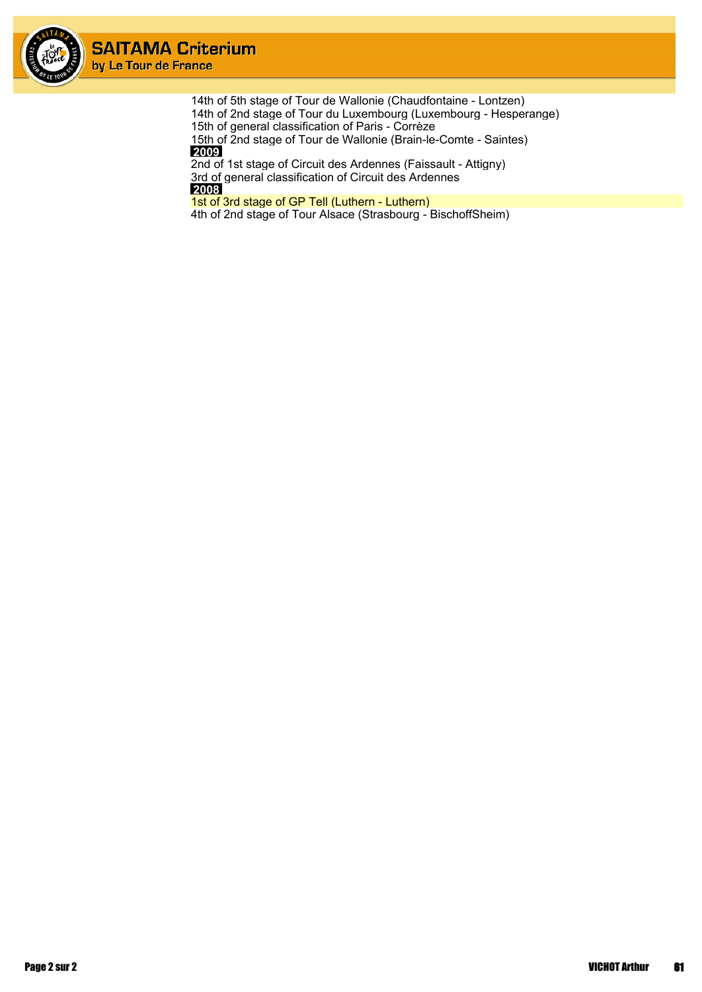

> 14th of 5th stage of Tour de Wallonie (Chaudfontaine - Lontzen) 14th of 2nd stage of Tour du Luxembourg (Luxembourg - Hesperange) 15th of general classification of Paris - Corrèze 15th of 2nd stage of Tour de Wallonie (Brain-le-Comte - Saintes)  **2009**

2nd of 1st stage of Circuit des Ardennes (Faissault - Attigny) 3rd of general classification of Circuit des Ardennes  **2008**

1st of 3rd stage of GP Tell (Luthern - Luthern)

4th of 2nd stage of Tour Alsace (Strasbourg - BischoffSheim)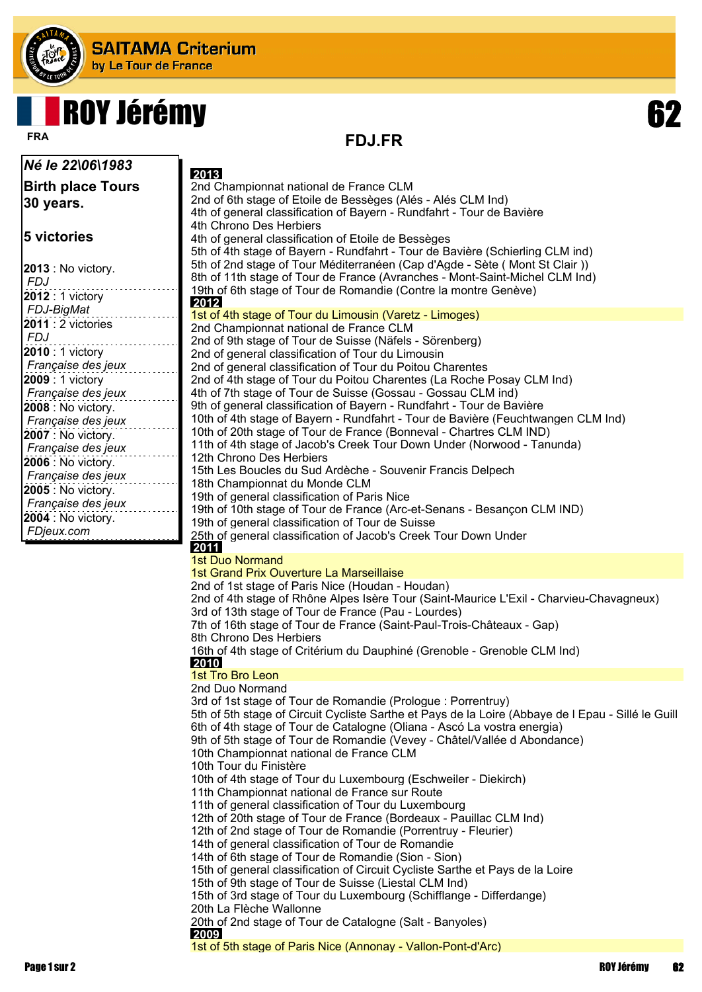

Ъ

# ROY Jérémy 62

**FDJ.FR FRA**

| Né le 22\06\1983                         | 2013                                                                                                                                           |
|------------------------------------------|------------------------------------------------------------------------------------------------------------------------------------------------|
| <b>Birth place Tours</b>                 | 2nd Championnat national de France CLM                                                                                                         |
| 30 years.                                | 2nd of 6th stage of Etoile de Bessèges (Alés - Alés CLM Ind)                                                                                   |
|                                          | 4th of general classification of Bayern - Rundfahrt - Tour de Bavière                                                                          |
|                                          | 4th Chrono Des Herbiers                                                                                                                        |
| 5 victories                              | 4th of general classification of Etoile de Bessèges                                                                                            |
|                                          | 5th of 4th stage of Bayern - Rundfahrt - Tour de Bavière (Schierling CLM ind)                                                                  |
| 2013 : No victory.                       | 5th of 2nd stage of Tour Méditerranéen (Cap d'Agde - Sète ( Mont St Clair ))                                                                   |
| <b>FDJ</b>                               | 8th of 11th stage of Tour de France (Avranches - Mont-Saint-Michel CLM Ind)<br>19th of 6th stage of Tour de Romandie (Contre la montre Genève) |
| 2012 : 1 victory                         | 2012                                                                                                                                           |
| FDJ-BigMat                               | 1st of 4th stage of Tour du Limousin (Varetz - Limoges)                                                                                        |
| 2011 : 2 victories                       | 2nd Championnat national de France CLM                                                                                                         |
| <b>FDJ</b>                               | 2nd of 9th stage of Tour de Suisse (Näfels - Sörenberg)                                                                                        |
| 2010 : 1 victory                         | 2nd of general classification of Tour du Limousin                                                                                              |
| Française des jeux                       | 2nd of general classification of Tour du Poitou Charentes                                                                                      |
| 2009 : 1 victory                         | 2nd of 4th stage of Tour du Poitou Charentes (La Roche Posay CLM Ind)                                                                          |
| Française des jeux                       | 4th of 7th stage of Tour de Suisse (Gossau - Gossau CLM ind)<br>9th of general classification of Bayern - Rundfahrt - Tour de Bavière          |
| 2008 : No victory.                       | 10th of 4th stage of Bayern - Rundfahrt - Tour de Bavière (Feuchtwangen CLM Ind)                                                               |
| Française des jeux                       | 10th of 20th stage of Tour de France (Bonneval - Chartres CLM IND)                                                                             |
| 2007 : No victory.<br>Française des jeux | 11th of 4th stage of Jacob's Creek Tour Down Under (Norwood - Tanunda)                                                                         |
| <b>2006</b> : No victory.                | 12th Chrono Des Herbiers                                                                                                                       |
| Française des jeux                       | 15th Les Boucles du Sud Ardèche - Souvenir Francis Delpech                                                                                     |
| <b>2005</b> : No victory.                | 18th Championnat du Monde CLM                                                                                                                  |
| Française des jeux                       | 19th of general classification of Paris Nice                                                                                                   |
| <b>2004</b> : No victory.                | 19th of 10th stage of Tour de France (Arc-et-Senans - Besançon CLM IND)                                                                        |
| FDjeux.com                               | 19th of general classification of Tour de Suisse<br>25th of general classification of Jacob's Creek Tour Down Under                            |
|                                          | 2011                                                                                                                                           |
|                                          | <b>1st Duo Normand</b>                                                                                                                         |
|                                          | 1st Grand Prix Ouverture La Marseillaise                                                                                                       |
|                                          | 2nd of 1st stage of Paris Nice (Houdan - Houdan)                                                                                               |
|                                          | 2nd of 4th stage of Rhône Alpes Isère Tour (Saint-Maurice L'Exil - Charvieu-Chavagneux)                                                        |
|                                          | 3rd of 13th stage of Tour de France (Pau - Lourdes)                                                                                            |
|                                          | 7th of 16th stage of Tour de France (Saint-Paul-Trois-Châteaux - Gap)<br>8th Chrono Des Herbiers                                               |
|                                          | 16th of 4th stage of Critérium du Dauphiné (Grenoble - Grenoble CLM Ind)                                                                       |
|                                          | 2010                                                                                                                                           |
|                                          | 1st Tro Bro Leon                                                                                                                               |
|                                          | 2nd Duo Normand                                                                                                                                |
|                                          | 3rd of 1st stage of Tour de Romandie (Prologue: Porrentruy)                                                                                    |
|                                          | 5th of 5th stage of Circuit Cycliste Sarthe et Pays de la Loire (Abbaye de I Epau - Sillé le Guill                                             |
|                                          | 6th of 4th stage of Tour de Catalogne (Oliana - Ascó La vostra energia)                                                                        |
|                                          | 9th of 5th stage of Tour de Romandie (Vevey - Châtel/Vallée d Abondance)<br>10th Championnat national de France CLM                            |
|                                          | 10th Tour du Finistère                                                                                                                         |
|                                          | 10th of 4th stage of Tour du Luxembourg (Eschweiler - Diekirch)                                                                                |
|                                          | 11th Championnat national de France sur Route                                                                                                  |
|                                          | 11th of general classification of Tour du Luxembourg                                                                                           |
|                                          | 12th of 20th stage of Tour de France (Bordeaux - Pauillac CLM Ind)                                                                             |
|                                          | 12th of 2nd stage of Tour de Romandie (Porrentruy - Fleurier)                                                                                  |
|                                          | 14th of general classification of Tour de Romandie                                                                                             |
|                                          | 14th of 6th stage of Tour de Romandie (Sion - Sion)                                                                                            |
|                                          | 15th of general classification of Circuit Cycliste Sarthe et Pays de la Loire<br>15th of 9th stage of Tour de Suisse (Liestal CLM Ind)         |
|                                          | 15th of 3rd stage of Tour du Luxembourg (Schifflange - Differdange)                                                                            |
|                                          | 20th La Flèche Wallonne                                                                                                                        |
|                                          | 20th of 2nd stage of Tour de Catalogne (Salt - Banyoles)                                                                                       |
|                                          | 2009                                                                                                                                           |
|                                          | 1st of 5th stage of Paris Nice (Annonay - Vallon-Pont-d'Arc)                                                                                   |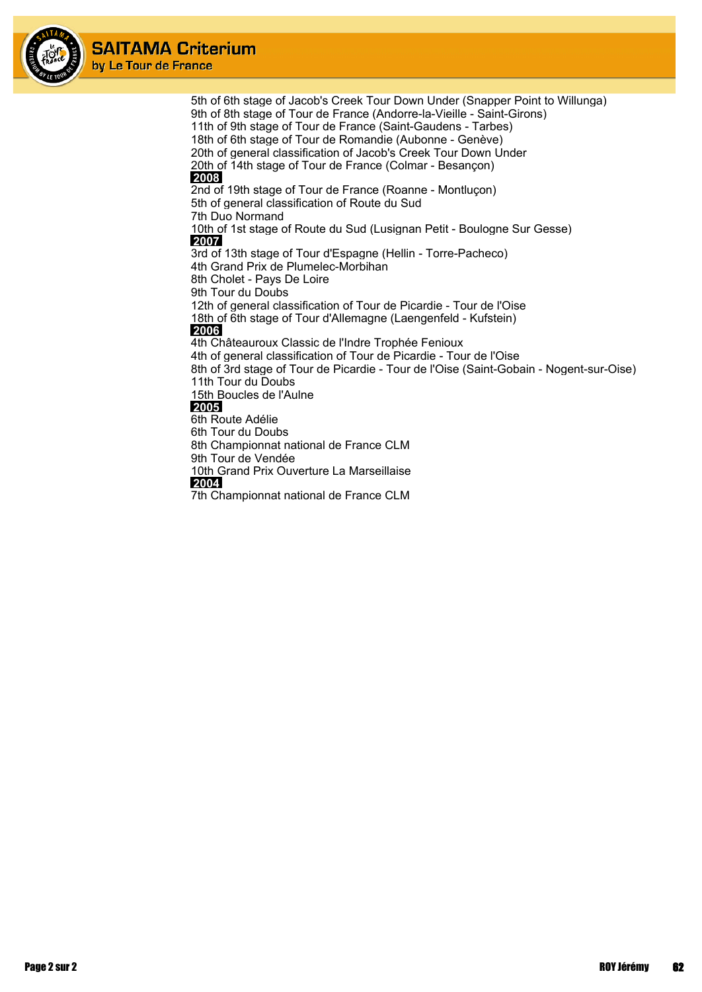

5th of 6th stage of Jacob's Creek Tour Down Under (Snapper Point to Willunga) 9th of 8th stage of Tour de France (Andorre-la-Vieille - Saint-Girons) 11th of 9th stage of Tour de France (Saint-Gaudens - Tarbes) 18th of 6th stage of Tour de Romandie (Aubonne - Genève) 20th of general classification of Jacob's Creek Tour Down Under 20th of 14th stage of Tour de France (Colmar - Besançon)  **2008** 2nd of 19th stage of Tour de France (Roanne - Montluçon) 5th of general classification of Route du Sud 7th Duo Normand 10th of 1st stage of Route du Sud (Lusignan Petit - Boulogne Sur Gesse)  **2007** 3rd of 13th stage of Tour d'Espagne (Hellin - Torre-Pacheco) 4th Grand Prix de Plumelec-Morbihan 8th Cholet - Pays De Loire 9th Tour du Doubs 12th of general classification of Tour de Picardie - Tour de l'Oise 18th of 6th stage of Tour d'Allemagne (Laengenfeld - Kufstein)  **2006** 4th Châteauroux Classic de l'Indre Trophée Fenioux 4th of general classification of Tour de Picardie - Tour de l'Oise 8th of 3rd stage of Tour de Picardie - Tour de l'Oise (Saint-Gobain - Nogent-sur-Oise) 11th Tour du Doubs 15th Boucles de l'Aulne  **2005** 6th Route Adélie 6th Tour du Doubs 8th Championnat national de France CLM 9th Tour de Vendée 10th Grand Prix Ouverture La Marseillaise  **2004**

7th Championnat national de France CLM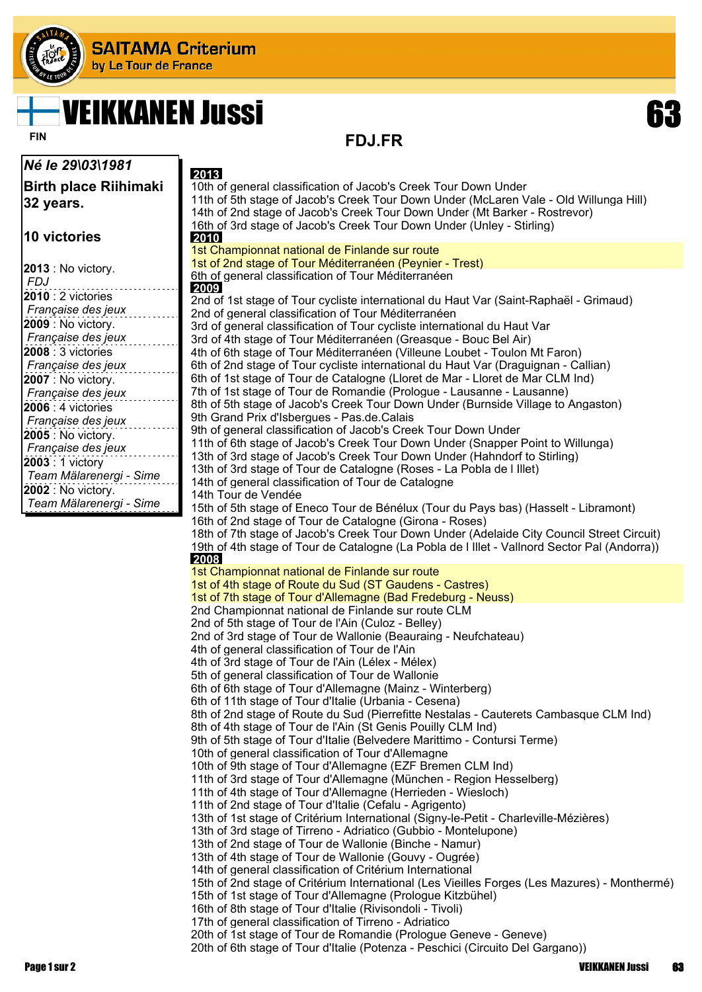

# VEIKKANEN Jussi 63

FIN **FIN FDJ.FR** 

| Né le 29\03\1981                            | 2013                                                                                                                                               |
|---------------------------------------------|----------------------------------------------------------------------------------------------------------------------------------------------------|
| <b>Birth place Riihimaki</b>                | 10th of general classification of Jacob's Creek Tour Down Under                                                                                    |
| 32 years.                                   | 11th of 5th stage of Jacob's Creek Tour Down Under (McLaren Vale - Old Willunga Hill)                                                              |
|                                             | 14th of 2nd stage of Jacob's Creek Tour Down Under (Mt Barker - Rostrevor)                                                                         |
|                                             | 16th of 3rd stage of Jacob's Creek Tour Down Under (Unley - Stirling)                                                                              |
| <b>10 victories</b>                         | <b>2010</b><br>1st Championnat national de Finlande sur route                                                                                      |
|                                             | 1st of 2nd stage of Tour Méditerranéen (Peynier - Trest)                                                                                           |
| 2013 : No victory.                          | 6th of general classification of Tour Méditerranéen                                                                                                |
| FDJ<br>2010 : 2 victories                   | 2009                                                                                                                                               |
| Française des jeux                          | 2nd of 1st stage of Tour cycliste international du Haut Var (Saint-Raphaël - Grimaud)                                                              |
| 2009 : No victory.                          | 2nd of general classification of Tour Méditerranéen<br>3rd of general classification of Tour cycliste international du Haut Var                    |
| Française des jeux                          | 3rd of 4th stage of Tour Méditerranéen (Greasque - Bouc Bel Air)                                                                                   |
| 2008 : 3 victories                          | 4th of 6th stage of Tour Méditerranéen (Villeune Loubet - Toulon Mt Faron)                                                                         |
| Française des jeux                          | 6th of 2nd stage of Tour cycliste international du Haut Var (Draguignan - Callian)                                                                 |
| <b>2007</b> : No victory.                   | 6th of 1st stage of Tour de Catalogne (Lloret de Mar - Lloret de Mar CLM Ind)                                                                      |
| Française des jeux                          | 7th of 1st stage of Tour de Romandie (Prologue - Lausanne - Lausanne)                                                                              |
| 2006 : 4 victories                          | 8th of 5th stage of Jacob's Creek Tour Down Under (Burnside Village to Angaston)<br>9th Grand Prix d'Isbergues - Pas.de.Calais                     |
| Française des jeux                          | 9th of general classification of Jacob's Creek Tour Down Under                                                                                     |
| 2005 : No victory.                          | 11th of 6th stage of Jacob's Creek Tour Down Under (Snapper Point to Willunga)                                                                     |
| Française des jeux                          | 13th of 3rd stage of Jacob's Creek Tour Down Under (Hahndorf to Stirling)                                                                          |
| 2003 : 1 victory<br>Team Mälarenergi - Sime | 13th of 3rd stage of Tour de Catalogne (Roses - La Pobla de I Illet)                                                                               |
| 2002 : No victory.                          | 14th of general classification of Tour de Catalogne                                                                                                |
| Team Mälarenergi - Sime                     | 14th Tour de Vendée<br>15th of 5th stage of Eneco Tour de Bénélux (Tour du Pays bas) (Hasselt - Libramont)                                         |
|                                             | 16th of 2nd stage of Tour de Catalogne (Girona - Roses)                                                                                            |
|                                             | 18th of 7th stage of Jacob's Creek Tour Down Under (Adelaide City Council Street Circuit)                                                          |
|                                             | 19th of 4th stage of Tour de Catalogne (La Pobla de I Illet - Vallnord Sector Pal (Andorra))                                                       |
|                                             | 2008                                                                                                                                               |
|                                             | 1st Championnat national de Finlande sur route                                                                                                     |
|                                             | 1st of 4th stage of Route du Sud (ST Gaudens - Castres)<br>1st of 7th stage of Tour d'Allemagne (Bad Fredeburg - Neuss)                            |
|                                             | 2nd Championnat national de Finlande sur route CLM                                                                                                 |
|                                             | 2nd of 5th stage of Tour de l'Ain (Culoz - Belley)                                                                                                 |
|                                             | 2nd of 3rd stage of Tour de Wallonie (Beauraing - Neufchateau)                                                                                     |
|                                             | 4th of general classification of Tour de l'Ain                                                                                                     |
|                                             | 4th of 3rd stage of Tour de l'Ain (Lélex - Mélex)                                                                                                  |
|                                             | 5th of general classification of Tour de Wallonie<br>6th of 6th stage of Tour d'Allemagne (Mainz - Winterberg)                                     |
|                                             | 6th of 11th stage of Tour d'Italie (Urbania - Cesena)                                                                                              |
|                                             | 8th of 2nd stage of Route du Sud (Pierrefitte Nestalas - Cauterets Cambasque CLM Ind)                                                              |
|                                             | 8th of 4th stage of Tour de l'Ain (St Genis Pouilly CLM Ind)                                                                                       |
|                                             | 9th of 5th stage of Tour d'Italie (Belvedere Marittimo - Contursi Terme)                                                                           |
|                                             | 10th of general classification of Tour d'Allemagne<br>10th of 9th stage of Tour d'Allemagne (EZF Bremen CLM Ind)                                   |
|                                             | 11th of 3rd stage of Tour d'Allemagne (München - Region Hesselberg)                                                                                |
|                                             | 11th of 4th stage of Tour d'Allemagne (Herrieden - Wiesloch)                                                                                       |
|                                             | 11th of 2nd stage of Tour d'Italie (Cefalu - Agrigento)                                                                                            |
|                                             | 13th of 1st stage of Critérium International (Signy-le-Petit - Charleville-Mézières)                                                               |
|                                             | 13th of 3rd stage of Tirreno - Adriatico (Gubbio - Montelupone)                                                                                    |
|                                             | 13th of 2nd stage of Tour de Wallonie (Binche - Namur)<br>13th of 4th stage of Tour de Wallonie (Gouvy - Ougrée)                                   |
|                                             | 14th of general classification of Critérium International                                                                                          |
|                                             | 15th of 2nd stage of Critérium International (Les Vieilles Forges (Les Mazures) - Monthermé)                                                       |
|                                             | 15th of 1st stage of Tour d'Allemagne (Prologue Kitzbühel)                                                                                         |
|                                             | 16th of 8th stage of Tour d'Italie (Rivisondoli - Tivoli)                                                                                          |
|                                             | 17th of general classification of Tirreno - Adriatico                                                                                              |
|                                             | 20th of 1st stage of Tour de Romandie (Prologue Geneve - Geneve)<br>20th of 6th stage of Tour d'Italie (Potenza - Peschici (Circuito Del Gargano)) |
|                                             |                                                                                                                                                    |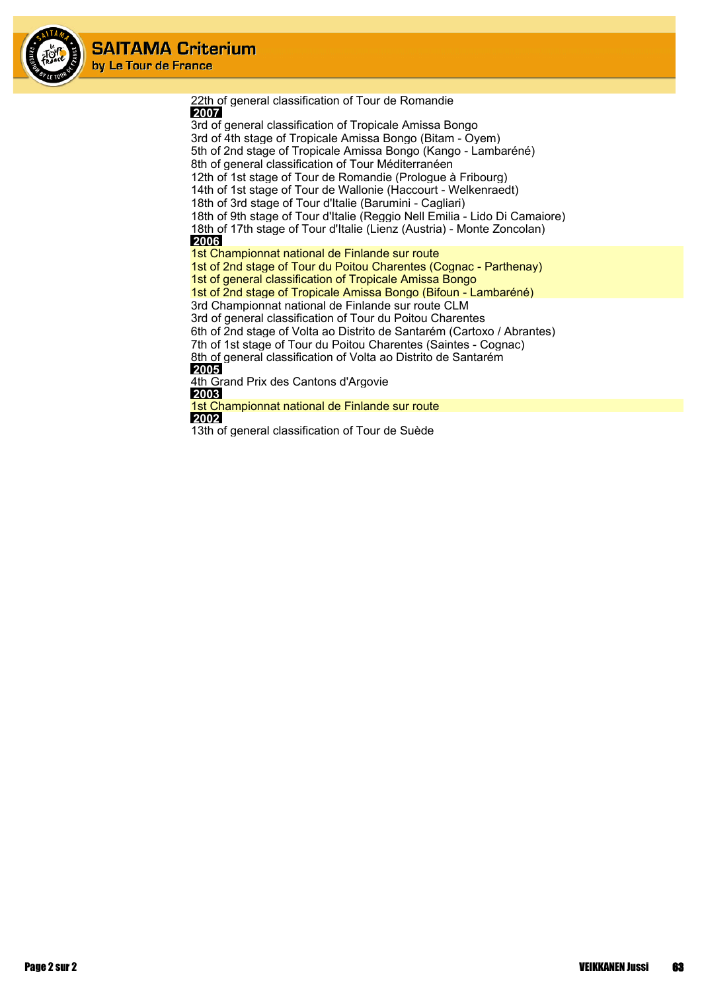

22th of general classification of Tour de Romandie  **2007** 3rd of general classification of Tropicale Amissa Bongo 3rd of 4th stage of Tropicale Amissa Bongo (Bitam - Oyem) 5th of 2nd stage of Tropicale Amissa Bongo (Kango - Lambaréné) 8th of general classification of Tour Méditerranéen 12th of 1st stage of Tour de Romandie (Prologue à Fribourg) 14th of 1st stage of Tour de Wallonie (Haccourt - Welkenraedt) 18th of 3rd stage of Tour d'Italie (Barumini - Cagliari) 18th of 9th stage of Tour d'Italie (Reggio Nell Emilia - Lido Di Camaiore) 18th of 17th stage of Tour d'Italie (Lienz (Austria) - Monte Zoncolan)  **2006** 1st Championnat national de Finlande sur route 1st of 2nd stage of Tour du Poitou Charentes (Cognac - Parthenay) 1st of general classification of Tropicale Amissa Bongo 1st of 2nd stage of Tropicale Amissa Bongo (Bifoun - Lambaréné) 3rd Championnat national de Finlande sur route CLM 3rd of general classification of Tour du Poitou Charentes 6th of 2nd stage of Volta ao Distrito de Santarém (Cartoxo / Abrantes) 7th of 1st stage of Tour du Poitou Charentes (Saintes - Cognac) 8th of general classification of Volta ao Distrito de Santarém  **2005** 4th Grand Prix des Cantons d'Argovie  **2003** 1st Championnat national de Finlande sur route  **2002** 13th of general classification of Tour de Suède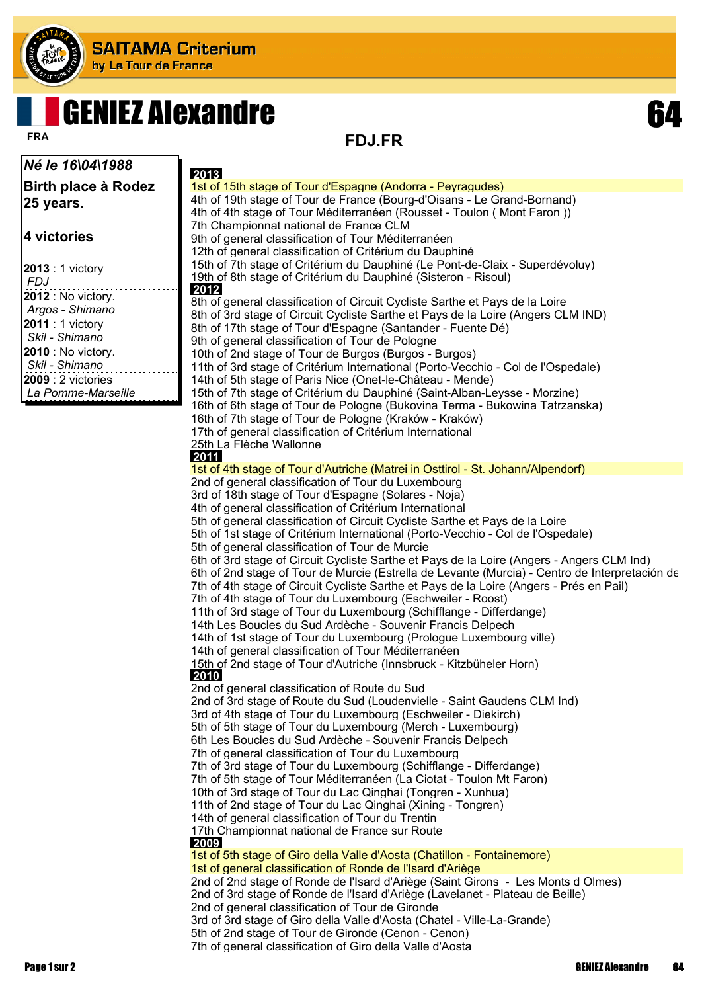

# **GENIEZ Alexandre**

*Né le 16\04\1988*

**Birth place à Rodez 25 years.**

**4 victories**

| $2013:1$ victory   |
|--------------------|
| FDJ                |
| 2012 : No victory. |
| Argos - Shimano    |
| 2011 : 1 victory   |
| Skil - Shimano     |
| 2010 : No victory. |
| Skil - Shimano     |
| $2009:2$ victories |
| La Pomme-Marseille |
|                    |

**FDJ.FR FRA**

 **2013** 1st of 15th stage of Tour d'Espagne (Andorra - Peyragudes) 4th of 19th stage of Tour de France (Bourg-d'Oisans - Le Grand-Bornand) 4th of 4th stage of Tour Méditerranéen (Rousset - Toulon ( Mont Faron )) 7th Championnat national de France CLM 9th of general classification of Tour Méditerranéen 12th of general classification of Critérium du Dauphiné 15th of 7th stage of Critérium du Dauphiné (Le Pont-de-Claix - Superdévoluy) 19th of 8th stage of Critérium du Dauphiné (Sisteron - Risoul)  **2012** 8th of general classification of Circuit Cycliste Sarthe et Pays de la Loire 8th of 3rd stage of Circuit Cycliste Sarthe et Pays de la Loire (Angers CLM IND) 8th of 17th stage of Tour d'Espagne (Santander - Fuente Dé) 9th of general classification of Tour de Pologne 10th of 2nd stage of Tour de Burgos (Burgos - Burgos) 11th of 3rd stage of Critérium International (Porto-Vecchio - Col de l'Ospedale) 14th of 5th stage of Paris Nice (Onet-le-Château - Mende) 15th of 7th stage of Critérium du Dauphiné (Saint-Alban-Leysse - Morzine) 16th of 6th stage of Tour de Pologne (Bukovina Terma - Bukowina Tatrzanska) 16th of 7th stage of Tour de Pologne (Kraków - Kraków) 17th of general classification of Critérium International 25th La Flèche Wallonne  **2011** 1st of 4th stage of Tour d'Autriche (Matrei in Osttirol - St. Johann/Alpendorf) 2nd of general classification of Tour du Luxembourg 3rd of 18th stage of Tour d'Espagne (Solares - Noja) 4th of general classification of Critérium International 5th of general classification of Circuit Cycliste Sarthe et Pays de la Loire 5th of 1st stage of Critérium International (Porto-Vecchio - Col de l'Ospedale) 5th of general classification of Tour de Murcie 6th of 3rd stage of Circuit Cycliste Sarthe et Pays de la Loire (Angers - Angers CLM Ind) 6th of 2nd stage of Tour de Murcie (Estrella de Levante (Murcia) - Centro de Interpretación de 7th of 4th stage of Circuit Cycliste Sarthe et Pays de la Loire (Angers - Prés en Pail) 7th of 4th stage of Tour du Luxembourg (Eschweiler - Roost) 11th of 3rd stage of Tour du Luxembourg (Schifflange - Differdange) 14th Les Boucles du Sud Ardèche - Souvenir Francis Delpech 14th of 1st stage of Tour du Luxembourg (Prologue Luxembourg ville) 14th of general classification of Tour Méditerranéen 15th of 2nd stage of Tour d'Autriche (Innsbruck - Kitzbüheler Horn)  **2010** 2nd of general classification of Route du Sud 2nd of 3rd stage of Route du Sud (Loudenvielle - Saint Gaudens CLM Ind) 3rd of 4th stage of Tour du Luxembourg (Eschweiler - Diekirch) 5th of 5th stage of Tour du Luxembourg (Merch - Luxembourg) 6th Les Boucles du Sud Ardèche - Souvenir Francis Delpech 7th of general classification of Tour du Luxembourg 7th of 3rd stage of Tour du Luxembourg (Schifflange - Differdange) 7th of 5th stage of Tour Méditerranéen (La Ciotat - Toulon Mt Faron) 10th of 3rd stage of Tour du Lac Qinghai (Tongren - Xunhua) 11th of 2nd stage of Tour du Lac Qinghai (Xining - Tongren) 14th of general classification of Tour du Trentin 17th Championnat national de France sur Route  **2009** 1st of 5th stage of Giro della Valle d'Aosta (Chatillon - Fontainemore) 1st of general classification of Ronde de l'Isard d'Ariège 2nd of 2nd stage of Ronde de l'Isard d'Ariège (Saint Girons - Les Monts d Olmes) 2nd of 3rd stage of Ronde de l'Isard d'Ariège (Lavelanet - Plateau de Beille) 2nd of general classification of Tour de Gironde 3rd of 3rd stage of Giro della Valle d'Aosta (Chatel - Ville-La-Grande) 5th of 2nd stage of Tour de Gironde (Cenon - Cenon) 7th of general classification of Giro della Valle d'Aosta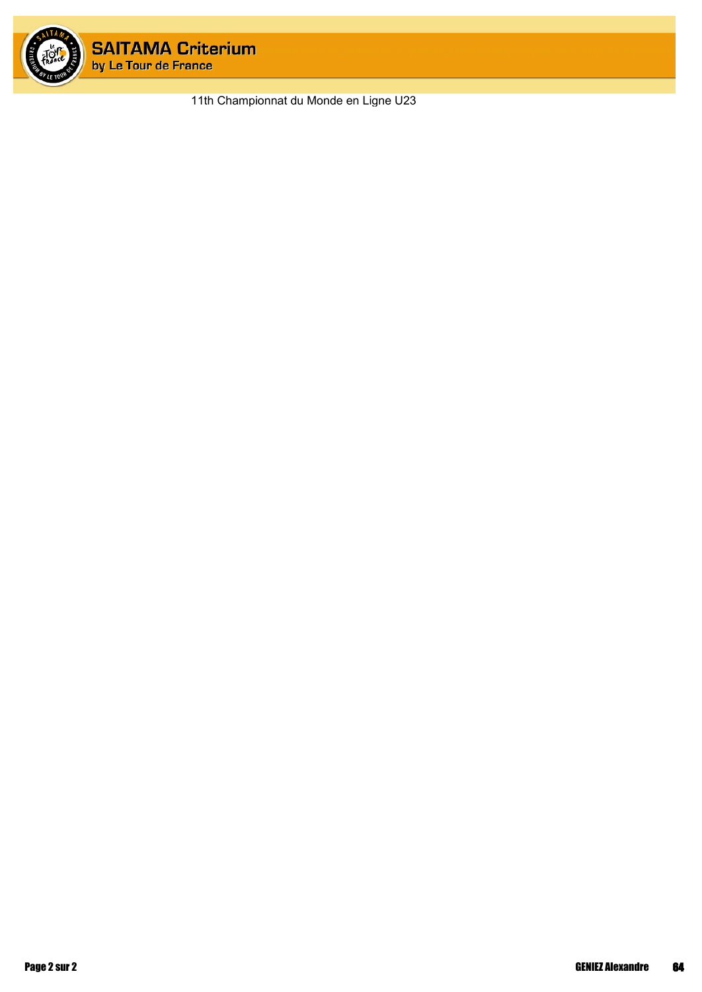

11th Championnat du Monde en Ligne U23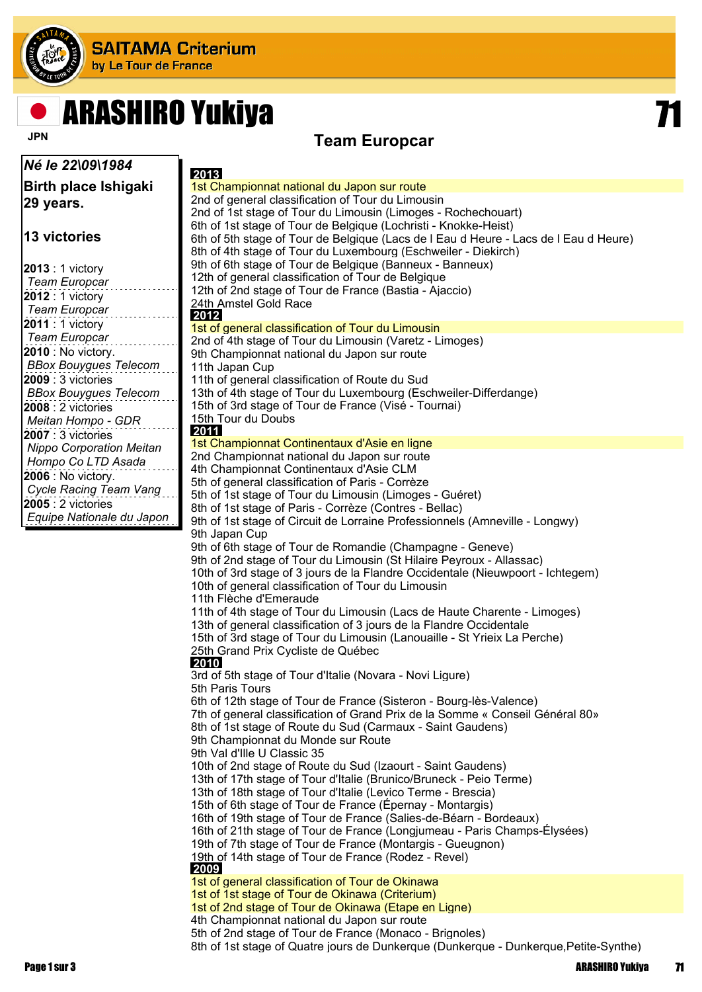

# ARASHIRO Yukiya 71

### **Team Europcar**

| Né le 22\09\1984                                      | 2013                                                                                                                              |
|-------------------------------------------------------|-----------------------------------------------------------------------------------------------------------------------------------|
| <b>Birth place Ishigaki</b>                           | 1st Championnat national du Japon sur route                                                                                       |
| 29 years.                                             | 2nd of general classification of Tour du Limousin                                                                                 |
|                                                       | 2nd of 1st stage of Tour du Limousin (Limoges - Rochechouart)                                                                     |
|                                                       | 6th of 1st stage of Tour de Belgique (Lochristi - Knokke-Heist)                                                                   |
| <b>13 victories</b>                                   | 6th of 5th stage of Tour de Belgique (Lacs de I Eau d Heure - Lacs de I Eau d Heure)                                              |
|                                                       | 8th of 4th stage of Tour du Luxembourg (Eschweiler - Diekirch)                                                                    |
| $2013:1$ victory                                      | 9th of 6th stage of Tour de Belgique (Banneux - Banneux)                                                                          |
| <b>Team Europcar</b>                                  | 12th of general classification of Tour de Belgique                                                                                |
| $2012:1$ victory                                      | 12th of 2nd stage of Tour de France (Bastia - Ajaccio)<br>24th Amstel Gold Race                                                   |
| <b>Team Europcar</b>                                  | 2012                                                                                                                              |
| 2011 : 1 victory                                      | 1st of general classification of Tour du Limousin                                                                                 |
| <b>Team Europcar</b>                                  | 2nd of 4th stage of Tour du Limousin (Varetz - Limoges)                                                                           |
| <b>2010</b> : No victory.                             | 9th Championnat national du Japon sur route                                                                                       |
| <b>BBox Bouygues Telecom</b>                          | 11th Japan Cup                                                                                                                    |
| <b>2009</b> : 3 victories                             | 11th of general classification of Route du Sud                                                                                    |
| <b>BBox Bouygues Telecom</b>                          | 13th of 4th stage of Tour du Luxembourg (Eschweiler-Differdange)                                                                  |
| <b>2008</b> : 2 victories                             | 15th of 3rd stage of Tour de France (Visé - Tournai)<br>15th Tour du Doubs                                                        |
| Meitan Hompo - GDR                                    | 2011                                                                                                                              |
| 2007: 3 victories                                     | 1st Championnat Continentaux d'Asie en ligne                                                                                      |
| <b>Nippo Corporation Meitan</b><br>Hompo Co LTD Asada | 2nd Championnat national du Japon sur route                                                                                       |
| 2006 : No victory.                                    | 4th Championnat Continentaux d'Asie CLM                                                                                           |
| Cycle Racing Team Vang                                | 5th of general classification of Paris - Corrèze                                                                                  |
| $2005:2$ victories                                    | 5th of 1st stage of Tour du Limousin (Limoges - Guéret)                                                                           |
| Equipe Nationale du Japon                             | 8th of 1st stage of Paris - Corrèze (Contres - Bellac)                                                                            |
|                                                       | 9th of 1st stage of Circuit de Lorraine Professionnels (Amneville - Longwy)<br>9th Japan Cup                                      |
|                                                       | 9th of 6th stage of Tour de Romandie (Champagne - Geneve)                                                                         |
|                                                       | 9th of 2nd stage of Tour du Limousin (St Hilaire Peyroux - Allassac)                                                              |
|                                                       | 10th of 3rd stage of 3 jours de la Flandre Occidentale (Nieuwpoort - Ichtegem)                                                    |
|                                                       | 10th of general classification of Tour du Limousin                                                                                |
|                                                       | 11th Flèche d'Emeraude                                                                                                            |
|                                                       | 11th of 4th stage of Tour du Limousin (Lacs de Haute Charente - Limoges)                                                          |
|                                                       | 13th of general classification of 3 jours de la Flandre Occidentale                                                               |
|                                                       | 15th of 3rd stage of Tour du Limousin (Lanouaille - St Yrieix La Perche)                                                          |
|                                                       | 25th Grand Prix Cycliste de Québec<br>2010                                                                                        |
|                                                       | 3rd of 5th stage of Tour d'Italie (Novara - Novi Ligure)                                                                          |
|                                                       | 5th Paris Tours                                                                                                                   |
|                                                       | 6th of 12th stage of Tour de France (Sisteron - Bourg-lès-Valence)                                                                |
|                                                       | 7th of general classification of Grand Prix de la Somme « Conseil Général 80»                                                     |
|                                                       | 8th of 1st stage of Route du Sud (Carmaux - Saint Gaudens)                                                                        |
|                                                       | 9th Championnat du Monde sur Route                                                                                                |
|                                                       | 9th Val d'Ille U Classic 35                                                                                                       |
|                                                       | 10th of 2nd stage of Route du Sud (Izaourt - Saint Gaudens)<br>13th of 17th stage of Tour d'Italie (Brunico/Bruneck - Peio Terme) |
|                                                       | 13th of 18th stage of Tour d'Italie (Levico Terme - Brescia)                                                                      |
|                                                       | 15th of 6th stage of Tour de France (Épernay - Montargis)                                                                         |
|                                                       | 16th of 19th stage of Tour de France (Salies-de-Béarn - Bordeaux)                                                                 |
|                                                       | 16th of 21th stage of Tour de France (Longjumeau - Paris Champs-Élysées)                                                          |
|                                                       | 19th of 7th stage of Tour de France (Montargis - Gueugnon)                                                                        |
|                                                       | 19th of 14th stage of Tour de France (Rodez - Revel)                                                                              |
|                                                       | 2009                                                                                                                              |
|                                                       | 1st of general classification of Tour de Okinawa<br>1st of 1st stage of Tour de Okinawa (Criterium)                               |
|                                                       | 1st of 2nd stage of Tour de Okinawa (Etape en Ligne)                                                                              |
|                                                       | 4th Championnat national du Japon sur route                                                                                       |
|                                                       | 5th of 2nd stage of Tour de France (Monaco - Brignoles)                                                                           |
|                                                       | 8th of 1st stage of Quatre jours de Dunkerque (Dunkerque - Dunkerque, Petite-Synthe)                                              |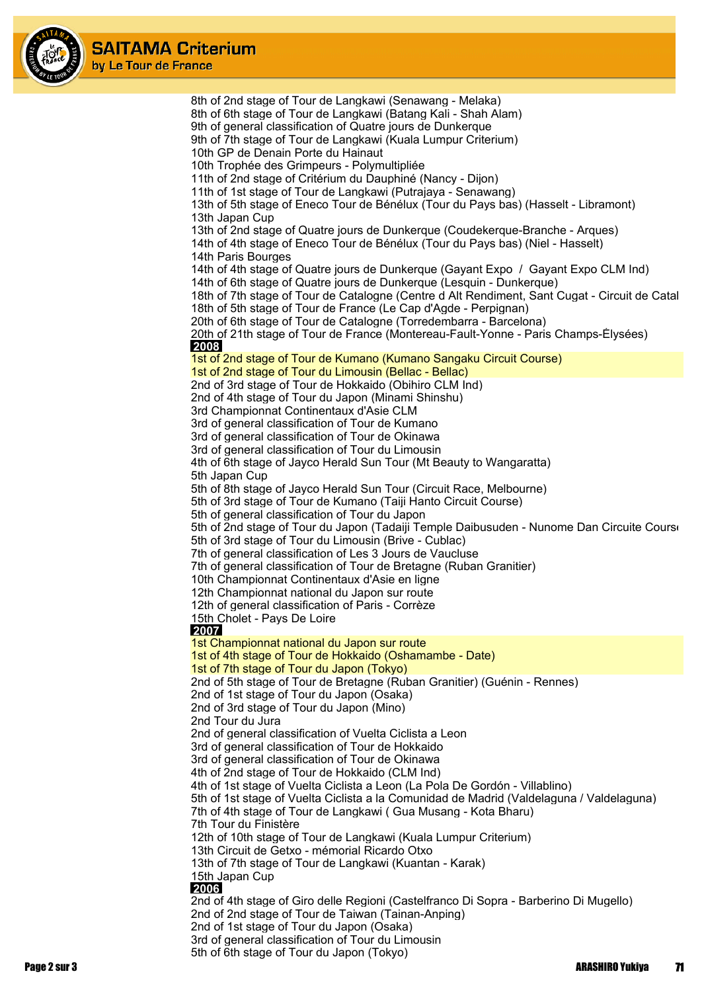

8th of 2nd stage of Tour de Langkawi (Senawang - Melaka) 8th of 6th stage of Tour de Langkawi (Batang Kali - Shah Alam) 9th of general classification of Quatre jours de Dunkerque 9th of 7th stage of Tour de Langkawi (Kuala Lumpur Criterium) 10th GP de Denain Porte du Hainaut 10th Trophée des Grimpeurs - Polymultipliée 11th of 2nd stage of Critérium du Dauphiné (Nancy - Dijon) 11th of 1st stage of Tour de Langkawi (Putrajaya - Senawang) 13th of 5th stage of Eneco Tour de Bénélux (Tour du Pays bas) (Hasselt - Libramont) 13th Japan Cup 13th of 2nd stage of Quatre jours de Dunkerque (Coudekerque-Branche - Arques) 14th of 4th stage of Eneco Tour de Bénélux (Tour du Pays bas) (Niel - Hasselt) 14th Paris Bourges 14th of 4th stage of Quatre jours de Dunkerque (Gayant Expo / Gayant Expo CLM Ind) 14th of 6th stage of Quatre jours de Dunkerque (Lesquin - Dunkerque) 18th of 7th stage of Tour de Catalogne (Centre d Alt Rendiment, Sant Cugat - Circuit de Catal 18th of 5th stage of Tour de France (Le Cap d'Agde - Perpignan) 20th of 6th stage of Tour de Catalogne (Torredembarra - Barcelona) 20th of 21th stage of Tour de France (Montereau-Fault-Yonne - Paris Champs-Élysées)  **2008** 1st of 2nd stage of Tour de Kumano (Kumano Sangaku Circuit Course) 1st of 2nd stage of Tour du Limousin (Bellac - Bellac) 2nd of 3rd stage of Tour de Hokkaido (Obihiro CLM Ind) 2nd of 4th stage of Tour du Japon (Minami Shinshu) 3rd Championnat Continentaux d'Asie CLM 3rd of general classification of Tour de Kumano 3rd of general classification of Tour de Okinawa 3rd of general classification of Tour du Limousin 4th of 6th stage of Jayco Herald Sun Tour (Mt Beauty to Wangaratta) 5th Japan Cup 5th of 8th stage of Jayco Herald Sun Tour (Circuit Race, Melbourne) 5th of 3rd stage of Tour de Kumano (Taiji Hanto Circuit Course) 5th of general classification of Tour du Japon 5th of 2nd stage of Tour du Japon (Tadaiji Temple Daibusuden - Nunome Dan Circuite Course 5th of 3rd stage of Tour du Limousin (Brive - Cublac) 7th of general classification of Les 3 Jours de Vaucluse 7th of general classification of Tour de Bretagne (Ruban Granitier) 10th Championnat Continentaux d'Asie en ligne 12th Championnat national du Japon sur route 12th of general classification of Paris - Corrèze 15th Cholet - Pays De Loire  **2007** 1st Championnat national du Japon sur route 1st of 4th stage of Tour de Hokkaido (Oshamambe - Date) 1st of 7th stage of Tour du Japon (Tokyo) 2nd of 5th stage of Tour de Bretagne (Ruban Granitier) (Guénin - Rennes) 2nd of 1st stage of Tour du Japon (Osaka) 2nd of 3rd stage of Tour du Japon (Mino) 2nd Tour du Jura 2nd of general classification of Vuelta Ciclista a Leon 3rd of general classification of Tour de Hokkaido 3rd of general classification of Tour de Okinawa 4th of 2nd stage of Tour de Hokkaido (CLM Ind) 4th of 1st stage of Vuelta Ciclista a Leon (La Pola De Gordón - Villablino) 5th of 1st stage of Vuelta Ciclista a la Comunidad de Madrid (Valdelaguna / Valdelaguna) 7th of 4th stage of Tour de Langkawi ( Gua Musang - Kota Bharu) 7th Tour du Finistère 12th of 10th stage of Tour de Langkawi (Kuala Lumpur Criterium) 13th Circuit de Getxo - mémorial Ricardo Otxo 13th of 7th stage of Tour de Langkawi (Kuantan - Karak) 15th Japan Cup  **2006** 2nd of 4th stage of Giro delle Regioni (Castelfranco Di Sopra - Barberino Di Mugello) 2nd of 2nd stage of Tour de Taiwan (Tainan-Anping) 2nd of 1st stage of Tour du Japon (Osaka) 3rd of general classification of Tour du Limousin 5th of 6th stage of Tour du Japon (Tokyo)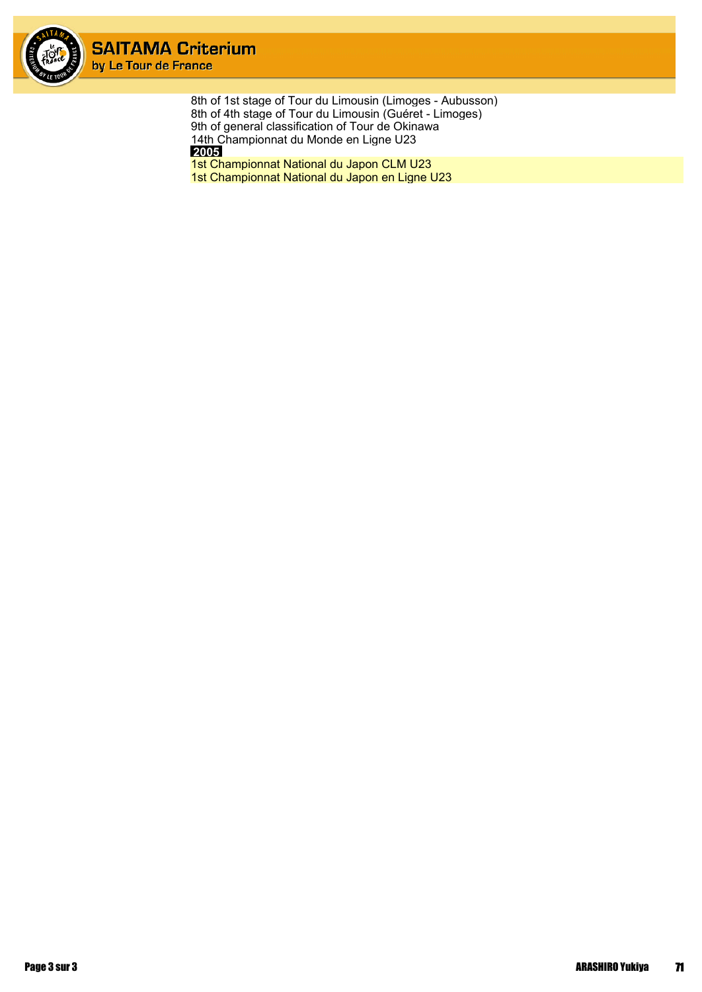

8th of 1st stage of Tour du Limousin (Limoges - Aubusson) 8th of 4th stage of Tour du Limousin (Guéret - Limoges) 9th of general classification of Tour de Okinawa 14th Championnat du Monde en Ligne U23  **2005**

1st Championnat National du Japon CLM U23 1st Championnat National du Japon en Ligne U23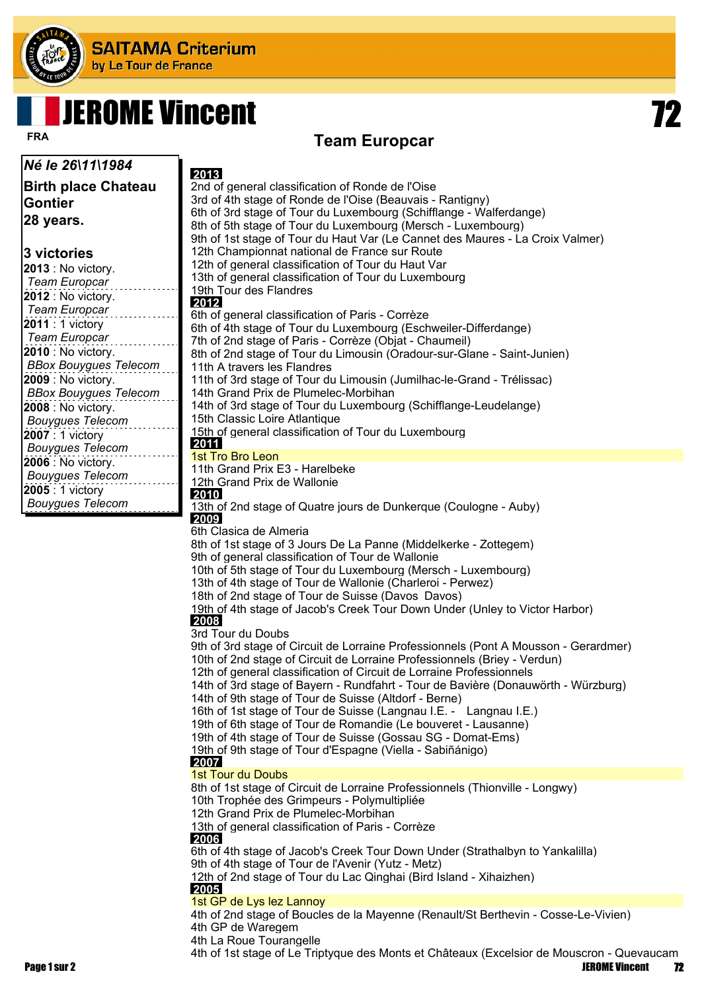

# **JEROME Vincent**

#### **Team Europcar FRA**

**Birth place Chateau Gontier 28 years.**

*Né le 26\11\1984*

#### **3 victories**

**2013** : No victory. *Team Europcar* **2012** : No victory. *Team Europcar* **2011** : 1 victory *Team Europcar* **2010** : No victory. *BBox Bouygues Telecom* **2009** : No victory. *BBox Bouygues Telecom* **2008** : No victory. *Bouygues Telecom* **2007** : 1 victory *Bouygues Telecom* **2006** : No victory. *Bouygues Telecom* **2005** : 1 victory *Bouygues Telecom*

 **2013** 2nd of general classification of Ronde de l'Oise 3rd of 4th stage of Ronde de l'Oise (Beauvais - Rantigny) 6th of 3rd stage of Tour du Luxembourg (Schifflange - Walferdange) 8th of 5th stage of Tour du Luxembourg (Mersch - Luxembourg) 9th of 1st stage of Tour du Haut Var (Le Cannet des Maures - La Croix Valmer) 12th Championnat national de France sur Route 12th of general classification of Tour du Haut Var 13th of general classification of Tour du Luxembourg 19th Tour des Flandres  **2012** 6th of general classification of Paris - Corrèze 6th of 4th stage of Tour du Luxembourg (Eschweiler-Differdange) 7th of 2nd stage of Paris - Corrèze (Objat - Chaumeil) 8th of 2nd stage of Tour du Limousin (Oradour-sur-Glane - Saint-Junien) 11th A travers les Flandres 11th of 3rd stage of Tour du Limousin (Jumilhac-le-Grand - Trélissac) 14th Grand Prix de Plumelec-Morbihan 14th of 3rd stage of Tour du Luxembourg (Schifflange-Leudelange) 15th Classic Loire Atlantique 15th of general classification of Tour du Luxembourg  **2011** 1st Tro Bro Leon 11th Grand Prix E3 - Harelbeke 12th Grand Prix de Wallonie  **2010** 13th of 2nd stage of Quatre jours de Dunkerque (Coulogne - Auby)  **2009** 6th Clasica de Almeria 8th of 1st stage of 3 Jours De La Panne (Middelkerke - Zottegem) 9th of general classification of Tour de Wallonie 10th of 5th stage of Tour du Luxembourg (Mersch - Luxembourg) 13th of 4th stage of Tour de Wallonie (Charleroi - Perwez) 18th of 2nd stage of Tour de Suisse (Davos Davos) 19th of 4th stage of Jacob's Creek Tour Down Under (Unley to Victor Harbor)  **2008** 3rd Tour du Doubs 9th of 3rd stage of Circuit de Lorraine Professionnels (Pont A Mousson - Gerardmer) 10th of 2nd stage of Circuit de Lorraine Professionnels (Briey - Verdun) 12th of general classification of Circuit de Lorraine Professionnels 14th of 3rd stage of Bayern - Rundfahrt - Tour de Bavière (Donauwörth - Würzburg) 14th of 9th stage of Tour de Suisse (Altdorf - Berne) 16th of 1st stage of Tour de Suisse (Langnau I.E. - Langnau I.E.) 19th of 6th stage of Tour de Romandie (Le bouveret - Lausanne) 19th of 4th stage of Tour de Suisse (Gossau SG - Domat-Ems) 19th of 9th stage of Tour d'Espagne (Viella - Sabiñánigo)  **2007** 1st Tour du Doubs 8th of 1st stage of Circuit de Lorraine Professionnels (Thionville - Longwy) 10th Trophée des Grimpeurs - Polymultipliée 12th Grand Prix de Plumelec-Morbihan 13th of general classification of Paris - Corrèze  **2006** 6th of 4th stage of Jacob's Creek Tour Down Under (Strathalbyn to Yankalilla) 9th of 4th stage of Tour de l'Avenir (Yutz - Metz) 12th of 2nd stage of Tour du Lac Qinghai (Bird Island - Xihaizhen)  **2005** 1st GP de Lys lez Lannoy 4th of 2nd stage of Boucles de la Mayenne (Renault/St Berthevin - Cosse-Le-Vivien) 4th GP de Waregem

4th La Roue Tourangelle

4th of 1st stage of Le Triptyque des Monts et Châteaux (Excelsior de Mouscron - Quevaucamp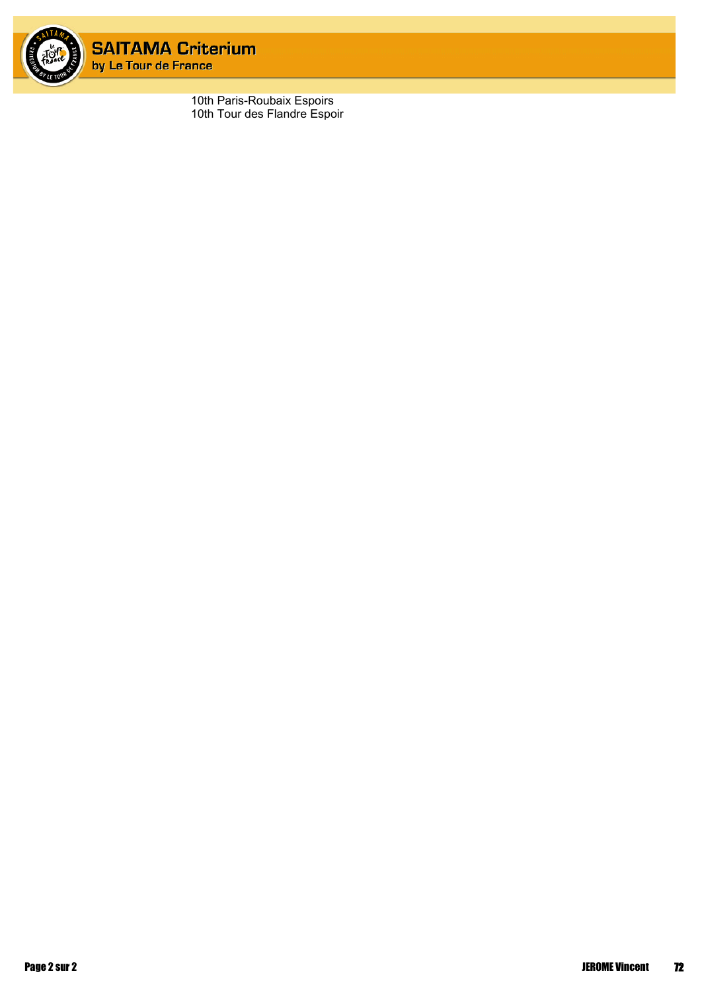

10th Paris-Roubaix Espoirs 10th Tour des Flandre Espoir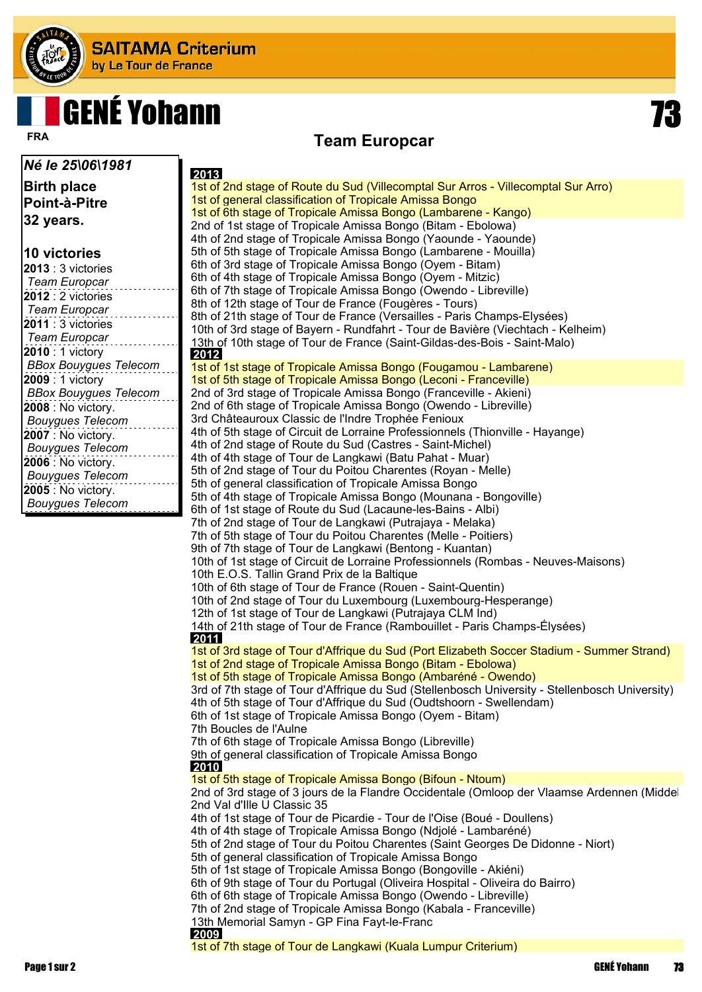

# **GENÉ Yohann**

#### **Team Europcar FRA**

*Né le 25\06\1981* **Birth place Point-à-Pitre 32 years. 10 victories 2013** : 3 victories *Team Europcar* **2012** : 2 victories *Team Europcar* **2011** : 3 victories *Team Europcar* **2010** : 1 victory *BBox Bouygues Telecom* **2009** : 1 victory *BBox Bouygues Telecom* **2008** : No victory. *Bouygues Telecom* **2007** : No victory. *Bouygues Telecom* **2006** : No victory. *Bouygues Telecom* **2005** : No victory. *Bouygues Telecom*  **2013** 1st of 2nd stage of Route du Sud (Villecomptal Sur Arros - Villecomptal Sur Arro) 1st of general classification of Tropicale Amissa Bongo 1st of 6th stage of Tropicale Amissa Bongo (Lambarene - Kango) 2nd of 1st stage of Tropicale Amissa Bongo (Bitam - Ebolowa) 4th of 2nd stage of Tropicale Amissa Bongo (Yaounde - Yaounde) 5th of 5th stage of Tropicale Amissa Bongo (Lambarene - Mouilla) 6th of 3rd stage of Tropicale Amissa Bongo (Oyem - Bitam) 6th of 4th stage of Tropicale Amissa Bongo (Oyem - Mitzic) 6th of 7th stage of Tropicale Amissa Bongo (Owendo - Libreville) 8th of 12th stage of Tour de France (Fougères - Tours) 8th of 21th stage of Tour de France (Versailles - Paris Champs-Elysées) 10th of 3rd stage of Bayern - Rundfahrt - Tour de Bavière (Viechtach - Kelheim) 13th of 10th stage of Tour de France (Saint-Gildas-des-Bois - Saint-Malo)  **2012** 1st of 1st stage of Tropicale Amissa Bongo (Fougamou - Lambarene) 1st of 5th stage of Tropicale Amissa Bongo (Leconi - Franceville) 2nd of 3rd stage of Tropicale Amissa Bongo (Franceville - Akieni) 2nd of 6th stage of Tropicale Amissa Bongo (Owendo - Libreville) 3rd Châteauroux Classic de l'Indre Trophée Fenioux 4th of 5th stage of Circuit de Lorraine Professionnels (Thionville - Hayange) 4th of 2nd stage of Route du Sud (Castres - Saint-Michel) 4th of 4th stage of Tour de Langkawi (Batu Pahat - Muar) 5th of 2nd stage of Tour du Poitou Charentes (Royan - Melle) 5th of general classification of Tropicale Amissa Bongo 5th of 4th stage of Tropicale Amissa Bongo (Mounana - Bongoville) 6th of 1st stage of Route du Sud (Lacaune-les-Bains - Albi) 7th of 2nd stage of Tour de Langkawi (Putrajaya - Melaka) 7th of 5th stage of Tour du Poitou Charentes (Melle - Poitiers) 9th of 7th stage of Tour de Langkawi (Bentong - Kuantan) 10th of 1st stage of Circuit de Lorraine Professionnels (Rombas - Neuves-Maisons) 10th E.O.S. Tallin Grand Prix de la Baltique 10th of 6th stage of Tour de France (Rouen - Saint-Quentin) 10th of 2nd stage of Tour du Luxembourg (Luxembourg-Hesperange) 12th of 1st stage of Tour de Langkawi (Putrajaya CLM Ind) 14th of 21th stage of Tour de France (Rambouillet - Paris Champs-Élysées)  **2011** 1st of 3rd stage of Tour d'Affrique du Sud (Port Elizabeth Soccer Stadium - Summer Strand) 1st of 2nd stage of Tropicale Amissa Bongo (Bitam - Ebolowa) 1st of 5th stage of Tropicale Amissa Bongo (Ambaréné - Owendo) 3rd of 7th stage of Tour d'Affrique du Sud (Stellenbosch University - Stellenbosch University) 4th of 5th stage of Tour d'Affrique du Sud (Oudtshoorn - Swellendam) 6th of 1st stage of Tropicale Amissa Bongo (Oyem - Bitam) 7th Boucles de l'Aulne 7th of 6th stage of Tropicale Amissa Bongo (Libreville) 9th of general classification of Tropicale Amissa Bongo  **2010** 1st of 5th stage of Tropicale Amissa Bongo (Bifoun - Ntoum) 2nd of 3rd stage of 3 jours de la Flandre Occidentale (Omloop der Vlaamse Ardennen (Middel 2nd Val d'Ille U Classic 35 4th of 1st stage of Tour de Picardie - Tour de l'Oise (Boué - Doullens) 4th of 4th stage of Tropicale Amissa Bongo (Ndjolé - Lambaréné) 5th of 2nd stage of Tour du Poitou Charentes (Saint Georges De Didonne - Niort) 5th of general classification of Tropicale Amissa Bongo 5th of 1st stage of Tropicale Amissa Bongo (Bongoville - Akiéni) 6th of 9th stage of Tour du Portugal (Oliveira Hospital - Oliveira do Bairro) 6th of 6th stage of Tropicale Amissa Bongo (Owendo - Libreville) 7th of 2nd stage of Tropicale Amissa Bongo (Kabala - Franceville) 13th Memorial Samyn - GP Fina Fayt-le-Franc  **2009**

1st of 7th stage of Tour de Langkawi (Kuala Lumpur Criterium)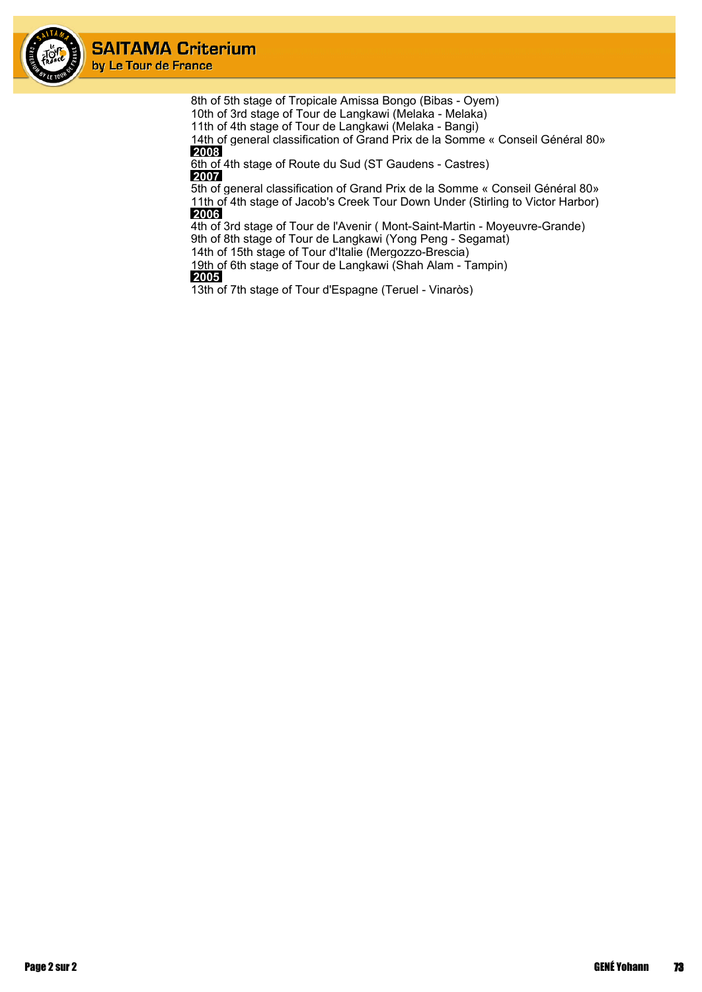

> 8th of 5th stage of Tropicale Amissa Bongo (Bibas - Oyem) 10th of 3rd stage of Tour de Langkawi (Melaka - Melaka) 11th of 4th stage of Tour de Langkawi (Melaka - Bangi) 14th of general classification of Grand Prix de la Somme « Conseil Général 80»  **2008** 6th of 4th stage of Route du Sud (ST Gaudens - Castres)

 **2007**

5th of general classification of Grand Prix de la Somme « Conseil Général 80» 11th of 4th stage of Jacob's Creek Tour Down Under (Stirling to Victor Harbor)  **2006**

4th of 3rd stage of Tour de l'Avenir ( Mont-Saint-Martin - Moyeuvre-Grande) 9th of 8th stage of Tour de Langkawi (Yong Peng - Segamat)

14th of 15th stage of Tour d'Italie (Mergozzo-Brescia)

19th of 6th stage of Tour de Langkawi (Shah Alam - Tampin)  **2005**

13th of 7th stage of Tour d'Espagne (Teruel - Vinaròs)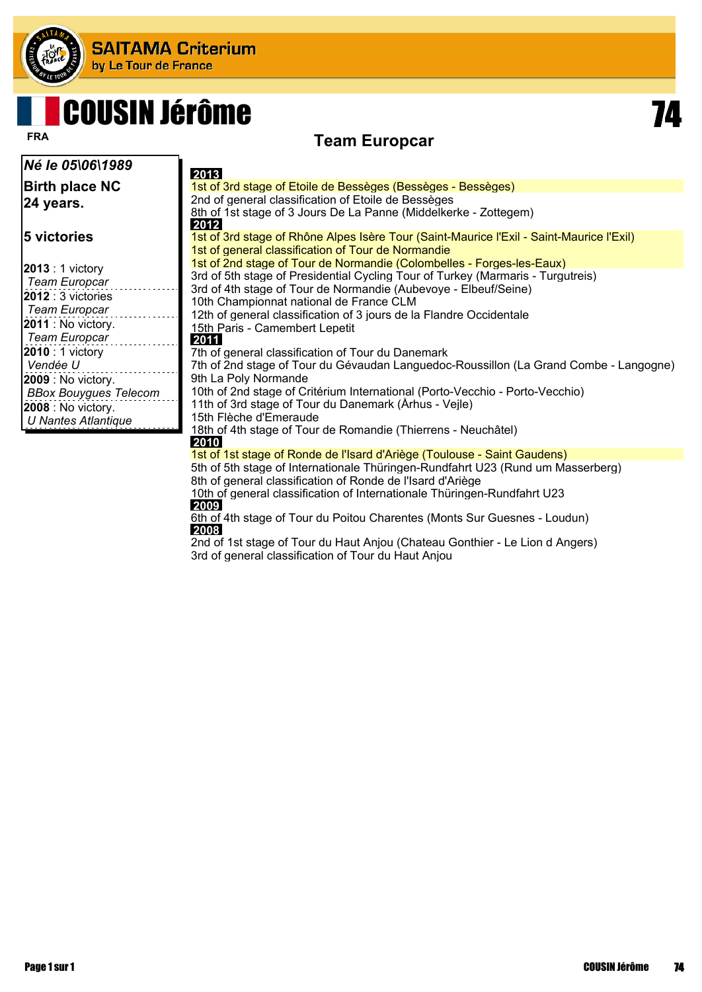

## **Team Europcar FRA** COUSIN Jérôme

*Né le 05\06\1989* **Birth place NC 24 years. 5 victories 2013** : 1 victory *Team Europcar* **2012** : 3 victories *Team Europcar* **2011** : No victory. *Team Europcar* **2010** : 1 victory *Vendée U* **2009** : No victory. *BBox Bouygues Telecom* **2008** : No victory. *U Nantes Atlantique*  **2013** 1st of 3rd stage of Etoile de Bessèges (Bessèges - Bessèges) 2nd of general classification of Etoile de Bessèges 8th of 1st stage of 3 Jours De La Panne (Middelkerke - Zottegem)  **2012** 1st of 3rd stage of Rhône Alpes Isère Tour (Saint-Maurice l'Exil - Saint-Maurice l'Exil) 1st of general classification of Tour de Normandie 1st of 2nd stage of Tour de Normandie (Colombelles - Forges-les-Eaux) 3rd of 5th stage of Presidential Cycling Tour of Turkey (Marmaris - Turgutreis) 3rd of 4th stage of Tour de Normandie (Aubevoye - Elbeuf/Seine) 10th Championnat national de France CLM 12th of general classification of 3 jours de la Flandre Occidentale 15th Paris - Camembert Lepetit  **2011** 7th of general classification of Tour du Danemark 7th of 2nd stage of Tour du Gévaudan Languedoc-Roussillon (La Grand Combe - Langogne) 9th La Poly Normande 10th of 2nd stage of Critérium International (Porto-Vecchio - Porto-Vecchio) 11th of 3rd stage of Tour du Danemark (Århus - Vejle) 15th Flèche d'Emeraude 18th of 4th stage of Tour de Romandie (Thierrens - Neuchâtel)  **2010** 1st of 1st stage of Ronde de l'Isard d'Ariège (Toulouse - Saint Gaudens) 5th of 5th stage of Internationale Thüringen-Rundfahrt U23 (Rund um Masserberg)

> 8th of general classification of Ronde de l'Isard d'Ariège 10th of general classification of Internationale Thüringen-Rundfahrt U23  **2009**

6th of 4th stage of Tour du Poitou Charentes (Monts Sur Guesnes - Loudun)  **2008**

2nd of 1st stage of Tour du Haut Anjou (Chateau Gonthier - Le Lion d Angers) 3rd of general classification of Tour du Haut Anjou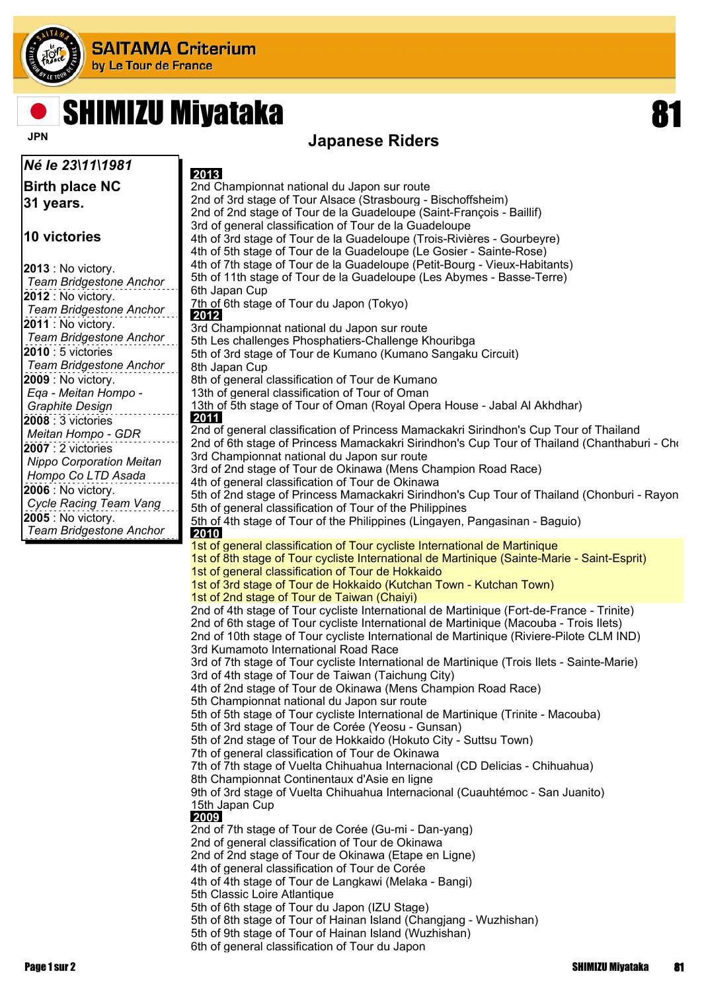

## **SHIMIZU Miyataka**

*Né le 23\11\1981* **Birth place NC 31 years.**

#### **10 victories**

| 2013 : No victory.              |
|---------------------------------|
| <b>Team Bridgestone Anchor</b>  |
| 2012 : No victory.              |
| <b>Team Bridgestone Anchor</b>  |
| 2011 : No victory.              |
| Team Bridgestone Anchor         |
| <b>2010</b> : 5 victories       |
| <b>Team Bridgestone Anchor</b>  |
| 2009 : No victory.              |
| Ega - Meitan Hompo -            |
| <b>Graphite Design</b>          |
| 2008: 3 victories               |
| Meitan Hompo - GDR              |
| $2007:2$ victories              |
| <b>Nippo Corporation Meitan</b> |
| Hompo Co LTD Asada              |
| 2006 : No victory.              |
| Cycle Racing Team Vang          |
| <b>2005</b> : No victory.       |
| <b>Team Bridgestone Anchor</b>  |

### **JPN** Japanese Riders

 **2013** 2nd Championnat national du Japon sur route 2nd of 3rd stage of Tour Alsace (Strasbourg - Bischoffsheim) 2nd of 2nd stage of Tour de la Guadeloupe (Saint-François - Baillif) 3rd of general classification of Tour de la Guadeloupe 4th of 3rd stage of Tour de la Guadeloupe (Trois-Rivières - Gourbeyre) 4th of 5th stage of Tour de la Guadeloupe (Le Gosier - Sainte-Rose) 4th of 7th stage of Tour de la Guadeloupe (Petit-Bourg - Vieux-Habitants) 5th of 11th stage of Tour de la Guadeloupe (Les Abymes - Basse-Terre) 6th Japan Cup 7th of 6th stage of Tour du Japon (Tokyo)  **2012** 3rd Championnat national du Japon sur route 5th Les challenges Phosphatiers-Challenge Khouribga 5th of 3rd stage of Tour de Kumano (Kumano Sangaku Circuit) 8th Japan Cup 8th of general classification of Tour de Kumano 13th of general classification of Tour of Oman 13th of 5th stage of Tour of Oman (Royal Opera House - Jabal Al Akhdhar)  **2011** 2nd of general classification of Princess Mamackakri Sirindhon's Cup Tour of Thailand 2nd of 6th stage of Princess Mamackakri Sirindhon's Cup Tour of Thailand (Chanthaburi - Cho 3rd Championnat national du Japon sur route 3rd of 2nd stage of Tour de Okinawa (Mens Champion Road Race) 4th of general classification of Tour de Okinawa 5th of 2nd stage of Princess Mamackakri Sirindhon's Cup Tour of Thailand (Chonburi - Rayon 5th of general classification of Tour of the Philippines 5th of 4th stage of Tour of the Philippines (Lingayen, Pangasinan - Baguio)  **2010** 1st of general classification of Tour cycliste International de Martinique 1st of 8th stage of Tour cycliste International de Martinique (Sainte-Marie - Saint-Esprit) 1st of general classification of Tour de Hokkaido 1st of 3rd stage of Tour de Hokkaido (Kutchan Town - Kutchan Town) 1st of 2nd stage of Tour de Taiwan (Chaiyi) 2nd of 4th stage of Tour cycliste International de Martinique (Fort-de-France - Trinite) 2nd of 6th stage of Tour cycliste International de Martinique (Macouba - Trois Ilets) 2nd of 10th stage of Tour cycliste International de Martinique (Riviere-Pilote CLM IND) 3rd Kumamoto International Road Race 3rd of 7th stage of Tour cycliste International de Martinique (Trois Ilets - Sainte-Marie) 3rd of 4th stage of Tour de Taiwan (Taichung City) 4th of 2nd stage of Tour de Okinawa (Mens Champion Road Race) 5th Championnat national du Japon sur route 5th of 5th stage of Tour cycliste International de Martinique (Trinite - Macouba) 5th of 3rd stage of Tour de Corée (Yeosu - Gunsan) 5th of 2nd stage of Tour de Hokkaido (Hokuto City - Suttsu Town) 7th of general classification of Tour de Okinawa 7th of 7th stage of Vuelta Chihuahua Internacional (CD Delicias - Chihuahua) 8th Championnat Continentaux d'Asie en ligne 9th of 3rd stage of Vuelta Chihuahua Internacional (Cuauhtémoc - San Juanito) 15th Japan Cup  **2009** 2nd of 7th stage of Tour de Corée (Gu-mi - Dan-yang) 2nd of general classification of Tour de Okinawa 2nd of 2nd stage of Tour de Okinawa (Etape en Ligne) 4th of general classification of Tour de Corée 4th of 4th stage of Tour de Langkawi (Melaka - Bangi) 5th Classic Loire Atlantique 5th of 6th stage of Tour du Japon (IZU Stage) 5th of 8th stage of Tour of Hainan Island (Changjang - Wuzhishan) 5th of 9th stage of Tour of Hainan Island (Wuzhishan) 6th of general classification of Tour du Japon

Page 1 sur 2 SHIMIZU Miyataka 81 SHIMIZU Miyataka 81 SHIMIZU Miyataka 81 SHIMIZU Miyataka 81 SHIMIZU Miyataka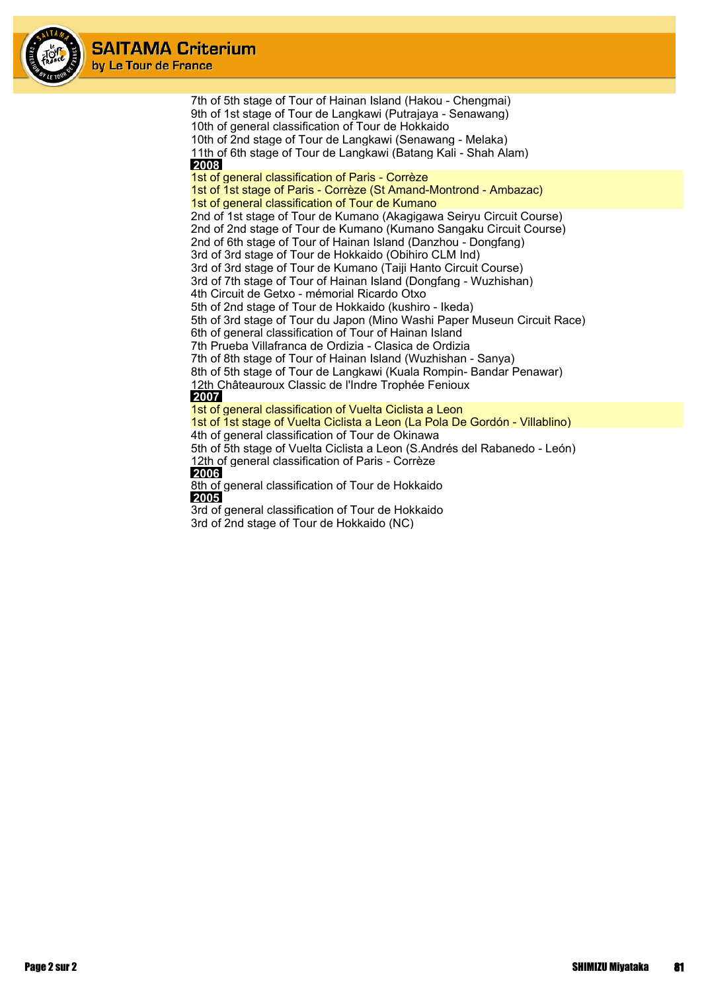



3rd of general classification of Tour de Hokkaido 3rd of 2nd stage of Tour de Hokkaido (NC)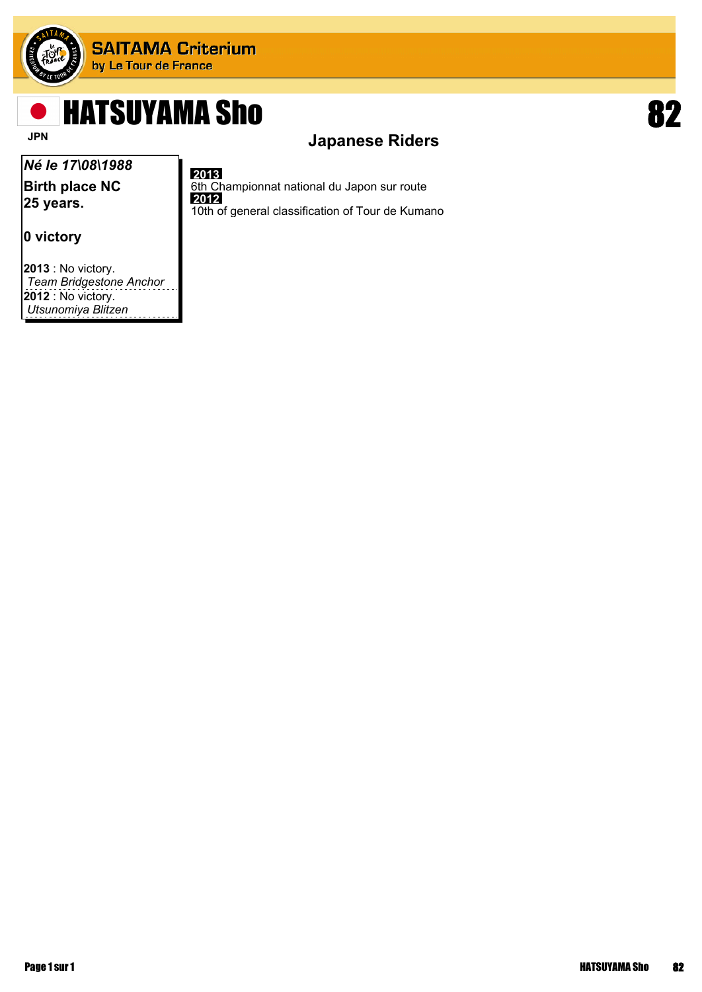

# HATSUYAMA Sho 82

## *Né le 17\08\1988*

**Birth place NC 25 years.**

### **0 victory**

**2013** : No victory. *Team Bridgestone Anchor* **2012** : No victory. *Utsunomiya Blitzen*



#### **2013**

6th Championnat national du Japon sur route  **2012** 10th of general classification of Tour de Kumano

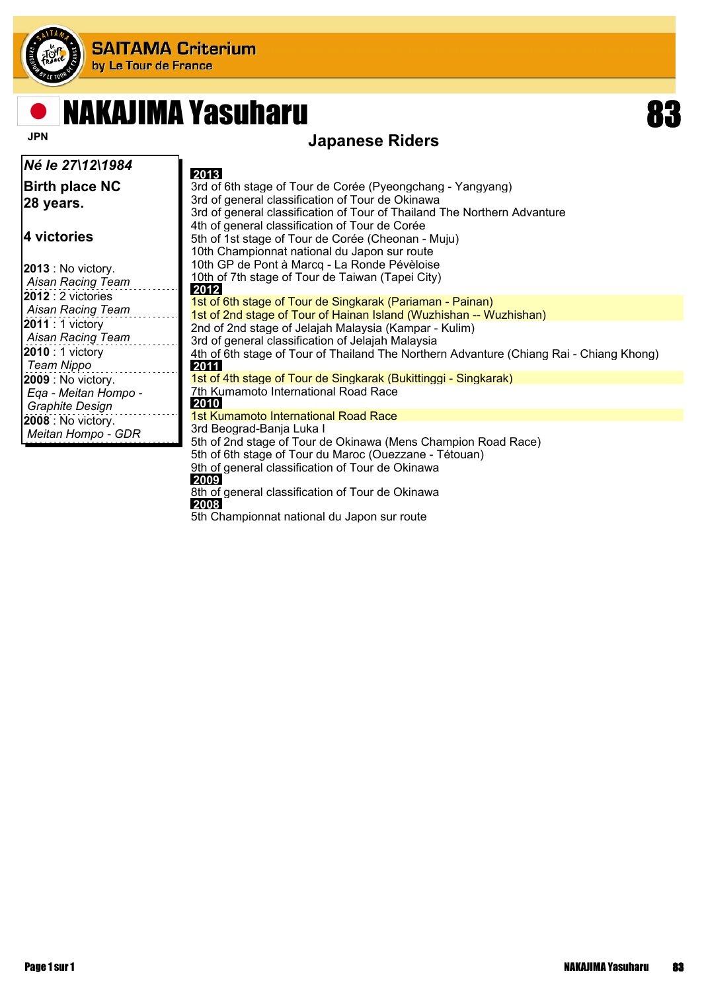

## NAKAJIMA Yasuharu 83

### **JPN** Japanese Riders

| Né le 27\12\1984                                                            | 2013                                                                                                                                                                                                                                         |
|-----------------------------------------------------------------------------|----------------------------------------------------------------------------------------------------------------------------------------------------------------------------------------------------------------------------------------------|
| <b>Birth place NC</b><br> 28 years.                                         | 3rd of 6th stage of Tour de Corée (Pyeongchang - Yangyang)<br>3rd of general classification of Tour de Okinawa<br>3rd of general classification of Tour of Thailand The Northern Advanture<br>4th of general classification of Tour de Corée |
| 4 victories                                                                 | 5th of 1st stage of Tour de Corée (Cheonan - Muju)<br>10th Championnat national du Japon sur route                                                                                                                                           |
| $ 2013:$ No victory.<br>Aisan Racing Team                                   | 10th GP de Pont à Marcq - La Ronde Pévèloise<br>10th of 7th stage of Tour de Taiwan (Tapei City)<br>2012                                                                                                                                     |
| <b>2012</b> : 2 victories<br>Aisan Racing Team                              | 1st of 6th stage of Tour de Singkarak (Pariaman - Painan)<br>1st of 2nd stage of Tour of Hainan Island (Wuzhishan -- Wuzhishan)                                                                                                              |
| <b>2011</b> : 1 victory<br>Aisan Racing Team                                | 2nd of 2nd stage of Jelajah Malaysia (Kampar - Kulim)<br>3rd of general classification of Jelajah Malaysia                                                                                                                                   |
| 2010 : 1 victory<br>Team Nippo                                              | 4th of 6th stage of Tour of Thailand The Northern Advanture (Chiang Rai - Chiang Khong)<br>2011                                                                                                                                              |
| <b>2009</b> : No victory.<br>Ega - Meitan Hompo -<br><b>Graphite Design</b> | 1st of 4th stage of Tour de Singkarak (Bukittinggi - Singkarak)<br>7th Kumamoto International Road Race<br>2010                                                                                                                              |
| <b>2008</b> : No victory.<br>Meitan Hompo - GDR                             | 1st Kumamoto International Road Race<br>3rd Beograd-Banja Luka I<br>5th of 2nd stage of Tour de Okinawa (Mens Champion Road Race)                                                                                                            |
|                                                                             | 5th of 6th stage of Tour du Maroc (Ouezzane - Tétouan)<br>9th of general classification of Tour de Okinawa                                                                                                                                   |

 **2009** 8th of general classification of Tour de Okinawa  **2008**

5th Championnat national du Japon sur route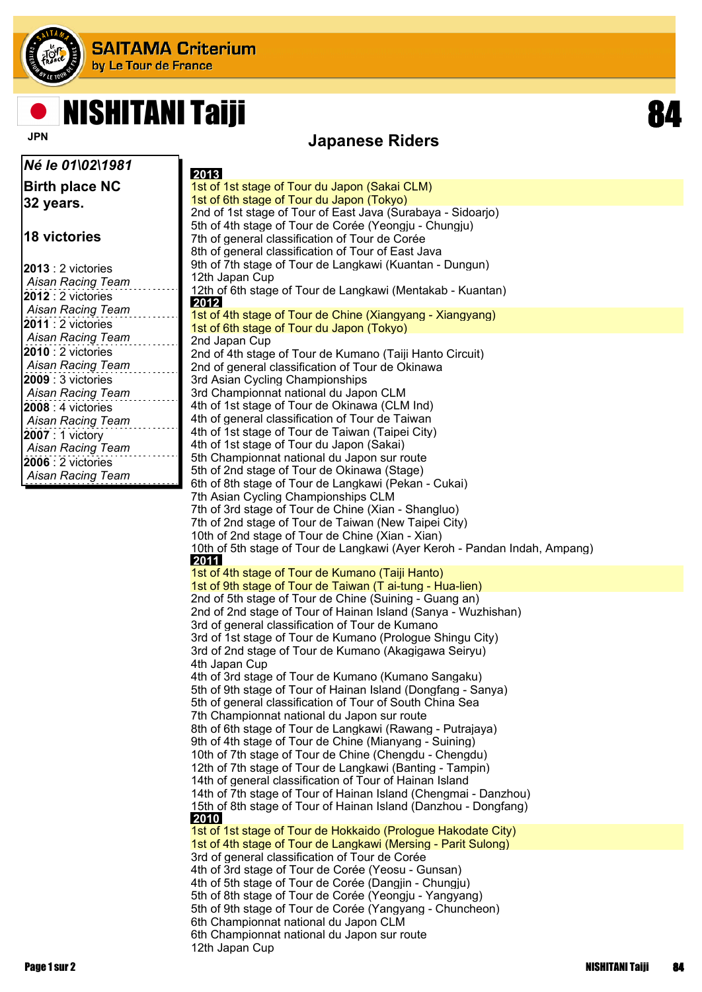

## **NISHITANI Taiji**

*Né le 01\02\1981*

**Birth place NC 32 years.**

**18 victories**

| $2013:2$ victories        |  |
|---------------------------|--|
| <b>Aisan Racing Team</b>  |  |
| <b>2012</b> : 2 victories |  |
| <b>Aisan Racing Team</b>  |  |
| <b>2011</b> : 2 victories |  |
| <b>Aisan Racing Team</b>  |  |
| $2010:2$ victories        |  |
| Aisan Racing Team         |  |
| $2009:3$ victories        |  |
| <b>Aisan Racing Team</b>  |  |
| $2008:4$ victories        |  |
| <b>Aisan Racing Team</b>  |  |
| 2007 : 1 victory          |  |
| <b>Aisan Racing Team</b>  |  |
| <b>2006</b> : 2 victories |  |
| <b>Aisan Racing Team</b>  |  |

**Japanese Riders** 

 **2013** 1st of 1st stage of Tour du Japon (Sakai CLM) 1st of 6th stage of Tour du Japon (Tokyo) 2nd of 1st stage of Tour of East Java (Surabaya - Sidoarjo) 5th of 4th stage of Tour de Corée (Yeongju - Chungju) 7th of general classification of Tour de Corée 8th of general classification of Tour of East Java 9th of 7th stage of Tour de Langkawi (Kuantan - Dungun) 12th Japan Cup 12th of 6th stage of Tour de Langkawi (Mentakab - Kuantan)  **2012** 1st of 4th stage of Tour de Chine (Xiangyang - Xiangyang) 1st of 6th stage of Tour du Japon (Tokyo) 2nd Japan Cup 2nd of 4th stage of Tour de Kumano (Taiji Hanto Circuit) 2nd of general classification of Tour de Okinawa 3rd Asian Cycling Championships 3rd Championnat national du Japon CLM 4th of 1st stage of Tour de Okinawa (CLM Ind) 4th of general classification of Tour de Taiwan 4th of 1st stage of Tour de Taiwan (Taipei City) 4th of 1st stage of Tour du Japon (Sakai) 5th Championnat national du Japon sur route 5th of 2nd stage of Tour de Okinawa (Stage) 6th of 8th stage of Tour de Langkawi (Pekan - Cukai) 7th Asian Cycling Championships CLM 7th of 3rd stage of Tour de Chine (Xian - Shangluo) 7th of 2nd stage of Tour de Taiwan (New Taipei City) 10th of 2nd stage of Tour de Chine (Xian - Xian) 10th of 5th stage of Tour de Langkawi (Ayer Keroh - Pandan Indah, Ampang)  **2011** 1st of 4th stage of Tour de Kumano (Taiji Hanto) 1st of 9th stage of Tour de Taiwan (T ai-tung - Hua-lien) 2nd of 5th stage of Tour de Chine (Suining - Guang an) 2nd of 2nd stage of Tour of Hainan Island (Sanya - Wuzhishan) 3rd of general classification of Tour de Kumano 3rd of 1st stage of Tour de Kumano (Prologue Shingu City) 3rd of 2nd stage of Tour de Kumano (Akagigawa Seiryu) 4th Japan Cup 4th of 3rd stage of Tour de Kumano (Kumano Sangaku) 5th of 9th stage of Tour of Hainan Island (Dongfang - Sanya) 5th of general classification of Tour of South China Sea 7th Championnat national du Japon sur route 8th of 6th stage of Tour de Langkawi (Rawang - Putrajaya) 9th of 4th stage of Tour de Chine (Mianyang - Suining) 10th of 7th stage of Tour de Chine (Chengdu - Chengdu) 12th of 7th stage of Tour de Langkawi (Banting - Tampin) 14th of general classification of Tour of Hainan Island 14th of 7th stage of Tour of Hainan Island (Chengmai - Danzhou) 15th of 8th stage of Tour of Hainan Island (Danzhou - Dongfang)  **2010** 1st of 1st stage of Tour de Hokkaido (Prologue Hakodate City) 1st of 4th stage of Tour de Langkawi (Mersing - Parit Sulong) 3rd of general classification of Tour de Corée 4th of 3rd stage of Tour de Corée (Yeosu - Gunsan) 4th of 5th stage of Tour de Corée (Dangjin - Chungju) 5th of 8th stage of Tour de Corée (Yeongju - Yangyang) 5th of 9th stage of Tour de Corée (Yangyang - Chuncheon) 6th Championnat national du Japon CLM 6th Championnat national du Japon sur route 12th Japan Cup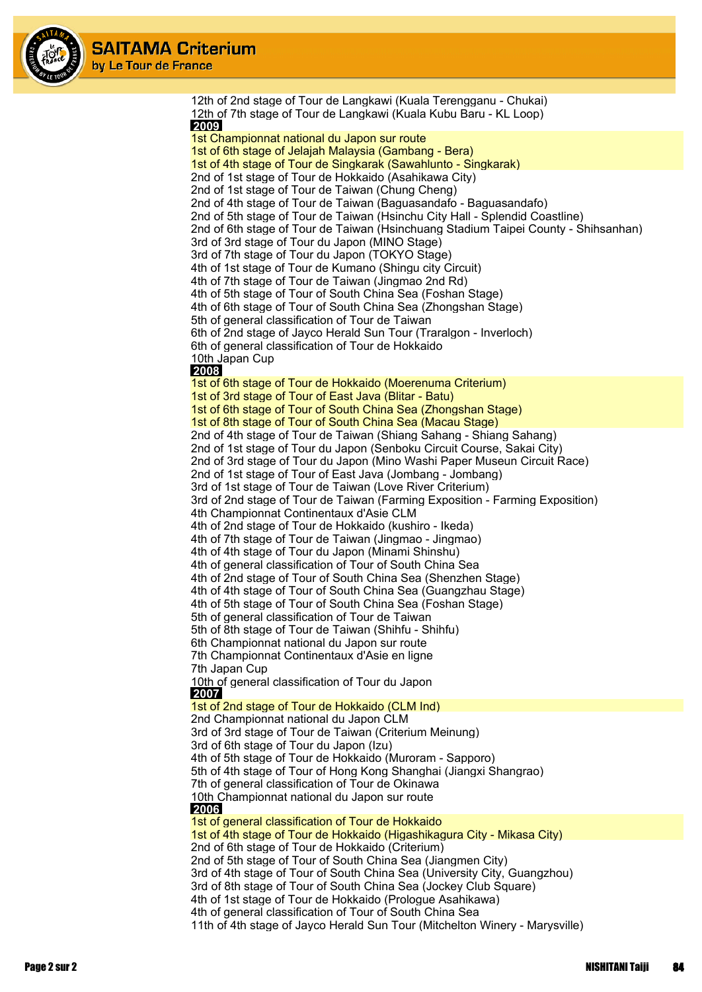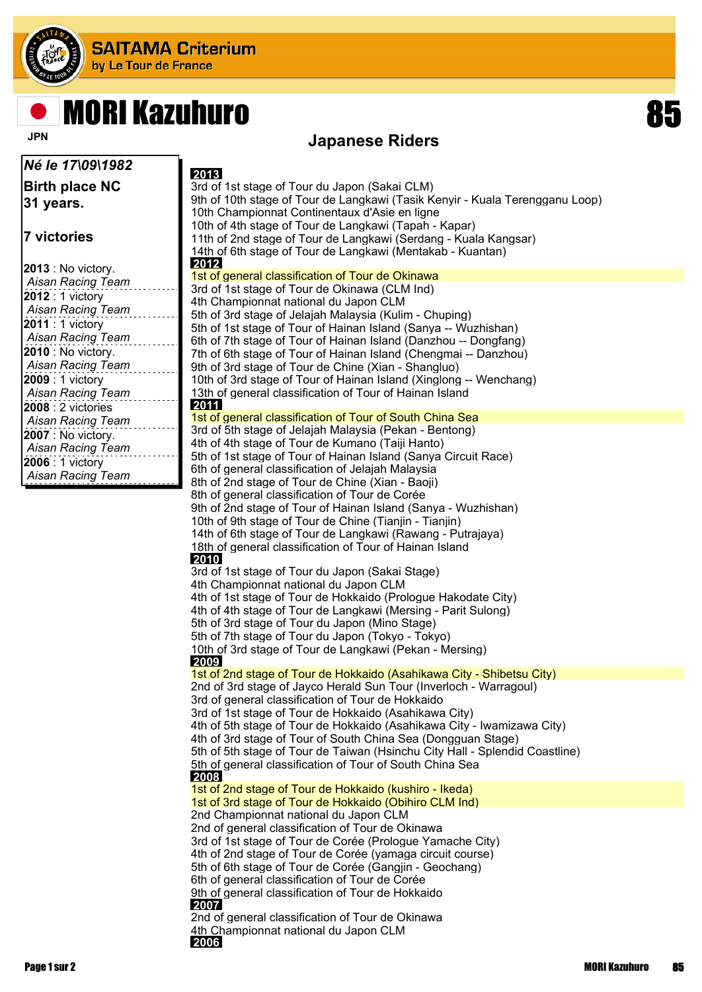

# MORI Kazuhuro 85

## **JPN** JPN **Japanese Riders**

| Né le 17\09\1982                             | 2013                                                                                                                                   |
|----------------------------------------------|----------------------------------------------------------------------------------------------------------------------------------------|
| <b>Birth place NC</b>                        | 3rd of 1st stage of Tour du Japon (Sakai CLM)                                                                                          |
| 31 years.                                    | 9th of 10th stage of Tour de Langkawi (Tasik Kenyir - Kuala Terengganu Loop)                                                           |
|                                              | 10th Championnat Continentaux d'Asie en ligne                                                                                          |
|                                              | 10th of 4th stage of Tour de Langkawi (Tapah - Kapar)                                                                                  |
| 7 victories                                  | 11th of 2nd stage of Tour de Langkawi (Serdang - Kuala Kangsar)                                                                        |
|                                              | 14th of 6th stage of Tour de Langkawi (Mentakab - Kuantan)<br>2012                                                                     |
| 2013 : No victory.                           | 1st of general classification of Tour de Okinawa                                                                                       |
| Aisan Racing Team                            | 3rd of 1st stage of Tour de Okinawa (CLM Ind)                                                                                          |
| 2012 : 1 victory<br><b>Aisan Racing Team</b> | 4th Championnat national du Japon CLM                                                                                                  |
| 2011 : 1 victory                             | 5th of 3rd stage of Jelajah Malaysia (Kulim - Chuping)                                                                                 |
| Aisan Racing Team                            | 5th of 1st stage of Tour of Hainan Island (Sanya -- Wuzhishan)                                                                         |
| 2010 : No victory.                           | 6th of 7th stage of Tour of Hainan Island (Danzhou -- Dongfang)                                                                        |
| Aisan Racing Team                            | 7th of 6th stage of Tour of Hainan Island (Chengmai -- Danzhou)<br>9th of 3rd stage of Tour de Chine (Xian - Shangluo)                 |
| 2009 : 1 victory                             | 10th of 3rd stage of Tour of Hainan Island (Xinglong -- Wenchang)                                                                      |
| Aisan Racing Team                            | 13th of general classification of Tour of Hainan Island                                                                                |
| 2008 : 2 victories                           | 2011                                                                                                                                   |
| Aisan Racing Team                            | 1st of general classification of Tour of South China Sea                                                                               |
| 2007 : No victory.                           | 3rd of 5th stage of Jelajah Malaysia (Pekan - Bentong)                                                                                 |
| <b>Aisan Racing Team</b>                     | 4th of 4th stage of Tour de Kumano (Taiji Hanto)                                                                                       |
| 2006 : 1 victory                             | 5th of 1st stage of Tour of Hainan Island (Sanya Circuit Race)                                                                         |
| <b>Aisan Racing Team</b>                     | 6th of general classification of Jelajah Malaysia                                                                                      |
|                                              | 8th of 2nd stage of Tour de Chine (Xian - Baoji)<br>8th of general classification of Tour de Corée                                     |
|                                              | 9th of 2nd stage of Tour of Hainan Island (Sanya - Wuzhishan)                                                                          |
|                                              | 10th of 9th stage of Tour de Chine (Tianjin - Tianjin)                                                                                 |
|                                              | 14th of 6th stage of Tour de Langkawi (Rawang - Putrajaya)                                                                             |
|                                              | 18th of general classification of Tour of Hainan Island                                                                                |
|                                              | 2010                                                                                                                                   |
|                                              | 3rd of 1st stage of Tour du Japon (Sakai Stage)                                                                                        |
|                                              | 4th Championnat national du Japon CLM                                                                                                  |
|                                              | 4th of 1st stage of Tour de Hokkaido (Prologue Hakodate City)                                                                          |
|                                              | 4th of 4th stage of Tour de Langkawi (Mersing - Parit Sulong)<br>5th of 3rd stage of Tour du Japon (Mino Stage)                        |
|                                              | 5th of 7th stage of Tour du Japon (Tokyo - Tokyo)                                                                                      |
|                                              | 10th of 3rd stage of Tour de Langkawi (Pekan - Mersing)                                                                                |
|                                              | 2009                                                                                                                                   |
|                                              | 1st of 2nd stage of Tour de Hokkaido (Asahikawa City - Shibetsu City)                                                                  |
|                                              | 2nd of 3rd stage of Jayco Herald Sun Tour (Inverloch - Warragoul)                                                                      |
|                                              | 3rd of general classification of Tour de Hokkaido                                                                                      |
|                                              | 3rd of 1st stage of Tour de Hokkaido (Asahikawa City)                                                                                  |
|                                              | 4th of 5th stage of Tour de Hokkaido (Asahikawa City - Iwamizawa City)<br>4th of 3rd stage of Tour of South China Sea (Dongguan Stage) |
|                                              | 5th of 5th stage of Tour de Taiwan (Hsinchu City Hall - Splendid Coastline)                                                            |
|                                              | 5th of general classification of Tour of South China Sea                                                                               |
|                                              | 2008                                                                                                                                   |
|                                              | 1st of 2nd stage of Tour de Hokkaido (kushiro - Ikeda)                                                                                 |
|                                              | 1st of 3rd stage of Tour de Hokkaido (Obihiro CLM Ind)                                                                                 |
|                                              | 2nd Championnat national du Japon CLM                                                                                                  |
|                                              | 2nd of general classification of Tour de Okinawa                                                                                       |
|                                              | 3rd of 1st stage of Tour de Corée (Prologue Yamache City)<br>4th of 2nd stage of Tour de Corée (yamaga circuit course)                 |
|                                              | 5th of 6th stage of Tour de Corée (Gangjin - Geochang)                                                                                 |
|                                              | 6th of general classification of Tour de Corée                                                                                         |
|                                              | 9th of general classification of Tour de Hokkaido                                                                                      |
|                                              | 2007                                                                                                                                   |
|                                              | 2nd of general classification of Tour de Okinawa                                                                                       |
|                                              | 4th Championnat national du Japon CLM                                                                                                  |
|                                              | 2006                                                                                                                                   |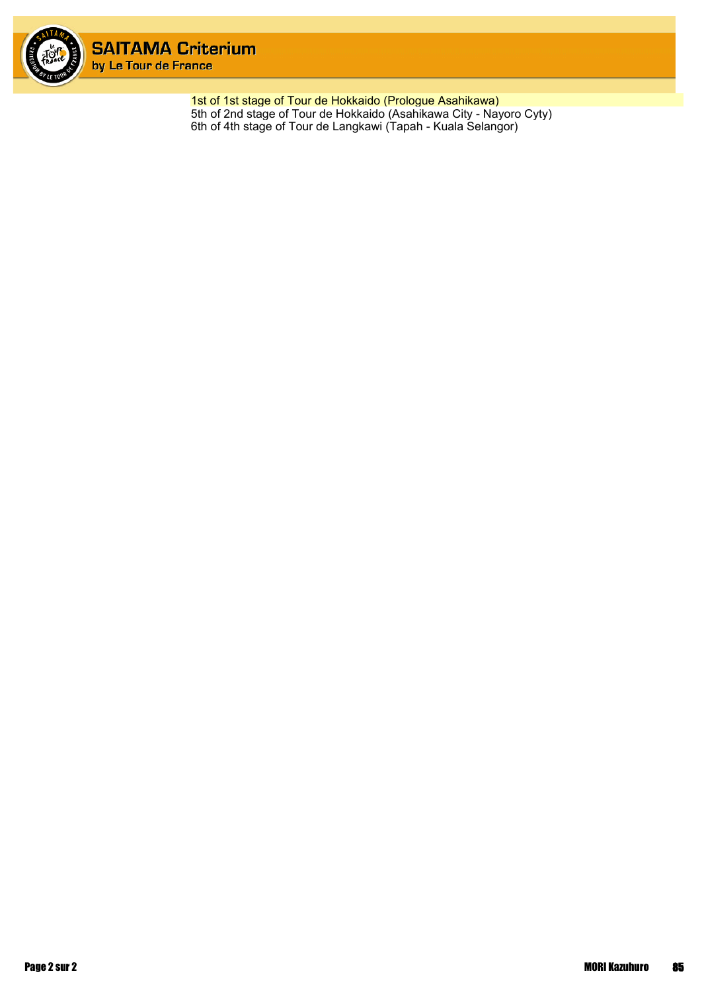

1st of 1st stage of Tour de Hokkaido (Prologue Asahikawa) 5th of 2nd stage of Tour de Hokkaido (Asahikawa City - Nayoro Cyty) 6th of 4th stage of Tour de Langkawi (Tapah - Kuala Selangor)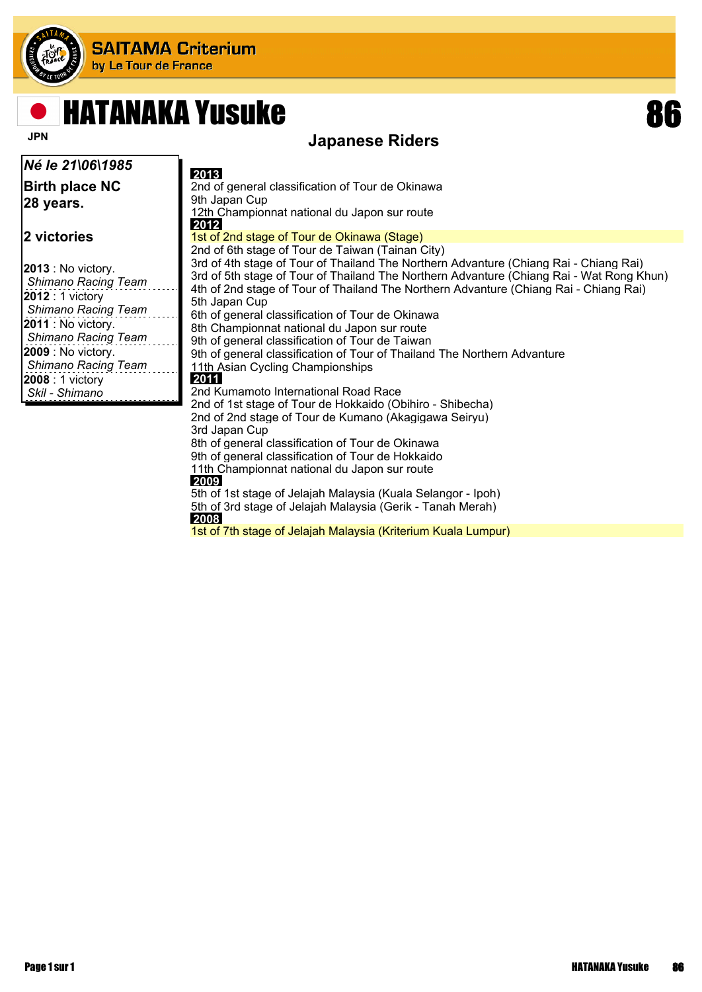

## HATANAKA Yusuke 86

 **2009**

 **2008**



### **JPN** Japanese Riders

| Né le 21\06\1985                                                                                                                                                                                                                   | 2013                                                                                                                                                                                                                                                                                                                                                                                                                                                                                                                                                                      |
|------------------------------------------------------------------------------------------------------------------------------------------------------------------------------------------------------------------------------------|---------------------------------------------------------------------------------------------------------------------------------------------------------------------------------------------------------------------------------------------------------------------------------------------------------------------------------------------------------------------------------------------------------------------------------------------------------------------------------------------------------------------------------------------------------------------------|
| <b>Birth place NC</b><br> 28 years.                                                                                                                                                                                                | 2nd of general classification of Tour de Okinawa<br>9th Japan Cup<br>12th Championnat national du Japon sur route<br>2012                                                                                                                                                                                                                                                                                                                                                                                                                                                 |
| 2 victories                                                                                                                                                                                                                        | 1st of 2nd stage of Tour de Okinawa (Stage)<br>2nd of 6th stage of Tour de Taiwan (Tainan City)                                                                                                                                                                                                                                                                                                                                                                                                                                                                           |
| $2013$ : No victory.<br><b>Shimano Racing Team</b><br>$2012:1$ victory<br><b>Shimano Racing Team</b><br>$2011$ : No victory.<br>Shimano Racing Team<br><b>2009</b> : No victory.<br>Shimano Racing Team<br><b>2008</b> : 1 victory | 3rd of 4th stage of Tour of Thailand The Northern Advanture (Chiang Rai - Chiang Rai)<br>3rd of 5th stage of Tour of Thailand The Northern Advanture (Chiang Rai - Wat Rong Khun)<br>4th of 2nd stage of Tour of Thailand The Northern Advanture (Chiang Rai - Chiang Rai)<br>5th Japan Cup<br>6th of general classification of Tour de Okinawa<br>8th Championnat national du Japon sur route<br>9th of general classification of Tour de Taiwan<br>9th of general classification of Tour of Thailand The Northern Advanture<br>11th Asian Cycling Championships<br>2011 |
| Skil - Shimano                                                                                                                                                                                                                     | 2nd Kumamoto International Road Race<br>2nd of 1st stage of Tour de Hokkaido (Obihiro - Shibecha)<br>2nd of 2nd stage of Tour de Kumano (Akagigawa Seiryu)                                                                                                                                                                                                                                                                                                                                                                                                                |
|                                                                                                                                                                                                                                    | 3rd Japan Cup<br>8th of general classification of Tour de Okinawa                                                                                                                                                                                                                                                                                                                                                                                                                                                                                                         |

9th of general classification of Tour de Hokkaido 11th Championnat national du Japon sur route

5th of 1st stage of Jelajah Malaysia (Kuala Selangor - Ipoh) 5th of 3rd stage of Jelajah Malaysia (Gerik - Tanah Merah)

1st of 7th stage of Jelajah Malaysia (Kriterium Kuala Lumpur)

Page 1 sur 1 hardware 1 sure 1 sure 1 sure 1 sure 1 sure 1 sure 1 sure 1 sure 1 sure 1 sure 1 sure 1 sure 1 su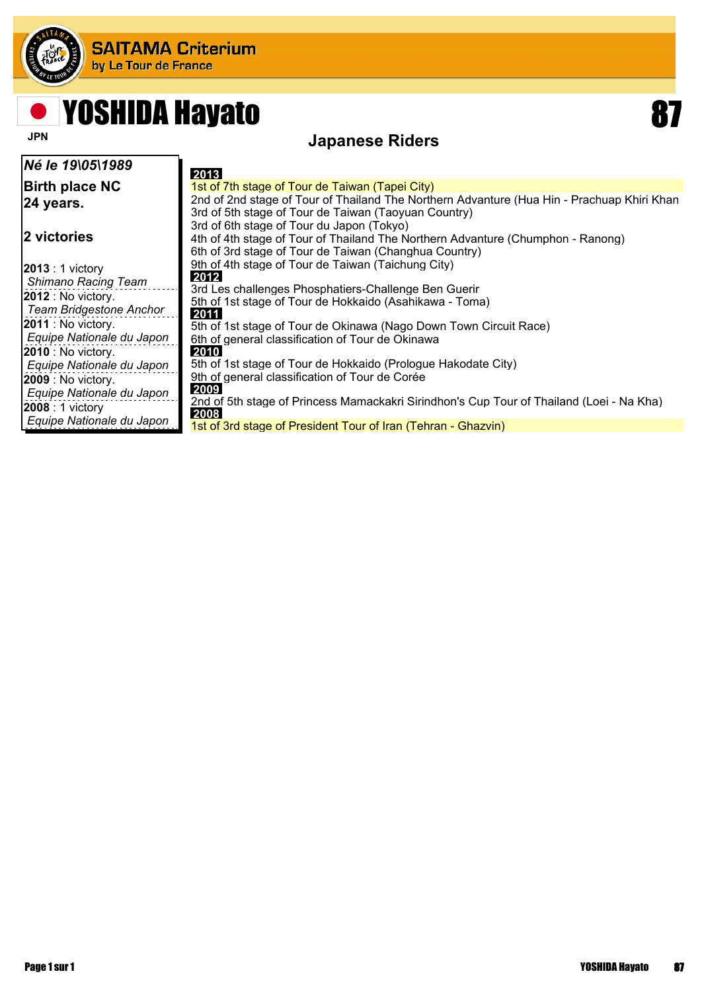

## YOSHIDA Hayato **87**

### **JPN** JPN **Japanese Riders**

| Né le 19\05\1989                                                                                          | 2013                                                                                                                                                                                                  |
|-----------------------------------------------------------------------------------------------------------|-------------------------------------------------------------------------------------------------------------------------------------------------------------------------------------------------------|
| <b>Birth place NC</b><br>24 years.                                                                        | 1st of 7th stage of Tour de Taiwan (Tapei City)<br>2nd of 2nd stage of Tour of Thailand The Northern Advanture (Hua Hin - Prachuap Khiri Khan<br>3rd of 5th stage of Tour de Taiwan (Taoyuan Country) |
| 2 victories                                                                                               | 3rd of 6th stage of Tour du Japon (Tokyo)<br>4th of 4th stage of Tour of Thailand The Northern Advanture (Chumphon - Ranong)<br>6th of 3rd stage of Tour de Taiwan (Changhua Country)                 |
| $ 2013:1$ victory<br><b>Shimano Racing Team</b><br>$ 2012:$ No victory.<br><b>Team Bridgestone Anchor</b> | 9th of 4th stage of Tour de Taiwan (Taichung City)<br>2012<br>3rd Les challenges Phosphatiers-Challenge Ben Guerir<br>5th of 1st stage of Tour de Hokkaido (Asahikawa - Toma)<br>2011                 |
| $ 2011 $ : No victory.<br>Equipe Nationale du Japon<br>$ 2010:$ No victory.<br>Equipe Nationale du Japon  | 5th of 1st stage of Tour de Okinawa (Nago Down Town Circuit Race)<br>6th of general classification of Tour de Okinawa<br>2010<br>5th of 1st stage of Tour de Hokkaido (Prologue Hakodate City)        |
| $ 2009:$ No victory.<br>Equipe Nationale du Japon<br>$ 2008:1$ victory<br>Equipe Nationale du Japon       | 9th of general classification of Tour de Corée<br>2009<br>2nd of 5th stage of Princess Mamackakri Sirindhon's Cup Tour of Thailand (Loei - Na Kha)<br>2008                                            |
|                                                                                                           | 1st of 3rd stage of President Tour of Iran (Tehran - Ghazvin)                                                                                                                                         |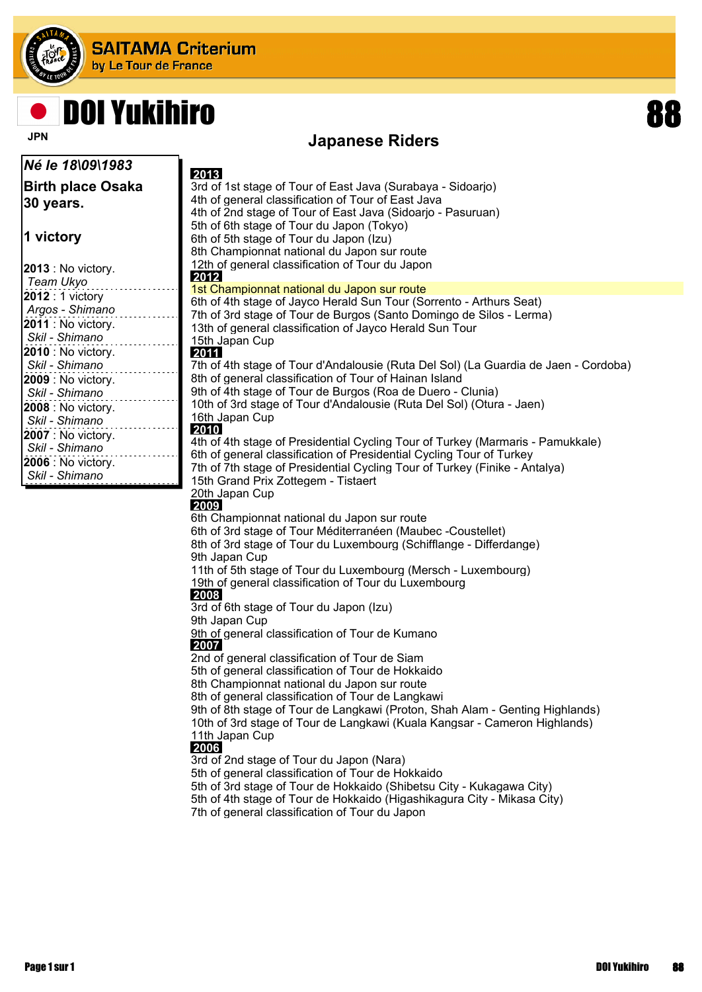

## DOI Yukihiro

### **JPN** Japanese Riders

| Né le 18\09\1983                            |                                                                                                                                               |
|---------------------------------------------|-----------------------------------------------------------------------------------------------------------------------------------------------|
| <b>Birth place Osaka</b>                    | 2013<br>3rd of 1st stage of Tour of East Java (Surabaya - Sidoarjo)                                                                           |
|                                             | 4th of general classification of Tour of East Java                                                                                            |
| 30 years.                                   | 4th of 2nd stage of Tour of East Java (Sidoarjo - Pasuruan)                                                                                   |
|                                             | 5th of 6th stage of Tour du Japon (Tokyo)                                                                                                     |
| 1 victory                                   | 6th of 5th stage of Tour du Japon (Izu)                                                                                                       |
|                                             | 8th Championnat national du Japon sur route                                                                                                   |
| <b>2013</b> : No victory.                   | 12th of general classification of Tour du Japon                                                                                               |
| Team Ukyo                                   | 2012                                                                                                                                          |
| 2012 : 1 victory                            | 1st Championnat national du Japon sur route                                                                                                   |
| Argos - Shimano                             | 6th of 4th stage of Jayco Herald Sun Tour (Sorrento - Arthurs Seat)                                                                           |
| 2011 : No victory.                          | 7th of 3rd stage of Tour de Burgos (Santo Domingo de Silos - Lerma)                                                                           |
| Skil - Shimano                              | 13th of general classification of Jayco Herald Sun Tour                                                                                       |
|                                             | 15th Japan Cup                                                                                                                                |
| <b>2010</b> : No victory.<br>Skil - Shimano | 2011                                                                                                                                          |
|                                             | 7th of 4th stage of Tour d'Andalousie (Ruta Del Sol) (La Guardia de Jaen - Cordoba)<br>8th of general classification of Tour of Hainan Island |
| 2009 : No victory.<br>Skil - Shimano        | 9th of 4th stage of Tour de Burgos (Roa de Duero - Clunia)                                                                                    |
|                                             | 10th of 3rd stage of Tour d'Andalousie (Ruta Del Sol) (Otura - Jaen)                                                                          |
| 2008 : No victory.<br>Skil - Shimano        | 16th Japan Cup                                                                                                                                |
|                                             | 2010                                                                                                                                          |
| 2007 : No victory.                          | 4th of 4th stage of Presidential Cycling Tour of Turkey (Marmaris - Pamukkale)                                                                |
| Skil - Shimano                              | 6th of general classification of Presidential Cycling Tour of Turkey                                                                          |
| 2006 : No victory.<br>Skil - Shimano        | 7th of 7th stage of Presidential Cycling Tour of Turkey (Finike - Antalya)                                                                    |
|                                             | 15th Grand Prix Zottegem - Tistaert                                                                                                           |
|                                             | 20th Japan Cup                                                                                                                                |
|                                             | 2009                                                                                                                                          |
|                                             | 6th Championnat national du Japon sur route                                                                                                   |
|                                             | 6th of 3rd stage of Tour Méditerranéen (Maubec -Coustellet)<br>8th of 3rd stage of Tour du Luxembourg (Schifflange - Differdange)             |
|                                             | 9th Japan Cup                                                                                                                                 |
|                                             | 11th of 5th stage of Tour du Luxembourg (Mersch - Luxembourg)                                                                                 |
|                                             | 19th of general classification of Tour du Luxembourg                                                                                          |
|                                             | 2008                                                                                                                                          |
|                                             | 3rd of 6th stage of Tour du Japon (Izu)                                                                                                       |
|                                             | 9th Japan Cup                                                                                                                                 |
|                                             | 9th of general classification of Tour de Kumano                                                                                               |
|                                             | 2007                                                                                                                                          |
|                                             | 2nd of general classification of Tour de Siam                                                                                                 |

5th of general classification of Tour de Hokkaido

8th Championnat national du Japon sur route

8th of general classification of Tour de Langkawi

9th of 8th stage of Tour de Langkawi (Proton, Shah Alam - Genting Highlands) 10th of 3rd stage of Tour de Langkawi (Kuala Kangsar - Cameron Highlands) 11th Japan Cup

#### **2006**

3rd of 2nd stage of Tour du Japon (Nara)

5th of general classification of Tour de Hokkaido

5th of 3rd stage of Tour de Hokkaido (Shibetsu City - Kukagawa City)

5th of 4th stage of Tour de Hokkaido (Higashikagura City - Mikasa City)

7th of general classification of Tour du Japon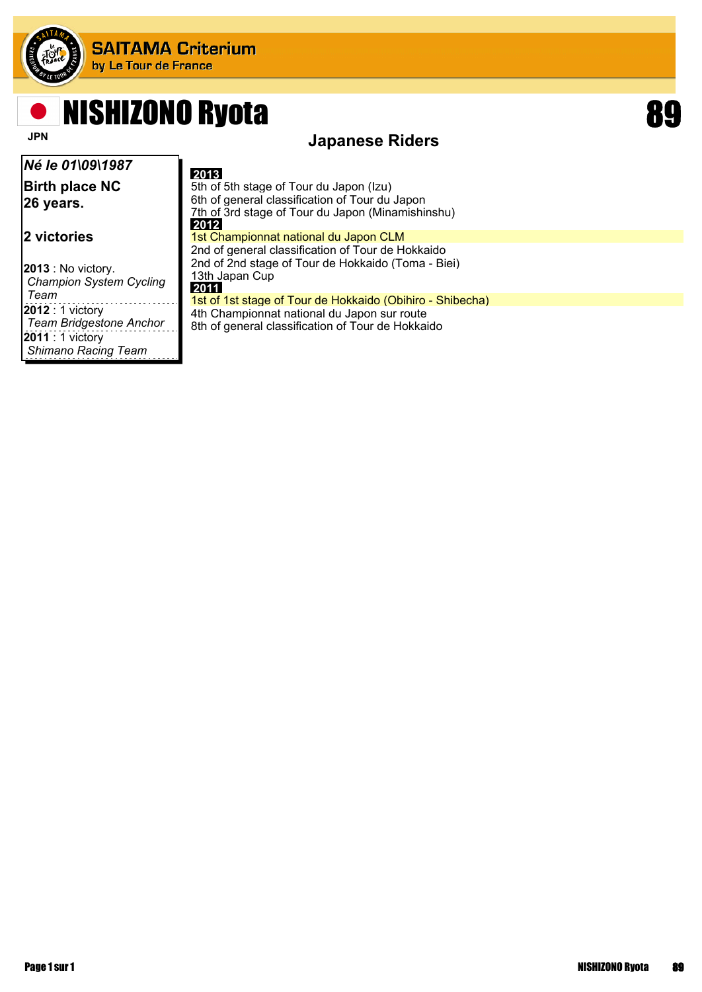

## NISHIZONO Ryota and a series of the series of the series of the series of the series of the series of the series of the series of the series of the series of the series of the series of the series of the series of the seri

### **JPN** JPN **Japanese Riders**

| Né le 01\09\1987                                            | 2013                                                                                                                                                   |
|-------------------------------------------------------------|--------------------------------------------------------------------------------------------------------------------------------------------------------|
| <b>Birth place NC</b><br>26 years.                          | 5th of 5th stage of Tour du Japon (Izu)<br>6th of general classification of Tour du Japon<br>7th of 3rd stage of Tour du Japon (Minamishinshu)<br>2012 |
| 2 victories                                                 | 1st Championnat national du Japon CLM<br>2nd of general classification of Tour de Hokkaido                                                             |
| <b>2013</b> : No victory.<br><b>Champion System Cycling</b> | 2nd of 2nd stage of Tour de Hokkaido (Toma - Biei)<br>13th Japan Cup<br>2011                                                                           |
| Team                                                        | 1st of 1st stage of Tour de Hokkaido (Obihiro - Shibecha)                                                                                              |
| <b>2012</b> : 1 victory<br><b>Team Bridgestone Anchor</b>   | 4th Championnat national du Japon sur route<br>8th of general classification of Tour de Hokkaido                                                       |
| <b>2011</b> : 1 victory<br><b>Shimano Racing Team</b>       |                                                                                                                                                        |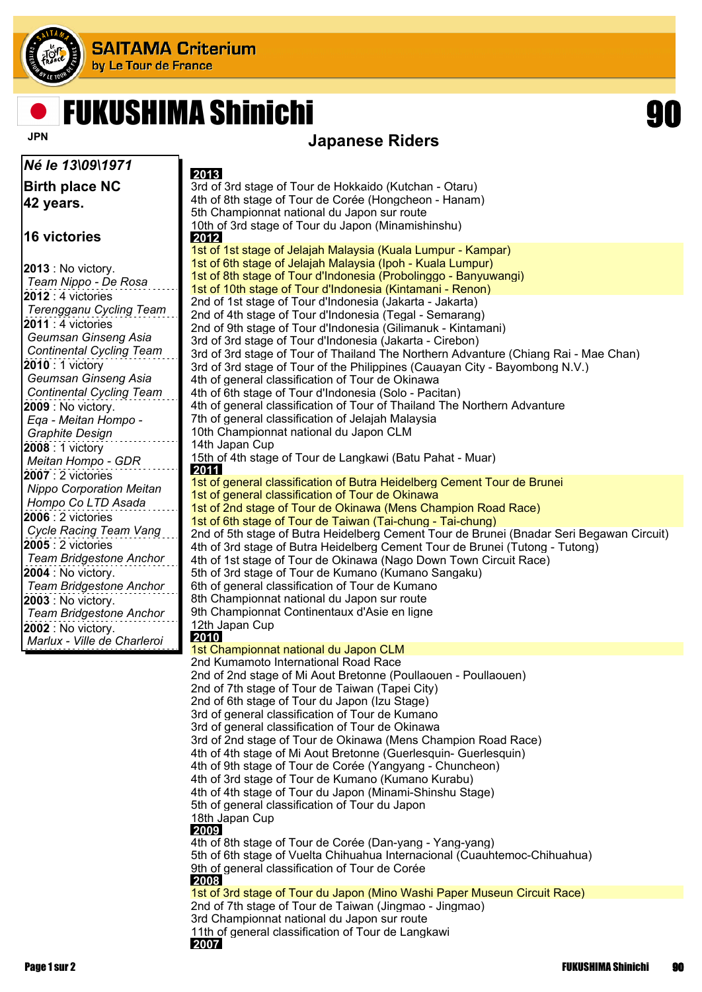

## FUKUSHIMA Shinichi 90



### **JPN** JAPANESE Riders

| Né le 13\09\1971                                     | 2013                                                                                                                          |
|------------------------------------------------------|-------------------------------------------------------------------------------------------------------------------------------|
| <b>Birth place NC</b>                                | 3rd of 3rd stage of Tour de Hokkaido (Kutchan - Otaru)                                                                        |
| 42 years.                                            | 4th of 8th stage of Tour de Corée (Hongcheon - Hanam)                                                                         |
|                                                      | 5th Championnat national du Japon sur route                                                                                   |
| 16 victories                                         | 10th of 3rd stage of Tour du Japon (Minamishinshu)                                                                            |
|                                                      | 2012<br>1st of 1st stage of Jelajah Malaysia (Kuala Lumpur - Kampar)                                                          |
|                                                      | 1st of 6th stage of Jelajah Malaysia (Ipoh - Kuala Lumpur)                                                                    |
| <b>2013</b> : No victory.<br>Team Nippo - De Rosa    | 1st of 8th stage of Tour d'Indonesia (Probolinggo - Banyuwangi)                                                               |
| 2012 : 4 victories                                   | 1st of 10th stage of Tour d'Indonesia (Kintamani - Renon)                                                                     |
| Terengganu Cycling Team                              | 2nd of 1st stage of Tour d'Indonesia (Jakarta - Jakarta)                                                                      |
| <b>2011</b> : 4 victories                            | 2nd of 4th stage of Tour d'Indonesia (Tegal - Semarang)<br>2nd of 9th stage of Tour d'Indonesia (Gilimanuk - Kintamani)       |
| Geumsan Ginseng Asia                                 | 3rd of 3rd stage of Tour d'Indonesia (Jakarta - Cirebon)                                                                      |
| <b>Continental Cycling Team</b>                      | 3rd of 3rd stage of Tour of Thailand The Northern Advanture (Chiang Rai - Mae Chan)                                           |
| 2010 : 1 victory                                     | 3rd of 3rd stage of Tour of the Philippines (Cauayan City - Bayombong N.V.)                                                   |
| Geumsan Ginseng Asia                                 | 4th of general classification of Tour de Okinawa                                                                              |
| <b>Continental Cycling Team</b>                      | 4th of 6th stage of Tour d'Indonesia (Solo - Pacitan)                                                                         |
| 2009 : No victory.<br>Ega - Meitan Hompo -           | 4th of general classification of Tour of Thailand The Northern Advanture<br>7th of general classification of Jelajah Malaysia |
| <b>Graphite Design</b>                               | 10th Championnat national du Japon CLM                                                                                        |
| 2008: 1 victory                                      | 14th Japan Cup                                                                                                                |
| Meitan Hompo - GDR                                   | 15th of 4th stage of Tour de Langkawi (Batu Pahat - Muar)                                                                     |
| 2007 : 2 victories                                   | 2011                                                                                                                          |
| <b>Nippo Corporation Meitan</b>                      | 1st of general classification of Butra Heidelberg Cement Tour de Brunei<br>1st of general classification of Tour de Okinawa   |
| Hompo Co LTD Asada                                   | 1st of 2nd stage of Tour de Okinawa (Mens Champion Road Race)                                                                 |
| 2006 : 2 victories                                   | 1st of 6th stage of Tour de Taiwan (Tai-chung - Tai-chung)                                                                    |
| Cycle Racing Team Vang                               | 2nd of 5th stage of Butra Heidelberg Cement Tour de Brunei (Bnadar Seri Begawan Circuit)                                      |
| 2005 : 2 victories                                   | 4th of 3rd stage of Butra Heidelberg Cement Tour de Brunei (Tutong - Tutong)                                                  |
| <b>Team Bridgestone Anchor</b>                       | 4th of 1st stage of Tour de Okinawa (Nago Down Town Circuit Race)                                                             |
| 2004 : No victory.<br><b>Team Bridgestone Anchor</b> | 5th of 3rd stage of Tour de Kumano (Kumano Sangaku)<br>6th of general classification of Tour de Kumano                        |
| $ 2003:$ No victory.                                 | 8th Championnat national du Japon sur route                                                                                   |
| Team Bridgestone Anchor                              | 9th Championnat Continentaux d'Asie en ligne                                                                                  |
| <b>2002</b> : No victory.                            | 12th Japan Cup                                                                                                                |
| Marlux - Ville de Charleroi                          | 2010                                                                                                                          |
|                                                      | 1st Championnat national du Japon CLM<br>2nd Kumamoto International Road Race                                                 |
|                                                      | 2nd of 2nd stage of Mi Aout Bretonne (Poullaouen - Poullaouen)                                                                |
|                                                      | 2nd of 7th stage of Tour de Taiwan (Tapei City)                                                                               |
|                                                      | 2nd of 6th stage of Tour du Japon (Izu Stage)                                                                                 |
|                                                      | 3rd of general classification of Tour de Kumano                                                                               |
|                                                      | 3rd of general classification of Tour de Okinawa<br>3rd of 2nd stage of Tour de Okinawa (Mens Champion Road Race)             |
|                                                      | 4th of 4th stage of Mi Aout Bretonne (Guerlesquin- Guerlesquin)                                                               |
|                                                      | 4th of 9th stage of Tour de Corée (Yangyang - Chuncheon)                                                                      |
|                                                      | 4th of 3rd stage of Tour de Kumano (Kumano Kurabu)                                                                            |
|                                                      | 4th of 4th stage of Tour du Japon (Minami-Shinshu Stage)                                                                      |
|                                                      | 5th of general classification of Tour du Japon                                                                                |
|                                                      | 18th Japan Cup<br>2009                                                                                                        |
|                                                      | 4th of 8th stage of Tour de Corée (Dan-yang - Yang-yang)                                                                      |
|                                                      | 5th of 6th stage of Vuelta Chihuahua Internacional (Cuauhtemoc-Chihuahua)                                                     |
|                                                      | 9th of general classification of Tour de Corée                                                                                |
|                                                      | 2008<br>1st of 3rd stage of Tour du Japon (Mino Washi Paper Museun Circuit Race)                                              |
|                                                      | 2nd of 7th stage of Tour de Taiwan (Jingmao - Jingmao)                                                                        |
|                                                      | 3rd Championnat national du Japon sur route                                                                                   |
|                                                      | 11th of general classification of Tour de Langkawi                                                                            |
|                                                      | 2007                                                                                                                          |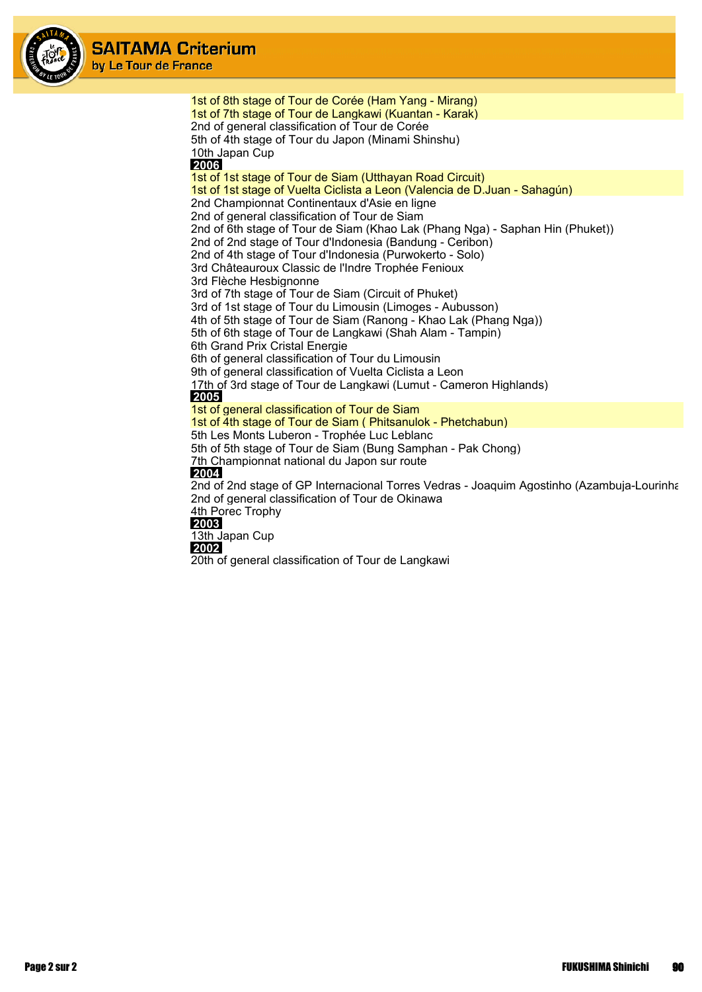

1st of 8th stage of Tour de Corée (Ham Yang - Mirang) 1st of 7th stage of Tour de Langkawi (Kuantan - Karak) 2nd of general classification of Tour de Corée 5th of 4th stage of Tour du Japon (Minami Shinshu) 10th Japan Cup  **2006** 1st of 1st stage of Tour de Siam (Utthayan Road Circuit) 1st of 1st stage of Vuelta Ciclista a Leon (Valencia de D.Juan - Sahagún) 2nd Championnat Continentaux d'Asie en ligne 2nd of general classification of Tour de Siam 2nd of 6th stage of Tour de Siam (Khao Lak (Phang Nga) - Saphan Hin (Phuket)) 2nd of 2nd stage of Tour d'Indonesia (Bandung - Ceribon) 2nd of 4th stage of Tour d'Indonesia (Purwokerto - Solo) 3rd Châteauroux Classic de l'Indre Trophée Fenioux 3rd Flèche Hesbignonne 3rd of 7th stage of Tour de Siam (Circuit of Phuket) 3rd of 1st stage of Tour du Limousin (Limoges - Aubusson) 4th of 5th stage of Tour de Siam (Ranong - Khao Lak (Phang Nga)) 5th of 6th stage of Tour de Langkawi (Shah Alam - Tampin) 6th Grand Prix Cristal Energie 6th of general classification of Tour du Limousin 9th of general classification of Vuelta Ciclista a Leon 17th of 3rd stage of Tour de Langkawi (Lumut - Cameron Highlands)  **2005** 1st of general classification of Tour de Siam 1st of 4th stage of Tour de Siam ( Phitsanulok - Phetchabun) 5th Les Monts Luberon - Trophée Luc Leblanc 5th of 5th stage of Tour de Siam (Bung Samphan - Pak Chong) 7th Championnat national du Japon sur route  **2004** 2nd of 2nd stage of GP Internacional Torres Vedras - Joaquim Agostinho (Azambuja-Lourinha 2nd of general classification of Tour de Okinawa 4th Porec Trophy  **2003** 13th Japan Cup

 **2002**

20th of general classification of Tour de Langkawi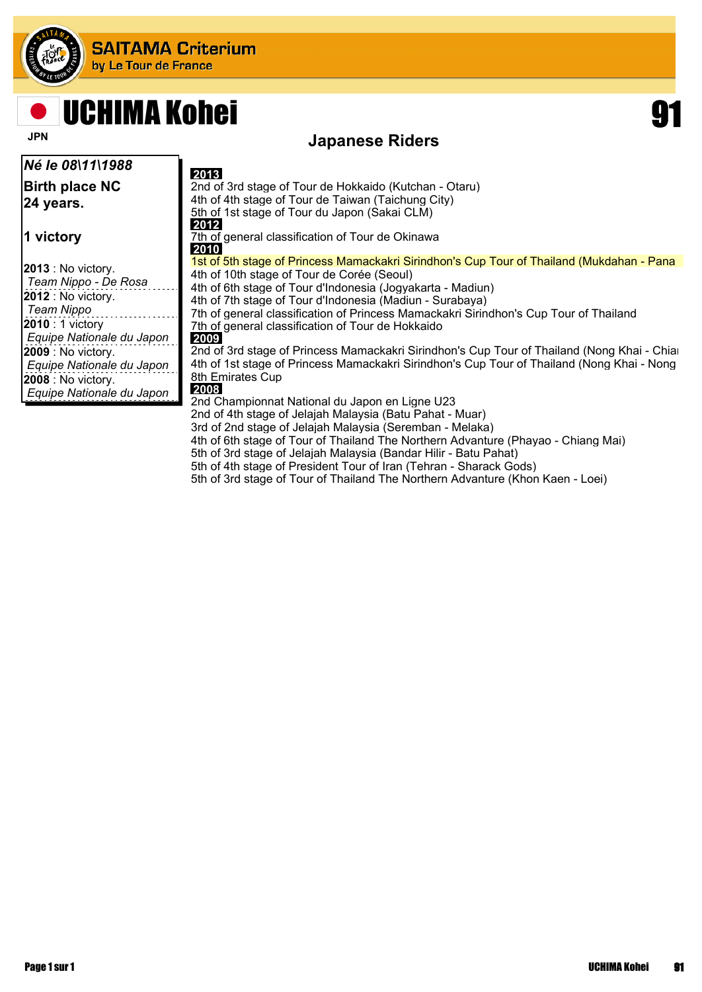

## **UCHIMA Kohei**

*Né le 08\11\1988*

**Birth place NC 24 years.**

**1 victory**

**2013** : No victory. *Team Nippo - De Rosa* **2012** : No victory. *Team Nippo* **2010** : 1 victory *Equipe Nationale du Japon* **2009** : No victory. *Equipe Nationale du Japon* **2008** : No victory. *Equipe Nationale du Japon*

### **Japanese Riders**

 **2013** 2nd of 3rd stage of Tour de Hokkaido (Kutchan - Otaru) 4th of 4th stage of Tour de Taiwan (Taichung City) 5th of 1st stage of Tour du Japon (Sakai CLM)  **2012** 7th of general classification of Tour de Okinawa  **2010** 1st of 5th stage of Princess Mamackakri Sirindhon's Cup Tour of Thailand (Mukdahan - Pana 4th of 10th stage of Tour de Corée (Seoul) 4th of 6th stage of Tour d'Indonesia (Jogyakarta - Madiun) 4th of 7th stage of Tour d'Indonesia (Madiun - Surabaya) 7th of general classification of Princess Mamackakri Sirindhon's Cup Tour of Thailand 7th of general classification of Tour de Hokkaido  **2009** 2nd of 3rd stage of Princess Mamackakri Sirindhon's Cup Tour of Thailand (Nong Khai - Chian 4th of 1st stage of Princess Mamackakri Sirindhon's Cup Tour of Thailand (Nong Khai - Nong 8th Emirates Cup  **2008** 2nd Championnat National du Japon en Ligne U23 2nd of 4th stage of Jelajah Malaysia (Batu Pahat - Muar) 3rd of 2nd stage of Jelajah Malaysia (Seremban - Melaka) 4th of 6th stage of Tour of Thailand The Northern Advanture (Phayao - Chiang Mai) 5th of 3rd stage of Jelajah Malaysia (Bandar Hilir - Batu Pahat) 5th of 4th stage of President Tour of Iran (Tehran - Sharack Gods) 5th of 3rd stage of Tour of Thailand The Northern Advanture (Khon Kaen - Loei)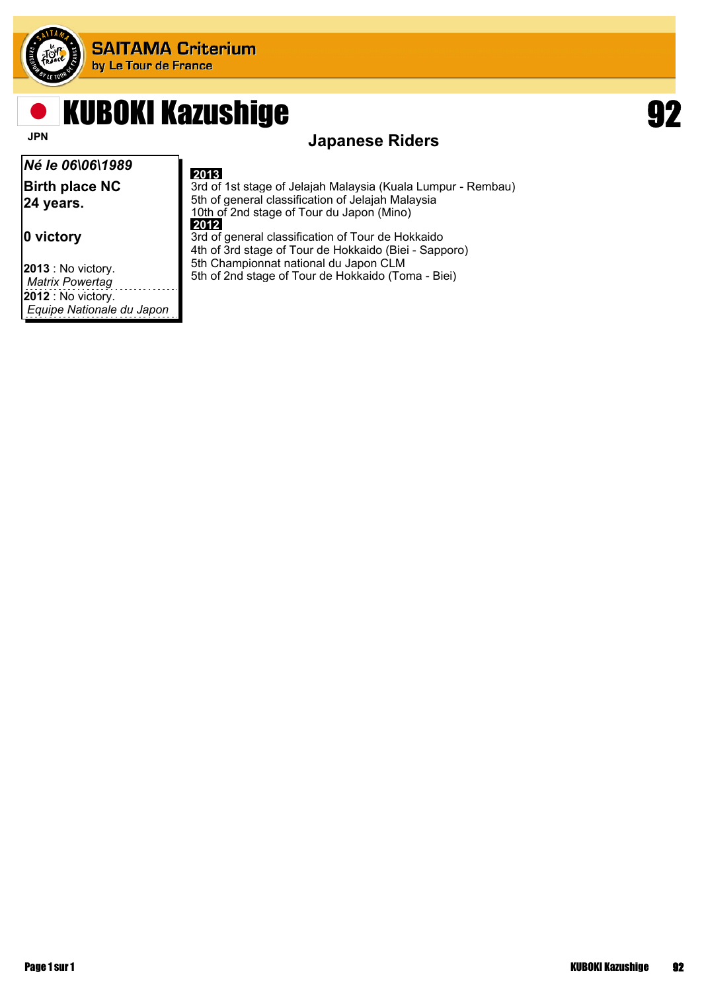

## KUBOKI Kazushige 192

*Né le 06\06\1989* **Birth place NC 24 years.**

**0 victory**

**2013** : No victory. *Matrix Powertag* **2012** : No victory. *Equipe Nationale du Japon*

### **JPN** Japanese Riders

#### **2013**

3rd of 1st stage of Jelajah Malaysia (Kuala Lumpur - Rembau) 5th of general classification of Jelajah Malaysia 10th of 2nd stage of Tour du Japon (Mino)  **2012** 3rd of general classification of Tour de Hokkaido

4th of 3rd stage of Tour de Hokkaido (Biei - Sapporo) 5th Championnat national du Japon CLM

5th of 2nd stage of Tour de Hokkaido (Toma - Biei)

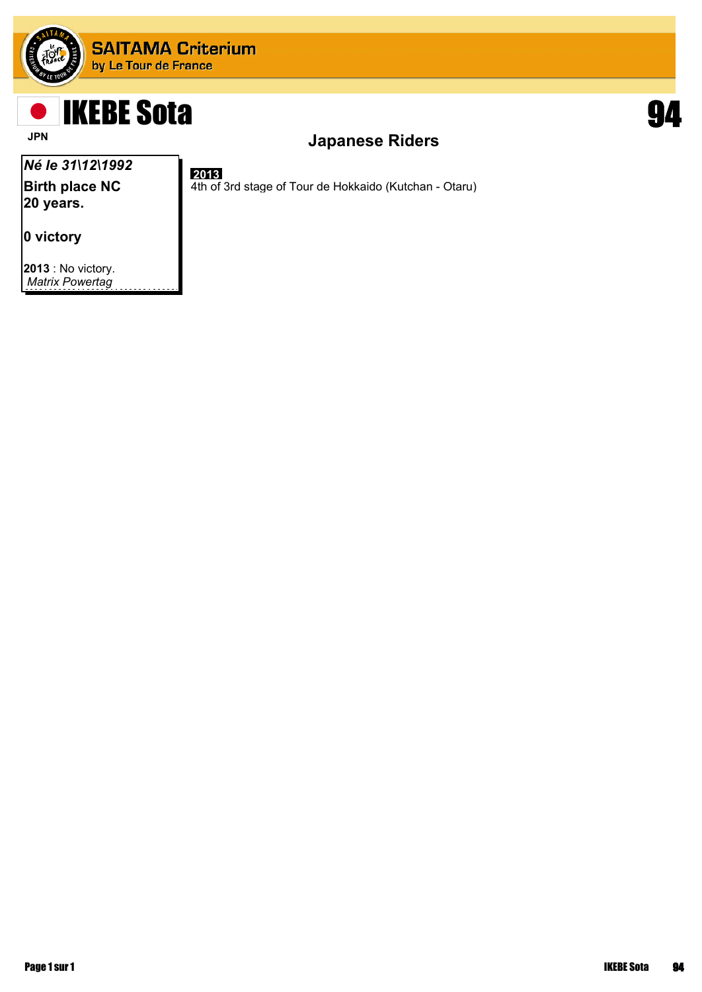

 **2013**

## IKEBE Sota 94

### **JPN** JAPANESE Riders

4th of 3rd stage of Tour de Hokkaido (Kutchan - Otaru)

### *Né le 31\12\1992*

**Birth place NC 20 years.**

**0 victory**

**2013** : No victory. *Matrix Powertag*

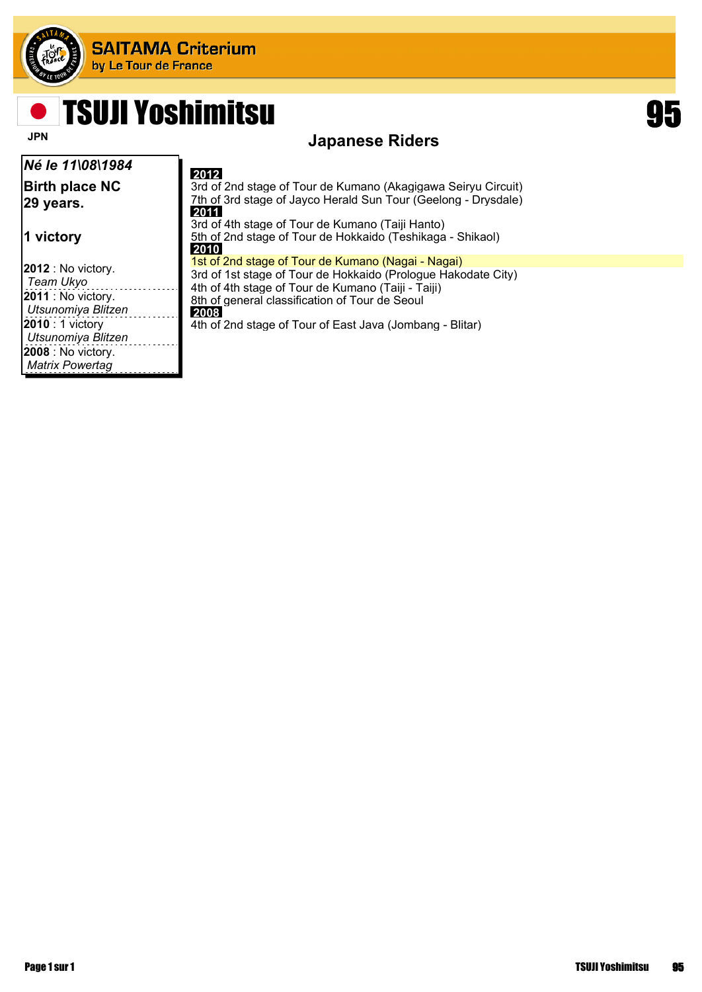

**Salar** 

## TSUJI Yoshimitsu 95



### **JPN** JAPANESE Riders

| Né le 11\08\1984                                                                                                                                                                     | 2012                                                                                                                                                                                                                                                                                            |
|--------------------------------------------------------------------------------------------------------------------------------------------------------------------------------------|-------------------------------------------------------------------------------------------------------------------------------------------------------------------------------------------------------------------------------------------------------------------------------------------------|
| <b>Birth place NC</b><br>29 years.                                                                                                                                                   | 3rd of 2nd stage of Tour de Kumano (Akagigawa Seiryu Circuit)<br>7th of 3rd stage of Jayco Herald Sun Tour (Geelong - Drysdale)<br>2011                                                                                                                                                         |
| ∣1 victory                                                                                                                                                                           | 3rd of 4th stage of Tour de Kumano (Taiji Hanto)<br>5th of 2nd stage of Tour de Hokkaido (Teshikaga - Shikaol)<br>2010                                                                                                                                                                          |
| $ 2012:$ No victory.<br>Team Ukyo<br>$ 2011 $ : No victory.<br>Utsunomiya Blitzen<br><b>2010</b> : 1 victory<br>Utsunomiya Blitzen<br>$ 2008:$ No victory.<br><b>Matrix Powertag</b> | 1st of 2nd stage of Tour de Kumano (Nagai - Nagai)<br>3rd of 1st stage of Tour de Hokkaido (Prologue Hakodate City)<br>4th of 4th stage of Tour de Kumano (Taiii - Taiii)<br>8th of general classification of Tour de Seoul<br>2008<br>4th of 2nd stage of Tour of East Java (Jombang - Blitar) |